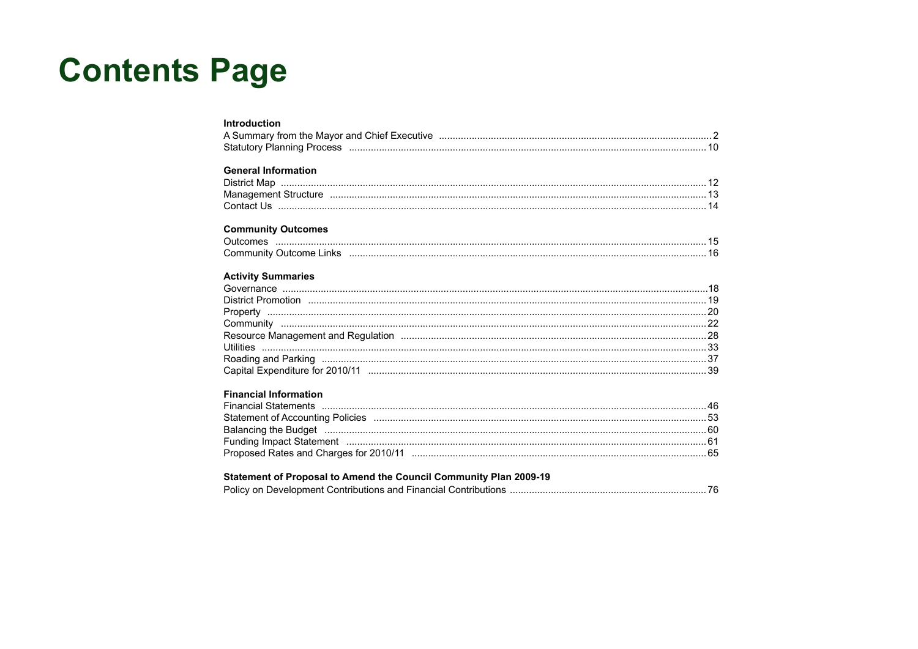# **Contents Page**

| <b>Introduction</b>                                                                                                                                                                                                           |  |
|-------------------------------------------------------------------------------------------------------------------------------------------------------------------------------------------------------------------------------|--|
|                                                                                                                                                                                                                               |  |
|                                                                                                                                                                                                                               |  |
|                                                                                                                                                                                                                               |  |
| <b>General Information</b>                                                                                                                                                                                                    |  |
|                                                                                                                                                                                                                               |  |
|                                                                                                                                                                                                                               |  |
|                                                                                                                                                                                                                               |  |
| <b>Community Outcomes</b>                                                                                                                                                                                                     |  |
|                                                                                                                                                                                                                               |  |
|                                                                                                                                                                                                                               |  |
|                                                                                                                                                                                                                               |  |
| <b>Activity Summaries</b>                                                                                                                                                                                                     |  |
|                                                                                                                                                                                                                               |  |
|                                                                                                                                                                                                                               |  |
|                                                                                                                                                                                                                               |  |
|                                                                                                                                                                                                                               |  |
|                                                                                                                                                                                                                               |  |
|                                                                                                                                                                                                                               |  |
| Roading and Parking members and according to the control of the control of the control of the control of the control of the control of the control of the control of the control of the control of the control of the control |  |
|                                                                                                                                                                                                                               |  |
|                                                                                                                                                                                                                               |  |
| <b>Financial Information</b>                                                                                                                                                                                                  |  |
|                                                                                                                                                                                                                               |  |
|                                                                                                                                                                                                                               |  |
| Balancing the Budget manufactured and contract the Budget manufactured and contract the Budget manufactured and $60$                                                                                                          |  |
| Funding Impact Statement manufactured and the control of the final statement of the final statement manufactured and the film of the film of the film of the film of the film of the film of the film of the film of the film |  |
|                                                                                                                                                                                                                               |  |
|                                                                                                                                                                                                                               |  |

### Statement of Proposal to Amend the Council Community Plan 2009-19

|--|--|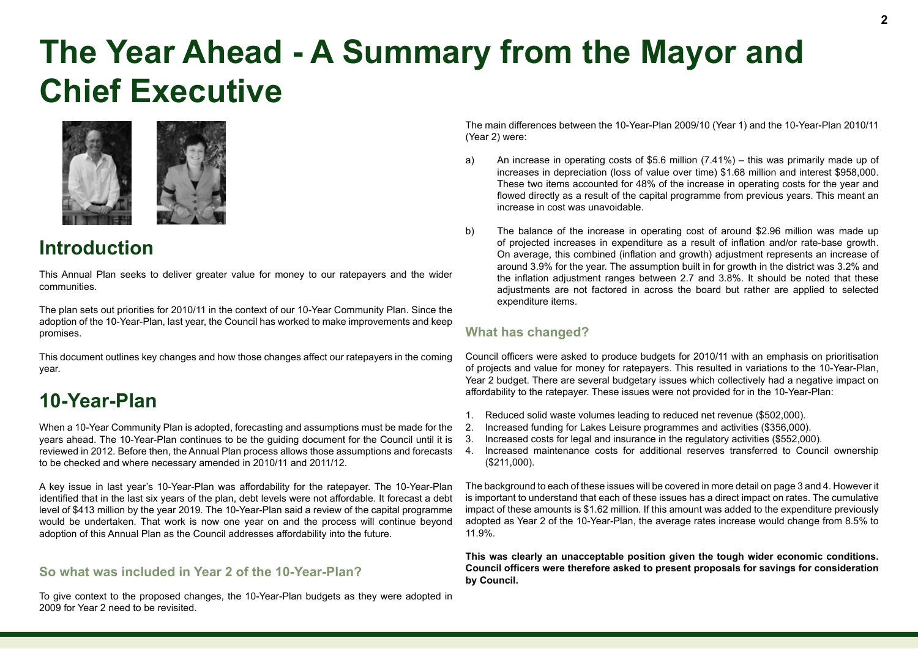# **The Year Ahead - A Summary from the Mayor and Chief Executive**



# **Introduction**

This Annual Plan seeks to deliver greater value for money to our ratepayers and the wider communities.

The plan sets out priorities for 2010/11 in the context of our 10-Year Community Plan. Since the adoption of the 10-Year-Plan, last year, the Council has worked to make improvements and keep promises.

This document outlines key changes and how those changes affect our ratepayers in the coming year.

# **10-Year-Plan**

When a 10-Year Community Plan is adopted, forecasting and assumptions must be made for the years ahead. The 10-Year-Plan continues to be the guiding document for the Council until it is reviewed in 2012. Before then, the Annual Plan process allows those assumptions and forecasts to be checked and where necessary amended in 2010/11 and 2011/12.

A key issue in last year's 10-Year-Plan was affordability for the ratepayer. The 10-Year-Plan identified that in the last six years of the plan, debt levels were not affordable. It forecast a debt level of \$413 million by the year 2019. The 10-Year-Plan said a review of the capital programme would be undertaken. That work is now one year on and the process will continue beyond adoption of this Annual Plan as the Council addresses affordability into the future.

#### **So what was included in Year 2 of the 10-Year-Plan?**

To give context to the proposed changes, the 10-Year-Plan budgets as they were adopted in 2009 for Year 2 need to be revisited.

The main differences between the 10-Year-Plan 2009/10 (Year 1) and the 10-Year-Plan 2010/11 (Year 2) were:

- a) An increase in operating costs of \$5.6 million (7.41%) this was primarily made up of increases in depreciation (loss of value over time) \$1.68 million and interest \$958,000. These two items accounted for 48% of the increase in operating costs for the year and flowed directly as a result of the capital programme from previous years. This meant an increase in cost was unavoidable.
- b) The balance of the increase in operating cost of around \$2.96 million was made up of projected increases in expenditure as a result of inflation and/or rate-base growth. On average, this combined (inflation and growth) adjustment represents an increase of around 3.9% for the year. The assumption built in for growth in the district was 3.2% and the inflation adjustment ranges between 2.7 and 3.8%. It should be noted that these adjustments are not factored in across the board but rather are applied to selected expenditure items.

#### **What has changed?**

Council officers were asked to produce budgets for 2010/11 with an emphasis on prioritisation of projects and value for money for ratepayers. This resulted in variations to the 10-Year-Plan, Year 2 budget. There are several budgetary issues which collectively had a negative impact on affordability to the ratepayer. These issues were not provided for in the 10-Year-Plan:

- 1. Reduced solid waste volumes leading to reduced net revenue (\$502,000).
- 2. Increased funding for Lakes Leisure programmes and activities (\$356,000).
- 3. Increased costs for legal and insurance in the regulatory activities (\$552,000).
- 4. Increased maintenance costs for additional reserves transferred to Council ownership (\$211,000).

The background to each of these issues will be covered in more detail on page 3 and 4. However it is important to understand that each of these issues has a direct impact on rates. The cumulative impact of these amounts is \$1.62 million. If this amount was added to the expenditure previously adopted as Year 2 of the 10-Year-Plan, the average rates increase would change from 8.5% to 11.9%.

**This was clearly an unacceptable position given the tough wider economic conditions. Council officers were therefore asked to present proposals for savings for consideration by Council.**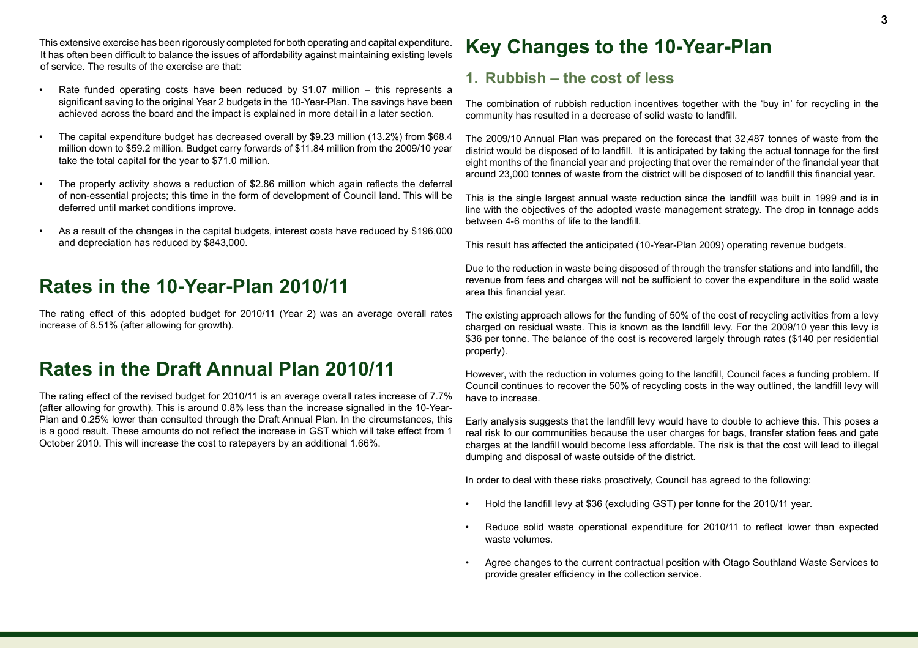This extensive exercise has been rigorously completed for both operating and capital expenditure. It has often been difficult to balance the issues of affordability against maintaining existing levels of service. The results of the exercise are that:

- Rate funded operating costs have been reduced by \$1.07 million this represents a significant saving to the original Year 2 budgets in the 10-Year-Plan. The savings have been achieved across the board and the impact is explained in more detail in a later section.
- The capital expenditure budget has decreased overall by \$9.23 million (13.2%) from \$68.4 million down to \$59.2 million. Budget carry forwards of \$11.84 million from the 2009/10 year take the total capital for the year to \$71.0 million.
- The property activity shows a reduction of \$2.86 million which again reflects the deferral of non-essential projects; this time in the form of development of Council land. This will be deferred until market conditions improve.
- As a result of the changes in the capital budgets, interest costs have reduced by \$196,000 and depreciation has reduced by \$843,000.

# **Rates in the 10-Year-Plan 2010/11**

The rating effect of this adopted budget for 2010/11 (Year 2) was an average overall rates increase of 8.51% (after allowing for growth).

# **Rates in the Draft Annual Plan 2010/11**

The rating effect of the revised budget for 2010/11 is an average overall rates increase of 7.7% (after allowing for growth). This is around 0.8% less than the increase signalled in the 10-Year-Plan and 0.25% lower than consulted through the Draft Annual Plan. In the circumstances, this is a good result. These amounts do not reflect the increase in GST which will take effect from 1 October 2010. This will increase the cost to ratepayers by an additional 1.66%.

# **Key Changes to the 10-Year-Plan**

### **1. Rubbish – the cost of less**

The combination of rubbish reduction incentives together with the 'buy in' for recycling in the community has resulted in a decrease of solid waste to landfill.

The 2009/10 Annual Plan was prepared on the forecast that 32,487 tonnes of waste from the district would be disposed of to landfill. It is anticipated by taking the actual tonnage for the first eight months of the financial year and projecting that over the remainder of the financial year that around 23,000 tonnes of waste from the district will be disposed of to landfill this financial year.

This is the single largest annual waste reduction since the landfill was built in 1999 and is in line with the objectives of the adopted waste management strategy. The drop in tonnage adds between 4-6 months of life to the landfill.

This result has affected the anticipated (10-Year-Plan 2009) operating revenue budgets.

Due to the reduction in waste being disposed of through the transfer stations and into landfill, the revenue from fees and charges will not be sufficient to cover the expenditure in the solid waste area this financial year.

The existing approach allows for the funding of 50% of the cost of recycling activities from a levy charged on residual waste. This is known as the landfill levy. For the 2009/10 year this levy is \$36 per tonne. The balance of the cost is recovered largely through rates (\$140 per residential property).

However, with the reduction in volumes going to the landfill, Council faces a funding problem. If Council continues to recover the 50% of recycling costs in the way outlined, the landfill levy will have to increase.

Early analysis suggests that the landfill levy would have to double to achieve this. This poses a real risk to our communities because the user charges for bags, transfer station fees and gate charges at the landfill would become less affordable. The risk is that the cost will lead to illegal dumping and disposal of waste outside of the district.

In order to deal with these risks proactively, Council has agreed to the following:

- Hold the landfill levy at \$36 (excluding GST) per tonne for the 2010/11 year.
- Reduce solid waste operational expenditure for 2010/11 to reflect lower than expected waste volumes.
- Agree changes to the current contractual position with Otago Southland Waste Services to provide greater efficiency in the collection service.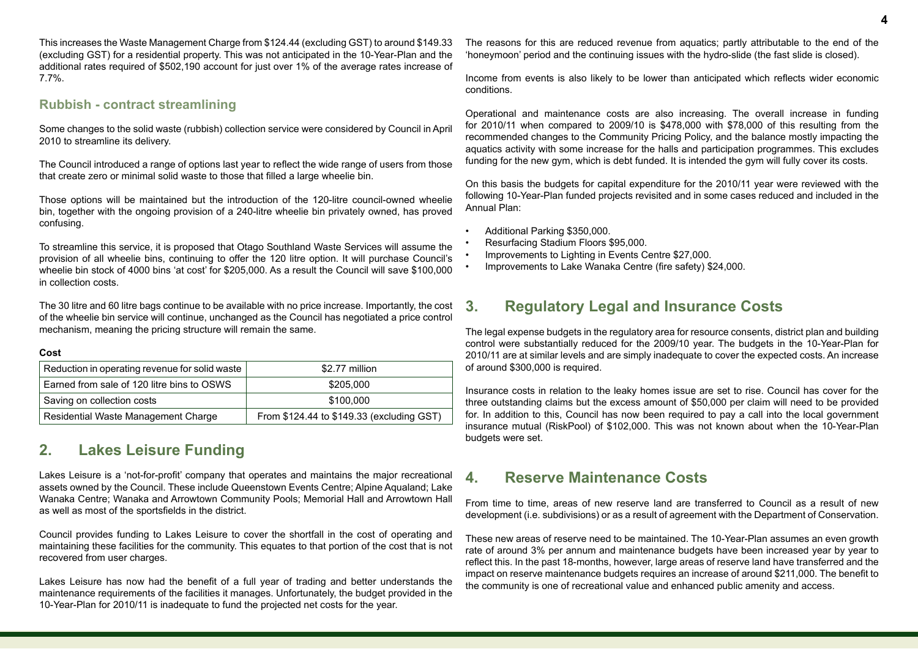This increases the Waste Management Charge from \$124.44 (excluding GST) to around \$149.33 (excluding GST) for a residential property. This was not anticipated in the 10-Year-Plan and the additional rates required of \$502,190 account for just over 1% of the average rates increase of 7.7%.

#### **Rubbish - contract streamlining**

Some changes to the solid waste (rubbish) collection service were considered by Council in April 2010 to streamline its delivery.

The Council introduced a range of options last year to reflect the wide range of users from those that create zero or minimal solid waste to those that filled a large wheelie bin.

Those options will be maintained but the introduction of the 120-litre council-owned wheelie bin, together with the ongoing provision of a 240-litre wheelie bin privately owned, has proved confusing.

To streamline this service, it is proposed that Otago Southland Waste Services will assume the provision of all wheelie bins, continuing to offer the 120 litre option. It will purchase Council's wheelie bin stock of 4000 bins 'at cost' for \$205,000. As a result the Council will save \$100,000 in collection costs.

The 30 litre and 60 litre bags continue to be available with no price increase. Importantly, the cost of the wheelie bin service will continue, unchanged as the Council has negotiated a price control mechanism, meaning the pricing structure will remain the same.

#### **Cost**

| Reduction in operating revenue for solid waste | \$2.77 million                            |
|------------------------------------------------|-------------------------------------------|
| Earned from sale of 120 litre bins to OSWS     | \$205,000                                 |
| Saving on collection costs                     | \$100,000                                 |
| Residential Waste Management Charge            | From \$124.44 to \$149.33 (excluding GST) |

### **2. Lakes Leisure Funding**

Lakes Leisure is a 'not-for-profit' company that operates and maintains the major recreational assets owned by the Council. These include Queenstown Events Centre; Alpine Aqualand; Lake Wanaka Centre; Wanaka and Arrowtown Community Pools; Memorial Hall and Arrowtown Hall as well as most of the sportsfields in the district.

Council provides funding to Lakes Leisure to cover the shortfall in the cost of operating and maintaining these facilities for the community. This equates to that portion of the cost that is not recovered from user charges.

Lakes Leisure has now had the benefit of a full year of trading and better understands the maintenance requirements of the facilities it manages. Unfortunately, the budget provided in the 10-Year-Plan for 2010/11 is inadequate to fund the projected net costs for the year.

The reasons for this are reduced revenue from aquatics; partly attributable to the end of the 'honeymoon' period and the continuing issues with the hydro-slide (the fast slide is closed).

Income from events is also likely to be lower than anticipated which reflects wider economic conditions.

Operational and maintenance costs are also increasing. The overall increase in funding for 2010/11 when compared to 2009/10 is \$478,000 with \$78,000 of this resulting from the recommended changes to the Community Pricing Policy, and the balance mostly impacting the aquatics activity with some increase for the halls and participation programmes. This excludes funding for the new gym, which is debt funded. It is intended the gym will fully cover its costs.

On this basis the budgets for capital expenditure for the 2010/11 year were reviewed with the following 10-Year-Plan funded projects revisited and in some cases reduced and included in the Annual Plan:

- Additional Parking \$350,000.
- Resurfacing Stadium Floors \$95,000.
- Improvements to Lighting in Events Centre \$27,000.
- Improvements to Lake Wanaka Centre (fire safety) \$24,000.

## **3. Regulatory Legal and Insurance Costs**

The legal expense budgets in the regulatory area for resource consents, district plan and building control were substantially reduced for the 2009/10 year. The budgets in the 10-Year-Plan for 2010/11 are at similar levels and are simply inadequate to cover the expected costs. An increase of around \$300,000 is required.

Insurance costs in relation to the leaky homes issue are set to rise. Council has cover for the three outstanding claims but the excess amount of \$50,000 per claim will need to be provided for. In addition to this, Council has now been required to pay a call into the local government insurance mutual (RiskPool) of \$102,000. This was not known about when the 10-Year-Plan budgets were set.

### **4. Reserve Maintenance Costs**

From time to time, areas of new reserve land are transferred to Council as a result of new development (i.e. subdivisions) or as a result of agreement with the Department of Conservation.

These new areas of reserve need to be maintained. The 10-Year-Plan assumes an even growth rate of around 3% per annum and maintenance budgets have been increased year by year to reflect this. In the past 18-months, however, large areas of reserve land have transferred and the impact on reserve maintenance budgets requires an increase of around \$211,000. The benefit to the community is one of recreational value and enhanced public amenity and access.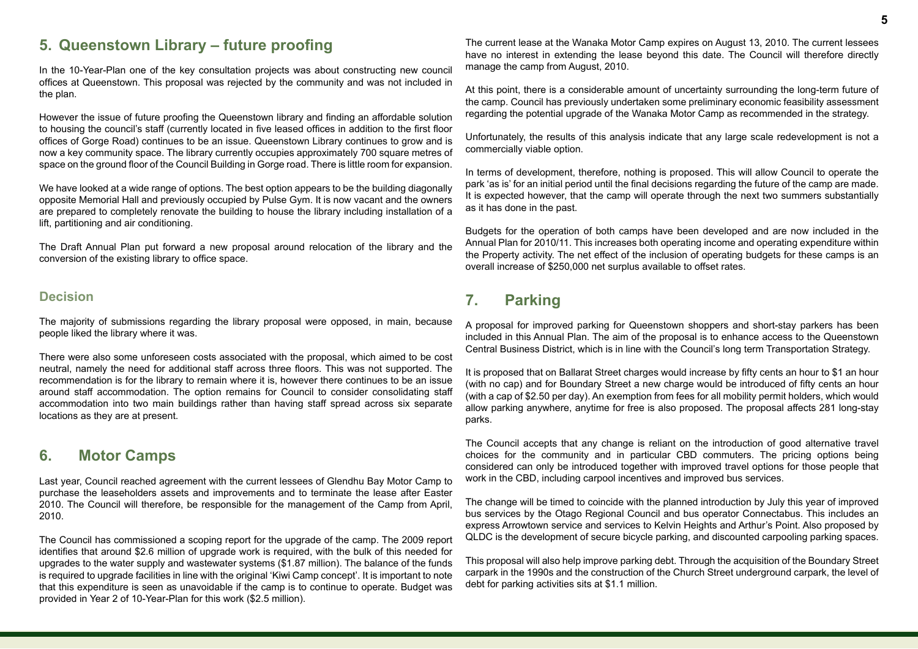## **5. Queenstown Library – future proofing**

In the 10-Year-Plan one of the key consultation projects was about constructing new council offices at Queenstown. This proposal was rejected by the community and was not included in the plan.

However the issue of future proofing the Queenstown library and finding an affordable solution to housing the council's staff (currently located in five leased offices in addition to the first floor offices of Gorge Road) continues to be an issue. Queenstown Library continues to grow and is now a key community space. The library currently occupies approximately 700 square metres of space on the ground floor of the Council Building in Gorge road. There is little room for expansion.

We have looked at a wide range of options. The best option appears to be the building diagonally opposite Memorial Hall and previously occupied by Pulse Gym. It is now vacant and the owners are prepared to completely renovate the building to house the library including installation of a lift, partitioning and air conditioning.

The Draft Annual Plan put forward a new proposal around relocation of the library and the conversion of the existing library to office space.

#### **Decision**

The majority of submissions regarding the library proposal were opposed, in main, because people liked the library where it was.

There were also some unforeseen costs associated with the proposal, which aimed to be cost neutral, namely the need for additional staff across three floors. This was not supported. The recommendation is for the library to remain where it is, however there continues to be an issue around staff accommodation. The option remains for Council to consider consolidating staff accommodation into two main buildings rather than having staff spread across six separate locations as they are at present.

### **6. Motor Camps**

Last year, Council reached agreement with the current lessees of Glendhu Bay Motor Camp to purchase the leaseholders assets and improvements and to terminate the lease after Easter 2010. The Council will therefore, be responsible for the management of the Camp from April, 2010.

The Council has commissioned a scoping report for the upgrade of the camp. The 2009 report identifies that around \$2.6 million of upgrade work is required, with the bulk of this needed for upgrades to the water supply and wastewater systems (\$1.87 million). The balance of the funds is required to upgrade facilities in line with the original 'Kiwi Camp concept'. It is important to note that this expenditure is seen as unavoidable if the camp is to continue to operate. Budget was provided in Year 2 of 10-Year-Plan for this work (\$2.5 million).

The current lease at the Wanaka Motor Camp expires on August 13, 2010. The current lessees have no interest in extending the lease beyond this date. The Council will therefore directly manage the camp from August, 2010.

At this point, there is a considerable amount of uncertainty surrounding the long-term future of the camp. Council has previously undertaken some preliminary economic feasibility assessment regarding the potential upgrade of the Wanaka Motor Camp as recommended in the strategy.

Unfortunately, the results of this analysis indicate that any large scale redevelopment is not a commercially viable option.

In terms of development, therefore, nothing is proposed. This will allow Council to operate the park 'as is' for an initial period until the final decisions regarding the future of the camp are made. It is expected however, that the camp will operate through the next two summers substantially as it has done in the past.

Budgets for the operation of both camps have been developed and are now included in the Annual Plan for 2010/11. This increases both operating income and operating expenditure within the Property activity. The net effect of the inclusion of operating budgets for these camps is an overall increase of \$250,000 net surplus available to offset rates.

## **7. Parking**

A proposal for improved parking for Queenstown shoppers and short-stay parkers has been included in this Annual Plan. The aim of the proposal is to enhance access to the Queenstown Central Business District, which is in line with the Council's long term Transportation Strategy.

It is proposed that on Ballarat Street charges would increase by fifty cents an hour to \$1 an hour (with no cap) and for Boundary Street a new charge would be introduced of fifty cents an hour (with a cap of \$2.50 per day). An exemption from fees for all mobility permit holders, which would allow parking anywhere, anytime for free is also proposed. The proposal affects 281 long-stay parks.

The Council accepts that any change is reliant on the introduction of good alternative travel choices for the community and in particular CBD commuters. The pricing options being considered can only be introduced together with improved travel options for those people that work in the CBD, including carpool incentives and improved bus services.

The change will be timed to coincide with the planned introduction by July this year of improved bus services by the Otago Regional Council and bus operator Connectabus. This includes an express Arrowtown service and services to Kelvin Heights and Arthur's Point. Also proposed by QLDC is the development of secure bicycle parking, and discounted carpooling parking spaces.

This proposal will also help improve parking debt. Through the acquisition of the Boundary Street carpark in the 1990s and the construction of the Church Street underground carpark, the level of debt for parking activities sits at \$1.1 million.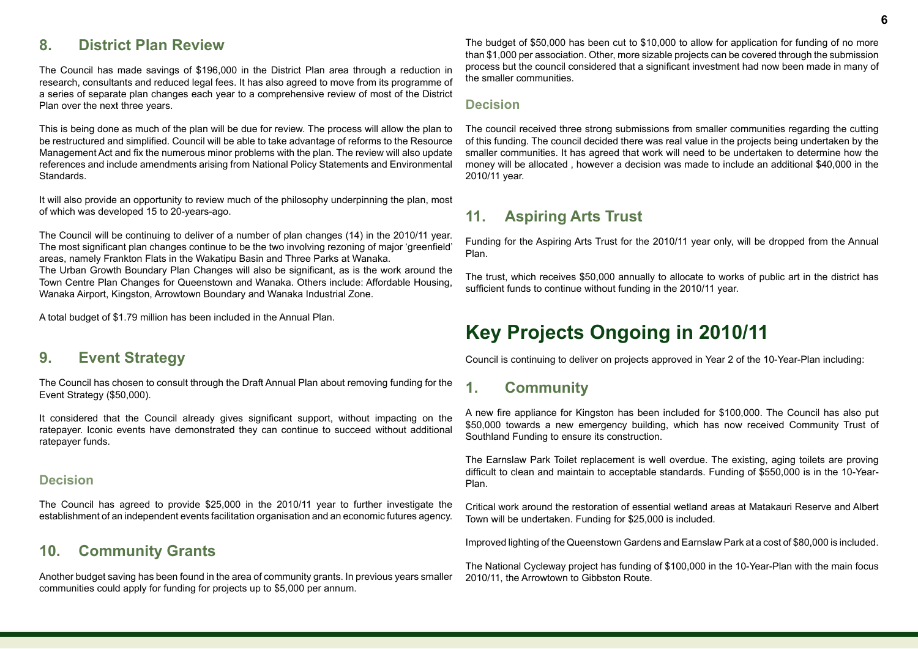## **8. District Plan Review**

The Council has made savings of \$196,000 in the District Plan area through a reduction in research, consultants and reduced legal fees. It has also agreed to move from its programme of a series of separate plan changes each year to a comprehensive review of most of the District Plan over the next three years.

This is being done as much of the plan will be due for review. The process will allow the plan to be restructured and simplified. Council will be able to take advantage of reforms to the Resource Management Act and fix the numerous minor problems with the plan. The review will also update references and include amendments arising from National Policy Statements and Environmental Standards.

It will also provide an opportunity to review much of the philosophy underpinning the plan, most of which was developed 15 to 20-years-ago.

The Council will be continuing to deliver of a number of plan changes (14) in the 2010/11 year. The most significant plan changes continue to be the two involving rezoning of major 'greenfield' areas, namely Frankton Flats in the Wakatipu Basin and Three Parks at Wanaka.

The Urban Growth Boundary Plan Changes will also be significant, as is the work around the Town Centre Plan Changes for Queenstown and Wanaka. Others include: Affordable Housing, Wanaka Airport, Kingston, Arrowtown Boundary and Wanaka Industrial Zone.

A total budget of \$1.79 million has been included in the Annual Plan.

### **9. Event Strategy**

The Council has chosen to consult through the Draft Annual Plan about removing funding for the Event Strategy (\$50,000).

It considered that the Council already gives significant support, without impacting on the ratepayer. Iconic events have demonstrated they can continue to succeed without additional ratepayer funds.

#### **Decision**

The Council has agreed to provide \$25,000 in the 2010/11 year to further investigate the establishment of an independent events facilitation organisation and an economic futures agency.

### **10. Community Grants**

Another budget saving has been found in the area of community grants. In previous years smaller communities could apply for funding for projects up to \$5,000 per annum.

The budget of \$50,000 has been cut to \$10,000 to allow for application for funding of no more than \$1,000 per association. Other, more sizable projects can be covered through the submission process but the council considered that a significant investment had now been made in many of the smaller communities.

#### **Decision**

The council received three strong submissions from smaller communities regarding the cutting of this funding. The council decided there was real value in the projects being undertaken by the smaller communities. It has agreed that work will need to be undertaken to determine how the money will be allocated , however a decision was made to include an additional \$40,000 in the 2010/11 year.

### **11. Aspiring Arts Trust**

Funding for the Aspiring Arts Trust for the 2010/11 year only, will be dropped from the Annual Plan.

The trust, which receives \$50,000 annually to allocate to works of public art in the district has sufficient funds to continue without funding in the 2010/11 year.

# **Key Projects Ongoing in 2010/11**

Council is continuing to deliver on projects approved in Year 2 of the 10-Year-Plan including:

### **1. Community**

A new fire appliance for Kingston has been included for \$100,000. The Council has also put \$50,000 towards a new emergency building, which has now received Community Trust of Southland Funding to ensure its construction.

The Earnslaw Park Toilet replacement is well overdue. The existing, aging toilets are proving difficult to clean and maintain to acceptable standards. Funding of \$550,000 is in the 10-Year-Plan.

Critical work around the restoration of essential wetland areas at Matakauri Reserve and Albert Town will be undertaken. Funding for \$25,000 is included.

Improved lighting of the Queenstown Gardens and Earnslaw Park at a cost of \$80,000 is included.

The National Cycleway project has funding of \$100,000 in the 10-Year-Plan with the main focus 2010/11, the Arrowtown to Gibbston Route.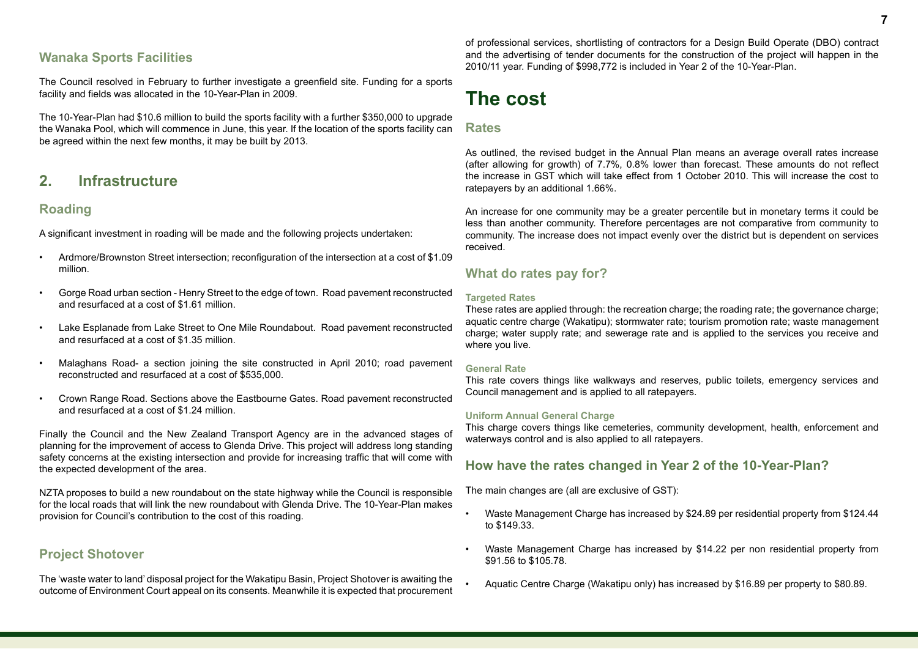#### **Wanaka Sports Facilities**

The Council resolved in February to further investigate a greenfield site. Funding for a sports facility and fields was allocated in the 10-Year-Plan in 2009.

The 10-Year-Plan had \$10.6 million to build the sports facility with a further \$350,000 to upgrade the Wanaka Pool, which will commence in June, this year. If the location of the sports facility can be agreed within the next few months, it may be built by 2013.

### **2. Infrastructure**

#### **Roading**

A significant investment in roading will be made and the following projects undertaken:

- Ardmore/Brownston Street intersection; reconfiguration of the intersection at a cost of \$1.09 million.
- Gorge Road urban section Henry Street to the edge of town. Road pavement reconstructed and resurfaced at a cost of \$1.61 million.
- Lake Esplanade from Lake Street to One Mile Roundabout. Road pavement reconstructed and resurfaced at a cost of \$1.35 million.
- Malaghans Road- a section joining the site constructed in April 2010; road pavement reconstructed and resurfaced at a cost of \$535,000.
- Crown Range Road. Sections above the Eastbourne Gates. Road pavement reconstructed and resurfaced at a cost of \$1.24 million.

Finally the Council and the New Zealand Transport Agency are in the advanced stages of planning for the improvement of access to Glenda Drive. This project will address long standing safety concerns at the existing intersection and provide for increasing traffic that will come with the expected development of the area.

NZTA proposes to build a new roundabout on the state highway while the Council is responsible for the local roads that will link the new roundabout with Glenda Drive. The 10-Year-Plan makes provision for Council's contribution to the cost of this roading.

#### **Project Shotover**

The 'waste water to land' disposal project for the Wakatipu Basin, Project Shotover is awaiting the outcome of Environment Court appeal on its consents. Meanwhile it is expected that procurement

of professional services, shortlisting of contractors for a Design Build Operate (DBO) contract and the advertising of tender documents for the construction of the project will happen in the 2010/11 year. Funding of \$998,772 is included in Year 2 of the 10-Year-Plan.

# **The cost**

#### **Rates**

As outlined, the revised budget in the Annual Plan means an average overall rates increase (after allowing for growth) of 7.7%, 0.8% lower than forecast. These amounts do not reflect the increase in GST which will take effect from 1 October 2010. This will increase the cost to ratepayers by an additional 1.66%.

An increase for one community may be a greater percentile but in monetary terms it could be less than another community. Therefore percentages are not comparative from community to community. The increase does not impact evenly over the district but is dependent on services received.

#### **What do rates pay for?**

#### **Targeted Rates**

These rates are applied through: the recreation charge; the roading rate; the governance charge; aquatic centre charge (Wakatipu); stormwater rate; tourism promotion rate; waste management charge; water supply rate; and sewerage rate and is applied to the services you receive and where you live.

#### **General Rate**

This rate covers things like walkways and reserves, public toilets, emergency services and Council management and is applied to all ratepayers.

#### **Uniform Annual General Charge**

This charge covers things like cemeteries, community development, health, enforcement and waterways control and is also applied to all ratepayers.

#### **How have the rates changed in Year 2 of the 10-Year-Plan?**

The main changes are (all are exclusive of GST):

- Waste Management Charge has increased by \$24.89 per residential property from \$124.44 to \$149.33.
- Waste Management Charge has increased by \$14.22 per non residential property from \$91.56 to \$105.78.
- Aquatic Centre Charge (Wakatipu only) has increased by \$16.89 per property to \$80.89.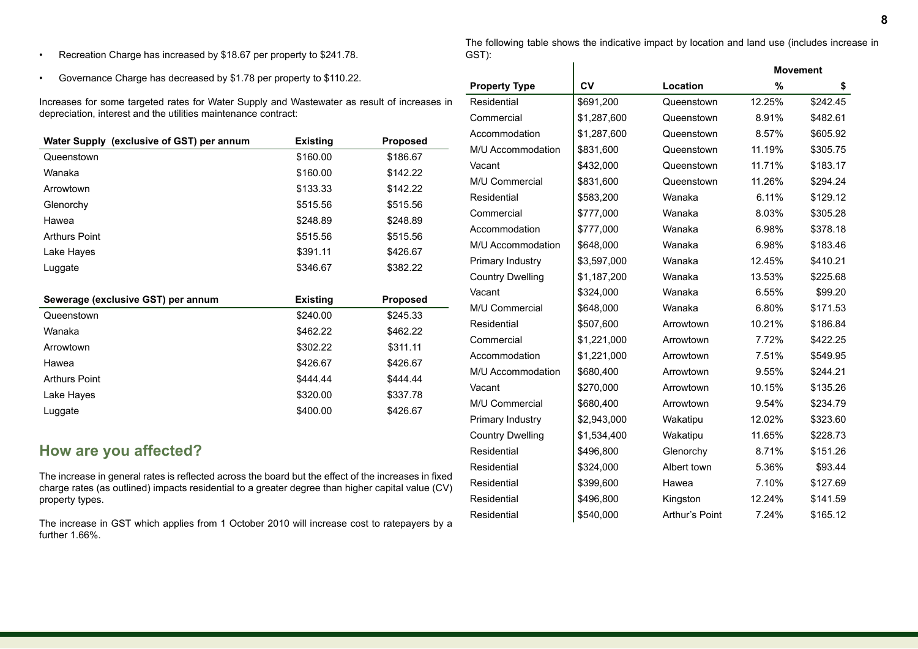- Recreation Charge has increased by \$18.67 per property to \$241.78.
- Governance Charge has decreased by \$1.78 per property to \$110.22.

Increases for some targeted rates for Water Supply and Wastewater as result of increases in depreciation, interest and the utilities maintenance contract:

| Water Supply (exclusive of GST) per annum | <b>Existing</b> | <b>Proposed</b> |
|-------------------------------------------|-----------------|-----------------|
| Queenstown                                | \$160.00        | \$186.67        |
| Wanaka                                    | \$160.00        | \$142.22        |
| Arrowtown                                 | \$133.33        | \$142.22        |
| Glenorchy                                 | \$515.56        | \$515.56        |
| Hawea                                     | \$248.89        | \$248.89        |
| <b>Arthurs Point</b>                      | \$515.56        | \$515.56        |
| Lake Hayes                                | \$391.11        | \$426.67        |
| Luggate                                   | \$346.67        | \$382.22        |

| Sewerage (exclusive GST) per annum | <b>Existing</b> | <b>Proposed</b> |  |
|------------------------------------|-----------------|-----------------|--|
| Queenstown                         | \$240.00        | \$245.33        |  |
| Wanaka                             | \$462.22        | \$462.22        |  |
| Arrowtown                          | \$302.22        | \$311.11        |  |
| Hawea                              | \$426.67        | \$426.67        |  |
| <b>Arthurs Point</b>               | \$444.44        | \$444.44        |  |
| Lake Hayes                         | \$320.00        | \$337.78        |  |
| Luggate                            | \$400.00        | \$426.67        |  |

## **How are you affected?**

The increase in general rates is reflected across the board but the effect of the increases in fixed charge rates (as outlined) impacts residential to a greater degree than higher capital value (CV) property types.

The increase in GST which applies from 1 October 2010 will increase cost to ratepayers by a further 1.66%.

The following table shows the indicative impact by location and land use (includes increase in GST):

|                         | <b>Movement</b> |                |        |          |
|-------------------------|-----------------|----------------|--------|----------|
| <b>Property Type</b>    | CV              | Location       | %      | \$       |
| Residential             | \$691,200       | Queenstown     | 12.25% | \$242.45 |
| Commercial              | \$1,287,600     | Queenstown     | 8.91%  | \$482.61 |
| Accommodation           | \$1,287,600     | Queenstown     | 8.57%  | \$605.92 |
| M/U Accommodation       | \$831,600       | Queenstown     | 11.19% | \$305.75 |
| Vacant                  | \$432,000       | Queenstown     | 11.71% | \$183.17 |
| M/U Commercial          | \$831,600       | Queenstown     | 11.26% | \$294.24 |
| Residential             | \$583,200       | Wanaka         | 6.11%  | \$129.12 |
| Commercial              | \$777,000       | Wanaka         | 8.03%  | \$305.28 |
| Accommodation           | \$777,000       | Wanaka         | 6.98%  | \$378.18 |
| M/U Accommodation       | \$648,000       | Wanaka         | 6.98%  | \$183.46 |
| Primary Industry        | \$3,597,000     | Wanaka         | 12.45% | \$410.21 |
| <b>Country Dwelling</b> | \$1,187,200     | Wanaka         | 13.53% | \$225.68 |
| Vacant                  | \$324,000       | Wanaka         | 6.55%  | \$99.20  |
| M/U Commercial          | \$648,000       | Wanaka         | 6.80%  | \$171.53 |
| Residential             | \$507,600       | Arrowtown      | 10.21% | \$186.84 |
| Commercial              | \$1,221,000     | Arrowtown      | 7.72%  | \$422.25 |
| Accommodation           | \$1,221,000     | Arrowtown      | 7.51%  | \$549.95 |
| M/U Accommodation       | \$680,400       | Arrowtown      | 9.55%  | \$244.21 |
| Vacant                  | \$270,000       | Arrowtown      | 10.15% | \$135.26 |
| M/U Commercial          | \$680,400       | Arrowtown      | 9.54%  | \$234.79 |
| Primary Industry        | \$2,943,000     | Wakatipu       | 12.02% | \$323.60 |
| <b>Country Dwelling</b> | \$1,534,400     | Wakatipu       | 11.65% | \$228.73 |
| Residential             | \$496,800       | Glenorchy      | 8.71%  | \$151.26 |
| Residential             | \$324,000       | Albert town    | 5.36%  | \$93.44  |
| Residential             | \$399,600       | Hawea          | 7.10%  | \$127.69 |
| Residential             | \$496,800       | Kingston       | 12.24% | \$141.59 |
| Residential             | \$540,000       | Arthur's Point | 7.24%  | \$165.12 |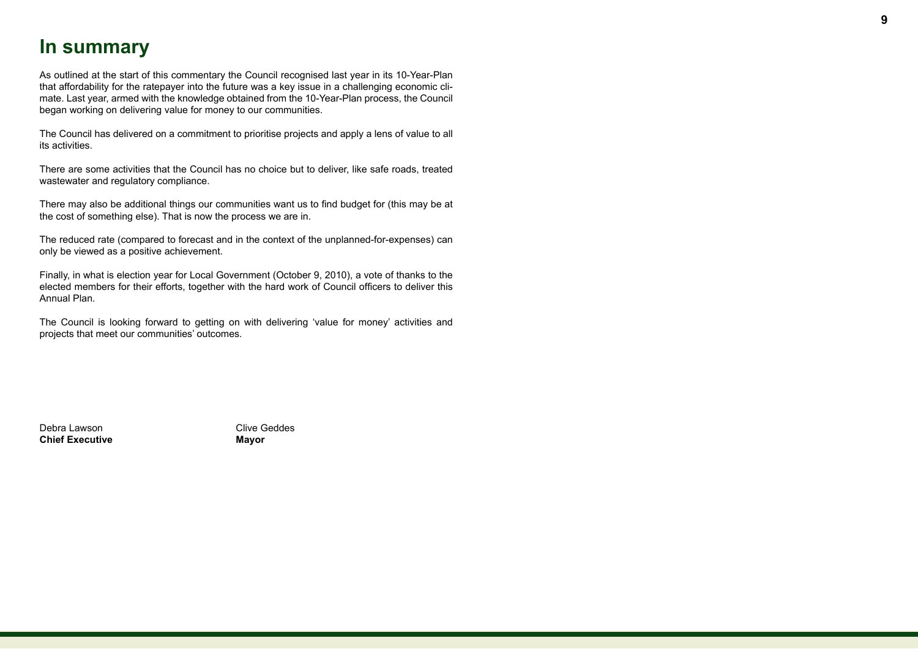# **In summary**

As outlined at the start of this commentary the Council recognised last year in its 10-Year-Plan that affordability for the ratepayer into the future was a key issue in a challenging economic climate. Last year, armed with the knowledge obtained from the 10-Year-Plan process, the Council began working on delivering value for money to our communities.

The Council has delivered on a commitment to prioritise projects and apply a lens of value to all its activities.

There are some activities that the Council has no choice but to deliver, like safe roads, treated wastewater and regulatory compliance.

There may also be additional things our communities want us to find budget for (this may be at the cost of something else). That is now the process we are in.

The reduced rate (compared to forecast and in the context of the unplanned-for-expenses) can only be viewed as a positive achievement.

Finally, in what is election year for Local Government (October 9, 2010), a vote of thanks to the elected members for their efforts, together with the hard work of Council officers to deliver this Annual Plan.

The Council is looking forward to getting on with delivering 'value for money' activities and projects that meet our communities' outcomes.

Debra Lawson Clive Geddes **Chief Executive Mayor**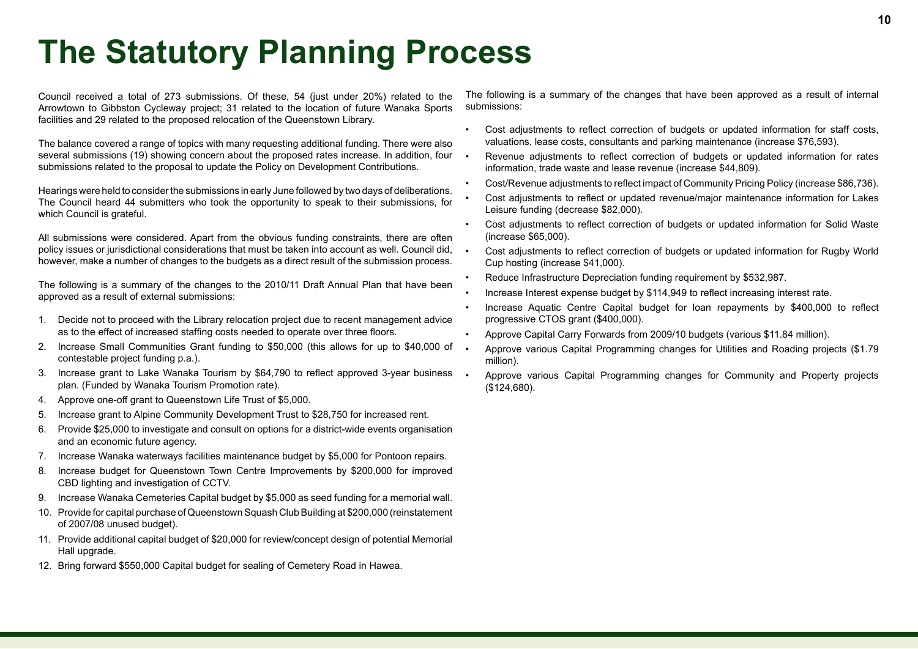# **The Statutory Planning Process**

Council received a total of 273 submissions. Of these, 54 (just under 20%) related to the Arrowtown to Gibbston Cycleway project; 31 related to the location of future Wanaka Sports facilities and 29 related to the proposed relocation of the Queenstown Library.

The balance covered a range of topics with many requesting additional funding. There were also several submissions (19) showing concern about the proposed rates increase. In addition, four submissions related to the proposal to update the Policy on Development Contributions.

Hearings were held to consider the submissions in early June followed by two days of deliberations. The Council heard 44 submitters who took the opportunity to speak to their submissions, for which Council is grateful.

All submissions were considered. Apart from the obvious funding constraints, there are often policy issues or jurisdictional considerations that must be taken into account as well. Council did, however, make a number of changes to the budgets as a direct result of the submission process.

The following is a summary of the changes to the 2010/11 Draft Annual Plan that have been approved as a result of external submissions:

- 1. Decide not to proceed with the Library relocation project due to recent management advice as to the effect of increased staffing costs needed to operate over three floors.
- 2. Increase Small Communities Grant funding to \$50,000 (this allows for up to \$40,000 of contestable project funding p.a.).
- 3. Increase grant to Lake Wanaka Tourism by \$64,790 to reflect approved 3-year business . plan. (Funded by Wanaka Tourism Promotion rate).
- 4. Approve one-off grant to Queenstown Life Trust of \$5,000.
- 5. Increase grant to Alpine Community Development Trust to \$28,750 for increased rent.
- 6. Provide \$25,000 to investigate and consult on options for a district-wide events organisation and an economic future agency.
- 7. Increase Wanaka waterways facilities maintenance budget by \$5,000 for Pontoon repairs.
- 8. Increase budget for Queenstown Town Centre Improvements by \$200,000 for improved CBD lighting and investigation of CCTV.
- 9. Increase Wanaka Cemeteries Capital budget by \$5,000 as seed funding for a memorial wall.
- 10. Provide for capital purchase of Queenstown Squash Club Building at \$200,000 (reinstatement of 2007/08 unused budget).
- 11. Provide additional capital budget of \$20,000 for review/concept design of potential Memorial Hall upgrade.
- 12. Bring forward \$550,000 Capital budget for sealing of Cemetery Road in Hawea.

The following is a summary of the changes that have been approved as a result of internal submissions:

- Cost adjustments to reflect correction of budgets or updated information for staff costs, valuations, lease costs, consultants and parking maintenance (increase \$76,593).
- Revenue adjustments to reflect correction of budgets or updated information for rates information, trade waste and lease revenue (increase \$44,809).
- Cost/Revenue adjustments to reflect impact of Community Pricing Policy (increase \$86,736).
- Cost adjustments to reflect or updated revenue/major maintenance information for Lakes Leisure funding (decrease \$82,000).
- Cost adjustments to reflect correction of budgets or updated information for Solid Waste (increase \$65,000).
- Cost adjustments to reflect correction of budgets or updated information for Rugby World Cup hosting (increase \$41,000).
- Reduce Infrastructure Depreciation funding requirement by \$532,987.
- Increase Interest expense budget by \$114,949 to reflect increasing interest rate.
- Increase Aquatic Centre Capital budget for loan repayments by \$400,000 to reflect progressive CTOS grant (\$400,000).
- Approve Capital Carry Forwards from 2009/10 budgets (various \$11.84 million).
- Approve various Capital Programming changes for Utilities and Roading projects (\$1.79 million).
- Approve various Capital Programming changes for Community and Property projects (\$124,680).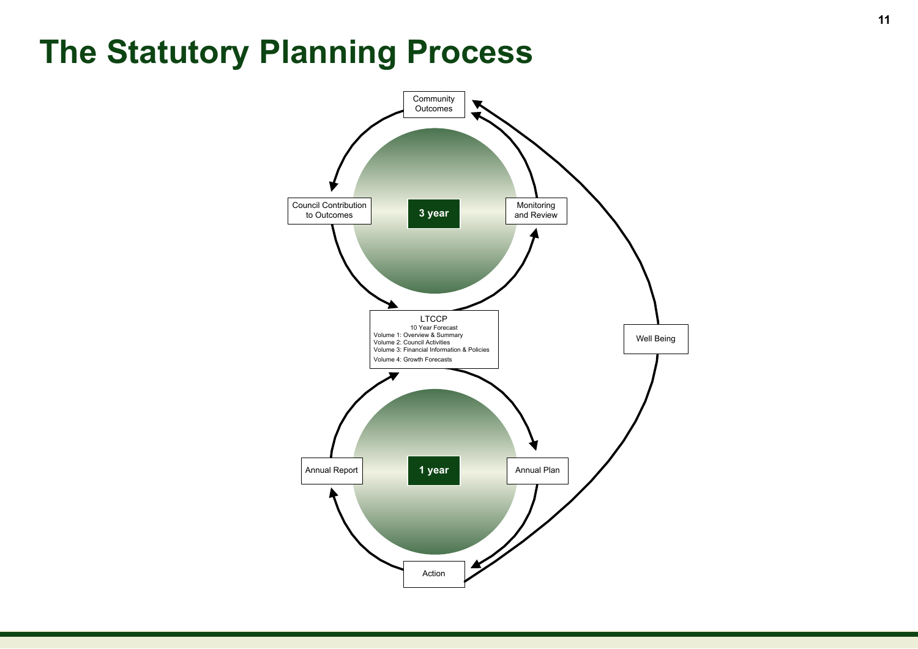# **The Statutory Planning Process**

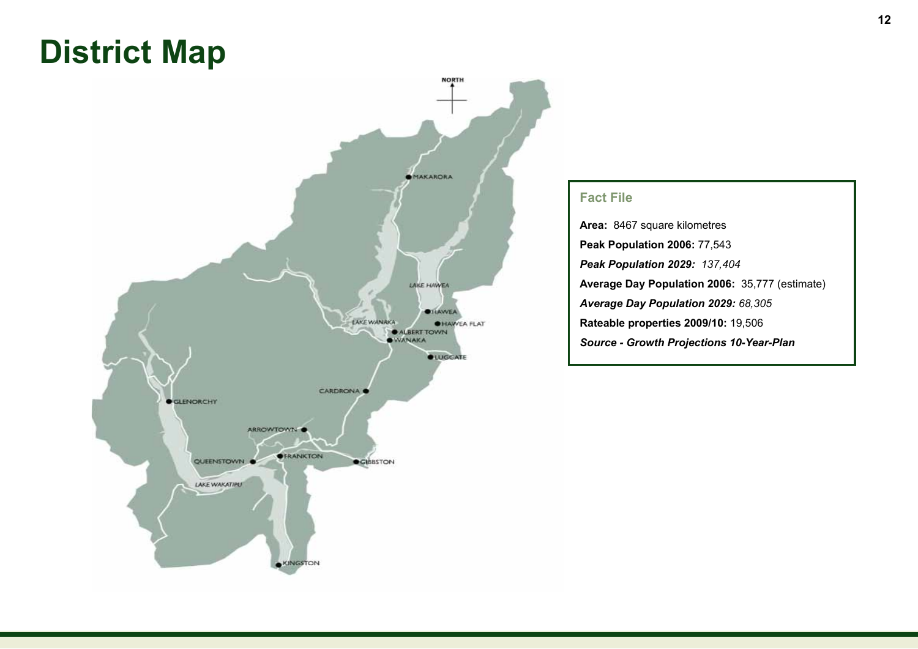# **District Map**



#### **Fact File**

**Area:** 8467 square kilometres **Peak Population 2006:** 77,543 *Peak Population 2029: 137,404* **Average Day Population 2006:** 35,777 (estimate) *Average Day Population 2029: 68,305* **Rateable properties 2009/10:** 19,506 *Source - Growth Projections 10-Year-Plan*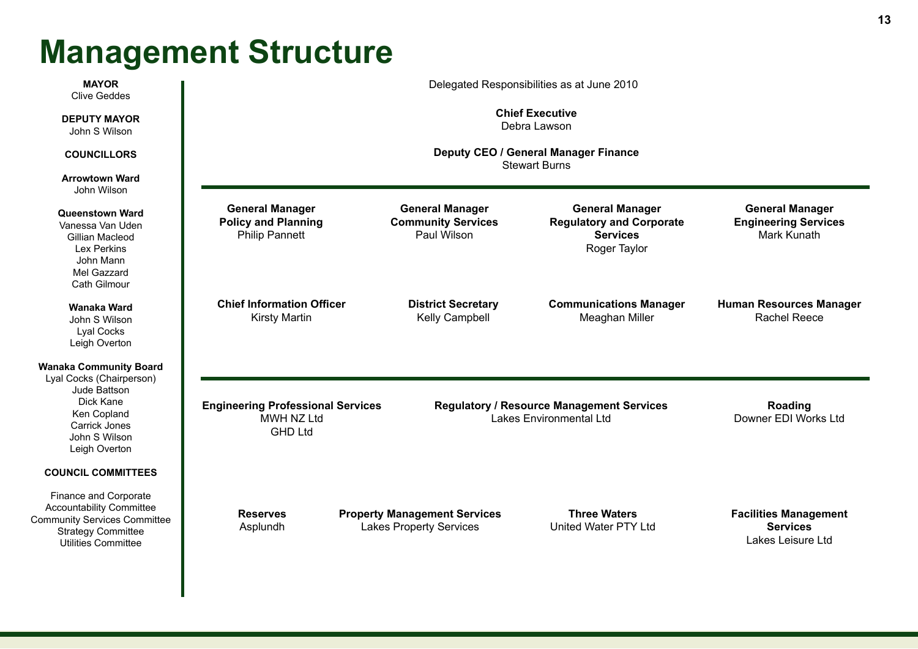# **Management Structure**

| <b>MAYOR</b><br><b>Clive Geddes</b>                                                                                                                      | Delegated Responsibilities as at June 2010                                    |                                                                       |                                                                                              |                                                                             |
|----------------------------------------------------------------------------------------------------------------------------------------------------------|-------------------------------------------------------------------------------|-----------------------------------------------------------------------|----------------------------------------------------------------------------------------------|-----------------------------------------------------------------------------|
| <b>DEPUTY MAYOR</b><br>John S Wilson                                                                                                                     | <b>Chief Executive</b><br>Debra Lawson                                        |                                                                       |                                                                                              |                                                                             |
| <b>COUNCILLORS</b>                                                                                                                                       | Deputy CEO / General Manager Finance<br><b>Stewart Burns</b>                  |                                                                       |                                                                                              |                                                                             |
| <b>Arrowtown Ward</b><br>John Wilson                                                                                                                     |                                                                               |                                                                       |                                                                                              |                                                                             |
| <b>Queenstown Ward</b><br>Vanessa Van Uden<br>Gillian Macleod<br>Lex Perkins<br>John Mann<br>Mel Gazzard<br>Cath Gilmour                                 | <b>General Manager</b><br><b>Policy and Planning</b><br><b>Philip Pannett</b> | <b>General Manager</b><br><b>Community Services</b><br>Paul Wilson    | <b>General Manager</b><br><b>Regulatory and Corporate</b><br><b>Services</b><br>Roger Taylor | <b>General Manager</b><br><b>Engineering Services</b><br><b>Mark Kunath</b> |
| Wanaka Ward<br>John S Wilson<br>Lyal Cocks<br>Leigh Overton                                                                                              | <b>Chief Information Officer</b><br><b>Kirsty Martin</b>                      | <b>District Secretary</b><br>Kelly Campbell                           | <b>Communications Manager</b><br>Meaghan Miller                                              | <b>Human Resources Manager</b><br><b>Rachel Reece</b>                       |
| <b>Wanaka Community Board</b><br>Lyal Cocks (Chairperson)<br>Jude Battson<br>Dick Kane<br>Ken Copland<br>Carrick Jones<br>John S Wilson<br>Leigh Overton | <b>Engineering Professional Services</b><br>MWH NZ Ltd<br><b>GHD Ltd</b>      |                                                                       | <b>Regulatory / Resource Management Services</b><br>Lakes Environmental Ltd                  | Roading<br>Downer EDI Works Ltd                                             |
| <b>COUNCIL COMMITTEES</b>                                                                                                                                |                                                                               |                                                                       |                                                                                              |                                                                             |
| Finance and Corporate<br><b>Accountability Committee</b><br><b>Community Services Committee</b><br><b>Strategy Committee</b><br>Utilities Committee      | <b>Reserves</b><br>Asplundh                                                   | <b>Property Management Services</b><br><b>Lakes Property Services</b> | <b>Three Waters</b><br>United Water PTY Ltd                                                  | <b>Facilities Management</b><br><b>Services</b><br>Lakes Leisure Ltd        |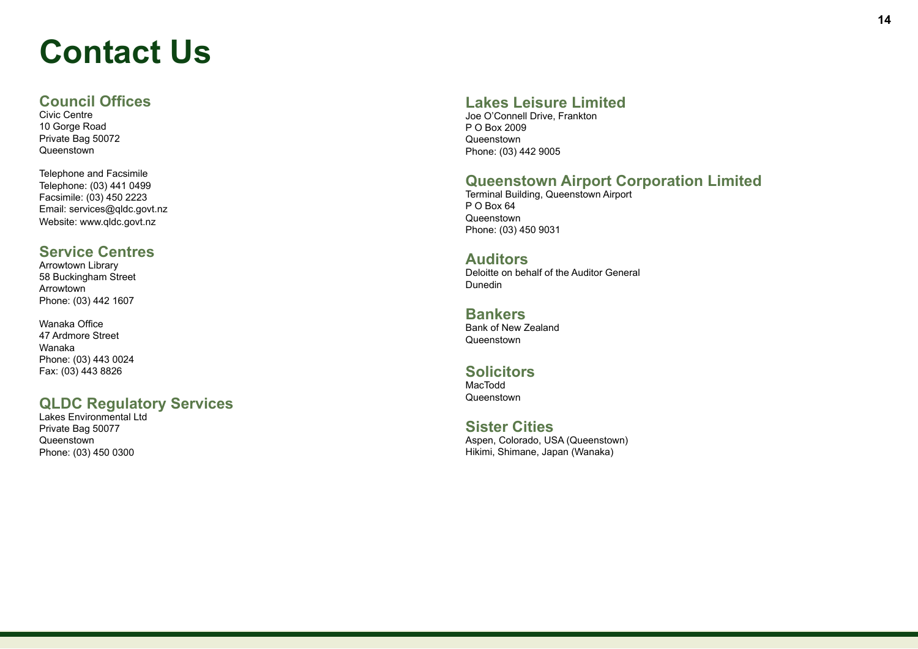# **Contact Us**

### **Council Offices**

Civic Centre 10 Gorge Road Private Bag 50072 Queenstown

Telephone and Facsimile Telephone: (03) 441 0499 Facsimile: (03) 450 2223 Email: services@qldc.govt.nz Website: www.qldc.govt.nz

### **Service Centres**

Arrowtown Library 58 Buckingham Street Arrowtown Phone: (03) 442 1607

Wanaka Office 47 Ardmore Street Wanaka Phone: (03) 443 0024 Fax: (03) 443 8826

## **QLDC Regulatory Services**

Lakes Environmental Ltd Private Bag 50077 Queenstown Phone: (03) 450 0300

## **Lakes Leisure Limited**

Joe O'Connell Drive, Frankton P O Box 2009 **Queenstown** Phone: (03) 442 9005

## **Queenstown Airport Corporation Limited**

Terminal Building, Queenstown Airport P O Box 64 **Queenstown** Phone: (03) 450 9031

#### **Auditors**

Deloitte on behalf of the Auditor General Dunedin

#### **Bankers**

Bank of New Zealand **Queenstown** 

#### **Solicitors**

MacTodd Queenstown

### **Sister Cities**

Aspen, Colorado, USA (Queenstown) Hikimi, Shimane, Japan (Wanaka)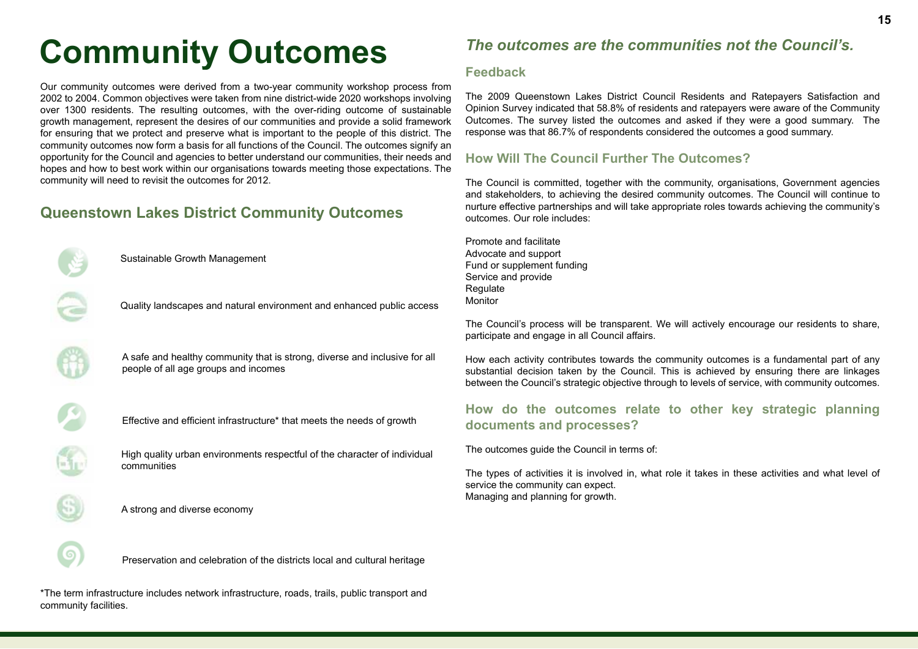# **Community Outcomes**

Our community outcomes were derived from a two-year community workshop process from 2002 to 2004. Common objectives were taken from nine district-wide 2020 workshops involving over 1300 residents. The resulting outcomes, with the over-riding outcome of sustainable growth management, represent the desires of our communities and provide a solid framework for ensuring that we protect and preserve what is important to the people of this district. The community outcomes now form a basis for all functions of the Council. The outcomes signify an opportunity for the Council and agencies to better understand our communities, their needs and hopes and how to best work within our organisations towards meeting those expectations. The community will need to revisit the outcomes for 2012.

# **Queenstown Lakes District Community Outcomes**



Sustainable Growth Management

Quality landscapes and natural environment and enhanced public access

A safe and healthy community that is strong, diverse and inclusive for all people of all age groups and incomes

Effective and efficient infrastructure\* that meets the needs of growth

High quality urban environments respectful of the character of individual communities

A strong and diverse economy

## *The outcomes are the communities not the Council's.*

#### **Feedback**

The 2009 Queenstown Lakes District Council Residents and Ratepayers Satisfaction and Opinion Survey indicated that 58.8% of residents and ratepayers were aware of the Community Outcomes. The survey listed the outcomes and asked if they were a good summary. The response was that 86.7% of respondents considered the outcomes a good summary.

#### **How Will The Council Further The Outcomes?**

The Council is committed, together with the community, organisations, Government agencies and stakeholders, to achieving the desired community outcomes. The Council will continue to nurture effective partnerships and will take appropriate roles towards achieving the community's outcomes. Our role includes:

Promote and facilitate Advocate and support Fund or supplement funding Service and provide Regulate **Monitor** 

The Council's process will be transparent. We will actively encourage our residents to share, participate and engage in all Council affairs.

How each activity contributes towards the community outcomes is a fundamental part of any substantial decision taken by the Council. This is achieved by ensuring there are linkages between the Council's strategic objective through to levels of service, with community outcomes.

#### **How do the outcomes relate to other key strategic planning documents and processes?**

The outcomes guide the Council in terms of:

The types of activities it is involved in, what role it takes in these activities and what level of service the community can expect. Managing and planning for growth.

Preservation and celebration of the districts local and cultural heritage

\*The term infrastructure includes network infrastructure, roads, trails, public transport and community facilities.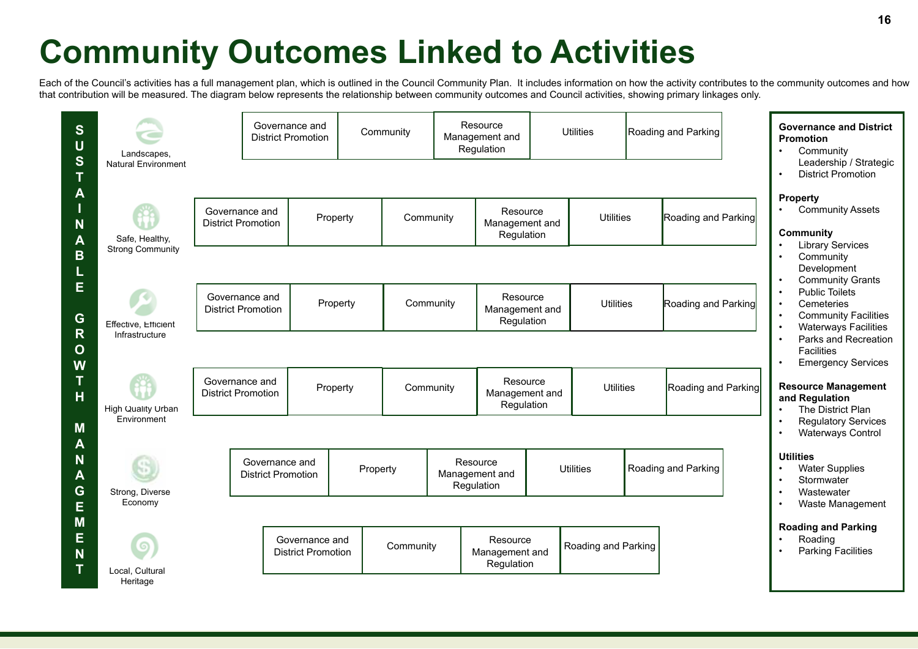# **Community Outcomes Linked to Activities**

Each of the Council's activities has a full management plan, which is outlined in the Council Community Plan. It includes information on how the activity contributes to the community outcomes and how that contribution will be measured. The diagram below represents the relationship between community outcomes and Council activities, showing primary linkages only.

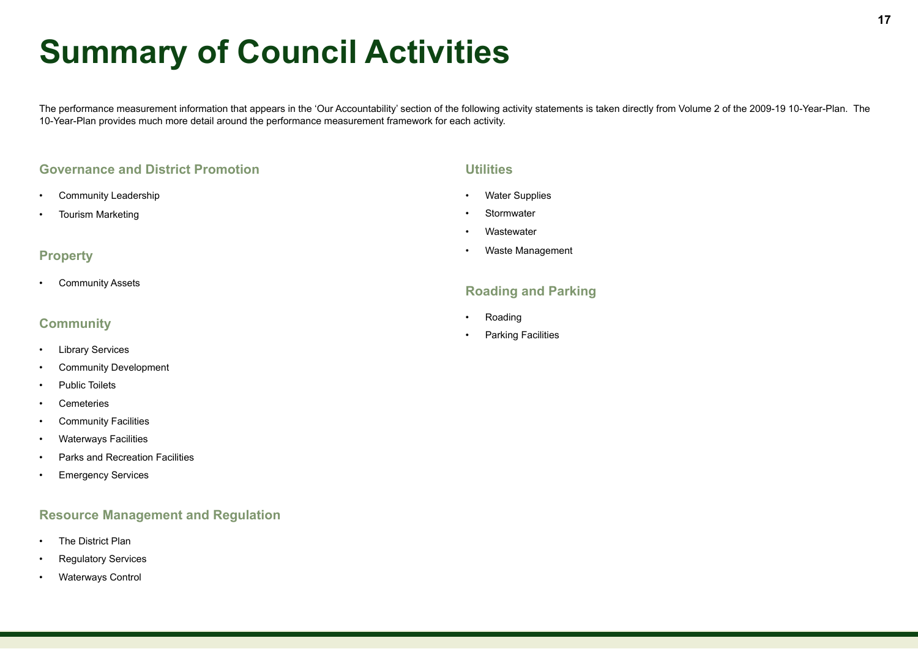# **Summary of Council Activities**

The performance measurement information that appears in the 'Our Accountability' section of the following activity statements is taken directly from Volume 2 of the 2009-19 10-Year-Plan. The 10-Year-Plan provides much more detail around the performance measurement framework for each activity.

#### **Governance and District Promotion**

- Community Leadership
- Tourism Marketing

#### **Property**

• Community Assets

#### **Community**

- Library Services
- Community Development
- Public Toilets
- Cemeteries
- Community Facilities
- Waterways Facilities
- Parks and Recreation Facilities
- Emergency Services

#### **Resource Management and Regulation**

- The District Plan
- Regulatory Services
- Waterways Control

#### **Utilities**

- Water Supplies
- **Stormwater**
- **Wastewater**
- Waste Management

#### **Roading and Parking**

- Roading
- **Parking Facilities**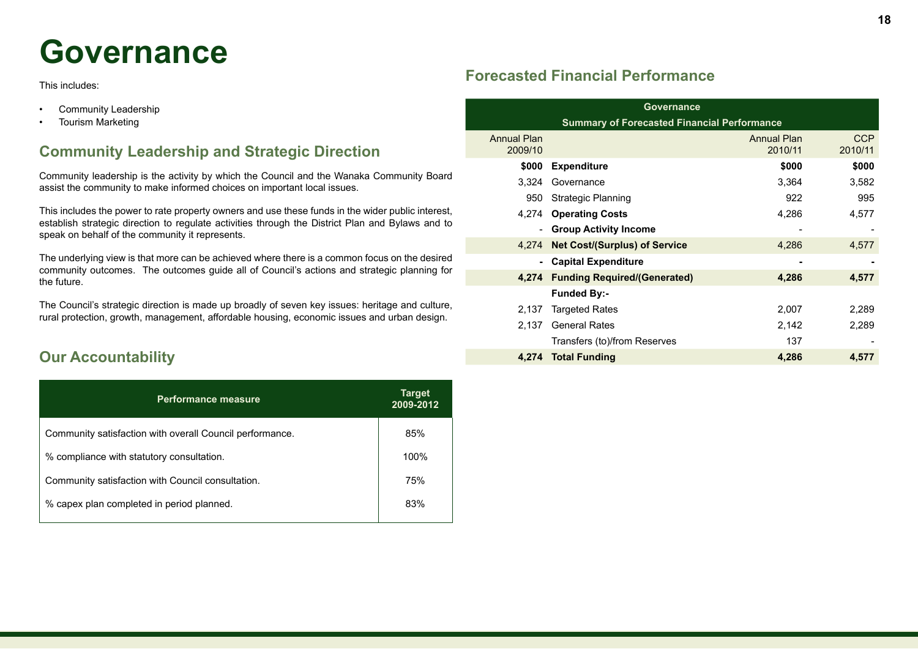# **Governance**

This includes:

- Community Leadership
- Tourism Marketing

## **Community Leadership and Strategic Direction**

Community leadership is the activity by which the Council and the Wanaka Community Board assist the community to make informed choices on important local issues.

This includes the power to rate property owners and use these funds in the wider public interest, establish strategic direction to regulate activities through the District Plan and Bylaws and to speak on behalf of the community it represents.

The underlying view is that more can be achieved where there is a common focus on the desired community outcomes. The outcomes guide all of Council's actions and strategic planning for the future.

The Council's strategic direction is made up broadly of seven key issues: heritage and culture, rural protection, growth, management, affordable housing, economic issues and urban design.

## **Our Accountability**

| 2009-2012 |
|-----------|
| 85%       |
| 100%      |
| 75%       |
| 83%       |
|           |

## **Forecasted Financial Performance**

| Governance                                         |                                      |                               |                       |  |
|----------------------------------------------------|--------------------------------------|-------------------------------|-----------------------|--|
| <b>Summary of Forecasted Financial Performance</b> |                                      |                               |                       |  |
| <b>Annual Plan</b><br>2009/10                      |                                      | <b>Annual Plan</b><br>2010/11 | <b>CCP</b><br>2010/11 |  |
| \$000                                              | <b>Expenditure</b>                   | \$000                         | \$000                 |  |
| 3,324                                              | Governance                           | 3,364                         | 3,582                 |  |
| 950                                                | Strategic Planning                   | 922                           | 995                   |  |
| 4,274                                              | <b>Operating Costs</b>               | 4,286                         | 4,577                 |  |
|                                                    | - Group Activity Income              |                               |                       |  |
| 4.274                                              | <b>Net Cost/(Surplus) of Service</b> | 4,286                         | 4,577                 |  |
|                                                    | - Capital Expenditure                | -                             |                       |  |
| 4.274                                              | <b>Funding Required/(Generated)</b>  | 4,286                         | 4,577                 |  |
|                                                    | <b>Funded By:-</b>                   |                               |                       |  |
| 2,137                                              | <b>Targeted Rates</b>                | 2,007                         | 2,289                 |  |
| 2,137                                              | <b>General Rates</b>                 | 2,142                         | 2,289                 |  |
|                                                    | Transfers (to)/from Reserves         | 137                           |                       |  |
| 4.274                                              | <b>Total Funding</b>                 | 4,286                         | 4,577                 |  |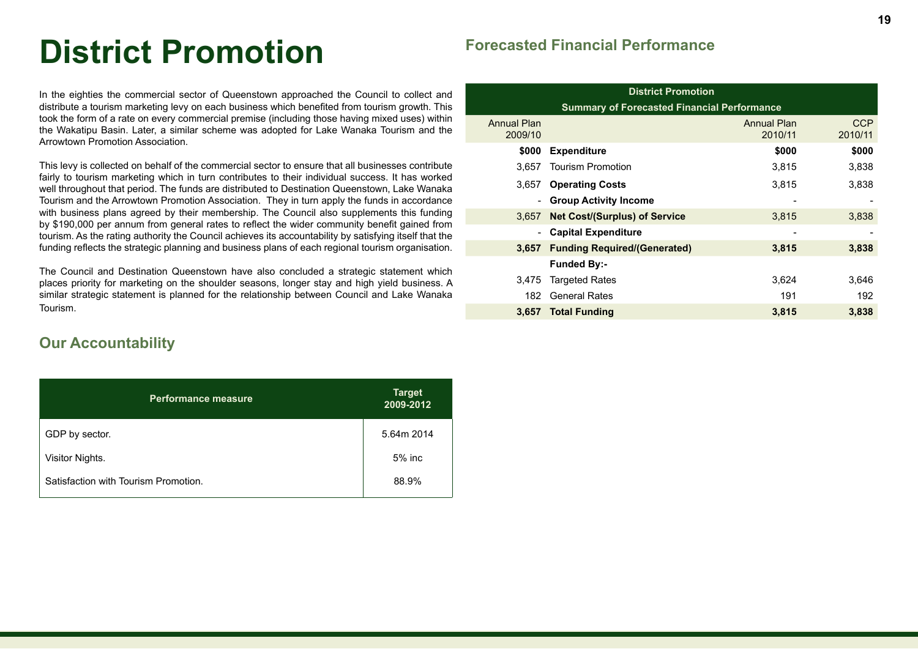# **District Promotion**

In the eighties the commercial sector of Queenstown approached the Council to collect and distribute a tourism marketing levy on each business which benefited from tourism growth. This took the form of a rate on every commercial premise (including those having mixed uses) within the Wakatipu Basin. Later, a similar scheme was adopted for Lake Wanaka Tourism and the Arrowtown Promotion Association.

This levy is collected on behalf of the commercial sector to ensure that all businesses contribute fairly to tourism marketing which in turn contributes to their individual success. It has worked well throughout that period. The funds are distributed to Destination Queenstown, Lake Wanaka Tourism and the Arrowtown Promotion Association. They in turn apply the funds in accordance with business plans agreed by their membership. The Council also supplements this funding by \$190,000 per annum from general rates to reflect the wider community benefit gained from tourism. As the rating authority the Council achieves its accountability by satisfying itself that the funding reflects the strategic planning and business plans of each regional tourism organisation.

The Council and Destination Queenstown have also concluded a strategic statement which places priority for marketing on the shoulder seasons, longer stay and high yield business. A similar strategic statement is planned for the relationship between Council and Lake Wanaka Tourism.

## **Our Accountability**

| <b>Performance measure</b>           | <b>Target</b><br>2009-2012 |
|--------------------------------------|----------------------------|
| GDP by sector.                       | 5.64m 2014                 |
| Visitor Nights.                      | 5% inc                     |
| Satisfaction with Tourism Promotion. | 88.9%                      |

## **Forecasted Financial Performance**

| <b>District Promotion</b>     |                                                    |                               |                       |  |  |
|-------------------------------|----------------------------------------------------|-------------------------------|-----------------------|--|--|
|                               | <b>Summary of Forecasted Financial Performance</b> |                               |                       |  |  |
| <b>Annual Plan</b><br>2009/10 |                                                    | <b>Annual Plan</b><br>2010/11 | <b>CCP</b><br>2010/11 |  |  |
| \$000                         | <b>Expenditure</b>                                 | \$000                         | \$000                 |  |  |
| 3.657                         | <b>Tourism Promotion</b>                           | 3.815                         | 3,838                 |  |  |
| 3.657                         | <b>Operating Costs</b>                             | 3.815                         | 3,838                 |  |  |
| $\overline{\phantom{0}}$      | <b>Group Activity Income</b>                       |                               |                       |  |  |
| 3.657                         | <b>Net Cost/(Surplus) of Service</b>               | 3,815                         | 3,838                 |  |  |
| Ξ.                            | <b>Capital Expenditure</b>                         |                               |                       |  |  |
| 3,657                         | <b>Funding Required/(Generated)</b>                | 3,815                         | 3,838                 |  |  |
|                               | <b>Funded By:-</b>                                 |                               |                       |  |  |
| 3.475                         | <b>Targeted Rates</b>                              | 3,624                         | 3,646                 |  |  |
| 182                           | <b>General Rates</b>                               | 191                           | 192                   |  |  |
| 3.657                         | <b>Total Funding</b>                               | 3,815                         | 3,838                 |  |  |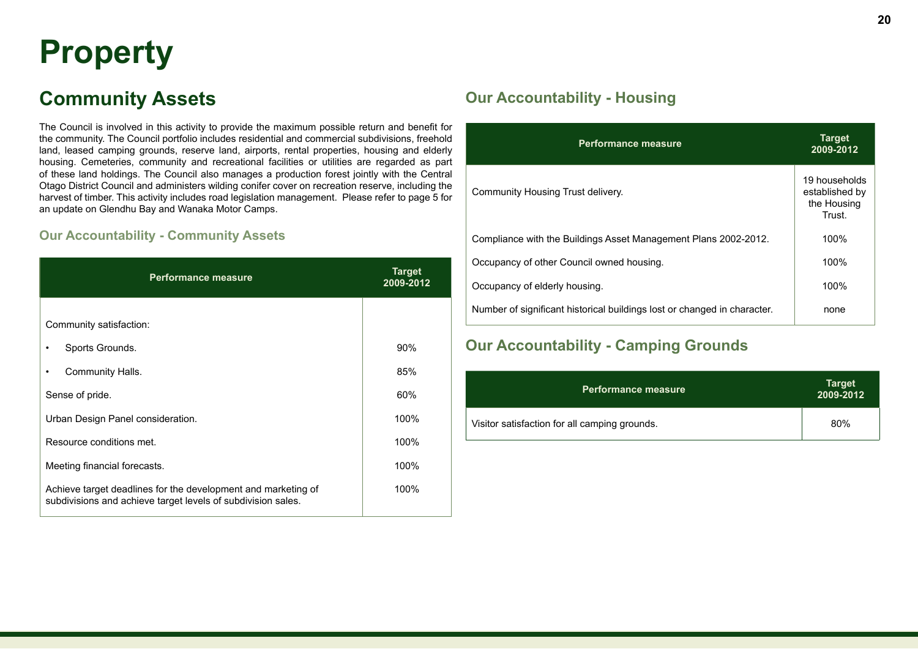# **Property**

# **Community Assets**

The Council is involved in this activity to provide the maximum possible return and benefit for the community. The Council portfolio includes residential and commercial subdivisions, freehold land, leased camping grounds, reserve land, airports, rental properties, housing and elderly housing. Cemeteries, community and recreational facilities or utilities are regarded as part of these land holdings. The Council also manages a production forest jointly with the Central Otago District Council and administers wilding conifer cover on recreation reserve, including the harvest of timber. This activity includes road legislation management. Please refer to page 5 for an update on Glendhu Bay and Wanaka Motor Camps.

#### **Our Accountability - Community Assets**

| <b>Performance measure</b>                                                                                                    | <b>Target</b><br>2009-2012 |
|-------------------------------------------------------------------------------------------------------------------------------|----------------------------|
|                                                                                                                               |                            |
| Community satisfaction:                                                                                                       |                            |
| Sports Grounds.                                                                                                               | 90%                        |
| Community Halls.<br>٠                                                                                                         | 85%                        |
| Sense of pride.                                                                                                               | 60%                        |
| Urban Design Panel consideration.                                                                                             | 100%                       |
| Resource conditions met.                                                                                                      | 100%                       |
| Meeting financial forecasts.                                                                                                  | 100%                       |
| Achieve target deadlines for the development and marketing of<br>subdivisions and achieve target levels of subdivision sales. | 100%                       |

## **Our Accountability - Housing**

| <b>Performance measure</b>                                               | Target<br>2009-2012                                      |
|--------------------------------------------------------------------------|----------------------------------------------------------|
| Community Housing Trust delivery.                                        | 19 households<br>established by<br>the Housing<br>Trust. |
| Compliance with the Buildings Asset Management Plans 2002-2012.          | 100%                                                     |
| Occupancy of other Council owned housing.                                | 100%                                                     |
| Occupancy of elderly housing.                                            | 100%                                                     |
| Number of significant historical buildings lost or changed in character. | none                                                     |

## **Our Accountability - Camping Grounds**

| <b>Performance measure</b>                    | <b>Target</b><br>2009-2012 |
|-----------------------------------------------|----------------------------|
| Visitor satisfaction for all camping grounds. | 80%                        |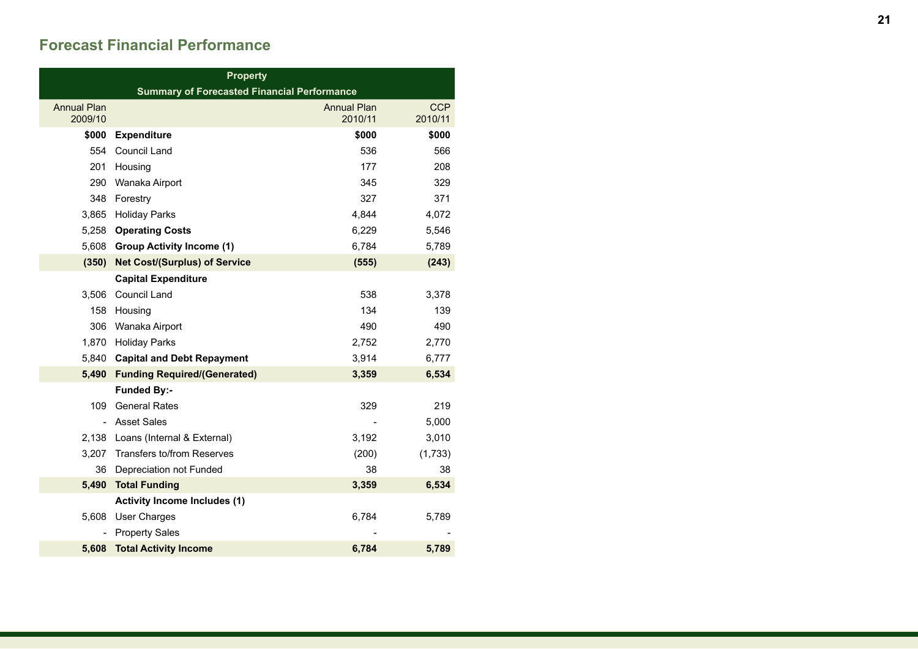## **Forecast Financial Performance**

| <b>Property</b>                                     |                                                    |                               |                       |
|-----------------------------------------------------|----------------------------------------------------|-------------------------------|-----------------------|
|                                                     | <b>Summary of Forecasted Financial Performance</b> |                               |                       |
| <b>Annual Plan</b><br>2009/10                       |                                                    | <b>Annual Plan</b><br>2010/11 | <b>CCP</b><br>2010/11 |
| \$000                                               | <b>Expenditure</b>                                 | \$000                         | \$000                 |
| 554                                                 | Council Land                                       | 536                           | 566                   |
| 201                                                 | Housing                                            | 177                           | 208                   |
| 290<br>345<br>Wanaka Airport                        |                                                    | 329                           |                       |
| 348                                                 | Forestry                                           | 327                           | 371                   |
| 3,865                                               | <b>Holiday Parks</b>                               | 4,844                         | 4,072                 |
| 5,258                                               | <b>Operating Costs</b>                             | 6,229                         | 5,546                 |
| 5,608                                               | <b>Group Activity Income (1)</b>                   | 6,784                         | 5,789                 |
| (350)                                               | <b>Net Cost/(Surplus) of Service</b>               | (555)                         | (243)                 |
|                                                     | <b>Capital Expenditure</b>                         |                               |                       |
| 3,506                                               | Council Land                                       | 538                           | 3,378                 |
| 158                                                 | Housing                                            | 134                           | 139                   |
| 306                                                 | Wanaka Airport                                     | 490                           | 490                   |
| 1,870                                               | <b>Holiday Parks</b>                               | 2,752                         | 2,770                 |
| 3,914<br>5,840<br><b>Capital and Debt Repayment</b> |                                                    | 6,777                         |                       |
| 5,490                                               | <b>Funding Required/(Generated)</b>                | 3,359                         | 6,534                 |
|                                                     | <b>Funded By:-</b>                                 |                               |                       |
| 109                                                 | <b>General Rates</b>                               | 329                           | 219                   |
|                                                     | <b>Asset Sales</b>                                 |                               | 5,000                 |
|                                                     | 2,138 Loans (Internal & External)                  | 3,192                         | 3,010                 |
| 3,207                                               | <b>Transfers to/from Reserves</b>                  | (200)                         | (1,733)               |
|                                                     | 36 Depreciation not Funded                         | 38                            | 38                    |
|                                                     | 5,490 Total Funding                                | 3,359                         | 6,534                 |
|                                                     | <b>Activity Income Includes (1)</b>                |                               |                       |
| 5,608                                               | <b>User Charges</b>                                | 6,784                         | 5,789                 |
|                                                     | <b>Property Sales</b>                              |                               |                       |
| 5,608                                               | <b>Total Activity Income</b>                       | 6,784                         | 5,789                 |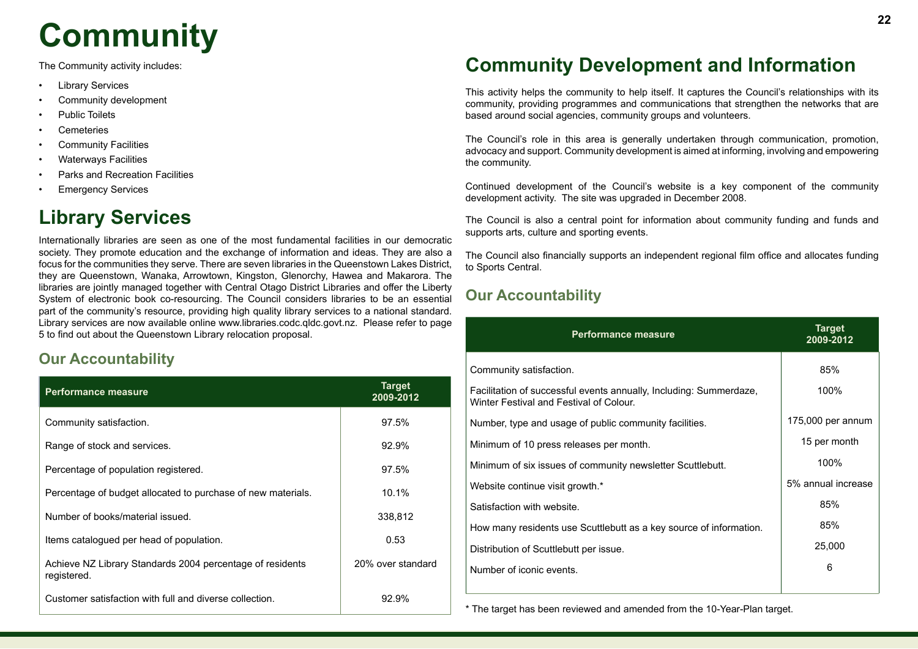# **<sup>22</sup> Community**

The Community activity includes:

- **Library Services**
- Community development
- Public Toilets
- Cemeteries
- Community Facilities
- Waterways Facilities
- Parks and Recreation Facilities
- **Emergency Services**

# **Library Services**

Internationally libraries are seen as one of the most fundamental facilities in our democratic society. They promote education and the exchange of information and ideas. They are also a focus for the communities they serve. There are seven libraries in the Queenstown Lakes District, they are Queenstown, Wanaka, Arrowtown, Kingston, Glenorchy, Hawea and Makarora. The libraries are jointly managed together with Central Otago District Libraries and offer the Liberty System of electronic book co-resourcing. The Council considers libraries to be an essential part of the community's resource, providing high quality library services to a national standard. Library services are now available online www.libraries.codc.qldc.govt.nz. Please refer to page 5 to find out about the Queenstown Library relocation proposal.

# **Our Accountability**

| <b>Performance measure</b>                                               | <b>Target</b><br>2009-2012 |
|--------------------------------------------------------------------------|----------------------------|
| Community satisfaction.                                                  | 97.5%                      |
| Range of stock and services.                                             | 92.9%                      |
| Percentage of population registered.                                     | 97.5%                      |
| Percentage of budget allocated to purchase of new materials.             | 10.1%                      |
| Number of books/material issued.                                         | 338,812                    |
| Items catalogued per head of population.                                 | 0.53                       |
| Achieve NZ Library Standards 2004 percentage of residents<br>registered. | 20% over standard          |
| Customer satisfaction with full and diverse collection.                  | 92.9%                      |

# **Community Development and Information**

This activity helps the community to help itself. It captures the Council's relationships with its community, providing programmes and communications that strengthen the networks that are based around social agencies, community groups and volunteers.

The Council's role in this area is generally undertaken through communication, promotion, advocacy and support. Community development is aimed at informing, involving and empowering the community.

Continued development of the Council's website is a key component of the community development activity. The site was upgraded in December 2008.

The Council is also a central point for information about community funding and funds and supports arts, culture and sporting events.

The Council also financially supports an independent regional film office and allocates funding to Sports Central.

# **Our Accountability**

| <b>Performance measure</b>                                                                                    | <b>Target</b><br>2009-2012 |
|---------------------------------------------------------------------------------------------------------------|----------------------------|
| Community satisfaction.                                                                                       | 85%                        |
| Facilitation of successful events annually, Including: Summerdaze,<br>Winter Festival and Festival of Colour. | 100%                       |
| Number, type and usage of public community facilities.                                                        | 175,000 per annum          |
| Minimum of 10 press releases per month.                                                                       | 15 per month               |
| Minimum of six issues of community newsletter Scuttlebutt.                                                    | 100%                       |
| Website continue visit growth.*                                                                               | 5% annual increase         |
| Satisfaction with website.                                                                                    | 85%                        |
| How many residents use Scuttlebutt as a key source of information.                                            | 85%                        |
| Distribution of Scuttlebutt per issue.                                                                        | 25,000                     |
| Number of iconic events.                                                                                      | 6                          |

\* The target has been reviewed and amended from the 10-Year-Plan target.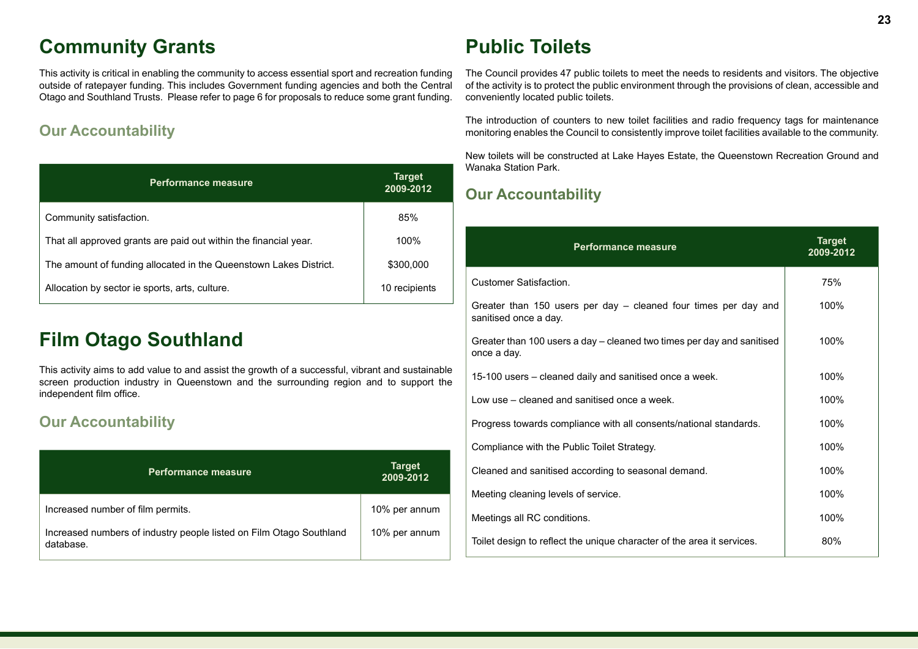# **Community Grants**

This activity is critical in enabling the community to access essential sport and recreation funding outside of ratepayer funding. This includes Government funding agencies and both the Central Otago and Southland Trusts. Please refer to page 6 for proposals to reduce some grant funding.

# **Our Accountability**

| <b>Performance measure</b>                                        | <b>Target</b><br>2009-2012 |
|-------------------------------------------------------------------|----------------------------|
| Community satisfaction.                                           | 85%                        |
| That all approved grants are paid out within the financial year.  | 100%                       |
| The amount of funding allocated in the Queenstown Lakes District. | \$300,000                  |
| Allocation by sector ie sports, arts, culture.                    | 10 recipients              |

# **Film Otago Southland**

This activity aims to add value to and assist the growth of a successful, vibrant and sustainable screen production industry in Queenstown and the surrounding region and to support the independent film office.

# **Our Accountability**

| <b>Performance measure</b>                                                       | <b>Target</b><br>2009-2012 |
|----------------------------------------------------------------------------------|----------------------------|
| Increased number of film permits.                                                | 10% per annum              |
| Increased numbers of industry people listed on Film Otago Southland<br>database. | 10% per annum              |

# **Public Toilets**

The Council provides 47 public toilets to meet the needs to residents and visitors. The objective of the activity is to protect the public environment through the provisions of clean, accessible and conveniently located public toilets.

The introduction of counters to new toilet facilities and radio frequency tags for maintenance monitoring enables the Council to consistently improve toilet facilities available to the community.

New toilets will be constructed at Lake Hayes Estate, the Queenstown Recreation Ground and Wanaka Station Park.

| <b>Performance measure</b>                                                               | <b>Target</b><br>2009-2012 |
|------------------------------------------------------------------------------------------|----------------------------|
| <b>Customer Satisfaction.</b>                                                            | 75%                        |
| Greater than 150 users per day - cleaned four times per day and<br>sanitised once a day. | 100%                       |
| Greater than 100 users a day – cleaned two times per day and sanitised<br>once a day.    | 100%                       |
| 15-100 users - cleaned daily and sanitised once a week.                                  | 100%                       |
| Low use – cleaned and sanitised once a week.                                             | 100%                       |
| Progress towards compliance with all consents/national standards.                        | 100%                       |
| Compliance with the Public Toilet Strategy.                                              | 100%                       |
| Cleaned and sanitised according to seasonal demand.                                      | 100%                       |
| Meeting cleaning levels of service.                                                      | 100%                       |
| Meetings all RC conditions.                                                              | 100%                       |
| Toilet design to reflect the unique character of the area it services.                   | 80%                        |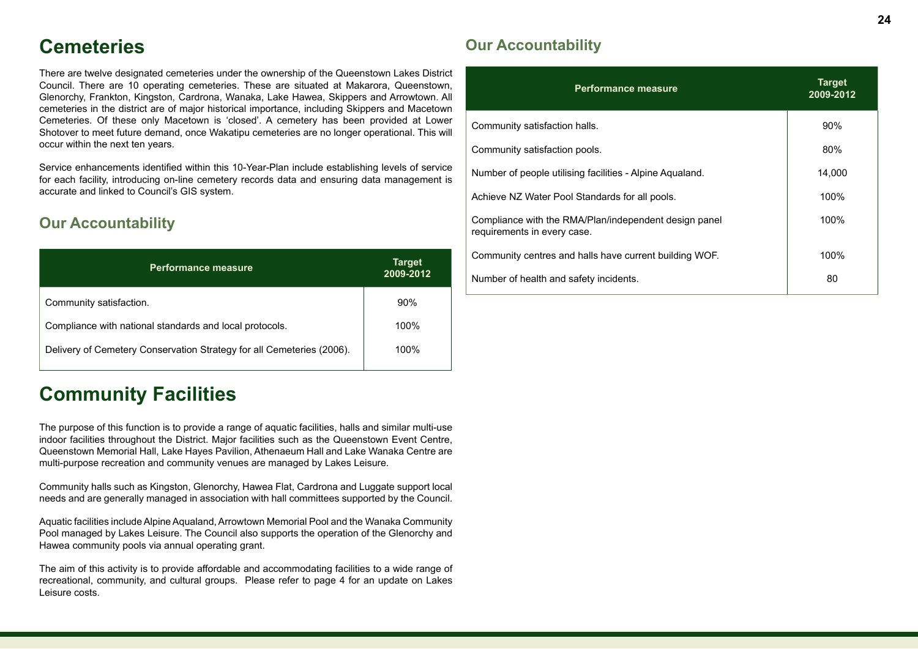# **Cemeteries**

There are twelve designated cemeteries under the ownership of the Queenstown Lakes District Council. There are 10 operating cemeteries. These are situated at Makarora, Queenstown, Glenorchy, Frankton, Kingston, Cardrona, Wanaka, Lake Hawea, Skippers and Arrowtown. All cemeteries in the district are of major historical importance, including Skippers and Macetown Cemeteries. Of these only Macetown is 'closed'. A cemetery has been provided at Lower Shotover to meet future demand, once Wakatipu cemeteries are no longer operational. This will occur within the next ten years.

Service enhancements identified within this 10-Year-Plan include establishing levels of service for each facility, introducing on-line cemetery records data and ensuring data management is accurate and linked to Council's GIS system.

## **Our Accountability**

| <b>Performance measure</b>                                            | <b>Target</b><br>2009-2012 |
|-----------------------------------------------------------------------|----------------------------|
| Community satisfaction.                                               | 90%                        |
| Compliance with national standards and local protocols.               | 100%                       |
| Delivery of Cemetery Conservation Strategy for all Cemeteries (2006). | 100%                       |

# **Community Facilities**

The purpose of this function is to provide a range of aquatic facilities, halls and similar multi-use indoor facilities throughout the District. Major facilities such as the Queenstown Event Centre, Queenstown Memorial Hall, Lake Hayes Pavilion, Athenaeum Hall and Lake Wanaka Centre are multi-purpose recreation and community venues are managed by Lakes Leisure.

Community halls such as Kingston, Glenorchy, Hawea Flat, Cardrona and Luggate support local needs and are generally managed in association with hall committees supported by the Council.

Aquatic facilities include Alpine Aqualand, Arrowtown Memorial Pool and the Wanaka Community Pool managed by Lakes Leisure. The Council also supports the operation of the Glenorchy and Hawea community pools via annual operating grant.

The aim of this activity is to provide affordable and accommodating facilities to a wide range of recreational, community, and cultural groups. Please refer to page 4 for an update on Lakes Leisure costs.

| <b>Performance measure</b>                                                           | <b>Target</b><br>2009-2012 |
|--------------------------------------------------------------------------------------|----------------------------|
| Community satisfaction halls.                                                        | 90%                        |
| Community satisfaction pools.                                                        | 80%                        |
| Number of people utilising facilities - Alpine Aqualand.                             | 14,000                     |
| Achieve NZ Water Pool Standards for all pools.                                       | 100%                       |
| Compliance with the RMA/Plan/independent design panel<br>requirements in every case. | 100%                       |
| Community centres and halls have current building WOF.                               | 100%                       |
| Number of health and safety incidents.                                               | 80                         |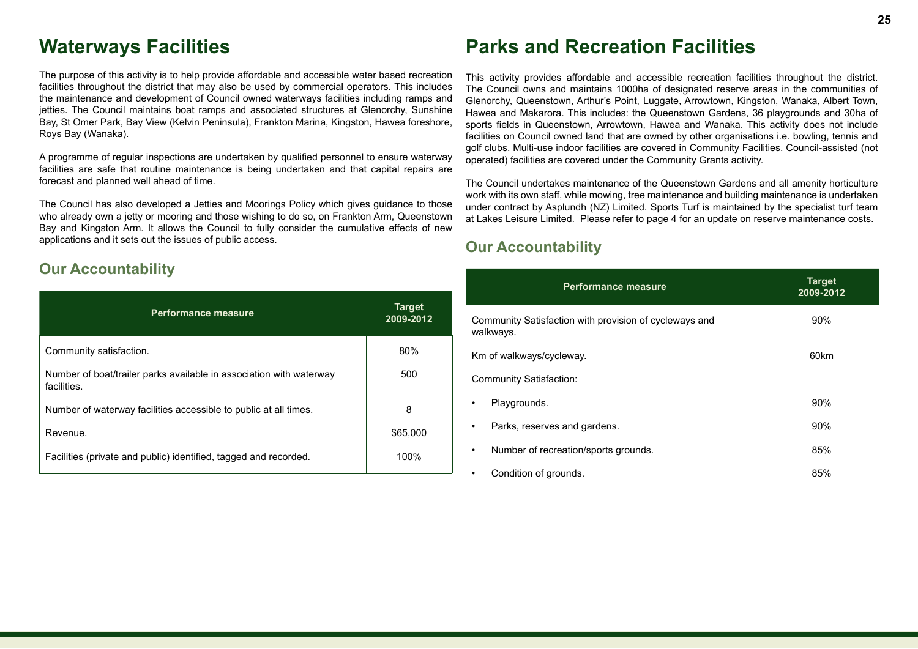# **Waterways Facilities**

The purpose of this activity is to help provide affordable and accessible water based recreation facilities throughout the district that may also be used by commercial operators. This includes the maintenance and development of Council owned waterways facilities including ramps and jetties. The Council maintains boat ramps and associated structures at Glenorchy, Sunshine Bay, St Omer Park, Bay View (Kelvin Peninsula), Frankton Marina, Kingston, Hawea foreshore, Roys Bay (Wanaka).

A programme of regular inspections are undertaken by qualified personnel to ensure waterway facilities are safe that routine maintenance is being undertaken and that capital repairs are forecast and planned well ahead of time.

The Council has also developed a Jetties and Moorings Policy which gives guidance to those who already own a jetty or mooring and those wishing to do so, on Frankton Arm, Queenstown Bay and Kingston Arm. It allows the Council to fully consider the cumulative effects of new applications and it sets out the issues of public access.

### **Our Accountability**

| <b>Performance measure</b>                                                         | <b>Target</b><br>2009-2012 |
|------------------------------------------------------------------------------------|----------------------------|
| Community satisfaction.                                                            | 80%                        |
| Number of boat/trailer parks available in association with waterway<br>facilities. | 500                        |
| Number of waterway facilities accessible to public at all times.                   | 8                          |
| Revenue.                                                                           | \$65,000                   |
| Facilities (private and public) identified, tagged and recorded.                   | 100%                       |

# **Parks and Recreation Facilities**

This activity provides affordable and accessible recreation facilities throughout the district. The Council owns and maintains 1000ha of designated reserve areas in the communities of Glenorchy, Queenstown, Arthur's Point, Luggate, Arrowtown, Kingston, Wanaka, Albert Town, Hawea and Makarora. This includes: the Queenstown Gardens, 36 playgrounds and 30ha of sports fields in Queenstown, Arrowtown, Hawea and Wanaka. This activity does not include facilities on Council owned land that are owned by other organisations i.e. bowling, tennis and golf clubs. Multi-use indoor facilities are covered in Community Facilities. Council-assisted (not operated) facilities are covered under the Community Grants activity.

The Council undertakes maintenance of the Queenstown Gardens and all amenity horticulture work with its own staff, while mowing, tree maintenance and building maintenance is undertaken under contract by Asplundh (NZ) Limited. Sports Turf is maintained by the specialist turf team at Lakes Leisure Limited. Please refer to page 4 for an update on reserve maintenance costs.

|                                  | <b>Performance measure</b>                                          | <b>Target</b><br>2009-2012 |
|----------------------------------|---------------------------------------------------------------------|----------------------------|
|                                  | Community Satisfaction with provision of cycleways and<br>walkways. | 90%                        |
| 60km<br>Km of walkways/cycleway. |                                                                     |                            |
|                                  | <b>Community Satisfaction:</b>                                      |                            |
| ٠                                | Playgrounds.                                                        | 90%                        |
| ٠                                | Parks, reserves and gardens.                                        | 90%                        |
| ٠                                | Number of recreation/sports grounds.                                | 85%                        |
|                                  | Condition of grounds.                                               | 85%                        |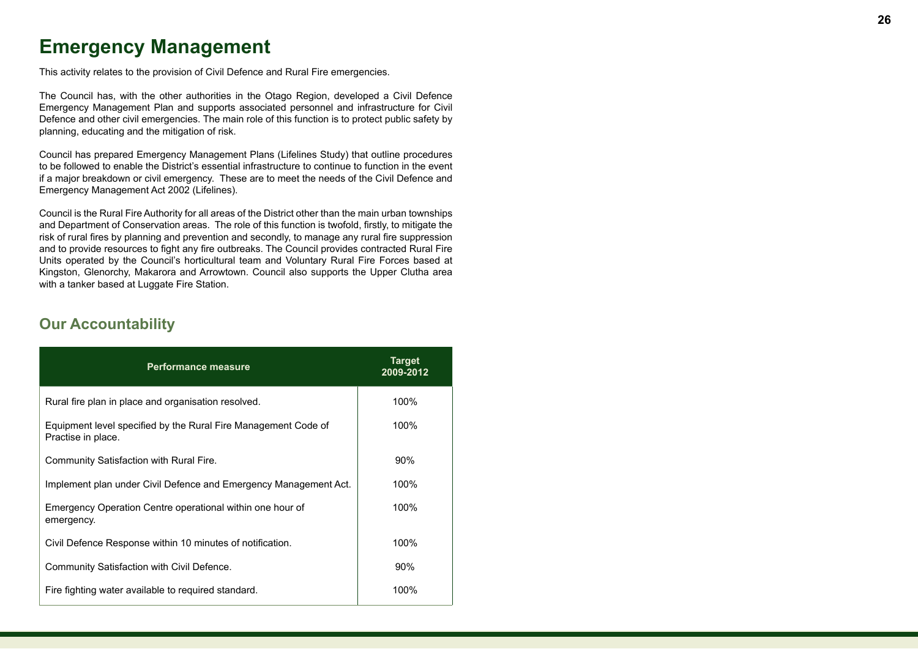# **Emergency Management**

This activity relates to the provision of Civil Defence and Rural Fire emergencies.

The Council has, with the other authorities in the Otago Region, developed a Civil Defence Emergency Management Plan and supports associated personnel and infrastructure for Civil Defence and other civil emergencies. The main role of this function is to protect public safety by planning, educating and the mitigation of risk.

Council has prepared Emergency Management Plans (Lifelines Study) that outline procedures to be followed to enable the District's essential infrastructure to continue to function in the event if a major breakdown or civil emergency. These are to meet the needs of the Civil Defence and Emergency Management Act 2002 (Lifelines).

Council is the Rural Fire Authority for all areas of the District other than the main urban townships and Department of Conservation areas. The role of this function is twofold, firstly, to mitigate the risk of rural fires by planning and prevention and secondly, to manage any rural fire suppression and to provide resources to fight any fire outbreaks. The Council provides contracted Rural Fire Units operated by the Council's horticultural team and Voluntary Rural Fire Forces based at Kingston, Glenorchy, Makarora and Arrowtown. Council also supports the Upper Clutha area with a tanker based at Luggate Fire Station.

| <b>Performance measure</b>                                                           | <b>Target</b><br>2009-2012 |
|--------------------------------------------------------------------------------------|----------------------------|
| Rural fire plan in place and organisation resolved.                                  | 100%                       |
| Equipment level specified by the Rural Fire Management Code of<br>Practise in place. | 100%                       |
| Community Satisfaction with Rural Fire.                                              | $90\%$                     |
| Implement plan under Civil Defence and Emergency Management Act.                     | 100%                       |
| Emergency Operation Centre operational within one hour of<br>emergency.              | 100%                       |
| Civil Defence Response within 10 minutes of notification.                            | 100%                       |
| Community Satisfaction with Civil Defence.                                           | $90\%$                     |
| Fire fighting water available to required standard.                                  | 100%                       |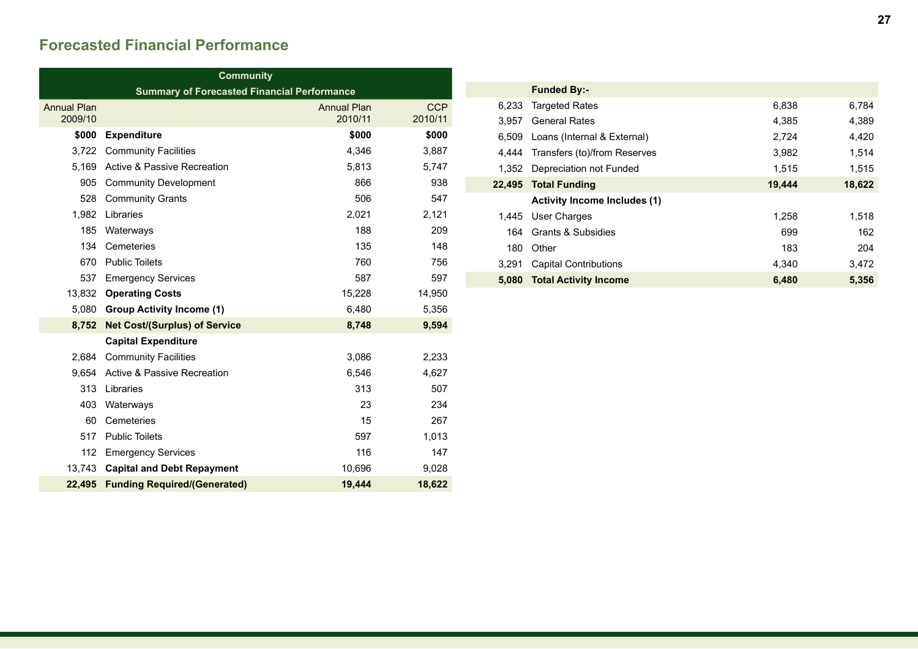# **Forecasted Financial Performance**

| Community                     |                                                    |                               |                       |
|-------------------------------|----------------------------------------------------|-------------------------------|-----------------------|
|                               | <b>Summary of Forecasted Financial Performance</b> |                               |                       |
| <b>Annual Plan</b><br>2009/10 |                                                    | <b>Annual Plan</b><br>2010/11 | <b>CCP</b><br>2010/11 |
| \$000                         | <b>Expenditure</b>                                 | \$000                         | \$000                 |
| 3,722                         | <b>Community Facilities</b>                        | 4,346                         | 3,887                 |
| 5.169                         | <b>Active &amp; Passive Recreation</b>             | 5,813                         | 5,747                 |
| 905                           | <b>Community Development</b>                       | 866                           | 938                   |
| 528                           | <b>Community Grants</b>                            | 506                           | 547                   |
| 1,982                         | Libraries                                          | 2,021                         | 2,121                 |
| 185                           | Waterways                                          | 188                           | 209                   |
| 134                           | Cemeteries                                         | 135                           | 148                   |
| 670                           | <b>Public Toilets</b>                              | 760                           | 756                   |
| 537                           | <b>Emergency Services</b>                          | 587                           | 597                   |
| 13,832                        | <b>Operating Costs</b>                             | 15,228                        | 14,950                |
| 5,080                         | <b>Group Activity Income (1)</b>                   | 6,480                         | 5,356                 |
| 8,752                         | <b>Net Cost/(Surplus) of Service</b>               | 8,748                         | 9,594                 |
|                               | <b>Capital Expenditure</b>                         |                               |                       |
| 2.684                         | <b>Community Facilities</b>                        | 3,086                         | 2,233                 |
| 9.654                         | <b>Active &amp; Passive Recreation</b>             | 6,546                         | 4,627                 |
| 313                           | Libraries                                          | 313                           | 507                   |
| 403                           | Waterways                                          | 23                            | 234                   |
| 60                            | Cemeteries                                         | 15                            | 267                   |
| 517                           | <b>Public Toilets</b>                              | 597                           | 1,013                 |
| 112                           | <b>Emergency Services</b>                          | 116                           | 147                   |
|                               | 13,743 Capital and Debt Repayment                  | 10,696                        | 9,028                 |
| 22,495                        | <b>Funding Required/(Generated)</b>                | 19,444                        | 18,622                |

|        | <b>Funded By:-</b>                  |        |        |
|--------|-------------------------------------|--------|--------|
| 6,233  | <b>Targeted Rates</b>               | 6,838  | 6,784  |
| 3.957  | <b>General Rates</b>                | 4,385  | 4,389  |
| 6.509  | Loans (Internal & External)         | 2,724  | 4,420  |
| 4.444  | Transfers (to)/from Reserves        | 3,982  | 1,514  |
| 1.352  | Depreciation not Funded             | 1.515  | 1,515  |
| 22,495 | <b>Total Funding</b>                | 19,444 | 18,622 |
|        | <b>Activity Income Includes (1)</b> |        |        |
| 1,445  | User Charges                        | 1.258  | 1.518  |
| 164    | Grants & Subsidies                  | 699    | 162    |
| 180    | Other                               | 183    | 204    |
| 3.291  | <b>Capital Contributions</b>        | 4,340  | 3,472  |
| 5.080  | <b>Total Activity Income</b>        | 6,480  | 5,356  |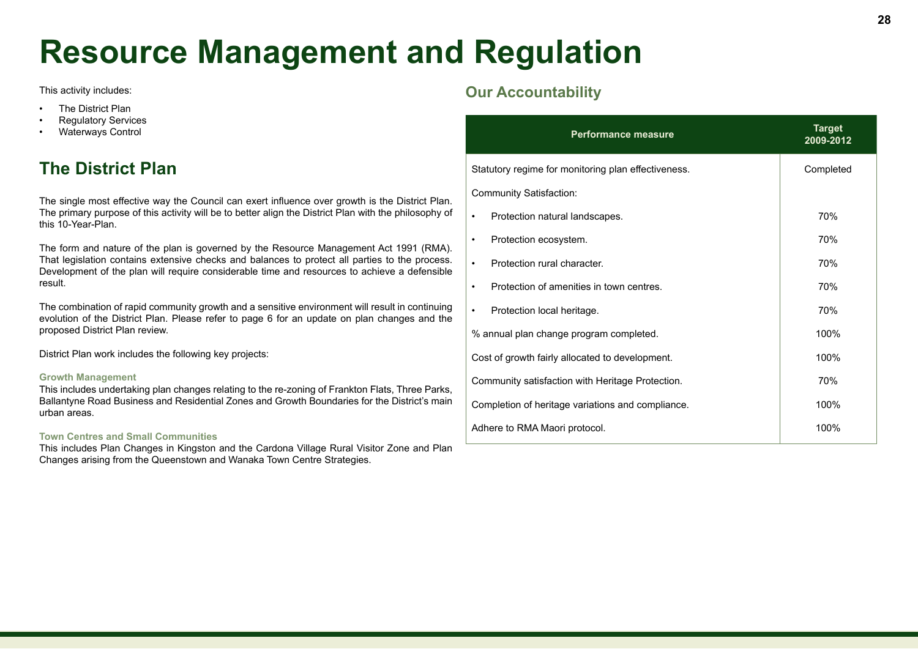# **Resource Management and Regulation**

This activity includes:

- The District Plan
- Regulatory Services
- Waterways Control

# **The District Plan**

The single most effective way the Council can exert influence over growth is the District Plan. The primary purpose of this activity will be to better align the District Plan with the philosophy of this 10-Year-Plan.

The form and nature of the plan is governed by the Resource Management Act 1991 (RMA). That legislation contains extensive checks and balances to protect all parties to the process. Development of the plan will require considerable time and resources to achieve a defensible result.

The combination of rapid community growth and a sensitive environment will result in continuing evolution of the District Plan. Please refer to page 6 for an update on plan changes and the proposed District Plan review.

District Plan work includes the following key projects:

#### **Growth Management**

This includes undertaking plan changes relating to the re-zoning of Frankton Flats, Three Parks, Ballantyne Road Business and Residential Zones and Growth Boundaries for the District's main urban areas.

#### **Town Centres and Small Communities**

This includes Plan Changes in Kingston and the Cardona Village Rural Visitor Zone and Plan Changes arising from the Queenstown and Wanaka Town Centre Strategies.

| <b>Performance measure</b>                          | <b>Target</b><br>2009-2012 |
|-----------------------------------------------------|----------------------------|
| Statutory regime for monitoring plan effectiveness. | Completed                  |
| <b>Community Satisfaction:</b>                      |                            |
| Protection natural landscapes.<br>٠                 | 70%                        |
| Protection ecosystem.<br>$\bullet$                  | 70%                        |
| Protection rural character.<br>$\bullet$            | 70%                        |
| Protection of amenities in town centres.<br>٠       | 70%                        |
| Protection local heritage.<br>٠                     | 70%                        |
| % annual plan change program completed.             | 100%                       |
| Cost of growth fairly allocated to development.     | 100%                       |
| Community satisfaction with Heritage Protection.    | 70%                        |
| Completion of heritage variations and compliance.   | 100%                       |
| Adhere to RMA Maori protocol.                       | 100%                       |
|                                                     |                            |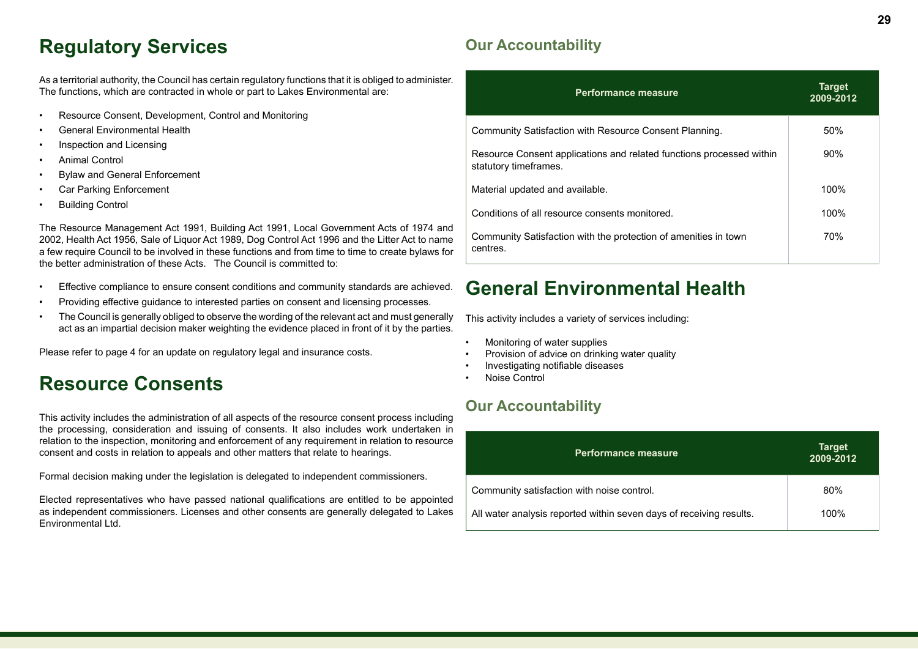# **Regulatory Services**

As a territorial authority, the Council has certain regulatory functions that it is obliged to administer. The functions, which are contracted in whole or part to Lakes Environmental are:

- Resource Consent, Development, Control and Monitoring
- General Environmental Health
- Inspection and Licensing
- Animal Control
- Bylaw and General Enforcement
- Car Parking Enforcement
- Building Control

The Resource Management Act 1991, Building Act 1991, Local Government Acts of 1974 and 2002, Health Act 1956, Sale of Liquor Act 1989, Dog Control Act 1996 and the Litter Act to name a few require Council to be involved in these functions and from time to time to create bylaws for the better administration of these Acts. The Council is committed to:

- Effective compliance to ensure consent conditions and community standards are achieved.
- Providing effective guidance to interested parties on consent and licensing processes.
- The Council is generally obliged to observe the wording of the relevant act and must generally act as an impartial decision maker weighting the evidence placed in front of it by the parties.

Please refer to page 4 for an update on regulatory legal and insurance costs.

# **Resource Consents**

This activity includes the administration of all aspects of the resource consent process including the processing, consideration and issuing of consents. It also includes work undertaken in relation to the inspection, monitoring and enforcement of any requirement in relation to resource consent and costs in relation to appeals and other matters that relate to hearings.

Formal decision making under the legislation is delegated to independent commissioners.

Elected representatives who have passed national qualifications are entitled to be appointed as independent commissioners. Licenses and other consents are generally delegated to Lakes Environmental Ltd.

# **Our Accountability**

| <b>Performance measure</b>                                                                    | <b>Target</b><br>2009-2012 |
|-----------------------------------------------------------------------------------------------|----------------------------|
| Community Satisfaction with Resource Consent Planning.                                        | 50%                        |
| Resource Consent applications and related functions processed within<br>statutory timeframes. | 90%                        |
| Material updated and available.                                                               | 100%                       |
| Conditions of all resource consents monitored.                                                | 100%                       |
| Community Satisfaction with the protection of amenities in town<br>centres.                   | 70%                        |

# **General Environmental Health**

This activity includes a variety of services including:

- Monitoring of water supplies
- Provision of advice on drinking water quality
- Investigating notifiable diseases
- Noise Control

| <b>Performance measure</b>                                          | <b>Target</b><br>2009-2012 |
|---------------------------------------------------------------------|----------------------------|
| Community satisfaction with noise control.                          | 80%                        |
| All water analysis reported within seven days of receiving results. | 100%                       |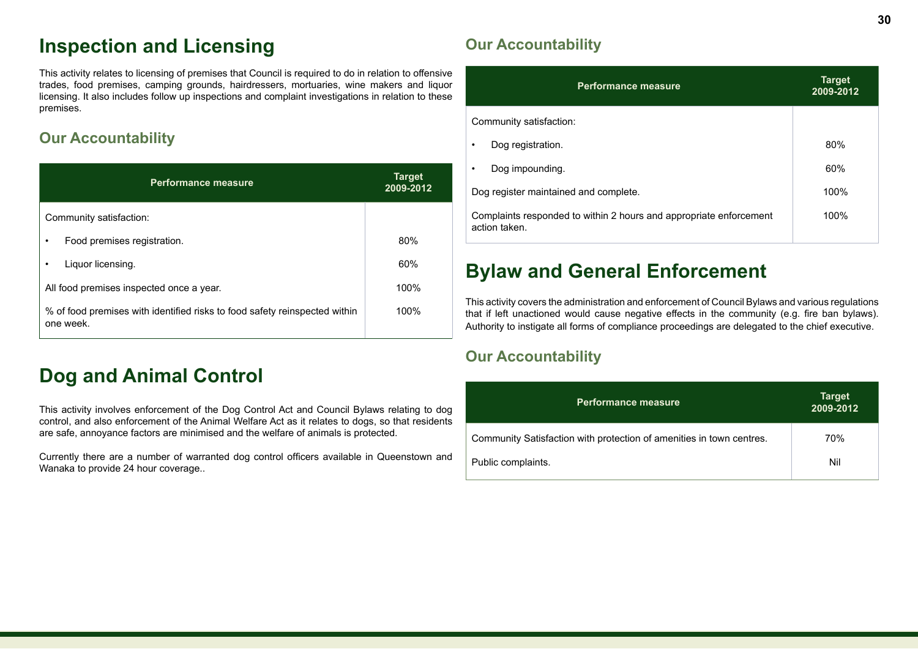# **Inspection and Licensing**

This activity relates to licensing of premises that Council is required to do in relation to offensive trades, food premises, camping grounds, hairdressers, mortuaries, wine makers and liquor licensing. It also includes follow up inspections and complaint investigations in relation to these premises.

# **Our Accountability**

| <b>Performance measure</b>                                                              | <b>Target</b><br>2009-2012 |
|-----------------------------------------------------------------------------------------|----------------------------|
| Community satisfaction:                                                                 |                            |
| Food premises registration.<br>٠                                                        | 80%                        |
| Liquor licensing.                                                                       | 60%                        |
| All food premises inspected once a year.                                                | 100%                       |
| % of food premises with identified risks to food safety reinspected within<br>one week. | 100%                       |

# **Dog and Animal Control**

This activity involves enforcement of the Dog Control Act and Council Bylaws relating to dog control, and also enforcement of the Animal Welfare Act as it relates to dogs, so that residents are safe, annoyance factors are minimised and the welfare of animals is protected.

Currently there are a number of warranted dog control officers available in Queenstown and Wanaka to provide 24 hour coverage..

# **Our Accountability**

| <b>Performance measure</b>                                                          | <b>Target</b><br>2009-2012 |
|-------------------------------------------------------------------------------------|----------------------------|
| Community satisfaction:                                                             |                            |
| Dog registration.                                                                   | 80%                        |
| Dog impounding.                                                                     | 60%                        |
| Dog register maintained and complete.                                               | 100%                       |
| Complaints responded to within 2 hours and appropriate enforcement<br>action taken. | 100%                       |

# **Bylaw and General Enforcement**

This activity covers the administration and enforcement of Council Bylaws and various regulations that if left unactioned would cause negative effects in the community (e.g. fire ban bylaws). Authority to instigate all forms of compliance proceedings are delegated to the chief executive.

| <b>Performance measure</b>                                           | <b>Target</b><br>2009-2012 |
|----------------------------------------------------------------------|----------------------------|
| Community Satisfaction with protection of amenities in town centres. | 70%                        |
| Public complaints.                                                   | Nil                        |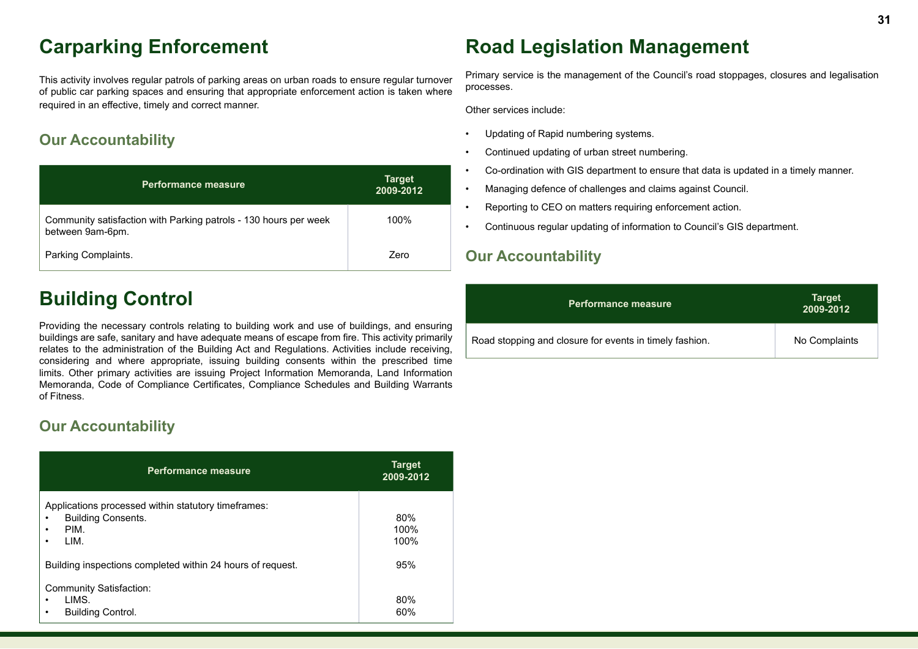# **Carparking Enforcement**

This activity involves regular patrols of parking areas on urban roads to ensure regular turnover of public car parking spaces and ensuring that appropriate enforcement action is taken where required in an effective, timely and correct manner.

## **Our Accountability**

| <b>Performance measure</b>                                                           | <b>Target</b><br>2009-2012 |
|--------------------------------------------------------------------------------------|----------------------------|
| Community satisfaction with Parking patrols - 130 hours per week<br>between 9am-6pm. | 100%                       |
| Parking Complaints.                                                                  | Zero                       |

# **Building Control**

Providing the necessary controls relating to building work and use of buildings, and ensuring buildings are safe, sanitary and have adequate means of escape from fire. This activity primarily relates to the administration of the Building Act and Regulations. Activities include receiving, considering and where appropriate, issuing building consents within the prescribed time limits. Other primary activities are issuing Project Information Memoranda, Land Information Memoranda, Code of Compliance Certificates, Compliance Schedules and Building Warrants of Fitness.

## **Our Accountability**

| <b>Performance measure</b>                                                                                              | <b>Target</b><br>2009-2012 |
|-------------------------------------------------------------------------------------------------------------------------|----------------------------|
| Applications processed within statutory timeframes:<br><b>Building Consents.</b><br>٠<br>PIM.<br>$\bullet$<br>LIM.<br>٠ | 80%<br>100%<br>100%        |
| Building inspections completed within 24 hours of request.                                                              | 95%                        |
| <b>Community Satisfaction:</b><br>LIMS.<br>$\bullet$<br><b>Building Control.</b><br>$\bullet$                           | 80%<br>60%                 |

# **Road Legislation Management**

Primary service is the management of the Council's road stoppages, closures and legalisation processes.

Other services include:

- Updating of Rapid numbering systems.
- Continued updating of urban street numbering.
- Co-ordination with GIS department to ensure that data is updated in a timely manner.
- Managing defence of challenges and claims against Council.
- Reporting to CEO on matters requiring enforcement action.
- Continuous regular updating of information to Council's GIS department.

| <b>Performance measure</b>                              | <b>Target</b><br>2009-2012 |
|---------------------------------------------------------|----------------------------|
| Road stopping and closure for events in timely fashion. | No Complaints              |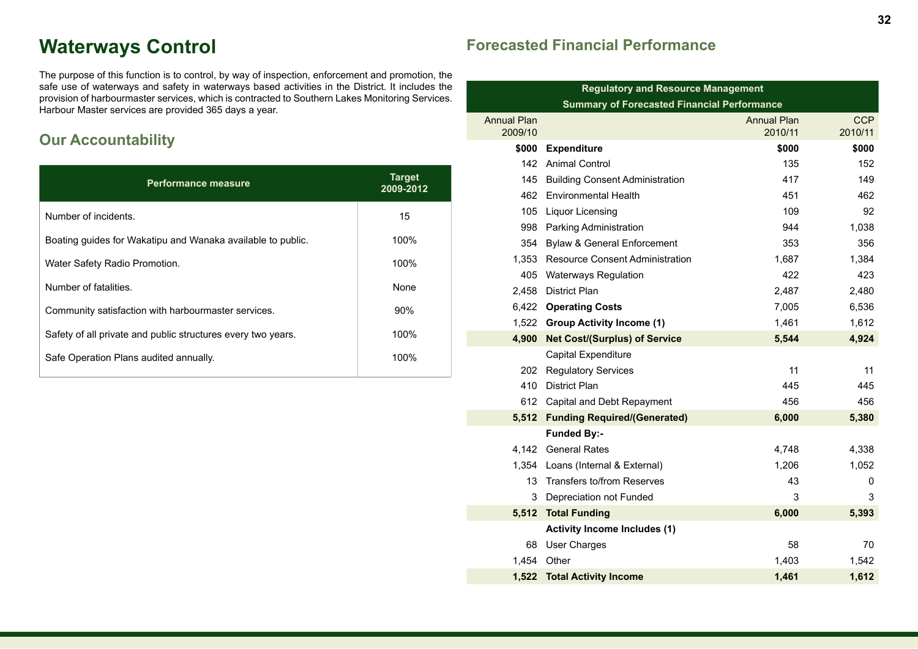# **Waterways Control**

The purpose of this function is to control, by way of inspection, enforcement and promotion, the safe use of waterways and safety in waterways based activities in the District. It includes the provision of harbourmaster services, which is contracted to Southern Lakes Monitoring Services. Harbour Master services are provided 365 days a year.

# **Our Accountability**

| <b>Performance measure</b>                                   | <b>Target</b><br>2009-2012 |
|--------------------------------------------------------------|----------------------------|
| Number of incidents.                                         | 15                         |
| Boating guides for Wakatipu and Wanaka available to public.  | 100%                       |
| Water Safety Radio Promotion.                                | 100%                       |
| Number of fatalities.                                        | None                       |
| Community satisfaction with harbourmaster services.          | $90\%$                     |
| Safety of all private and public structures every two years. | 100%                       |
| Safe Operation Plans audited annually.                       | 100%                       |

# **Forecasted Financial Performance**

| <b>Regulatory and Resource Management</b>          |                                        |                    |            |
|----------------------------------------------------|----------------------------------------|--------------------|------------|
| <b>Summary of Forecasted Financial Performance</b> |                                        |                    |            |
| <b>Annual Plan</b>                                 |                                        | <b>Annual Plan</b> | <b>CCP</b> |
| 2009/10                                            |                                        | 2010/11            | 2010/11    |
| \$000                                              | <b>Expenditure</b>                     | \$000              | \$000      |
| 142                                                | <b>Animal Control</b>                  | 135                | 152        |
| 145                                                | <b>Building Consent Administration</b> | 417                | 149        |
| 462                                                | <b>Environmental Health</b>            | 451                | 462        |
| 105                                                | <b>Liquor Licensing</b>                | 109                | 92         |
| 998                                                | Parking Administration                 | 944                | 1,038      |
| 354                                                | <b>Bylaw &amp; General Enforcement</b> | 353                | 356        |
| 1,353                                              | <b>Resource Consent Administration</b> | 1,687              | 1,384      |
| 405                                                | <b>Waterways Regulation</b>            | 422                | 423        |
| 2.458                                              | <b>District Plan</b>                   | 2,487              | 2,480      |
|                                                    | 6,422 Operating Costs                  | 7,005              | 6,536      |
|                                                    | 1,522 Group Activity Income (1)        | 1,461              | 1,612      |
| 4,900                                              | <b>Net Cost/(Surplus) of Service</b>   | 5,544              | 4,924      |
|                                                    | Capital Expenditure                    |                    |            |
| 202                                                | <b>Regulatory Services</b>             | 11                 | 11         |
| 410                                                | <b>District Plan</b>                   | 445                | 445        |
|                                                    | 612 Capital and Debt Repayment         | 456                | 456        |
| 5,512                                              | <b>Funding Required/(Generated)</b>    | 6,000              | 5,380      |
|                                                    | <b>Funded By:-</b>                     |                    |            |
| 4,142                                              | <b>General Rates</b>                   | 4,748              | 4,338      |
| 1,354                                              | Loans (Internal & External)            | 1,206              | 1,052      |
| 13                                                 | Transfers to/from Reserves             | 43                 | 0          |
| 3                                                  | Depreciation not Funded                | 3                  | 3          |
| 5,512                                              | <b>Total Funding</b>                   | 6,000              | 5,393      |
|                                                    | <b>Activity Income Includes (1)</b>    |                    |            |
| 68                                                 | <b>User Charges</b>                    | 58                 | 70         |
| 1,454                                              | Other                                  | 1,403              | 1,542      |
| 1.522                                              | <b>Total Activity Income</b>           | 1.461              | 1,612      |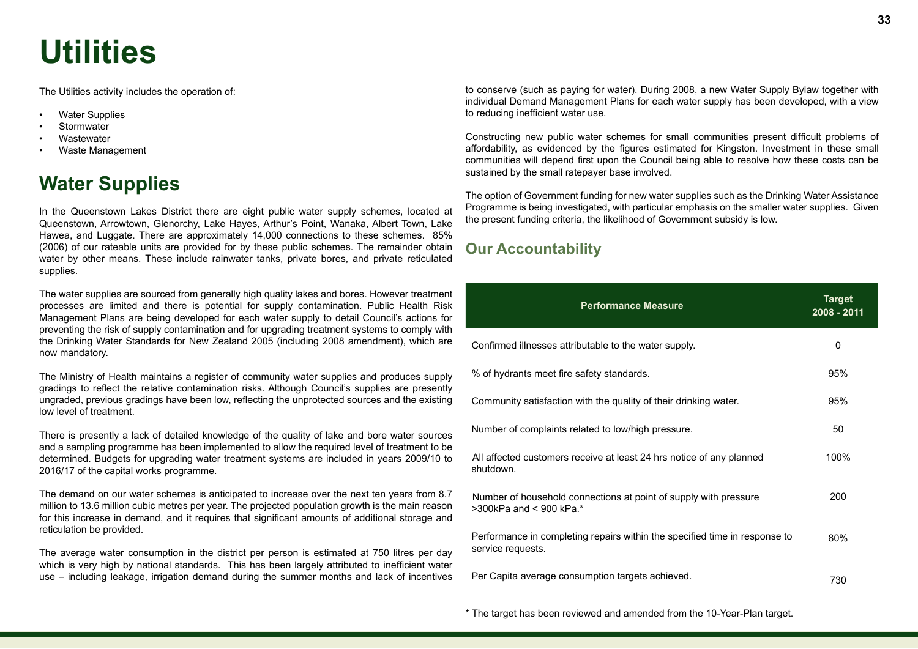# **Utilities**

The Utilities activity includes the operation of:

- Water Supplies
- Stormwater
- **Wastewater**
- Waste Management

# **Water Supplies**

In the Queenstown Lakes District there are eight public water supply schemes, located at Queenstown, Arrowtown, Glenorchy, Lake Hayes, Arthur's Point, Wanaka, Albert Town, Lake Hawea, and Luggate. There are approximately 14,000 connections to these schemes. 85% (2006) of our rateable units are provided for by these public schemes. The remainder obtain water by other means. These include rainwater tanks, private bores, and private reticulated supplies.

The water supplies are sourced from generally high quality lakes and bores. However treatment processes are limited and there is potential for supply contamination. Public Health Risk Management Plans are being developed for each water supply to detail Council's actions for preventing the risk of supply contamination and for upgrading treatment systems to comply with the Drinking Water Standards for New Zealand 2005 (including 2008 amendment), which are now mandatory.

The Ministry of Health maintains a register of community water supplies and produces supply gradings to reflect the relative contamination risks. Although Council's supplies are presently ungraded, previous gradings have been low, reflecting the unprotected sources and the existing low level of treatment.

There is presently a lack of detailed knowledge of the quality of lake and bore water sources and a sampling programme has been implemented to allow the required level of treatment to be determined. Budgets for upgrading water treatment systems are included in years 2009/10 to 2016/17 of the capital works programme.

The demand on our water schemes is anticipated to increase over the next ten years from 8.7 million to 13.6 million cubic metres per year. The projected population growth is the main reason for this increase in demand, and it requires that significant amounts of additional storage and reticulation be provided.

The average water consumption in the district per person is estimated at 750 litres per day which is very high by national standards. This has been largely attributed to inefficient water use – including leakage, irrigation demand during the summer months and lack of incentives

to conserve (such as paying for water). During 2008, a new Water Supply Bylaw together with individual Demand Management Plans for each water supply has been developed, with a view to reducing inefficient water use.

Constructing new public water schemes for small communities present difficult problems of affordability, as evidenced by the figures estimated for Kingston. Investment in these small communities will depend first upon the Council being able to resolve how these costs can be sustained by the small ratepayer base involved.

The option of Government funding for new water supplies such as the Drinking Water Assistance Programme is being investigated, with particular emphasis on the smaller water supplies. Given the present funding criteria, the likelihood of Government subsidy is low.

## **Our Accountability**

| <b>Performance Measure</b>                                                                      | <b>Target</b><br>2008 - 2011 |
|-------------------------------------------------------------------------------------------------|------------------------------|
| Confirmed illnesses attributable to the water supply.                                           | 0                            |
| % of hydrants meet fire safety standards.                                                       | 95%                          |
| Community satisfaction with the quality of their drinking water.                                | 95%                          |
| Number of complaints related to low/high pressure.                                              | 50                           |
| All affected customers receive at least 24 hrs notice of any planned<br>shutdown.               | 100%                         |
| Number of household connections at point of supply with pressure<br>$>300$ kPa and < 900 kPa.*  | 200                          |
| Performance in completing repairs within the specified time in response to<br>service requests. | 80%                          |
| Per Capita average consumption targets achieved.                                                | 730                          |

\* The target has been reviewed and amended from the 10-Year-Plan target.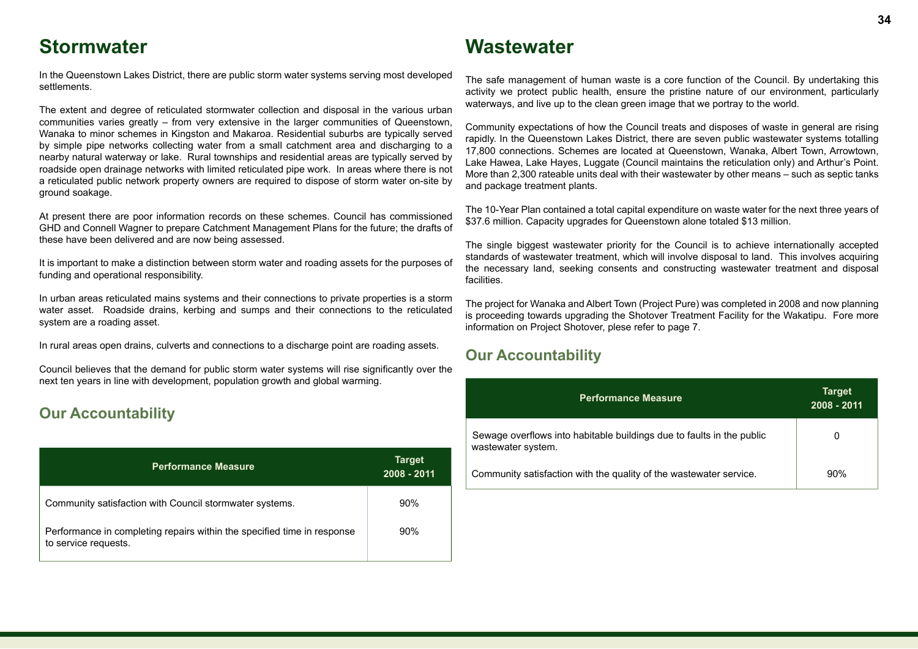# **Stormwater**

# **Wastewater**

In the Queenstown Lakes District, there are public storm water systems serving most developed settlements.

The extent and degree of reticulated stormwater collection and disposal in the various urban communities varies greatly – from very extensive in the larger communities of Queenstown, Wanaka to minor schemes in Kingston and Makaroa. Residential suburbs are typically served by simple pipe networks collecting water from a small catchment area and discharging to a nearby natural waterway or lake. Rural townships and residential areas are typically served by roadside open drainage networks with limited reticulated pipe work. In areas where there is not a reticulated public network property owners are required to dispose of storm water on-site by ground soakage.

At present there are poor information records on these schemes. Council has commissioned GHD and Connell Wagner to prepare Catchment Management Plans for the future; the drafts of these have been delivered and are now being assessed.

It is important to make a distinction between storm water and roading assets for the purposes of funding and operational responsibility.

In urban areas reticulated mains systems and their connections to private properties is a storm water asset. Roadside drains, kerbing and sumps and their connections to the reticulated system are a roading asset.

In rural areas open drains, culverts and connections to a discharge point are roading assets.

Council believes that the demand for public storm water systems will rise significantly over the next ten years in line with development, population growth and global warming.

### **Our Accountability**

| <b>Performance Measure</b>                                                                      | <b>Target</b><br>2008 - 2011 |
|-------------------------------------------------------------------------------------------------|------------------------------|
| Community satisfaction with Council stormwater systems.                                         | 90%                          |
| Performance in completing repairs within the specified time in response<br>to service requests. | 90%                          |

The safe management of human waste is a core function of the Council. By undertaking this activity we protect public health, ensure the pristine nature of our environment, particularly waterways, and live up to the clean green image that we portray to the world.

Community expectations of how the Council treats and disposes of waste in general are rising rapidly. In the Queenstown Lakes District, there are seven public wastewater systems totalling 17,800 connections. Schemes are located at Queenstown, Wanaka, Albert Town, Arrowtown, Lake Hawea, Lake Hayes, Luggate (Council maintains the reticulation only) and Arthur's Point. More than 2,300 rateable units deal with their wastewater by other means – such as septic tanks and package treatment plants.

The 10-Year Plan contained a total capital expenditure on waste water for the next three years of \$37.6 million. Capacity upgrades for Queenstown alone totaled \$13 million.

The single biggest wastewater priority for the Council is to achieve internationally accepted standards of wastewater treatment, which will involve disposal to land. This involves acquiring the necessary land, seeking consents and constructing wastewater treatment and disposal facilities.

The project for Wanaka and Albert Town (Project Pure) was completed in 2008 and now planning is proceeding towards upgrading the Shotover Treatment Facility for the Wakatipu. Fore more information on Project Shotover, plese refer to page 7.

| <b>Performance Measure</b>                                                                  | <b>Target</b><br>2008 - 2011 |
|---------------------------------------------------------------------------------------------|------------------------------|
| Sewage overflows into habitable buildings due to faults in the public<br>wastewater system. | 0                            |
| Community satisfaction with the quality of the wastewater service.                          | 90%                          |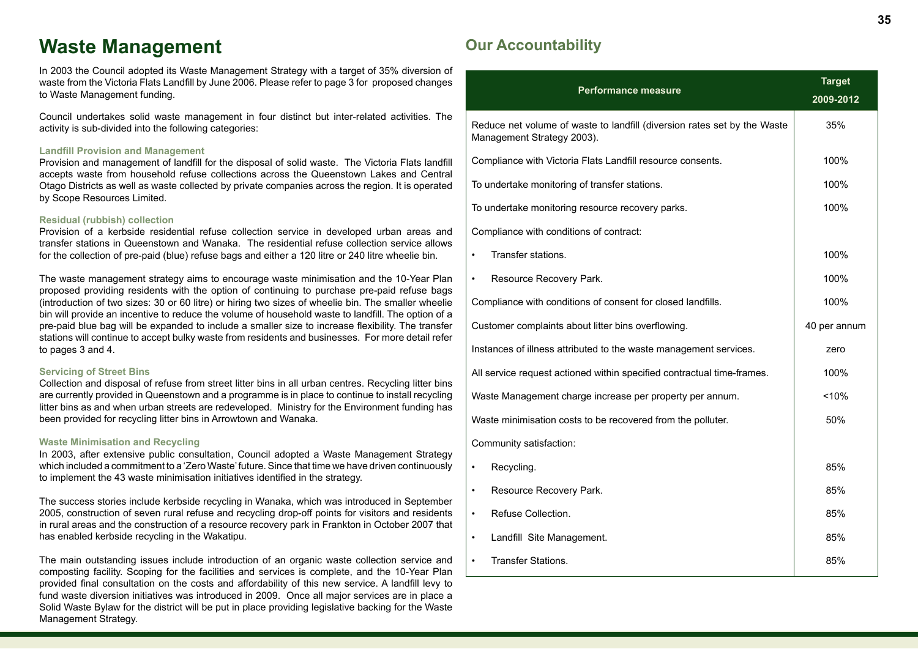# **Waste Management**

In 2003 the Council adopted its Waste Management Strategy with a target of 35% diversion of waste from the Victoria Flats Landfill by June 2006. Please refer to page 3 for proposed changes to Waste Management funding.

Council undertakes solid waste management in four distinct but inter-related activities. The activity is sub-divided into the following categories:

#### **Landfill Provision and Management**

Provision and management of landfill for the disposal of solid waste. The Victoria Flats landfill accepts waste from household refuse collections across the Queenstown Lakes and Central Otago Districts as well as waste collected by private companies across the region. It is operated by Scope Resources Limited.

#### **Residual (rubbish) collection**

Provision of a kerbside residential refuse collection service in developed urban areas and transfer stations in Queenstown and Wanaka. The residential refuse collection service allows for the collection of pre-paid (blue) refuse bags and either a 120 litre or 240 litre wheelie bin.

The waste management strategy aims to encourage waste minimisation and the 10-Year Plan proposed providing residents with the option of continuing to purchase pre-paid refuse bags (introduction of two sizes: 30 or 60 litre) or hiring two sizes of wheelie bin. The smaller wheelie bin will provide an incentive to reduce the volume of household waste to landfill. The option of a pre-paid blue bag will be expanded to include a smaller size to increase flexibility. The transfer stations will continue to accept bulky waste from residents and businesses. For more detail refer to pages 3 and 4.

#### **Servicing of Street Bins**

Collection and disposal of refuse from street litter bins in all urban centres. Recycling litter bins are currently provided in Queenstown and a programme is in place to continue to install recycling litter bins as and when urban streets are redeveloped. Ministry for the Environment funding has been provided for recycling litter bins in Arrowtown and Wanaka.

#### **Waste Minimisation and Recycling**

In 2003, after extensive public consultation, Council adopted a Waste Management Strategy which included a commitment to a 'Zero Waste' future. Since that time we have driven continuously to implement the 43 waste minimisation initiatives identified in the strategy.

The success stories include kerbside recycling in Wanaka, which was introduced in September 2005, construction of seven rural refuse and recycling drop-off points for visitors and residents in rural areas and the construction of a resource recovery park in Frankton in October 2007 that has enabled kerbside recycling in the Wakatipu.

The main outstanding issues include introduction of an organic waste collection service and composting facility. Scoping for the facilities and services is complete, and the 10-Year Plan provided final consultation on the costs and affordability of this new service. A landfill levy to fund waste diversion initiatives was introduced in 2009. Once all major services are in place a Solid Waste Bylaw for the district will be put in place providing legislative backing for the Waste Management Strategy.

| <b>Performance measure</b>                                                                             | <b>Target</b><br>2009-2012 |
|--------------------------------------------------------------------------------------------------------|----------------------------|
| Reduce net volume of waste to landfill (diversion rates set by the Waste<br>Management Strategy 2003). | 35%                        |
| Compliance with Victoria Flats Landfill resource consents.                                             | 100%                       |
| To undertake monitoring of transfer stations.                                                          | 100%                       |
| To undertake monitoring resource recovery parks.                                                       | 100%                       |
| Compliance with conditions of contract:                                                                |                            |
| Transfer stations.                                                                                     | 100%                       |
| Resource Recovery Park.                                                                                | 100%                       |
| Compliance with conditions of consent for closed landfills.                                            | 100%                       |
| Customer complaints about litter bins overflowing.                                                     | 40 per annum               |
| Instances of illness attributed to the waste management services.                                      | zero                       |
| All service request actioned within specified contractual time-frames.                                 | 100%                       |
| Waste Management charge increase per property per annum.                                               | < 10%                      |
| Waste minimisation costs to be recovered from the polluter.                                            | 50%                        |
| Community satisfaction:                                                                                |                            |
| Recycling.                                                                                             | 85%                        |
| Resource Recovery Park.                                                                                | 85%                        |
| Refuse Collection.<br>$\bullet$                                                                        | 85%                        |
| Landfill Site Management.<br>$\bullet$                                                                 | 85%                        |
| <b>Transfer Stations.</b>                                                                              | 85%                        |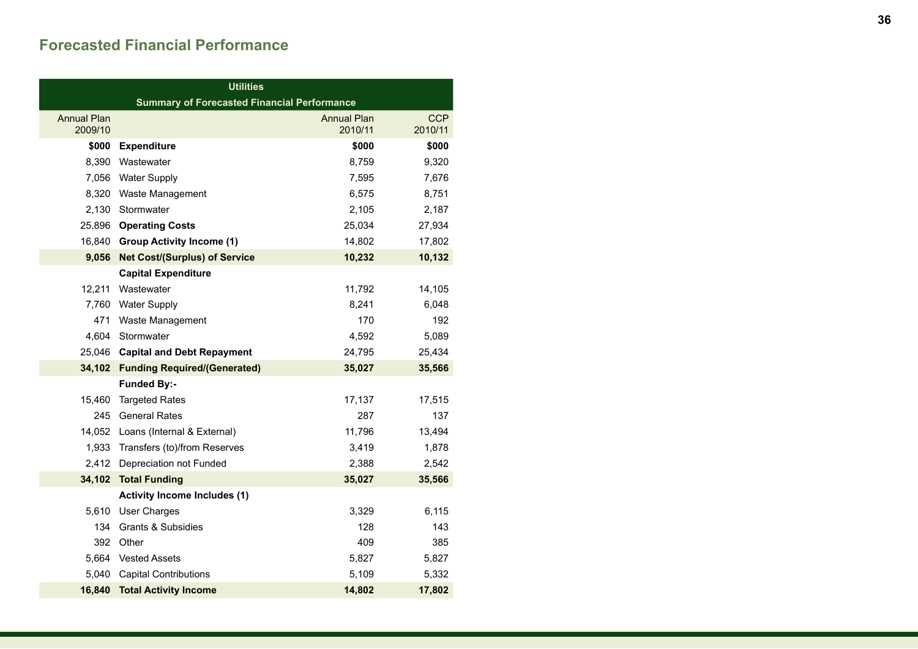## **Forecasted Financial Performance**

| <b>Utilities</b>                                   |                                      |                               |                       |
|----------------------------------------------------|--------------------------------------|-------------------------------|-----------------------|
| <b>Summary of Forecasted Financial Performance</b> |                                      |                               |                       |
| <b>Annual Plan</b><br>2009/10                      |                                      | <b>Annual Plan</b><br>2010/11 | <b>CCP</b><br>2010/11 |
| \$000                                              | <b>Expenditure</b>                   | \$000                         | \$000                 |
| 8,390                                              | Wastewater                           | 8,759                         | 9,320                 |
| 7,056                                              | <b>Water Supply</b>                  | 7,595                         | 7,676                 |
| 8,320                                              | Waste Management                     | 6,575                         | 8,751                 |
| 2,130                                              | Stormwater                           | 2,105                         | 2,187                 |
| 25,896                                             | <b>Operating Costs</b>               | 25,034                        | 27,934                |
| 16,840                                             | <b>Group Activity Income (1)</b>     | 14,802                        | 17,802                |
| 9,056                                              | <b>Net Cost/(Surplus) of Service</b> | 10,232                        | 10,132                |
|                                                    | <b>Capital Expenditure</b>           |                               |                       |
| 12,211                                             | Wastewater                           | 11,792                        | 14,105                |
| 7,760                                              | <b>Water Supply</b>                  | 8,241                         | 6,048                 |
| 471                                                | Waste Management                     | 170                           | 192                   |
| 4,604                                              | Stormwater                           | 4,592                         | 5,089                 |
| 25,046                                             | <b>Capital and Debt Repayment</b>    | 24,795                        | 25,434                |
| 34,102                                             | <b>Funding Required/(Generated)</b>  | 35,027                        | 35,566                |
|                                                    | <b>Funded By:-</b>                   |                               |                       |
| 15,460                                             | <b>Targeted Rates</b>                | 17,137                        | 17,515                |
| 245                                                | <b>General Rates</b>                 | 287                           | 137                   |
| 14,052                                             | Loans (Internal & External)          | 11,796                        | 13,494                |
| 1,933                                              | Transfers (to)/from Reserves         | 3,419                         | 1,878                 |
| 2,412                                              | Depreciation not Funded              | 2,388                         | 2,542                 |
| 34,102                                             | <b>Total Funding</b>                 | 35,027                        | 35,566                |
|                                                    | <b>Activity Income Includes (1)</b>  |                               |                       |
| 5,610                                              | User Charges                         | 3,329                         | 6,115                 |
| 134                                                | <b>Grants &amp; Subsidies</b>        | 128                           | 143                   |
| 392                                                | Other                                | 409                           | 385                   |
| 5,664                                              | <b>Vested Assets</b>                 | 5,827                         | 5,827                 |
| 5,040                                              | <b>Capital Contributions</b>         | 5,109                         | 5,332                 |
| 16,840                                             | <b>Total Activity Income</b>         | 14,802                        | 17,802                |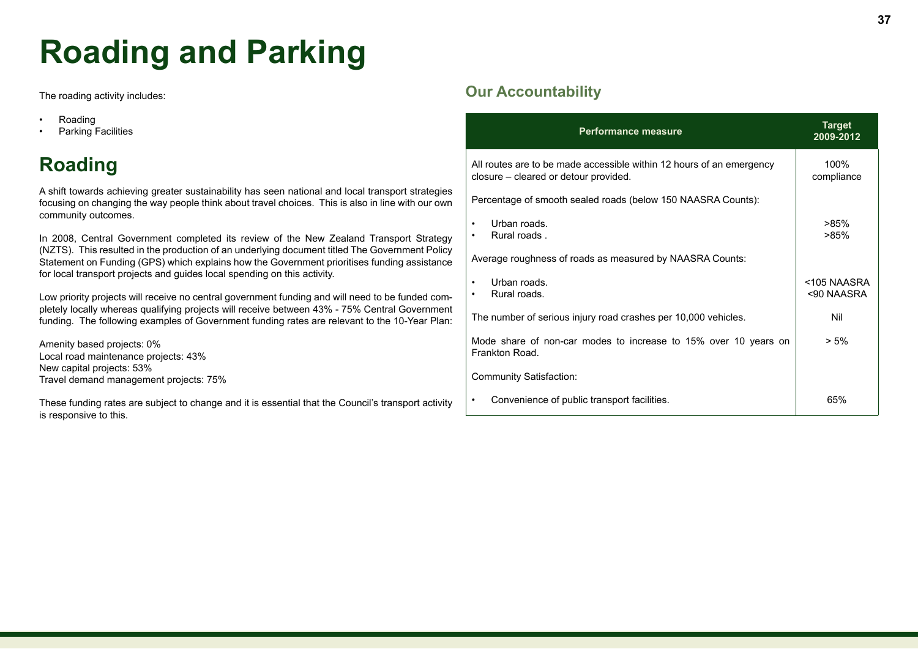# **Roading and Parking**

The roading activity includes:

- Roading
- Parking Facilities

# **Roading**

A shift towards achieving greater sustainability has seen national and local transport strategies focusing on changing the way people think about travel choices. This is also in line with our own community outcomes.

In 2008, Central Government completed its review of the New Zealand Transport Strategy (NZTS). This resulted in the production of an underlying document titled The Government Policy Statement on Funding (GPS) which explains how the Government prioritises funding assistance for local transport projects and guides local spending on this activity.

Low priority projects will receive no central government funding and will need to be funded completely locally whereas qualifying projects will receive between 43% - 75% Central Government funding. The following examples of Government funding rates are relevant to the 10-Year Plan:

Amenity based projects: 0% Local road maintenance projects: 43% New capital projects: 53% Travel demand management projects: 75%

These funding rates are subject to change and it is essential that the Council's transport activity is responsive to this.

# **Our Accountability**

| <b>Performance measure</b>                                                                                    | <b>Target</b><br>2009-2012 |
|---------------------------------------------------------------------------------------------------------------|----------------------------|
| All routes are to be made accessible within 12 hours of an emergency<br>closure - cleared or detour provided. | 100%<br>compliance         |
| Percentage of smooth sealed roads (below 150 NAASRA Counts):                                                  |                            |
| Urban roads.<br>$\bullet$<br>Rural roads.<br>٠                                                                | >85%<br>>85%               |
| Average roughness of roads as measured by NAASRA Counts:                                                      |                            |
| Urban roads.<br>$\bullet$<br>Rural roads.                                                                     | <105 NAASRA<br><90 NAASRA  |
| The number of serious injury road crashes per 10,000 vehicles.                                                | Nil                        |
| Mode share of non-car modes to increase to 15% over 10 years on<br>Frankton Road.                             | $> 5\%$                    |
| <b>Community Satisfaction:</b>                                                                                |                            |
| Convenience of public transport facilities.<br>٠                                                              | 65%                        |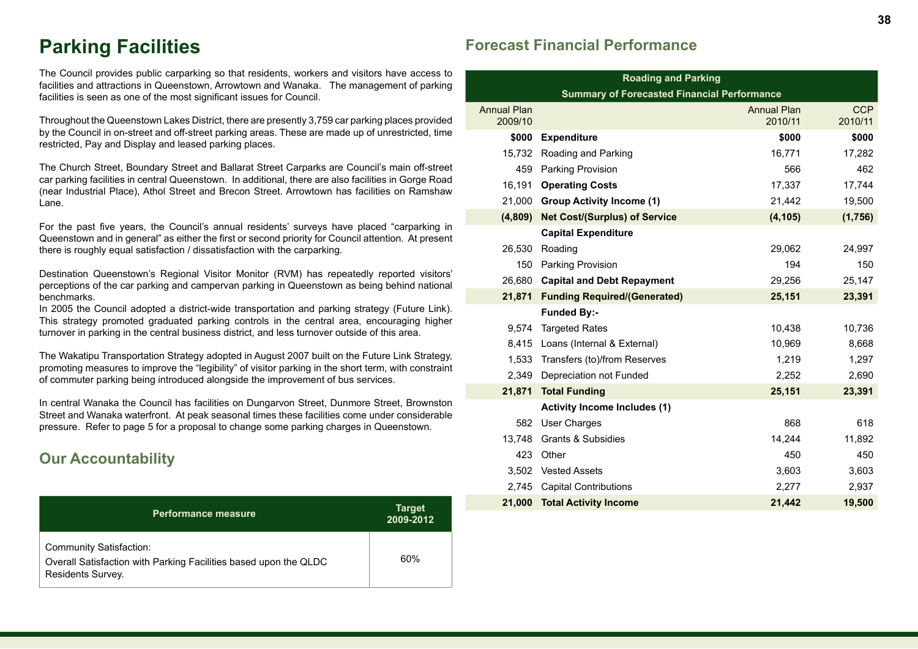# **Parking Facilities**

The Council provides public carparking so that residents, workers and visitors have access to facilities and attractions in Queenstown, Arrowtown and Wanaka. The management of parking facilities is seen as one of the most significant issues for Council.

Throughout the Queenstown Lakes District, there are presently 3,759 car parking places provided by the Council in on-street and off-street parking areas. These are made up of unrestricted, time restricted, Pay and Display and leased parking places.

The Church Street, Boundary Street and Ballarat Street Carparks are Council's main off-street car parking facilities in central Queenstown. In additional, there are also facilities in Gorge Road (near Industrial Place), Athol Street and Brecon Street. Arrowtown has facilities on Ramshaw Lane.

For the past five years, the Council's annual residents' surveys have placed "carparking in Queenstown and in general" as either the first or second priority for Council attention. At present there is roughly equal satisfaction / dissatisfaction with the carparking.

Destination Queenstown's Regional Visitor Monitor (RVM) has repeatedly reported visitors' perceptions of the car parking and campervan parking in Queenstown as being behind national benchmarks.

In 2005 the Council adopted a district-wide transportation and parking strategy (Future Link). This strategy promoted graduated parking controls in the central area, encouraging higher turnover in parking in the central business district, and less turnover outside of this area.

The Wakatipu Transportation Strategy adopted in August 2007 built on the Future Link Strategy, promoting measures to improve the "legibility" of visitor parking in the short term, with constraint of commuter parking being introduced alongside the improvement of bus services.

In central Wanaka the Council has facilities on Dungarvon Street, Dunmore Street, Brownston Street and Wanaka waterfront. At peak seasonal times these facilities come under considerable pressure. Refer to page 5 for a proposal to change some parking charges in Queenstown.

# **Our Accountability**

| <b>Performance measure</b>                                                                                              | <b>Target</b><br>2009-2012 |
|-------------------------------------------------------------------------------------------------------------------------|----------------------------|
| <b>Community Satisfaction:</b><br>Overall Satisfaction with Parking Facilities based upon the QLDC<br>Residents Survey. | 60%                        |

## **Forecast Financial Performance**

| <b>Roading and Parking</b>    |                                                       |                               |                       |  |  |  |
|-------------------------------|-------------------------------------------------------|-------------------------------|-----------------------|--|--|--|
|                               | <b>Summary of Forecasted Financial Performance</b>    |                               |                       |  |  |  |
| <b>Annual Plan</b><br>2009/10 |                                                       | <b>Annual Plan</b><br>2010/11 | <b>CCP</b><br>2010/11 |  |  |  |
| \$000                         | <b>Expenditure</b>                                    | \$000                         | \$000                 |  |  |  |
| 15,732                        | Roading and Parking                                   | 16,771                        | 17,282                |  |  |  |
| 459                           | Parking Provision                                     | 566                           | 462                   |  |  |  |
| 16,191                        | <b>Operating Costs</b>                                | 17,337                        | 17,744                |  |  |  |
| 21,000                        | <b>Group Activity Income (1)</b>                      | 21,442                        | 19,500                |  |  |  |
| (4,809)                       | <b>Net Cost/(Surplus) of Service</b>                  | (4, 105)                      | (1,756)               |  |  |  |
|                               | <b>Capital Expenditure</b>                            |                               |                       |  |  |  |
| 26,530                        | Roading                                               | 29,062                        | 24,997                |  |  |  |
| 150                           | Parking Provision<br>194                              |                               |                       |  |  |  |
| 26,680                        | 29,256<br>25,147<br><b>Capital and Debt Repayment</b> |                               |                       |  |  |  |
| 21,871                        | <b>Funding Required/(Generated)</b><br>25,151         |                               |                       |  |  |  |
|                               | <b>Funded By:-</b>                                    |                               |                       |  |  |  |
| 9.574                         | <b>Targeted Rates</b>                                 | 10,438                        | 10,736                |  |  |  |
|                               | 8,415 Loans (Internal & External)                     | 10,969                        | 8,668                 |  |  |  |
| 1.533                         | Transfers (to)/from Reserves                          | 1,219                         | 1,297                 |  |  |  |
| 2,349                         | Depreciation not Funded                               | 2,252                         | 2,690                 |  |  |  |
| 21,871                        | <b>Total Funding</b>                                  | 25,151                        | 23,391                |  |  |  |
|                               | <b>Activity Income Includes (1)</b>                   |                               |                       |  |  |  |
| 582                           | <b>User Charges</b>                                   | 868                           | 618                   |  |  |  |
| 13,748                        | <b>Grants &amp; Subsidies</b>                         | 14,244                        | 11,892                |  |  |  |
| 423                           | Other                                                 | 450                           | 450                   |  |  |  |
|                               | 3.502 Vested Assets                                   | 3,603                         | 3,603                 |  |  |  |
|                               | 2,745 Capital Contributions                           | 2,277                         | 2,937                 |  |  |  |
| 21,000                        | <b>Total Activity Income</b>                          | 21,442                        | 19,500                |  |  |  |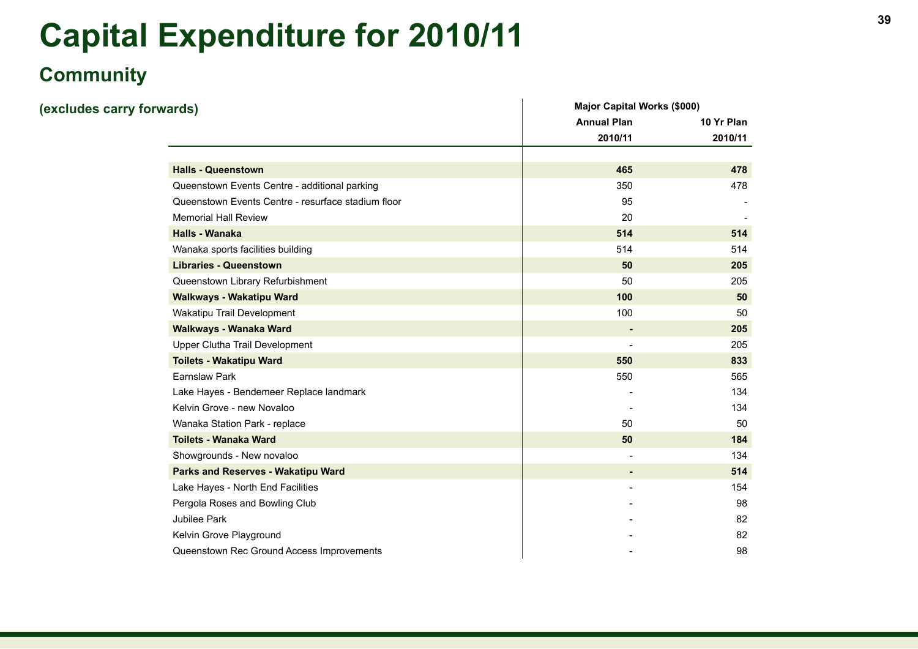# **<sup>39</sup> Capital Expenditure for 2010/11**

# **Community**

| (excludes carry forwards) |                                                    | <b>Major Capital Works (\$000)</b> |            |
|---------------------------|----------------------------------------------------|------------------------------------|------------|
|                           |                                                    | <b>Annual Plan</b>                 | 10 Yr Plan |
|                           |                                                    | 2010/11                            | 2010/11    |
|                           |                                                    |                                    |            |
|                           | <b>Halls - Queenstown</b>                          | 465                                | 478        |
|                           | Queenstown Events Centre - additional parking      | 350                                | 478        |
|                           | Queenstown Events Centre - resurface stadium floor | 95                                 |            |
|                           | <b>Memorial Hall Review</b>                        | 20                                 |            |
|                           | <b>Halls - Wanaka</b>                              | 514                                | 514        |
|                           | Wanaka sports facilities building                  | 514                                | 514        |
|                           | <b>Libraries - Queenstown</b>                      | 50                                 | 205        |
|                           | Queenstown Library Refurbishment                   | 50                                 | 205        |
|                           | Walkways - Wakatipu Ward                           | 100                                | 50         |
|                           | Wakatipu Trail Development                         | 100                                | 50         |
|                           | Walkways - Wanaka Ward                             | ٠                                  | 205        |
|                           | Upper Clutha Trail Development                     |                                    | 205        |
|                           | <b>Toilets - Wakatipu Ward</b>                     | 550                                | 833        |
|                           | Earnslaw Park                                      | 550                                | 565        |
|                           | Lake Hayes - Bendemeer Replace landmark            |                                    | 134        |
|                           | Kelvin Grove - new Novaloo                         |                                    | 134        |
|                           | Wanaka Station Park - replace                      | 50                                 | 50         |
|                           | <b>Toilets - Wanaka Ward</b>                       | 50                                 | 184        |
|                           | Showgrounds - New novaloo                          | $\blacksquare$                     | 134        |
|                           | Parks and Reserves - Wakatipu Ward                 |                                    | 514        |
|                           | Lake Hayes - North End Facilities                  |                                    | 154        |
|                           | Pergola Roses and Bowling Club                     |                                    | 98         |
|                           | Jubilee Park                                       |                                    | 82         |
|                           | Kelvin Grove Playground                            |                                    | 82         |
|                           | Queenstown Rec Ground Access Improvements          |                                    | 98         |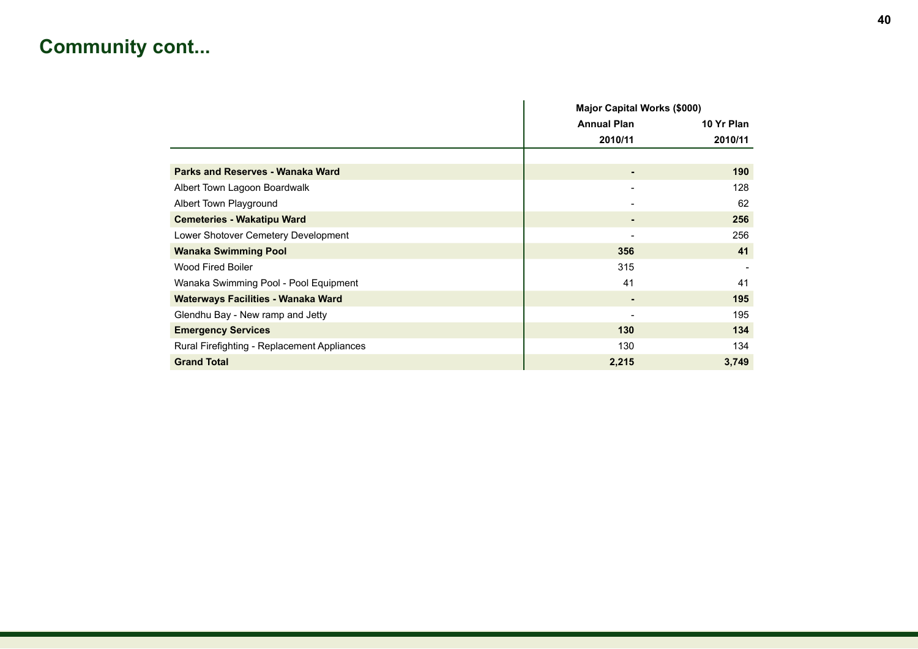# **Community cont...**

|                                             |                    | <b>Major Capital Works (\$000)</b> |  |
|---------------------------------------------|--------------------|------------------------------------|--|
|                                             | <b>Annual Plan</b> | 10 Yr Plan                         |  |
|                                             | 2010/11            | 2010/11                            |  |
|                                             |                    |                                    |  |
| Parks and Reserves - Wanaka Ward            | ٠                  | 190                                |  |
| Albert Town Lagoon Boardwalk                | ۰                  | 128                                |  |
| Albert Town Playground                      |                    | 62                                 |  |
| <b>Cemeteries - Wakatipu Ward</b>           | ٠                  | 256                                |  |
| Lower Shotover Cemetery Development         |                    | 256                                |  |
| <b>Wanaka Swimming Pool</b>                 | 356                | 41                                 |  |
| <b>Wood Fired Boiler</b>                    | 315                |                                    |  |
| Wanaka Swimming Pool - Pool Equipment       | 41                 | 41                                 |  |
| Waterways Facilities - Wanaka Ward          | ٠                  | 195                                |  |
| Glendhu Bay - New ramp and Jetty            | ۰                  | 195                                |  |
| <b>Emergency Services</b>                   | 130                | 134                                |  |
| Rural Firefighting - Replacement Appliances | 130                | 134                                |  |
| <b>Grand Total</b>                          | 2,215              | 3,749                              |  |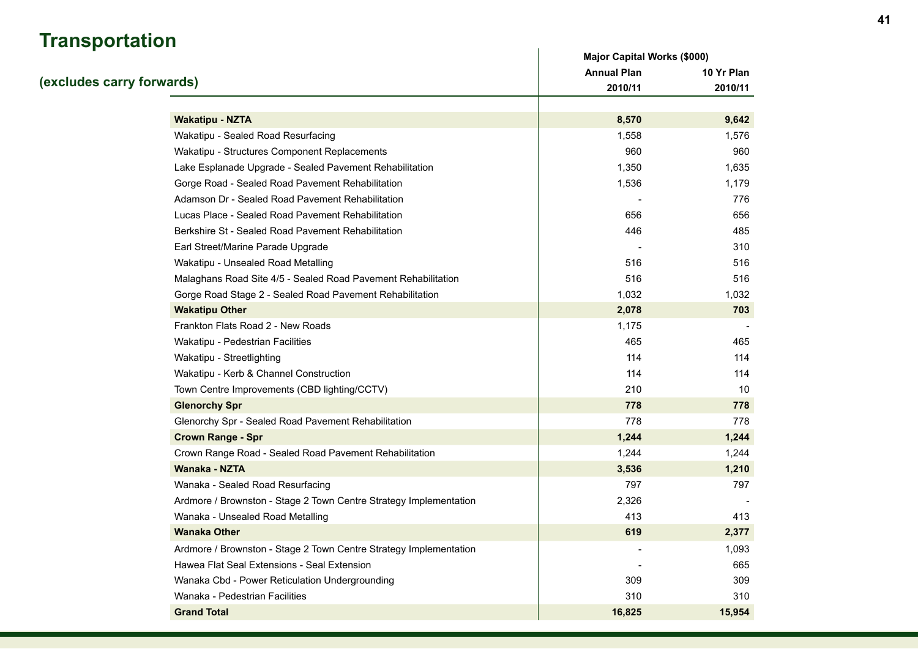# **Transportation**

| <u>Hansportation</u>                                              | <b>Major Capital Works (\$000)</b> |            |
|-------------------------------------------------------------------|------------------------------------|------------|
|                                                                   | <b>Annual Plan</b>                 | 10 Yr Plan |
| (excludes carry forwards)                                         | 2010/11                            | 2010/11    |
|                                                                   |                                    |            |
| <b>Wakatipu - NZTA</b>                                            | 8,570                              | 9,642      |
| Wakatipu - Sealed Road Resurfacing                                | 1,558                              | 1,576      |
| Wakatipu - Structures Component Replacements                      | 960                                | 960        |
| Lake Esplanade Upgrade - Sealed Pavement Rehabilitation           | 1,350                              | 1,635      |
| Gorge Road - Sealed Road Pavement Rehabilitation                  | 1,536                              | 1,179      |
| Adamson Dr - Sealed Road Pavement Rehabilitation                  |                                    | 776        |
| Lucas Place - Sealed Road Pavement Rehabilitation                 | 656                                | 656        |
| Berkshire St - Sealed Road Pavement Rehabilitation                | 446                                | 485        |
| Earl Street/Marine Parade Upgrade                                 |                                    | 310        |
| Wakatipu - Unsealed Road Metalling                                | 516                                | 516        |
| Malaghans Road Site 4/5 - Sealed Road Pavement Rehabilitation     | 516                                | 516        |
| Gorge Road Stage 2 - Sealed Road Pavement Rehabilitation          | 1,032                              | 1,032      |
| <b>Wakatipu Other</b>                                             | 2,078                              | 703        |
| Frankton Flats Road 2 - New Roads                                 | 1,175                              |            |
| Wakatipu - Pedestrian Facilities                                  | 465                                | 465        |
| Wakatipu - Streetlighting                                         | 114                                | 114        |
| Wakatipu - Kerb & Channel Construction                            | 114                                | 114        |
| Town Centre Improvements (CBD lighting/CCTV)                      | 210                                | 10         |
| <b>Glenorchy Spr</b>                                              | 778                                | 778        |
| Glenorchy Spr - Sealed Road Pavement Rehabilitation               | 778                                | 778        |
| <b>Crown Range - Spr</b>                                          | 1,244                              | 1,244      |
| Crown Range Road - Sealed Road Pavement Rehabilitation            | 1,244                              | 1,244      |
| Wanaka - NZTA                                                     | 3,536                              | 1,210      |
| Wanaka - Sealed Road Resurfacing                                  | 797                                | 797        |
| Ardmore / Brownston - Stage 2 Town Centre Strategy Implementation | 2,326                              |            |
| Wanaka - Unsealed Road Metalling                                  | 413                                | 413        |
| <b>Wanaka Other</b>                                               | 619                                | 2,377      |
| Ardmore / Brownston - Stage 2 Town Centre Strategy Implementation |                                    | 1,093      |
| Hawea Flat Seal Extensions - Seal Extension                       |                                    | 665        |
| Wanaka Cbd - Power Reticulation Undergrounding                    | 309                                | 309        |
| Wanaka - Pedestrian Facilities                                    | 310                                | 310        |
| <b>Grand Total</b>                                                | 16,825                             | 15,954     |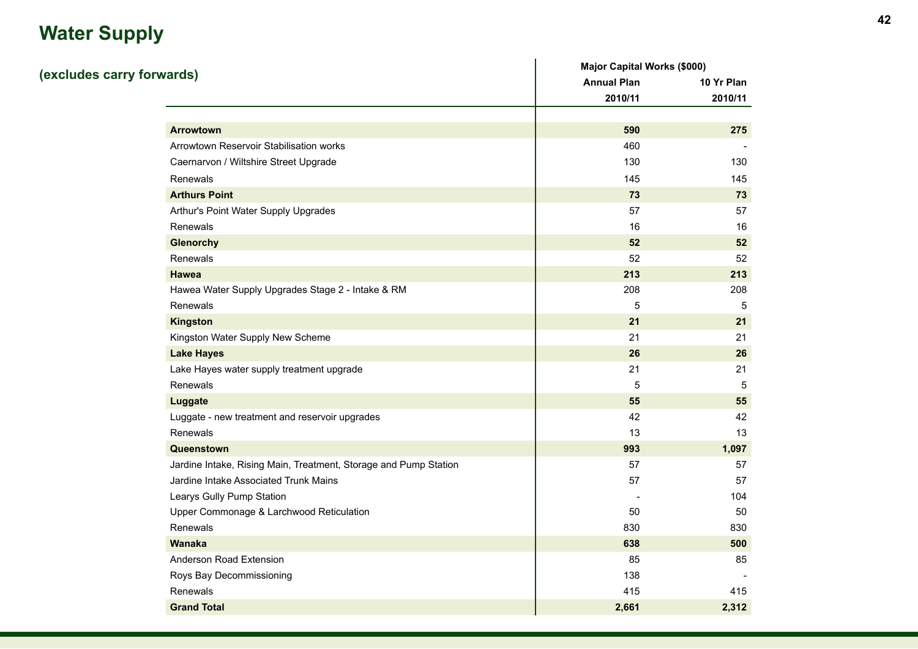# **Water Supply**

|                                                                  | <b>Major Capital Works (\$000)</b> |            |  |
|------------------------------------------------------------------|------------------------------------|------------|--|
| (excludes carry forwards)                                        | <b>Annual Plan</b>                 | 10 Yr Plan |  |
|                                                                  | 2010/11                            | 2010/11    |  |
|                                                                  |                                    |            |  |
| <b>Arrowtown</b>                                                 | 590                                | 275        |  |
| Arrowtown Reservoir Stabilisation works                          | 460                                |            |  |
| Caernarvon / Wiltshire Street Upgrade                            | 130                                | 130        |  |
| Renewals                                                         | 145                                | 145        |  |
| <b>Arthurs Point</b>                                             | 73                                 | 73         |  |
| Arthur's Point Water Supply Upgrades                             | 57                                 | 57         |  |
| Renewals                                                         | 16                                 | 16         |  |
| <b>Glenorchy</b>                                                 | 52                                 | 52         |  |
| Renewals                                                         | 52                                 | 52         |  |
| Hawea                                                            | 213                                | 213        |  |
| Hawea Water Supply Upgrades Stage 2 - Intake & RM                | 208                                | 208        |  |
| Renewals                                                         | 5                                  | 5          |  |
| <b>Kingston</b>                                                  | 21                                 | 21         |  |
| Kingston Water Supply New Scheme                                 | 21                                 | 21         |  |
| <b>Lake Hayes</b>                                                | 26                                 | 26         |  |
| Lake Hayes water supply treatment upgrade                        | 21                                 | 21         |  |
| Renewals                                                         | $\,$ 5 $\,$                        | 5          |  |
| Luggate                                                          | 55                                 | 55         |  |
| Luggate - new treatment and reservoir upgrades                   | 42                                 | 42         |  |
| Renewals                                                         | 13                                 | 13         |  |
| Queenstown                                                       | 993                                | 1,097      |  |
| Jardine Intake, Rising Main, Treatment, Storage and Pump Station | 57                                 | 57         |  |
| Jardine Intake Associated Trunk Mains                            | 57                                 | 57         |  |
| Learys Gully Pump Station                                        |                                    | 104        |  |
| Upper Commonage & Larchwood Reticulation                         | 50                                 | 50         |  |
| Renewals                                                         | 830                                | 830        |  |
| Wanaka                                                           | 638                                | 500        |  |
| Anderson Road Extension                                          | 85                                 | 85         |  |
| Roys Bay Decommissioning                                         | 138                                |            |  |
| Renewals                                                         | 415                                | 415        |  |
| <b>Grand Total</b>                                               | 2,661                              | 2,312      |  |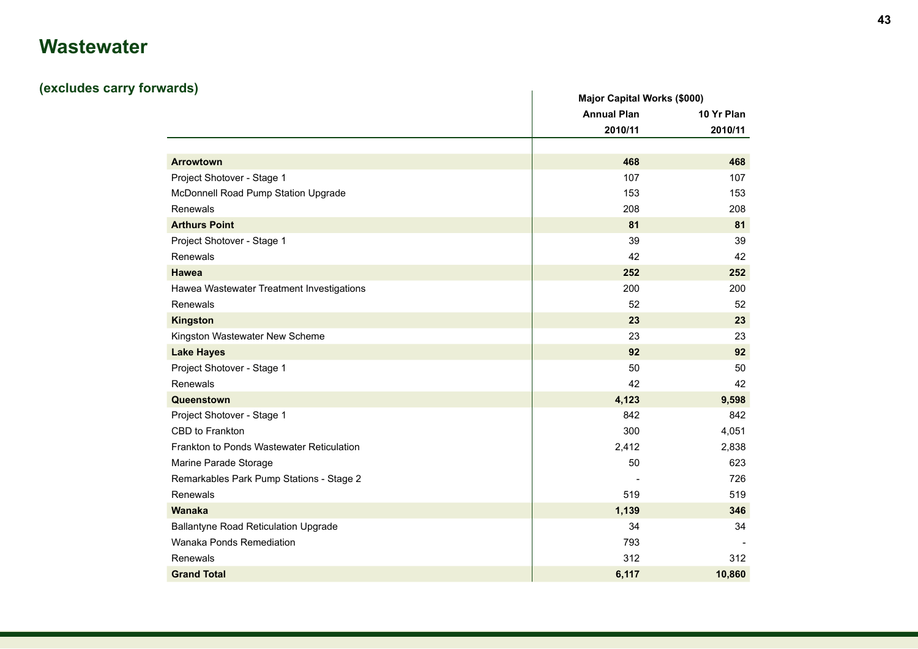# **Wastewater**

# **(excludes carry forwards)**

| aras)                                       |                    | <b>Major Capital Works (\$000)</b> |  |
|---------------------------------------------|--------------------|------------------------------------|--|
|                                             | <b>Annual Plan</b> | 10 Yr Plan                         |  |
|                                             | 2010/11            | 2010/11                            |  |
|                                             |                    |                                    |  |
| <b>Arrowtown</b>                            | 468                | 468                                |  |
| Project Shotover - Stage 1                  | 107                | 107                                |  |
| McDonnell Road Pump Station Upgrade         | 153                | 153                                |  |
| Renewals                                    | 208                | 208                                |  |
| <b>Arthurs Point</b>                        | 81                 | 81                                 |  |
| Project Shotover - Stage 1                  | 39                 | 39                                 |  |
| Renewals                                    | 42                 | 42                                 |  |
| Hawea                                       | 252                | 252                                |  |
| Hawea Wastewater Treatment Investigations   | 200                | 200                                |  |
| Renewals                                    | 52                 | 52                                 |  |
| <b>Kingston</b>                             | 23                 | 23                                 |  |
| Kingston Wastewater New Scheme              | 23                 | 23                                 |  |
| <b>Lake Hayes</b>                           | 92                 | 92                                 |  |
| Project Shotover - Stage 1                  | 50                 | 50                                 |  |
| Renewals                                    | 42                 | 42                                 |  |
| Queenstown                                  | 4,123              | 9,598                              |  |
| Project Shotover - Stage 1                  | 842                | 842                                |  |
| CBD to Frankton                             | 300                | 4,051                              |  |
| Frankton to Ponds Wastewater Reticulation   | 2,412              | 2,838                              |  |
| Marine Parade Storage                       | 50                 | 623                                |  |
| Remarkables Park Pump Stations - Stage 2    |                    | 726                                |  |
| Renewals                                    | 519                | 519                                |  |
| <b>Wanaka</b>                               | 1,139              | 346                                |  |
| <b>Ballantyne Road Reticulation Upgrade</b> | 34                 | 34                                 |  |
| Wanaka Ponds Remediation                    | 793                |                                    |  |
| Renewals                                    | 312                | 312                                |  |
| <b>Grand Total</b>                          | 6,117              | 10,860                             |  |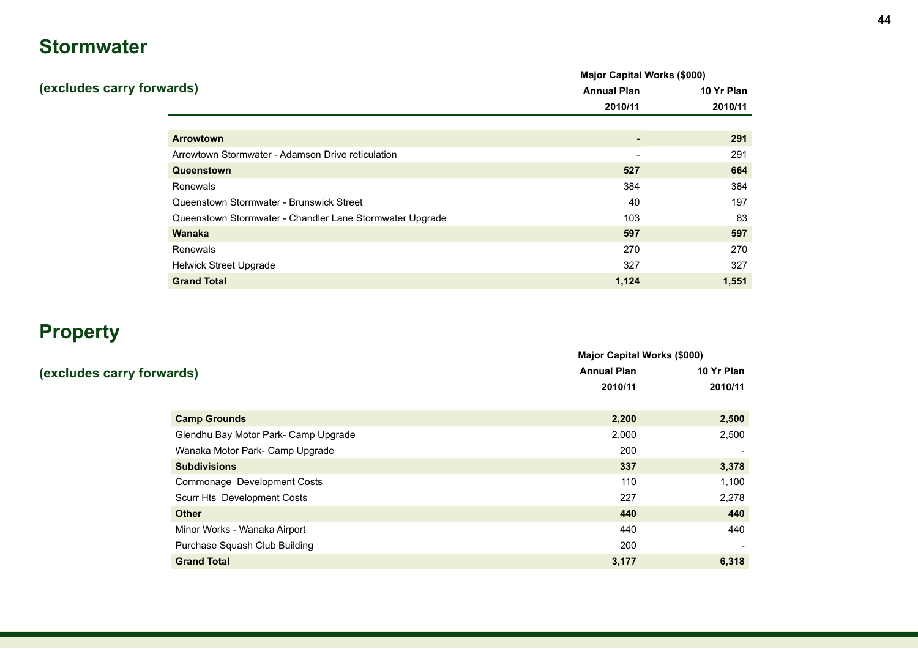# **Stormwater**

|                                                          | <b>Major Capital Works (\$000)</b> |            |  |
|----------------------------------------------------------|------------------------------------|------------|--|
| (excludes carry forwards)                                | <b>Annual Plan</b>                 | 10 Yr Plan |  |
|                                                          | 2010/11                            | 2010/11    |  |
|                                                          |                                    |            |  |
| <b>Arrowtown</b>                                         | $\blacksquare$                     | 291        |  |
| Arrowtown Stormwater - Adamson Drive reticulation        | $\overline{\phantom{a}}$           | 291        |  |
| Queenstown                                               | 527                                | 664        |  |
| <b>Renewals</b>                                          | 384                                | 384        |  |
| Queenstown Stormwater - Brunswick Street                 | 40                                 | 197        |  |
| Queenstown Stormwater - Chandler Lane Stormwater Upgrade | 103                                | 83         |  |
| <b>Wanaka</b>                                            | 597                                | 597        |  |
| Renewals                                                 | 270                                | 270        |  |
| <b>Helwick Street Upgrade</b>                            | 327                                | 327        |  |
| <b>Grand Total</b>                                       | 1,124                              | 1,551      |  |

# **Property**

|                                      | <b>Major Capital Works (\$000)</b> |            |  |
|--------------------------------------|------------------------------------|------------|--|
| (excludes carry forwards)            | <b>Annual Plan</b>                 | 10 Yr Plan |  |
|                                      | 2010/11                            | 2010/11    |  |
|                                      |                                    |            |  |
| <b>Camp Grounds</b>                  | 2,200                              | 2,500      |  |
| Glendhu Bay Motor Park- Camp Upgrade | 2,000                              | 2,500      |  |
| Wanaka Motor Park- Camp Upgrade      | 200                                |            |  |
| <b>Subdivisions</b>                  | 337                                | 3,378      |  |
| Commonage Development Costs          | 110                                | 1,100      |  |
| Scurr Hts Development Costs          | 227                                | 2,278      |  |
| <b>Other</b>                         | 440                                | 440        |  |
| Minor Works - Wanaka Airport         | 440                                | 440        |  |
| Purchase Squash Club Building        | 200                                |            |  |
| <b>Grand Total</b>                   | 3,177                              | 6,318      |  |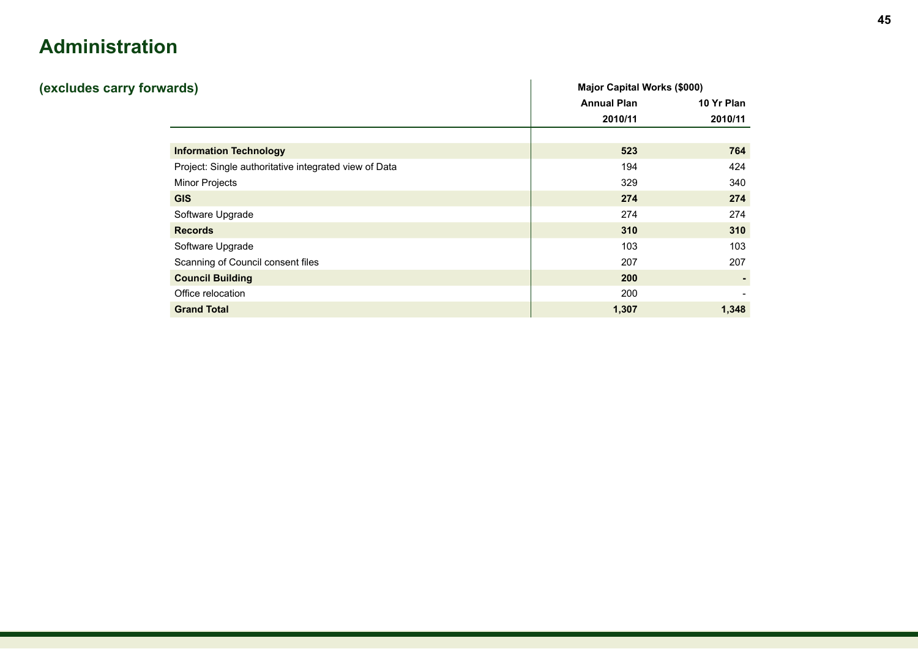# **Administration**

| (excludes carry forwards)                             | <b>Major Capital Works (\$000)</b> |            |
|-------------------------------------------------------|------------------------------------|------------|
|                                                       | <b>Annual Plan</b>                 | 10 Yr Plan |
|                                                       | 2010/11                            | 2010/11    |
|                                                       |                                    |            |
| <b>Information Technology</b>                         | 523                                | 764        |
| Project: Single authoritative integrated view of Data | 194                                | 424        |
| <b>Minor Projects</b>                                 | 329                                | 340        |
| <b>GIS</b>                                            | 274                                | 274        |
| Software Upgrade                                      | 274                                | 274        |
| <b>Records</b>                                        | 310                                | 310        |
| Software Upgrade                                      | 103                                | 103        |
| Scanning of Council consent files                     | 207                                | 207        |
| <b>Council Building</b>                               | 200                                |            |
| Office relocation                                     | 200                                |            |
| <b>Grand Total</b>                                    | 1,307                              | 1,348      |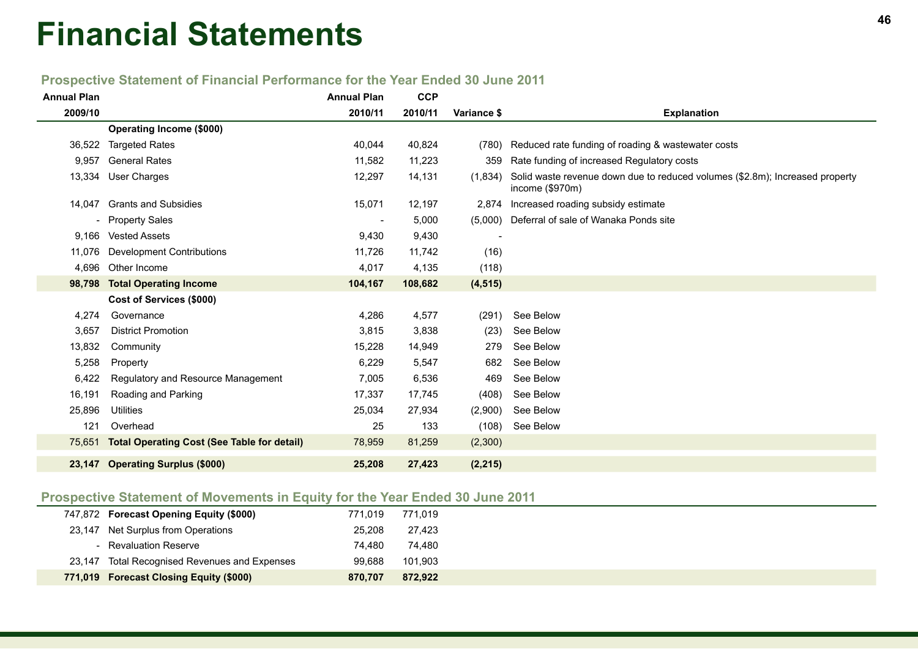# **<sup>46</sup> Financial Statements**

## **Prospective Statement of Financial Performance for the Year Ended 30 June 2011**

| <b>Annual Plan</b> |                                                    | <b>Annual Plan</b>       | <b>CCP</b> |                          |                                                                                                 |
|--------------------|----------------------------------------------------|--------------------------|------------|--------------------------|-------------------------------------------------------------------------------------------------|
| 2009/10            |                                                    | 2010/11                  | 2010/11    | Variance \$              | <b>Explanation</b>                                                                              |
|                    | <b>Operating Income (\$000)</b>                    |                          |            |                          |                                                                                                 |
| 36,522             | <b>Targeted Rates</b>                              | 40,044                   | 40,824     | (780)                    | Reduced rate funding of roading & wastewater costs                                              |
| 9,957              | <b>General Rates</b>                               | 11,582                   | 11,223     | 359                      | Rate funding of increased Regulatory costs                                                      |
|                    | 13,334 User Charges                                | 12,297                   | 14,131     | (1,834)                  | Solid waste revenue down due to reduced volumes (\$2.8m); Increased property<br>income (\$970m) |
|                    | 14,047 Grants and Subsidies                        | 15,071                   | 12,197     | 2,874                    | Increased roading subsidy estimate                                                              |
|                    | - Property Sales                                   | $\overline{\phantom{a}}$ | 5,000      | (5,000)                  | Deferral of sale of Wanaka Ponds site                                                           |
| 9,166              | <b>Vested Assets</b>                               | 9,430                    | 9,430      | $\overline{\phantom{a}}$ |                                                                                                 |
| 11,076             | Development Contributions                          | 11,726                   | 11,742     | (16)                     |                                                                                                 |
| 4,696              | Other Income                                       | 4,017                    | 4,135      | (118)                    |                                                                                                 |
|                    | 98,798 Total Operating Income                      | 104,167                  | 108,682    | (4, 515)                 |                                                                                                 |
|                    | Cost of Services (\$000)                           |                          |            |                          |                                                                                                 |
| 4,274              | Governance                                         | 4,286                    | 4,577      | (291)                    | See Below                                                                                       |
| 3,657              | <b>District Promotion</b>                          | 3,815                    | 3,838      | (23)                     | See Below                                                                                       |
| 13,832             | Community                                          | 15,228                   | 14,949     | 279                      | See Below                                                                                       |
| 5,258              | Property                                           | 6,229                    | 5,547      | 682                      | See Below                                                                                       |
| 6,422              | Regulatory and Resource Management                 | 7,005                    | 6,536      | 469                      | See Below                                                                                       |
| 16,191             | Roading and Parking                                | 17,337                   | 17,745     | (408)                    | See Below                                                                                       |
| 25,896             | <b>Utilities</b>                                   | 25,034                   | 27,934     | (2,900)                  | See Below                                                                                       |
| 121                | Overhead                                           | 25                       | 133        | (108)                    | See Below                                                                                       |
| 75,651             | <b>Total Operating Cost (See Table for detail)</b> | 78,959                   | 81,259     | (2,300)                  |                                                                                                 |
|                    | 23,147 Operating Surplus (\$000)                   | 25,208                   | 27,423     | (2, 215)                 |                                                                                                 |

### **Prospective Statement of Movements in Equity for the Year Ended 30 June 2011**

| 747,872 Forecast Opening Equity (\$000)       | 771.019 | 771.019 |
|-----------------------------------------------|---------|---------|
| 23,147 Net Surplus from Operations            | 25,208  | 27,423  |
| - Revaluation Reserve                         | 74.480  | 74.480  |
| 23,147 Total Recognised Revenues and Expenses | 99.688  | 101,903 |
| 771,019 Forecast Closing Equity (\$000)       | 870.707 | 872,922 |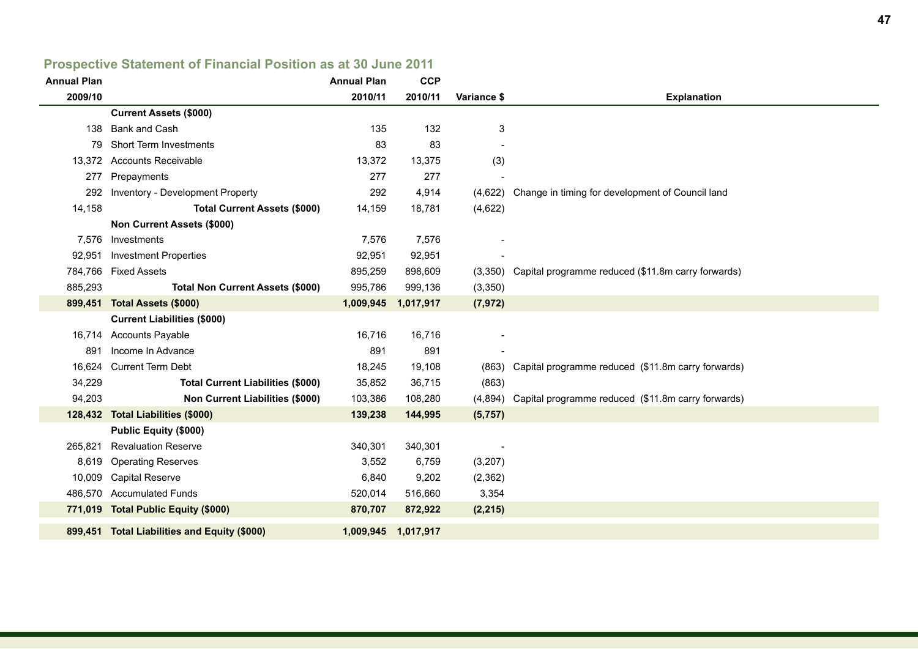# **Prospective Statement of Financial Position as at 30 June 2011**

| <b>Annual Plan</b> |                                              | <b>Annual Plan</b> | <b>CCP</b>          |             |                                                            |
|--------------------|----------------------------------------------|--------------------|---------------------|-------------|------------------------------------------------------------|
| 2009/10            |                                              | 2010/11            | 2010/11             | Variance \$ | <b>Explanation</b>                                         |
|                    | <b>Current Assets (\$000)</b>                |                    |                     |             |                                                            |
| 138                | Bank and Cash                                | 135                | 132                 | 3           |                                                            |
| 79.                | <b>Short Term Investments</b>                | 83                 | 83                  |             |                                                            |
|                    | 13,372 Accounts Receivable                   | 13,372             | 13,375              | (3)         |                                                            |
| 277                | Prepayments                                  | 277                | 277                 |             |                                                            |
| 292                | Inventory - Development Property             | 292                | 4,914               |             | (4,622) Change in timing for development of Council land   |
| 14,158             | <b>Total Current Assets (\$000)</b>          | 14,159             | 18,781              | (4,622)     |                                                            |
|                    | Non Current Assets (\$000)                   |                    |                     |             |                                                            |
| 7,576              | Investments                                  | 7,576              | 7,576               |             |                                                            |
|                    | 92,951 Investment Properties                 | 92,951             | 92,951              |             |                                                            |
|                    | 784,766 Fixed Assets                         | 895,259            | 898,609             |             | (3,350) Capital programme reduced (\$11.8m carry forwards) |
| 885,293            | <b>Total Non Current Assets (\$000)</b>      | 995,786            | 999,136             | (3,350)     |                                                            |
|                    | 899,451 Total Assets (\$000)                 | 1,009,945          | 1,017,917           | (7, 972)    |                                                            |
|                    | <b>Current Liabilities (\$000)</b>           |                    |                     |             |                                                            |
|                    | 16,714 Accounts Payable                      | 16,716             | 16,716              |             |                                                            |
| 891                | Income In Advance                            | 891                | 891                 |             |                                                            |
|                    | 16,624 Current Term Debt                     | 18,245             | 19,108              |             | (863) Capital programme reduced (\$11.8m carry forwards)   |
| 34,229             | <b>Total Current Liabilities (\$000)</b>     | 35,852             | 36,715              | (863)       |                                                            |
| 94,203             | <b>Non Current Liabilities (\$000)</b>       | 103,386            | 108,280             |             | (4,894) Capital programme reduced (\$11.8m carry forwards) |
|                    | 128,432 Total Liabilities (\$000)            | 139,238            | 144,995             | (5,757)     |                                                            |
|                    | <b>Public Equity (\$000)</b>                 |                    |                     |             |                                                            |
| 265,821            | <b>Revaluation Reserve</b>                   | 340,301            | 340,301             |             |                                                            |
| 8,619              | <b>Operating Reserves</b>                    | 3,552              | 6,759               | (3,207)     |                                                            |
| 10,009             | <b>Capital Reserve</b>                       | 6,840              | 9,202               | (2,362)     |                                                            |
|                    | 486,570 Accumulated Funds                    | 520,014            | 516,660             | 3,354       |                                                            |
|                    | 771,019 Total Public Equity (\$000)          | 870,707            | 872,922             | (2, 215)    |                                                            |
|                    | 899,451 Total Liabilities and Equity (\$000) |                    | 1,009,945 1,017,917 |             |                                                            |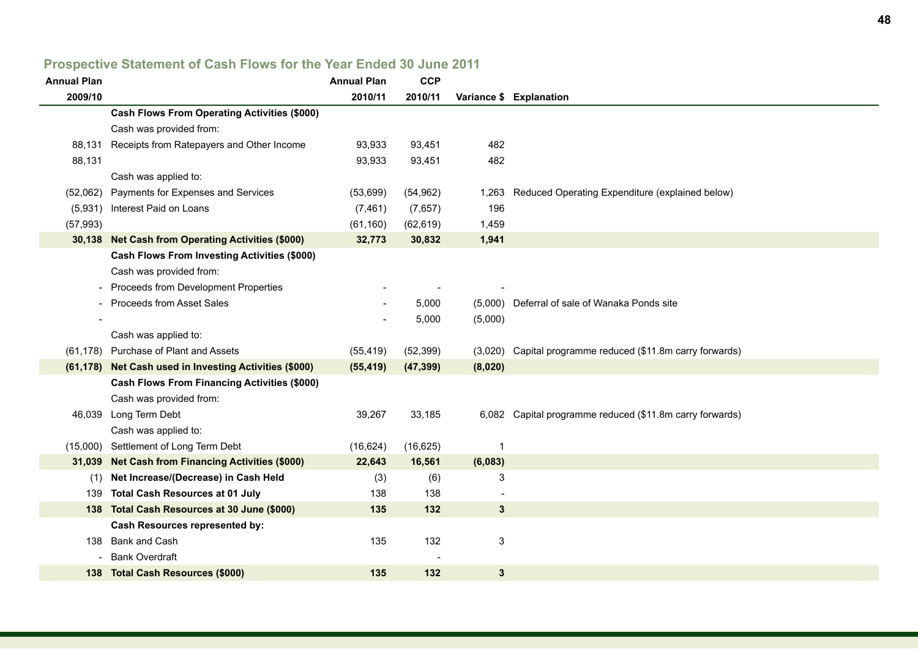### **Annual Plan Annual Plan CCP 2009/10 2010/11 2010/11 Variance \$ Explanation Cash Flows From Operating Activities (\$000)** Cash was provided from: 88,131 Receipts from Ratepayers and Other Income 93,933 93,451 482 88,131 93,933 93,451 482 Cash was applied to: (52,062) Payments for Expenses and Services (53,699) (54,962) 1,263 Reduced Operating Expenditure (explained below) (5,931) Interest Paid on Loans (7,461) (7,657) 196 (57,993) (61,160) (62,619) 1,459  **30,138 Net Cash from Operating Activities (\$000) 32,773 30,832 1,941 Cash Flows From Investing Activities (\$000)** Cash was provided from: - Proceeds from Development Properties Proceeds from Asset Sales **Figure 3** Contract - 5,000 (5,000) Deferral of sale of Wanaka Ponds site  $-$  5,000 (5,000) Cash was applied to: (61,178) Purchase of Plant and Assets (55,419) (52,399) (3,020) Capital programme reduced (\$11.8m carry forwards)  **(61,178) Net Cash used in Investing Activities (\$000) (55,419) (47,399) (8,020) Cash Flows From Financing Activities (\$000)** Cash was provided from: 46,039 Long Term Debt 39,267 33,185 6,082 Capital programme reduced (\$11.8m carry forwards) Cash was applied to: (15,000) Settlement of Long Term Debt (16,624) (16,625) 1  **31,039 Net Cash from Financing Activities (\$000) 22,643 16,561 (6,083)** (1) **Net Increase/(Decrease) in Cash Held** (3) (6) 3 139 **Total Cash Resources at 01 July** 138 138 138 138  **138 Total Cash Resources at 30 June (\$000) 135 132 3 Cash Resources represented by:** 138 Bank and Cash 136 135 132 3 - Bank Overdraft  **138 Total Cash Resources (\$000) 135 132 3**

#### **Prospective Statement of Cash Flows for the Year Ended 30 June 2011**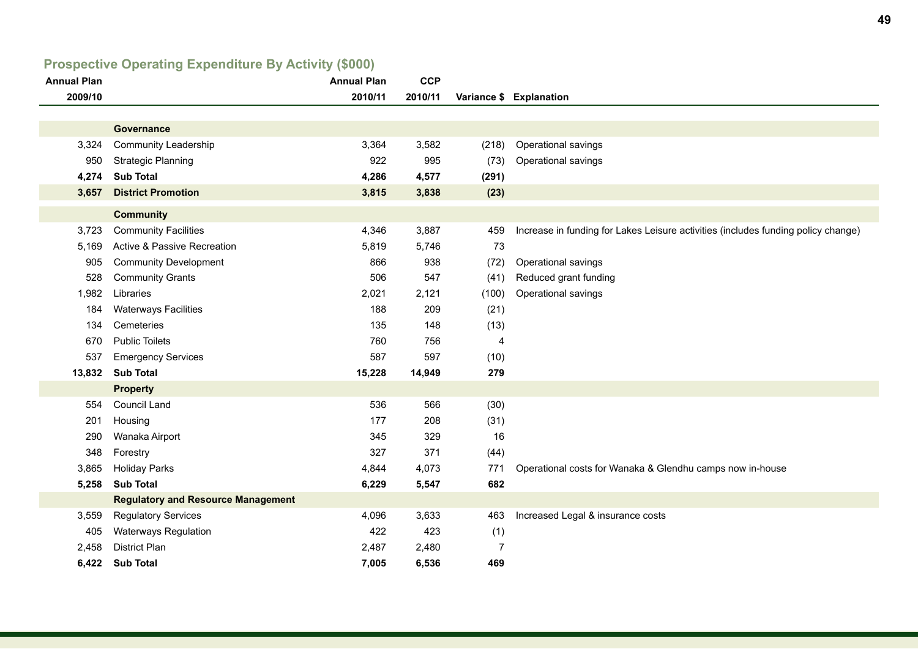# **Prospective Operating Expenditure By Activity (\$000)**

| <b>Annual Plan</b> |                                           | <b>Annual Plan</b> | <b>CCP</b> |                |                                                                                   |
|--------------------|-------------------------------------------|--------------------|------------|----------------|-----------------------------------------------------------------------------------|
| 2009/10            |                                           | 2010/11            | 2010/11    |                | Variance \$ Explanation                                                           |
|                    |                                           |                    |            |                |                                                                                   |
|                    | Governance                                |                    |            |                |                                                                                   |
| 3,324              | <b>Community Leadership</b>               | 3,364              | 3,582      | (218)          | Operational savings                                                               |
| 950                | <b>Strategic Planning</b>                 | 922                | 995        | (73)           | Operational savings                                                               |
| 4,274              | <b>Sub Total</b>                          | 4,286              | 4,577      | (291)          |                                                                                   |
| 3,657              | <b>District Promotion</b>                 | 3,815              | 3,838      | (23)           |                                                                                   |
|                    | <b>Community</b>                          |                    |            |                |                                                                                   |
| 3,723              | <b>Community Facilities</b>               | 4,346              | 3,887      | 459            | Increase in funding for Lakes Leisure activities (includes funding policy change) |
| 5,169              | Active & Passive Recreation               | 5,819              | 5,746      | 73             |                                                                                   |
| 905                | <b>Community Development</b>              | 866                | 938        | (72)           | Operational savings                                                               |
| 528                | <b>Community Grants</b>                   | 506                | 547        | (41)           | Reduced grant funding                                                             |
| 1,982              | Libraries                                 | 2,021              | 2,121      | (100)          | Operational savings                                                               |
| 184                | <b>Waterways Facilities</b>               | 188                | 209        | (21)           |                                                                                   |
| 134                | Cemeteries                                | 135                | 148        | (13)           |                                                                                   |
| 670                | <b>Public Toilets</b>                     | 760                | 756        | 4              |                                                                                   |
| 537                | <b>Emergency Services</b>                 | 587                | 597        | (10)           |                                                                                   |
| 13,832             | <b>Sub Total</b>                          | 15,228             | 14,949     | 279            |                                                                                   |
|                    | <b>Property</b>                           |                    |            |                |                                                                                   |
| 554                | <b>Council Land</b>                       | 536                | 566        | (30)           |                                                                                   |
| 201                | Housing                                   | 177                | 208        | (31)           |                                                                                   |
| 290                | Wanaka Airport                            | 345                | 329        | 16             |                                                                                   |
| 348                | Forestry                                  | 327                | 371        | (44)           |                                                                                   |
| 3,865              | <b>Holiday Parks</b>                      | 4,844              | 4,073      | 771            | Operational costs for Wanaka & Glendhu camps now in-house                         |
| 5,258              | <b>Sub Total</b>                          | 6,229              | 5,547      | 682            |                                                                                   |
|                    | <b>Regulatory and Resource Management</b> |                    |            |                |                                                                                   |
| 3,559              | <b>Regulatory Services</b>                | 4,096              | 3,633      | 463            | Increased Legal & insurance costs                                                 |
| 405                | <b>Waterways Regulation</b>               | 422                | 423        | (1)            |                                                                                   |
| 2,458              | <b>District Plan</b>                      | 2,487              | 2,480      | $\overline{7}$ |                                                                                   |
| 6,422              | <b>Sub Total</b>                          | 7,005              | 6,536      | 469            |                                                                                   |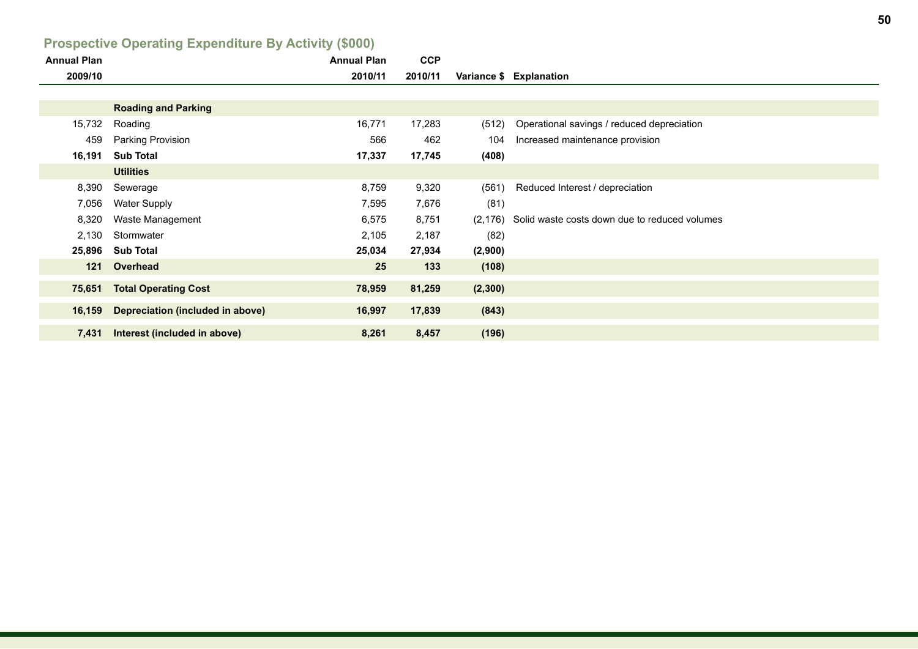| <b>I IDSPECTIVE OPERATING EXPERIMENTS BY ACTIVITY (VOOD)</b> |                                         |                    |            |          |                                               |  |  |  |  |
|--------------------------------------------------------------|-----------------------------------------|--------------------|------------|----------|-----------------------------------------------|--|--|--|--|
| <b>Annual Plan</b>                                           |                                         | <b>Annual Plan</b> | <b>CCP</b> |          |                                               |  |  |  |  |
| 2009/10                                                      |                                         | 2010/11            | 2010/11    |          | Variance \$ Explanation                       |  |  |  |  |
|                                                              |                                         |                    |            |          |                                               |  |  |  |  |
|                                                              | <b>Roading and Parking</b>              |                    |            |          |                                               |  |  |  |  |
| 15,732                                                       | Roading                                 | 16,771             | 17,283     | (512)    | Operational savings / reduced depreciation    |  |  |  |  |
| 459                                                          | Parking Provision                       | 566                | 462        | 104      | Increased maintenance provision               |  |  |  |  |
| 16,191                                                       | <b>Sub Total</b>                        | 17,337             | 17,745     | (408)    |                                               |  |  |  |  |
|                                                              | <b>Utilities</b>                        |                    |            |          |                                               |  |  |  |  |
| 8,390                                                        | Sewerage                                | 8,759              | 9,320      | (561)    | Reduced Interest / depreciation               |  |  |  |  |
| 7,056                                                        | <b>Water Supply</b>                     | 7,595              | 7,676      | (81)     |                                               |  |  |  |  |
| 8,320                                                        | Waste Management                        | 6,575              | 8,751      | (2, 176) | Solid waste costs down due to reduced volumes |  |  |  |  |
| 2,130                                                        | Stormwater                              | 2,105              | 2,187      | (82)     |                                               |  |  |  |  |
| 25,896                                                       | <b>Sub Total</b>                        | 25,034             | 27,934     | (2,900)  |                                               |  |  |  |  |
| 121                                                          | Overhead                                | 25                 | 133        | (108)    |                                               |  |  |  |  |
| 75,651                                                       | <b>Total Operating Cost</b>             | 78,959             | 81,259     | (2,300)  |                                               |  |  |  |  |
|                                                              |                                         |                    |            |          |                                               |  |  |  |  |
| 16,159                                                       | <b>Depreciation (included in above)</b> | 16,997             | 17,839     | (843)    |                                               |  |  |  |  |
| 7,431                                                        | Interest (included in above)            | 8,261              | 8,457      | (196)    |                                               |  |  |  |  |

## **Prospective Operating Expenditure By Activity (\$000)**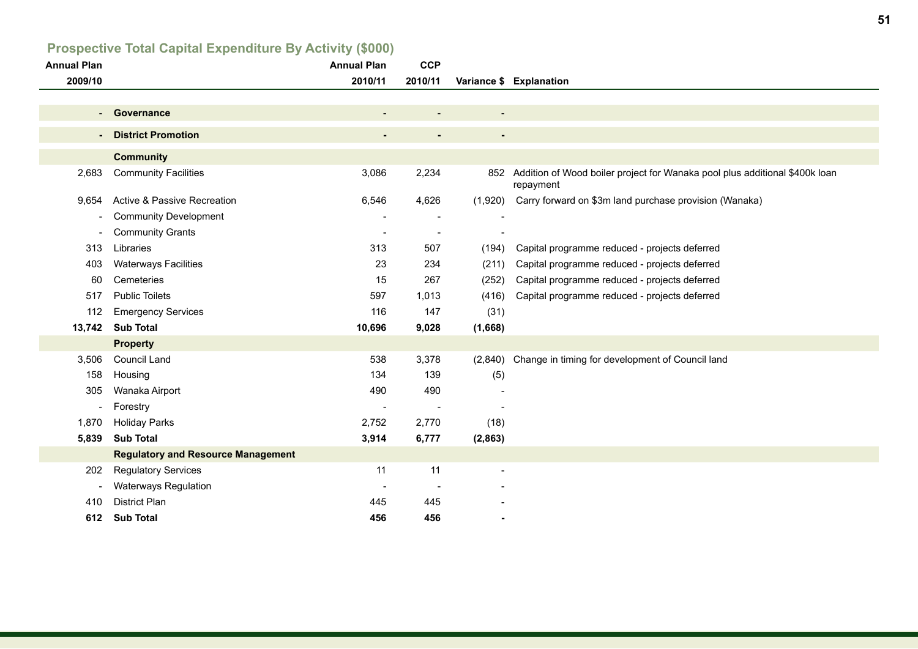# **Prospective Total Capital Expenditure By Activity (\$000)**

| <b>Annual Plan</b>       |                                           | <b>Annual Plan</b> | <b>CCP</b>               |                          |                                                                                              |
|--------------------------|-------------------------------------------|--------------------|--------------------------|--------------------------|----------------------------------------------------------------------------------------------|
| 2009/10                  |                                           | 2010/11            | 2010/11                  |                          | Variance \$ Explanation                                                                      |
|                          |                                           |                    |                          |                          |                                                                                              |
| $\sim$                   | Governance                                |                    |                          | $\overline{\phantom{a}}$ |                                                                                              |
| $\sim$                   | <b>District Promotion</b>                 | $\blacksquare$     | $\blacksquare$           | $\blacksquare$           |                                                                                              |
|                          | <b>Community</b>                          |                    |                          |                          |                                                                                              |
| 2,683                    | <b>Community Facilities</b>               | 3,086              | 2,234                    |                          | 852 Addition of Wood boiler project for Wanaka pool plus additional \$400k loan<br>repayment |
| 9,654                    | Active & Passive Recreation               | 6,546              | 4,626                    | (1,920)                  | Carry forward on \$3m land purchase provision (Wanaka)                                       |
| $\overline{\phantom{a}}$ | <b>Community Development</b>              |                    |                          |                          |                                                                                              |
| $\overline{\phantom{a}}$ | <b>Community Grants</b>                   |                    | $\overline{\phantom{a}}$ |                          |                                                                                              |
| 313                      | Libraries                                 | 313                | 507                      | (194)                    | Capital programme reduced - projects deferred                                                |
| 403                      | <b>Waterways Facilities</b>               | 23                 | 234                      | (211)                    | Capital programme reduced - projects deferred                                                |
| 60                       | Cemeteries                                | 15                 | 267                      | (252)                    | Capital programme reduced - projects deferred                                                |
| 517                      | <b>Public Toilets</b>                     | 597                | 1,013                    | (416)                    | Capital programme reduced - projects deferred                                                |
| 112                      | <b>Emergency Services</b>                 | 116                | 147                      | (31)                     |                                                                                              |
| 13,742                   | <b>Sub Total</b>                          | 10,696             | 9,028                    | (1,668)                  |                                                                                              |
|                          | <b>Property</b>                           |                    |                          |                          |                                                                                              |
| 3,506                    | Council Land                              | 538                | 3,378                    |                          | (2,840) Change in timing for development of Council land                                     |
| 158                      | Housing                                   | 134                | 139                      | (5)                      |                                                                                              |
| 305                      | Wanaka Airport                            | 490                | 490                      |                          |                                                                                              |
| $\overline{\phantom{a}}$ | Forestry                                  |                    | $\overline{\phantom{a}}$ |                          |                                                                                              |
| 1,870                    | <b>Holiday Parks</b>                      | 2,752              | 2,770                    | (18)                     |                                                                                              |
| 5,839                    | <b>Sub Total</b>                          | 3,914              | 6,777                    | (2,863)                  |                                                                                              |
|                          | <b>Regulatory and Resource Management</b> |                    |                          |                          |                                                                                              |
| 202                      | <b>Regulatory Services</b>                | 11                 | 11                       | $\overline{\phantom{a}}$ |                                                                                              |
| $\overline{\phantom{a}}$ | <b>Waterways Regulation</b>               |                    |                          |                          |                                                                                              |
| 410                      | <b>District Plan</b>                      | 445                | 445                      |                          |                                                                                              |
| 612                      | <b>Sub Total</b>                          | 456                | 456                      |                          |                                                                                              |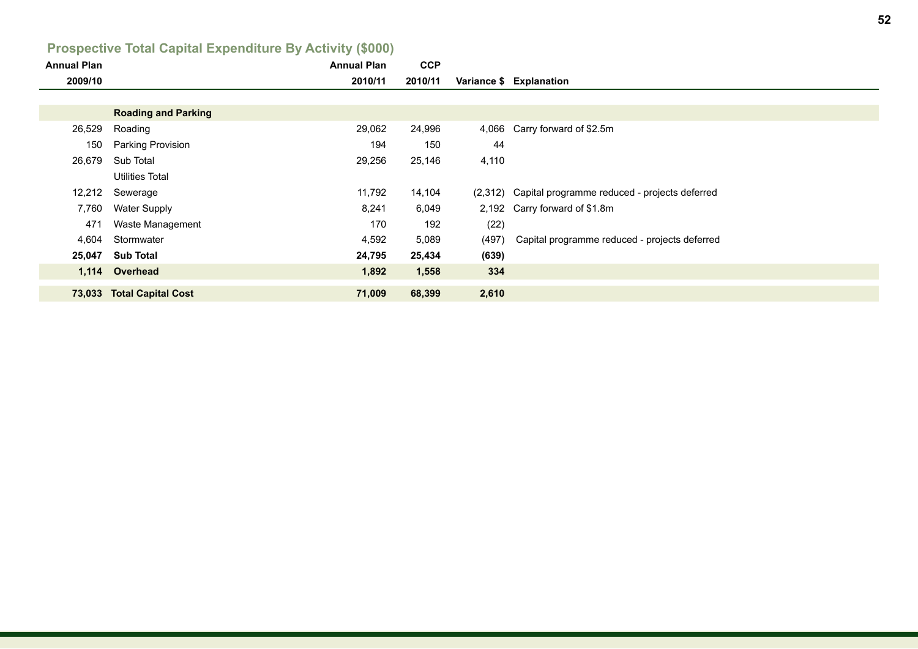# **Prospective Total Capital Expenditure By Activity (\$000)**

| <b>Annual Plan</b> |                            | <b>Annual Plan</b> | <b>CCP</b> |       |                                                       |
|--------------------|----------------------------|--------------------|------------|-------|-------------------------------------------------------|
| 2009/10            |                            | 2010/11            | 2010/11    |       | Variance \$ Explanation                               |
|                    |                            |                    |            |       |                                                       |
|                    | <b>Roading and Parking</b> |                    |            |       |                                                       |
| 26,529             | Roading                    | 29,062             | 24,996     |       | 4,066 Carry forward of \$2.5m                         |
| 150                | <b>Parking Provision</b>   | 194                | 150        | 44    |                                                       |
| 26,679             | Sub Total                  | 29,256             | 25,146     | 4,110 |                                                       |
|                    | <b>Utilities Total</b>     |                    |            |       |                                                       |
| 12,212             | Sewerage                   | 11,792             | 14,104     |       | (2,312) Capital programme reduced - projects deferred |
| 7,760              | <b>Water Supply</b>        | 8,241              | 6,049      |       | 2,192 Carry forward of \$1.8m                         |
| 471                | Waste Management           | 170                | 192        | (22)  |                                                       |
| 4,604              | Stormwater                 | 4,592              | 5,089      | (497) | Capital programme reduced - projects deferred         |
| 25,047             | <b>Sub Total</b>           | 24,795             | 25,434     | (639) |                                                       |
|                    | 1,114 Overhead             | 1,892              | 1,558      | 334   |                                                       |
|                    | 73,033 Total Capital Cost  | 71,009             | 68,399     | 2,610 |                                                       |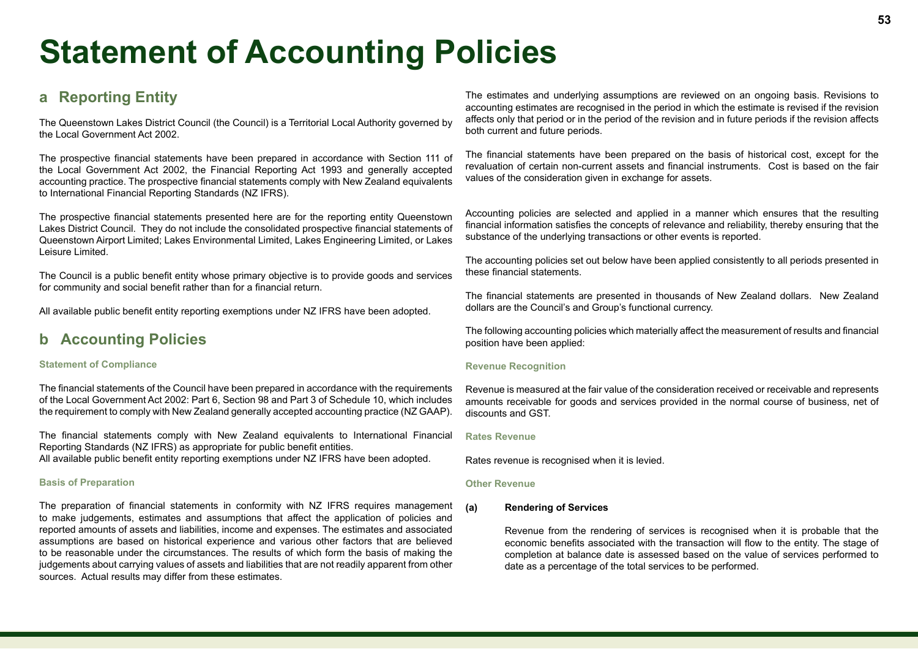# **Statement of Accounting Policies**

## **a Reporting Entity**

The Queenstown Lakes District Council (the Council) is a Territorial Local Authority governed by the Local Government Act 2002.

The prospective financial statements have been prepared in accordance with Section 111 of the Local Government Act 2002, the Financial Reporting Act 1993 and generally accepted accounting practice. The prospective financial statements comply with New Zealand equivalents to International Financial Reporting Standards (NZ IFRS).

The prospective financial statements presented here are for the reporting entity Queenstown Lakes District Council. They do not include the consolidated prospective financial statements of Queenstown Airport Limited; Lakes Environmental Limited, Lakes Engineering Limited, or Lakes Leisure Limited.

The Council is a public benefit entity whose primary objective is to provide goods and services for community and social benefit rather than for a financial return.

All available public benefit entity reporting exemptions under NZ IFRS have been adopted.

# **b Accounting Policies**

#### **Statement of Compliance**

The financial statements of the Council have been prepared in accordance with the requirements of the Local Government Act 2002: Part 6, Section 98 and Part 3 of Schedule 10, which includes the requirement to comply with New Zealand generally accepted accounting practice (NZ GAAP).

The financial statements comply with New Zealand equivalents to International Financial Reporting Standards (NZ IFRS) as appropriate for public benefit entities.

All available public benefit entity reporting exemptions under NZ IFRS have been adopted.

#### **Basis of Preparation**

The preparation of financial statements in conformity with NZ IFRS requires management to make judgements, estimates and assumptions that affect the application of policies and reported amounts of assets and liabilities, income and expenses. The estimates and associated assumptions are based on historical experience and various other factors that are believed to be reasonable under the circumstances. The results of which form the basis of making the judgements about carrying values of assets and liabilities that are not readily apparent from other sources. Actual results may differ from these estimates.

The estimates and underlying assumptions are reviewed on an ongoing basis. Revisions to accounting estimates are recognised in the period in which the estimate is revised if the revision affects only that period or in the period of the revision and in future periods if the revision affects both current and future periods.

The financial statements have been prepared on the basis of historical cost, except for the revaluation of certain non-current assets and financial instruments. Cost is based on the fair values of the consideration given in exchange for assets.

Accounting policies are selected and applied in a manner which ensures that the resulting financial information satisfies the concepts of relevance and reliability, thereby ensuring that the substance of the underlying transactions or other events is reported.

The accounting policies set out below have been applied consistently to all periods presented in these financial statements.

The financial statements are presented in thousands of New Zealand dollars. New Zealand dollars are the Council's and Group's functional currency.

The following accounting policies which materially affect the measurement of results and financial position have been applied:

#### **Revenue Recognition**

Revenue is measured at the fair value of the consideration received or receivable and represents amounts receivable for goods and services provided in the normal course of business, net of discounts and GST.

#### **Rates Revenue**

Rates revenue is recognised when it is levied.

#### **Other Revenue**

#### **(a) Rendering of Services**

Revenue from the rendering of services is recognised when it is probable that the economic benefits associated with the transaction will flow to the entity. The stage of completion at balance date is assessed based on the value of services performed to date as a percentage of the total services to be performed.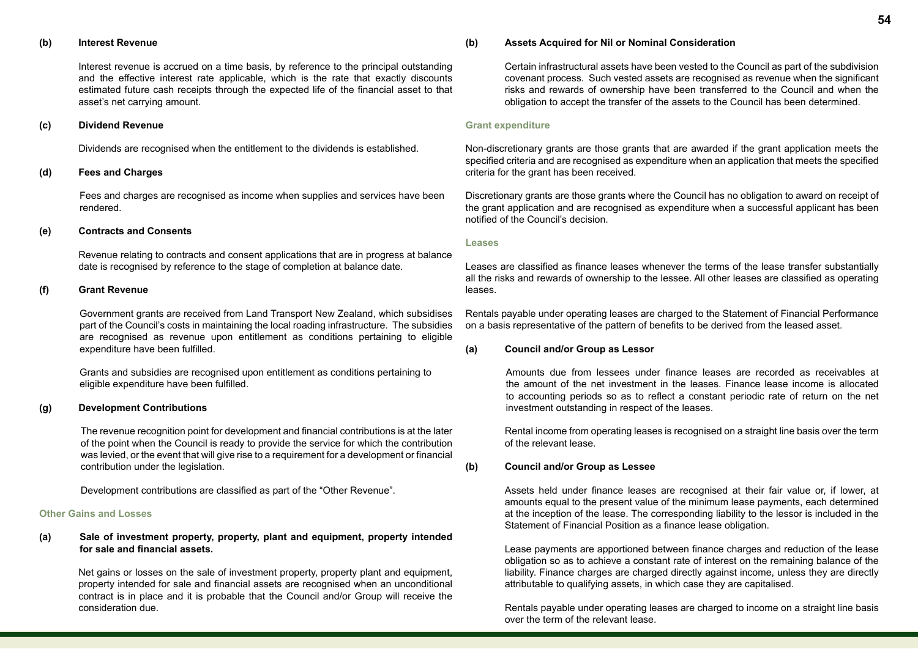#### **(b) Interest Revenue**

Interest revenue is accrued on a time basis, by reference to the principal outstanding and the effective interest rate applicable, which is the rate that exactly discounts estimated future cash receipts through the expected life of the financial asset to that asset's net carrying amount.

#### **(c) Dividend Revenue**

Dividends are recognised when the entitlement to the dividends is established.

#### **(d) Fees and Charges**

Fees and charges are recognised as income when supplies and services have been rendered.

#### **(e) Contracts and Consents**

Revenue relating to contracts and consent applications that are in progress at balance date is recognised by reference to the stage of completion at balance date.

#### **(f) Grant Revenue**

Government grants are received from Land Transport New Zealand, which subsidises part of the Council's costs in maintaining the local roading infrastructure. The subsidies are recognised as revenue upon entitlement as conditions pertaining to eligible expenditure have been fulfilled.

Grants and subsidies are recognised upon entitlement as conditions pertaining to eligible expenditure have been fulfilled.

#### **(g) Development Contributions**

The revenue recognition point for development and financial contributions is at the later of the point when the Council is ready to provide the service for which the contribution was levied, or the event that will give rise to a requirement for a development or financial contribution under the legislation.

Development contributions are classified as part of the "Other Revenue".

#### **Other Gains and Losses**

#### **(a) Sale of investment property, property, plant and equipment, property intended for sale and financial assets.**

Net gains or losses on the sale of investment property, property plant and equipment, property intended for sale and financial assets are recognised when an unconditional contract is in place and it is probable that the Council and/or Group will receive the consideration due.

#### **(b) Assets Acquired for Nil or Nominal Consideration**

Certain infrastructural assets have been vested to the Council as part of the subdivision covenant process. Such vested assets are recognised as revenue when the significant risks and rewards of ownership have been transferred to the Council and when the obligation to accept the transfer of the assets to the Council has been determined.

#### **Grant expenditure**

Non-discretionary grants are those grants that are awarded if the grant application meets the specified criteria and are recognised as expenditure when an application that meets the specified criteria for the grant has been received.

Discretionary grants are those grants where the Council has no obligation to award on receipt of the grant application and are recognised as expenditure when a successful applicant has been notified of the Council's decision.

#### **Leases**

Leases are classified as finance leases whenever the terms of the lease transfer substantially all the risks and rewards of ownership to the lessee. All other leases are classified as operating leases.

Rentals payable under operating leases are charged to the Statement of Financial Performance on a basis representative of the pattern of benefits to be derived from the leased asset.

#### **(a) Council and/or Group as Lessor**

Amounts due from lessees under finance leases are recorded as receivables at the amount of the net investment in the leases. Finance lease income is allocated to accounting periods so as to reflect a constant periodic rate of return on the net investment outstanding in respect of the leases.

Rental income from operating leases is recognised on a straight line basis over the term of the relevant lease.

#### **(b) Council and/or Group as Lessee**

Assets held under finance leases are recognised at their fair value or, if lower, at amounts equal to the present value of the minimum lease payments, each determined at the inception of the lease. The corresponding liability to the lessor is included in the Statement of Financial Position as a finance lease obligation.

Lease payments are apportioned between finance charges and reduction of the lease obligation so as to achieve a constant rate of interest on the remaining balance of the liability. Finance charges are charged directly against income, unless they are directly attributable to qualifying assets, in which case they are capitalised.

Rentals payable under operating leases are charged to income on a straight line basis over the term of the relevant lease.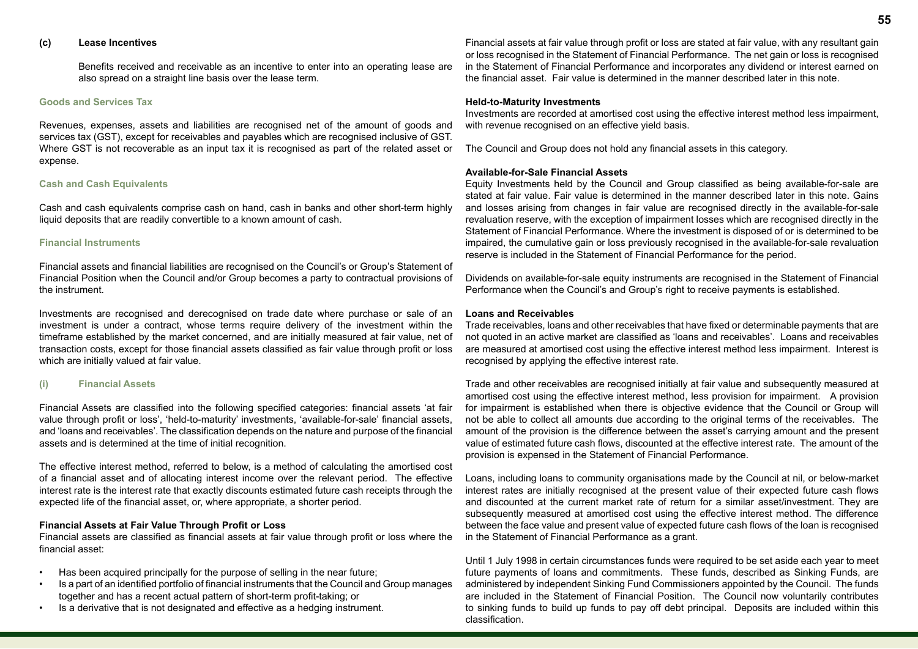#### **(c) Lease Incentives**

Benefits received and receivable as an incentive to enter into an operating lease are also spread on a straight line basis over the lease term.

#### **Goods and Services Tax**

Revenues, expenses, assets and liabilities are recognised net of the amount of goods and services tax (GST), except for receivables and payables which are recognised inclusive of GST. Where GST is not recoverable as an input tax it is recognised as part of the related asset or expense.

#### **Cash and Cash Equivalents**

Cash and cash equivalents comprise cash on hand, cash in banks and other short-term highly liquid deposits that are readily convertible to a known amount of cash.

#### **Financial Instruments**

Financial assets and financial liabilities are recognised on the Council's or Group's Statement of Financial Position when the Council and/or Group becomes a party to contractual provisions of the instrument.

Investments are recognised and derecognised on trade date where purchase or sale of an investment is under a contract, whose terms require delivery of the investment within the timeframe established by the market concerned, and are initially measured at fair value, net of transaction costs, except for those financial assets classified as fair value through profit or loss which are initially valued at fair value.

#### **(i) Financial Assets**

Financial Assets are classified into the following specified categories: financial assets 'at fair value through profit or loss', 'held-to-maturity' investments, 'available-for-sale' financial assets, and 'loans and receivables'. The classification depends on the nature and purpose of the financial assets and is determined at the time of initial recognition.

The effective interest method, referred to below, is a method of calculating the amortised cost of a financial asset and of allocating interest income over the relevant period. The effective interest rate is the interest rate that exactly discounts estimated future cash receipts through the expected life of the financial asset, or, where appropriate, a shorter period.

#### **Financial Assets at Fair Value Through Profit or Loss**

Financial assets are classified as financial assets at fair value through profit or loss where the financial asset:

- Has been acquired principally for the purpose of selling in the near future;
- Is a part of an identified portfolio of financial instruments that the Council and Group manages together and has a recent actual pattern of short-term profit-taking; or
- Is a derivative that is not designated and effective as a hedging instrument.

Financial assets at fair value through profit or loss are stated at fair value, with any resultant gain or loss recognised in the Statement of Financial Performance. The net gain or loss is recognised in the Statement of Financial Performance and incorporates any dividend or interest earned on the financial asset. Fair value is determined in the manner described later in this note.

#### **Held-to-Maturity Investments**

Investments are recorded at amortised cost using the effective interest method less impairment, with revenue recognised on an effective yield basis.

The Council and Group does not hold any financial assets in this category.

#### **Available-for-Sale Financial Assets**

Equity Investments held by the Council and Group classified as being available-for-sale are stated at fair value. Fair value is determined in the manner described later in this note. Gains and losses arising from changes in fair value are recognised directly in the available-for-sale revaluation reserve, with the exception of impairment losses which are recognised directly in the Statement of Financial Performance. Where the investment is disposed of or is determined to be impaired, the cumulative gain or loss previously recognised in the available-for-sale revaluation reserve is included in the Statement of Financial Performance for the period.

Dividends on available-for-sale equity instruments are recognised in the Statement of Financial Performance when the Council's and Group's right to receive payments is established.

#### **Loans and Receivables**

Trade receivables, loans and other receivables that have fixed or determinable payments that are not quoted in an active market are classified as 'loans and receivables'. Loans and receivables are measured at amortised cost using the effective interest method less impairment. Interest is recognised by applying the effective interest rate.

Trade and other receivables are recognised initially at fair value and subsequently measured at amortised cost using the effective interest method, less provision for impairment. A provision for impairment is established when there is objective evidence that the Council or Group will not be able to collect all amounts due according to the original terms of the receivables. The amount of the provision is the difference between the asset's carrying amount and the present value of estimated future cash flows, discounted at the effective interest rate. The amount of the provision is expensed in the Statement of Financial Performance.

Loans, including loans to community organisations made by the Council at nil, or below-market interest rates are initially recognised at the present value of their expected future cash flows and discounted at the current market rate of return for a similar asset/investment. They are subsequently measured at amortised cost using the effective interest method. The difference between the face value and present value of expected future cash flows of the loan is recognised in the Statement of Financial Performance as a grant.

Until 1 July 1998 in certain circumstances funds were required to be set aside each year to meet future payments of loans and commitments. These funds, described as Sinking Funds, are administered by independent Sinking Fund Commissioners appointed by the Council. The funds are included in the Statement of Financial Position. The Council now voluntarily contributes to sinking funds to build up funds to pay off debt principal. Deposits are included within this classification.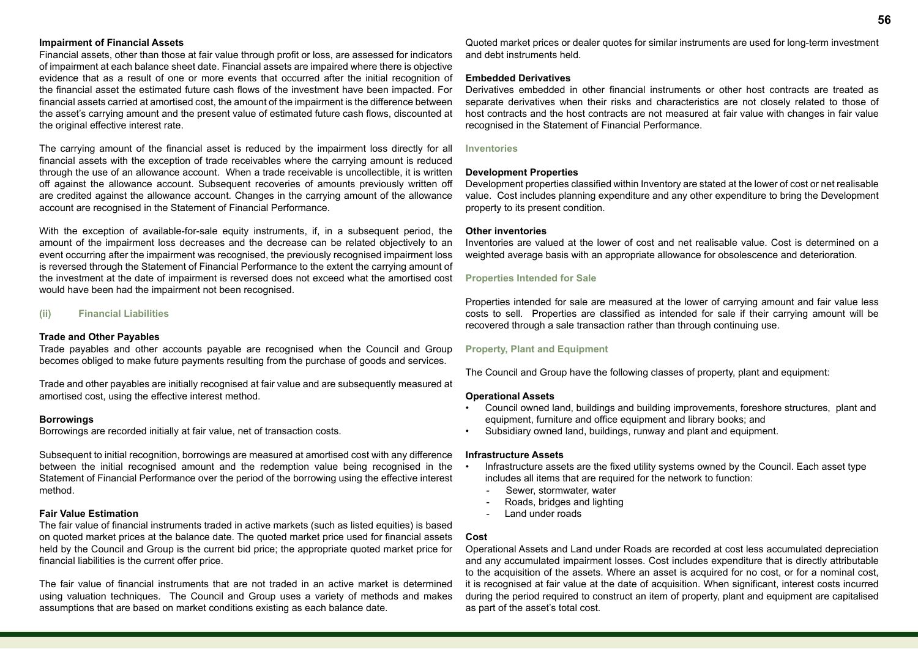#### **Impairment of Financial Assets**

Financial assets, other than those at fair value through profit or loss, are assessed for indicators of impairment at each balance sheet date. Financial assets are impaired where there is objective evidence that as a result of one or more events that occurred after the initial recognition of the financial asset the estimated future cash flows of the investment have been impacted. For financial assets carried at amortised cost, the amount of the impairment is the difference between the asset's carrying amount and the present value of estimated future cash flows, discounted at the original effective interest rate.

The carrying amount of the financial asset is reduced by the impairment loss directly for all financial assets with the exception of trade receivables where the carrying amount is reduced through the use of an allowance account. When a trade receivable is uncollectible, it is written off against the allowance account. Subsequent recoveries of amounts previously written off are credited against the allowance account. Changes in the carrying amount of the allowance account are recognised in the Statement of Financial Performance.

With the exception of available-for-sale equity instruments, if, in a subsequent period, the amount of the impairment loss decreases and the decrease can be related objectively to an event occurring after the impairment was recognised, the previously recognised impairment loss is reversed through the Statement of Financial Performance to the extent the carrying amount of the investment at the date of impairment is reversed does not exceed what the amortised cost would have been had the impairment not been recognised.

#### **(ii) Financial Liabilities**

#### **Trade and Other Payables**

Trade payables and other accounts payable are recognised when the Council and Group becomes obliged to make future payments resulting from the purchase of goods and services.

Trade and other payables are initially recognised at fair value and are subsequently measured at amortised cost, using the effective interest method.

#### **Borrowings**

Borrowings are recorded initially at fair value, net of transaction costs.

Subsequent to initial recognition, borrowings are measured at amortised cost with any difference between the initial recognised amount and the redemption value being recognised in the Statement of Financial Performance over the period of the borrowing using the effective interest method.

#### **Fair Value Estimation**

The fair value of financial instruments traded in active markets (such as listed equities) is based on quoted market prices at the balance date. The quoted market price used for financial assets held by the Council and Group is the current bid price; the appropriate quoted market price for financial liabilities is the current offer price.

The fair value of financial instruments that are not traded in an active market is determined using valuation techniques. The Council and Group uses a variety of methods and makes assumptions that are based on market conditions existing as each balance date.

Quoted market prices or dealer quotes for similar instruments are used for long-term investment and debt instruments held.

#### **Embedded Derivatives**

Derivatives embedded in other financial instruments or other host contracts are treated as separate derivatives when their risks and characteristics are not closely related to those of host contracts and the host contracts are not measured at fair value with changes in fair value recognised in the Statement of Financial Performance.

#### **Inventories**

#### **Development Properties**

Development properties classified within Inventory are stated at the lower of cost or net realisable value. Cost includes planning expenditure and any other expenditure to bring the Development property to its present condition.

#### **Other inventories**

Inventories are valued at the lower of cost and net realisable value. Cost is determined on a weighted average basis with an appropriate allowance for obsolescence and deterioration.

#### **Properties Intended for Sale**

Properties intended for sale are measured at the lower of carrying amount and fair value less costs to sell. Properties are classified as intended for sale if their carrying amount will be recovered through a sale transaction rather than through continuing use.

#### **Property, Plant and Equipment**

The Council and Group have the following classes of property, plant and equipment:

#### **Operational Assets**

- Council owned land, buildings and building improvements, foreshore structures, plant and equipment, furniture and office equipment and library books; and
- Subsidiary owned land, buildings, runway and plant and equipment.

#### **Infrastructure Assets**

- Infrastructure assets are the fixed utility systems owned by the Council. Each asset type includes all items that are required for the network to function:
	- Sewer, stormwater, water
	- Roads, bridges and lighting
	- Land under roads

#### **Cost**

Operational Assets and Land under Roads are recorded at cost less accumulated depreciation and any accumulated impairment losses. Cost includes expenditure that is directly attributable to the acquisition of the assets. Where an asset is acquired for no cost, or for a nominal cost, it is recognised at fair value at the date of acquisition. When significant, interest costs incurred during the period required to construct an item of property, plant and equipment are capitalised as part of the asset's total cost.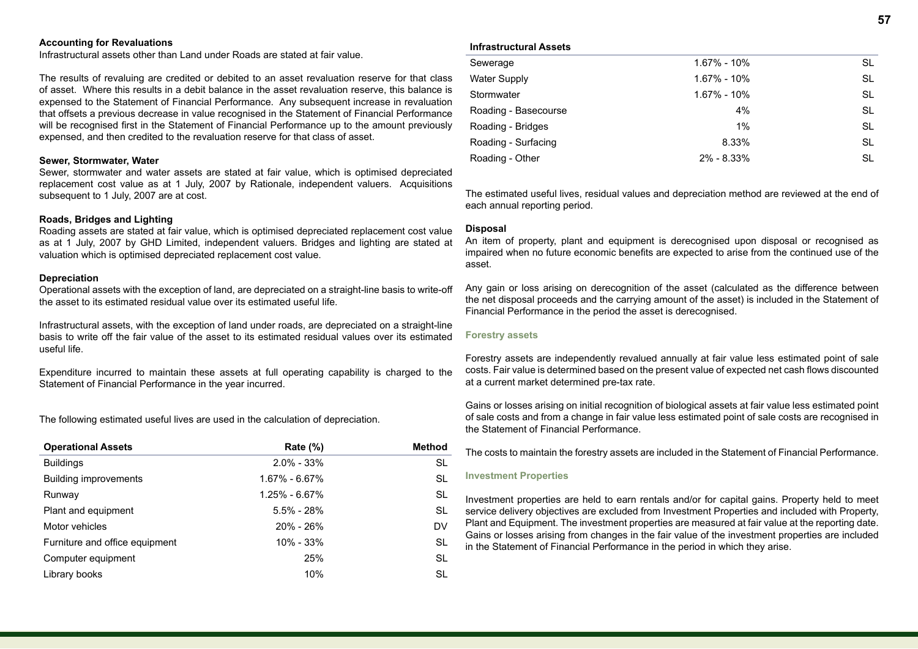#### **Accounting for Revaluations**

Infrastructural assets other than Land under Roads are stated at fair value.

The results of revaluing are credited or debited to an asset revaluation reserve for that class of asset. Where this results in a debit balance in the asset revaluation reserve, this balance is expensed to the Statement of Financial Performance. Any subsequent increase in revaluation that offsets a previous decrease in value recognised in the Statement of Financial Performance will be recognised first in the Statement of Financial Performance up to the amount previously expensed, and then credited to the revaluation reserve for that class of asset.

#### **Sewer, Stormwater, Water**

Sewer, stormwater and water assets are stated at fair value, which is optimised depreciated replacement cost value as at 1 July, 2007 by Rationale, independent valuers. Acquisitions subsequent to 1 July, 2007 are at cost.

#### **Roads, Bridges and Lighting**

Roading assets are stated at fair value, which is optimised depreciated replacement cost value as at 1 July, 2007 by GHD Limited, independent valuers. Bridges and lighting are stated at valuation which is optimised depreciated replacement cost value.

#### **Depreciation**

Operational assets with the exception of land, are depreciated on a straight-line basis to write-off the asset to its estimated residual value over its estimated useful life.

Infrastructural assets, with the exception of land under roads, are depreciated on a straight-line basis to write off the fair value of the asset to its estimated residual values over its estimated useful life.

Expenditure incurred to maintain these assets at full operating capability is charged to the Statement of Financial Performance in the year incurred.

The following estimated useful lives are used in the calculation of depreciation.

| <b>Operational Assets</b>      | Rate $(\%)$       | <b>Method</b> |
|--------------------------------|-------------------|---------------|
| <b>Buildings</b>               | $2.0\% - 33\%$    | SL            |
| <b>Building improvements</b>   | $1.67\% - 6.67\%$ | SL            |
| Runway                         | $1.25\% - 6.67\%$ | -SL           |
| Plant and equipment            | $5.5\% - 28\%$    | -SL           |
| Motor vehicles                 | $20\% - 26\%$     | DV            |
| Furniture and office equipment | 10% - 33%         | <b>SL</b>     |
| Computer equipment             | 25%               | -SL           |
| Library books                  | 10%               | SL            |

#### **Infrastructural Assets**

| Sewerage             | 1.67% - 10%     | SL        |
|----------------------|-----------------|-----------|
| <b>Water Supply</b>  | $1.67\% - 10\%$ | SL        |
| Stormwater           | 1.67% - 10%     | SL.       |
| Roading - Basecourse | 4%              | SL        |
| Roading - Bridges    | $1\%$           | <b>SL</b> |
| Roading - Surfacing  | 8.33%           | <b>SL</b> |
| Roading - Other      | $2\% - 8.33\%$  | SL        |
|                      |                 |           |

The estimated useful lives, residual values and depreciation method are reviewed at the end of each annual reporting period.

#### **Disposal**

An item of property, plant and equipment is derecognised upon disposal or recognised as impaired when no future economic benefits are expected to arise from the continued use of the asset.

Any gain or loss arising on derecognition of the asset (calculated as the difference between the net disposal proceeds and the carrying amount of the asset) is included in the Statement of Financial Performance in the period the asset is derecognised.

#### **Forestry assets**

Forestry assets are independently revalued annually at fair value less estimated point of sale costs. Fair value is determined based on the present value of expected net cash flows discounted at a current market determined pre-tax rate.

Gains or losses arising on initial recognition of biological assets at fair value less estimated point of sale costs and from a change in fair value less estimated point of sale costs are recognised in the Statement of Financial Performance.

The costs to maintain the forestry assets are included in the Statement of Financial Performance.

#### **Investment Properties**

Investment properties are held to earn rentals and/or for capital gains. Property held to meet service delivery objectives are excluded from Investment Properties and included with Property, Plant and Equipment. The investment properties are measured at fair value at the reporting date. Gains or losses arising from changes in the fair value of the investment properties are included in the Statement of Financial Performance in the period in which they arise.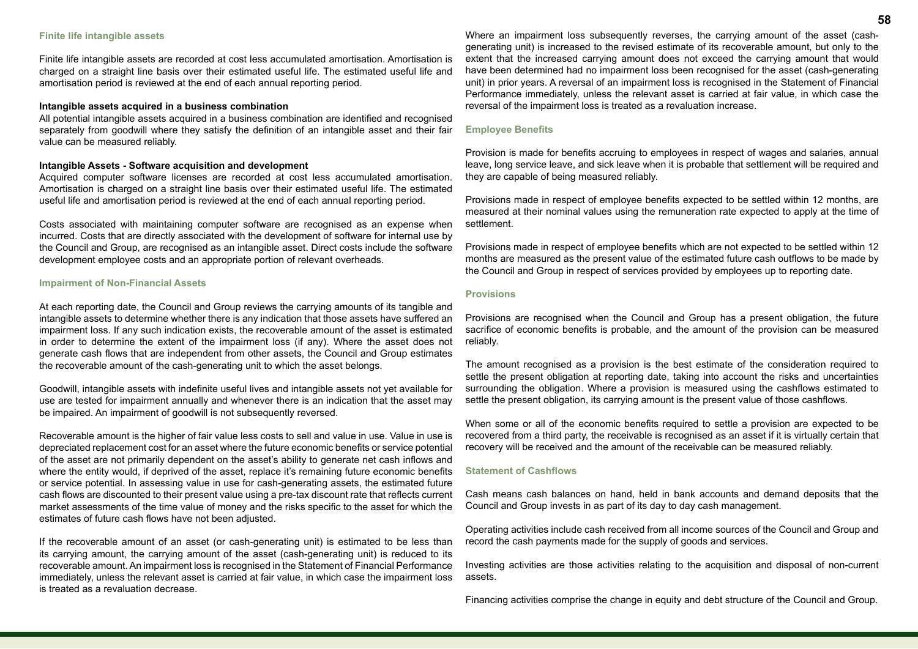#### **Finite life intangible assets**

Finite life intangible assets are recorded at cost less accumulated amortisation. Amortisation is charged on a straight line basis over their estimated useful life. The estimated useful life and amortisation period is reviewed at the end of each annual reporting period.

#### **Intangible assets acquired in a business combination**

All potential intangible assets acquired in a business combination are identified and recognised separately from goodwill where they satisfy the definition of an intangible asset and their fair value can be measured reliably.

#### **Intangible Assets - Software acquisition and development**

Acquired computer software licenses are recorded at cost less accumulated amortisation. Amortisation is charged on a straight line basis over their estimated useful life. The estimated useful life and amortisation period is reviewed at the end of each annual reporting period.

Costs associated with maintaining computer software are recognised as an expense when incurred. Costs that are directly associated with the development of software for internal use by the Council and Group, are recognised as an intangible asset. Direct costs include the software development employee costs and an appropriate portion of relevant overheads.

#### **Impairment of Non-Financial Assets**

At each reporting date, the Council and Group reviews the carrying amounts of its tangible and intangible assets to determine whether there is any indication that those assets have suffered an impairment loss. If any such indication exists, the recoverable amount of the asset is estimated in order to determine the extent of the impairment loss (if any). Where the asset does not generate cash flows that are independent from other assets, the Council and Group estimates the recoverable amount of the cash-generating unit to which the asset belongs.

Goodwill, intangible assets with indefinite useful lives and intangible assets not yet available for use are tested for impairment annually and whenever there is an indication that the asset may be impaired. An impairment of goodwill is not subsequently reversed.

Recoverable amount is the higher of fair value less costs to sell and value in use. Value in use is depreciated replacement cost for an asset where the future economic benefits or service potential of the asset are not primarily dependent on the asset's ability to generate net cash inflows and where the entity would, if deprived of the asset, replace it's remaining future economic benefits or service potential. In assessing value in use for cash-generating assets, the estimated future cash flows are discounted to their present value using a pre-tax discount rate that reflects current market assessments of the time value of money and the risks specific to the asset for which the estimates of future cash flows have not been adjusted.

If the recoverable amount of an asset (or cash-generating unit) is estimated to be less than its carrying amount, the carrying amount of the asset (cash-generating unit) is reduced to its recoverable amount. An impairment loss is recognised in the Statement of Financial Performance immediately, unless the relevant asset is carried at fair value, in which case the impairment loss is treated as a revaluation decrease.

Where an impairment loss subsequently reverses, the carrying amount of the asset (cashgenerating unit) is increased to the revised estimate of its recoverable amount, but only to the extent that the increased carrying amount does not exceed the carrying amount that would have been determined had no impairment loss been recognised for the asset (cash-generating unit) in prior years. A reversal of an impairment loss is recognised in the Statement of Financial Performance immediately, unless the relevant asset is carried at fair value, in which case the reversal of the impairment loss is treated as a revaluation increase.

#### **Employee Benefits**

Provision is made for benefits accruing to employees in respect of wages and salaries, annual leave, long service leave, and sick leave when it is probable that settlement will be required and they are capable of being measured reliably.

Provisions made in respect of employee benefits expected to be settled within 12 months, are measured at their nominal values using the remuneration rate expected to apply at the time of settlement.

Provisions made in respect of employee benefits which are not expected to be settled within 12 months are measured as the present value of the estimated future cash outflows to be made by the Council and Group in respect of services provided by employees up to reporting date.

#### **Provisions**

Provisions are recognised when the Council and Group has a present obligation, the future sacrifice of economic benefits is probable, and the amount of the provision can be measured reliably.

The amount recognised as a provision is the best estimate of the consideration required to settle the present obligation at reporting date, taking into account the risks and uncertainties surrounding the obligation. Where a provision is measured using the cashflows estimated to settle the present obligation, its carrying amount is the present value of those cashflows.

When some or all of the economic benefits required to settle a provision are expected to be recovered from a third party, the receivable is recognised as an asset if it is virtually certain that recovery will be received and the amount of the receivable can be measured reliably.

#### **Statement of Cashflows**

Cash means cash balances on hand, held in bank accounts and demand deposits that the Council and Group invests in as part of its day to day cash management.

Operating activities include cash received from all income sources of the Council and Group and record the cash payments made for the supply of goods and services.

Investing activities are those activities relating to the acquisition and disposal of non-current assets.

Financing activities comprise the change in equity and debt structure of the Council and Group.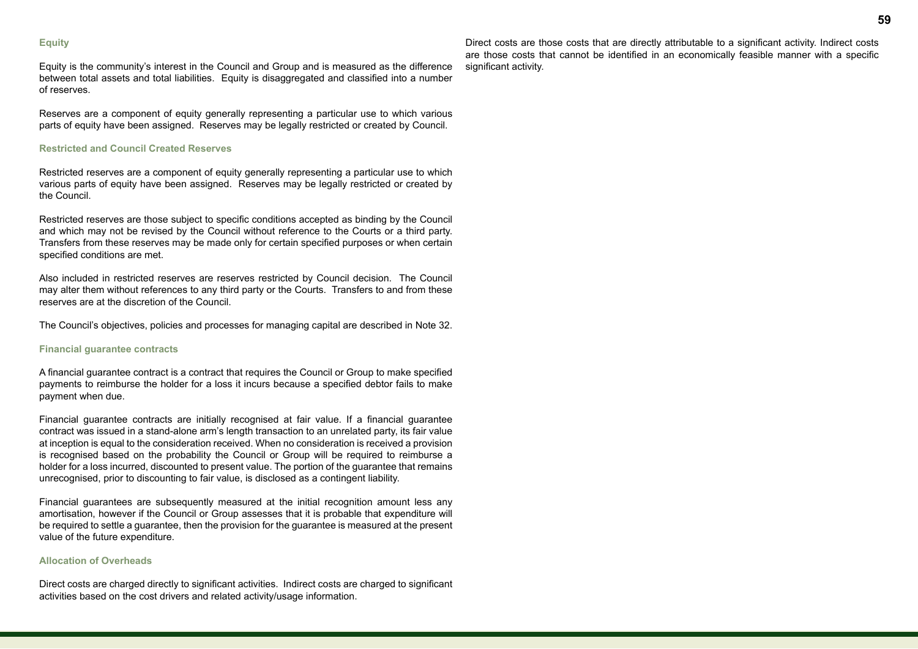#### **Equity**

Equity is the community's interest in the Council and Group and is measured as the difference between total assets and total liabilities. Equity is disaggregated and classified into a number of reserves.

Reserves are a component of equity generally representing a particular use to which various parts of equity have been assigned. Reserves may be legally restricted or created by Council.

#### **Restricted and Council Created Reserves**

Restricted reserves are a component of equity generally representing a particular use to which various parts of equity have been assigned. Reserves may be legally restricted or created by the Council.

Restricted reserves are those subject to specific conditions accepted as binding by the Council and which may not be revised by the Council without reference to the Courts or a third party. Transfers from these reserves may be made only for certain specified purposes or when certain specified conditions are met.

Also included in restricted reserves are reserves restricted by Council decision. The Council may alter them without references to any third party or the Courts. Transfers to and from these reserves are at the discretion of the Council.

The Council's objectives, policies and processes for managing capital are described in Note 32.

#### **Financial guarantee contracts**

A financial guarantee contract is a contract that requires the Council or Group to make specified payments to reimburse the holder for a loss it incurs because a specified debtor fails to make payment when due.

Financial guarantee contracts are initially recognised at fair value. If a financial guarantee contract was issued in a stand-alone arm's length transaction to an unrelated party, its fair value at inception is equal to the consideration received. When no consideration is received a provision is recognised based on the probability the Council or Group will be required to reimburse a holder for a loss incurred, discounted to present value. The portion of the guarantee that remains unrecognised, prior to discounting to fair value, is disclosed as a contingent liability.

Financial guarantees are subsequently measured at the initial recognition amount less any amortisation, however if the Council or Group assesses that it is probable that expenditure will be required to settle a guarantee, then the provision for the guarantee is measured at the present value of the future expenditure.

#### **Allocation of Overheads**

Direct costs are charged directly to significant activities. Indirect costs are charged to significant activities based on the cost drivers and related activity/usage information.

Direct costs are those costs that are directly attributable to a significant activity. Indirect costs are those costs that cannot be identified in an economically feasible manner with a specific significant activity.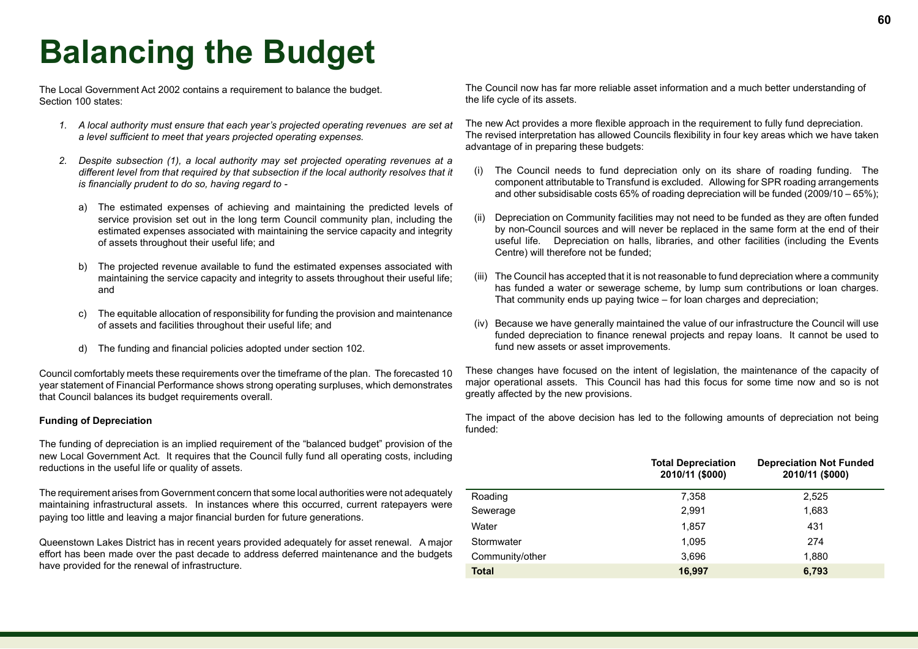# **Balancing the Budget**

The Local Government Act 2002 contains a requirement to balance the budget. Section 100 states:

- *1. A local authority must ensure that each year's projected operating revenues are set at a level sufficient to meet that years projected operating expenses.*
- *2. Despite subsection (1), a local authority may set projected operating revenues at a different level from that required by that subsection if the local authority resolves that it is financially prudent to do so, having regard to* 
	- a) The estimated expenses of achieving and maintaining the predicted levels of service provision set out in the long term Council community plan, including the estimated expenses associated with maintaining the service capacity and integrity of assets throughout their useful life; and
	- b) The projected revenue available to fund the estimated expenses associated with maintaining the service capacity and integrity to assets throughout their useful life; and
	- c) The equitable allocation of responsibility for funding the provision and maintenance of assets and facilities throughout their useful life; and
	- d) The funding and financial policies adopted under section 102.

Council comfortably meets these requirements over the timeframe of the plan. The forecasted 10 year statement of Financial Performance shows strong operating surpluses, which demonstrates that Council balances its budget requirements overall.

#### **Funding of Depreciation**

The funding of depreciation is an implied requirement of the "balanced budget" provision of the new Local Government Act. It requires that the Council fully fund all operating costs, including reductions in the useful life or quality of assets.

The requirement arises from Government concern that some local authorities were not adequately maintaining infrastructural assets. In instances where this occurred, current ratepayers were paying too little and leaving a major financial burden for future generations.

Queenstown Lakes District has in recent years provided adequately for asset renewal. A major effort has been made over the past decade to address deferred maintenance and the budgets have provided for the renewal of infrastructure.

The Council now has far more reliable asset information and a much better understanding of the life cycle of its assets.

The new Act provides a more flexible approach in the requirement to fully fund depreciation. The revised interpretation has allowed Councils flexibility in four key areas which we have taken advantage of in preparing these budgets:

- (i) The Council needs to fund depreciation only on its share of roading funding. The component attributable to Transfund is excluded. Allowing for SPR roading arrangements and other subsidisable costs 65% of roading depreciation will be funded (2009/10 – 65%);
- (ii) Depreciation on Community facilities may not need to be funded as they are often funded by non-Council sources and will never be replaced in the same form at the end of their useful life. Depreciation on halls, libraries, and other facilities (including the Events Centre) will therefore not be funded;
- (iii) The Council has accepted that it is not reasonable to fund depreciation where a community has funded a water or sewerage scheme, by lump sum contributions or loan charges. That community ends up paying twice – for loan charges and depreciation;
- (iv) Because we have generally maintained the value of our infrastructure the Council will use funded depreciation to finance renewal projects and repay loans. It cannot be used to fund new assets or asset improvements.

These changes have focused on the intent of legislation, the maintenance of the capacity of major operational assets. This Council has had this focus for some time now and so is not greatly affected by the new provisions.

The impact of the above decision has led to the following amounts of depreciation not being funded:

|                 | <b>Total Depreciation</b><br>2010/11 (\$000) | <b>Depreciation Not Funded</b><br>2010/11 (\$000) |
|-----------------|----------------------------------------------|---------------------------------------------------|
| Roading         | 7,358                                        | 2,525                                             |
| Sewerage        | 2,991                                        | 1,683                                             |
| Water           | 1,857                                        | 431                                               |
| Stormwater      | 1,095                                        | 274                                               |
| Community/other | 3,696                                        | 1,880                                             |
| <b>Total</b>    | 16,997                                       | 6,793                                             |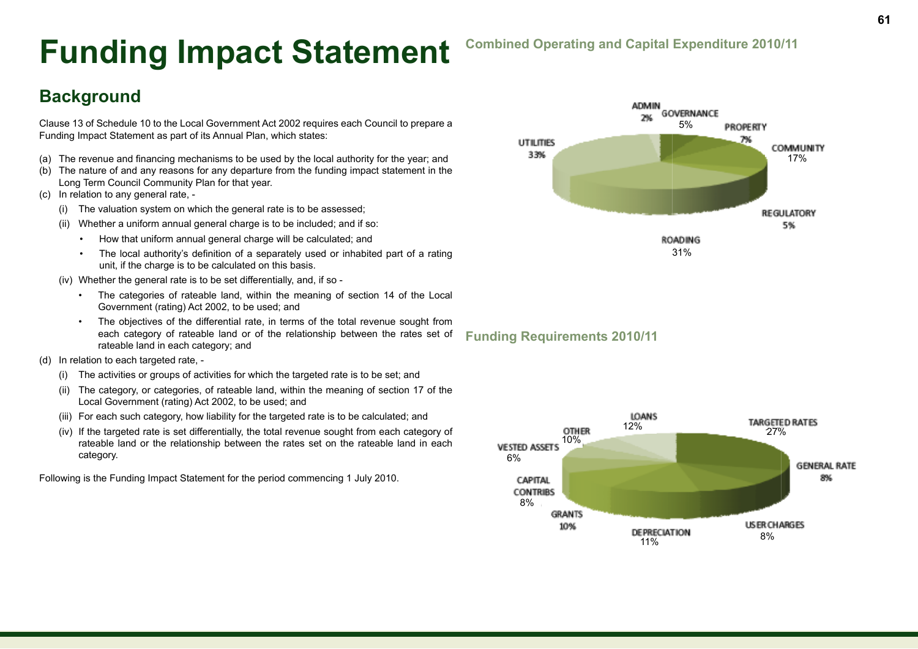# **Funding Impact Statement**

# **Background**

Clause 13 of Schedule 10 to the Local Government Act 2002 requires each Council to prepare a Funding Impact Statement as part of its Annual Plan, which states:

- (a) The revenue and financing mechanisms to be used by the local authority for the year; and
- (b) The nature of and any reasons for any departure from the funding impact statement in the Long Term Council Community Plan for that year.
- (c) In relation to any general rate,
	- (i) The valuation system on which the general rate is to be assessed;
	- (ii) Whether a uniform annual general charge is to be included; and if so:
		- How that uniform annual general charge will be calculated; and
		- The local authority's definition of a separately used or inhabited part of a rating unit, if the charge is to be calculated on this basis.
	- (iv) Whether the general rate is to be set differentially, and, if so
		- The categories of rateable land, within the meaning of section 14 of the Local Government (rating) Act 2002, to be used; and
		- The objectives of the differential rate, in terms of the total revenue sought from each category of rateable land or of the relationship between the rates set of rateable land in each category; and
- (d) In relation to each targeted rate,
	- (i) The activities or groups of activities for which the targeted rate is to be set; and
	- (ii) The category, or categories, of rateable land, within the meaning of section 17 of the Local Government (rating) Act 2002, to be used; and
	- (iii) For each such category, how liability for the targeted rate is to be calculated; and
	- (iv) If the targeted rate is set differentially, the total revenue sought from each category of rateable land or the relationship between the rates set on the rateable land in each category.

Following is the Funding Impact Statement for the period commencing 1 July 2010.

### **Combined Operating and Capital Expenditure 2010/11**



**LOANS** 12% 27% **OTHER** 10%**VESTED ASSETS** 6% **GENERAL RATE** 8% CAPITAL **CONTRIBS** 8% **GRANTS USER CHARGES** 10% 8% 11%

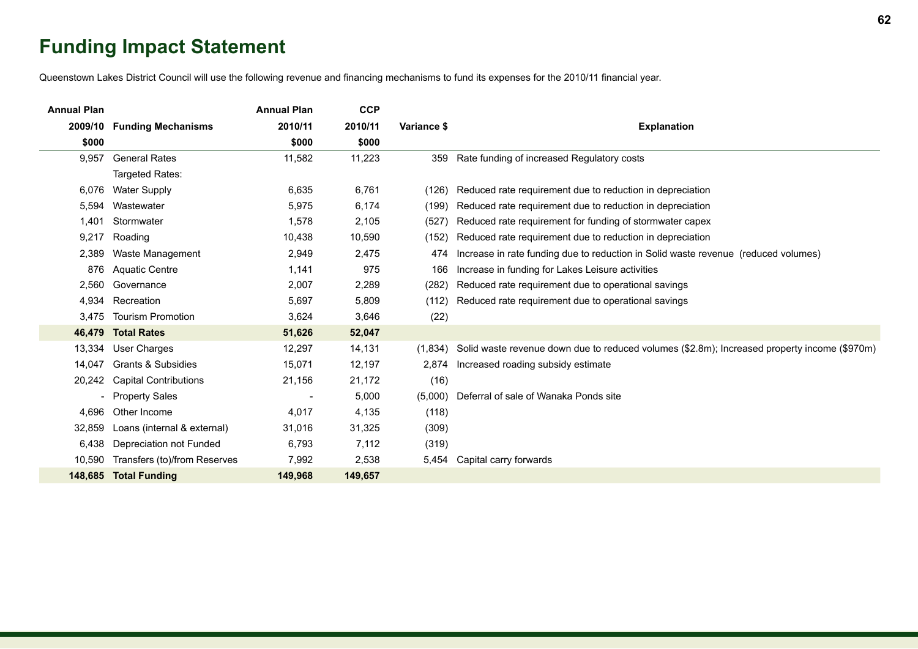# **Funding Impact Statement**

Queenstown Lakes District Council will use the following revenue and financing mechanisms to fund its expenses for the 2010/11 financial year.

| <b>Annual Plan</b>       |                              | <b>Annual Plan</b> | <b>CCP</b> |             |                                                                                              |
|--------------------------|------------------------------|--------------------|------------|-------------|----------------------------------------------------------------------------------------------|
| 2009/10                  | <b>Funding Mechanisms</b>    | 2010/11            | 2010/11    | Variance \$ | <b>Explanation</b>                                                                           |
| \$000                    |                              | \$000              | \$000      |             |                                                                                              |
| 9,957                    | <b>General Rates</b>         | 11,582             | 11,223     | 359         | Rate funding of increased Regulatory costs                                                   |
|                          | Targeted Rates:              |                    |            |             |                                                                                              |
| 6,076                    | <b>Water Supply</b>          | 6,635              | 6,761      | (126)       | Reduced rate requirement due to reduction in depreciation                                    |
| 5,594                    | Wastewater                   | 5,975              | 6,174      | (199)       | Reduced rate requirement due to reduction in depreciation                                    |
| 1,401                    | Stormwater                   | 1,578              | 2,105      | (527)       | Reduced rate requirement for funding of stormwater capex                                     |
| 9,217                    | Roading                      | 10,438             | 10,590     | (152)       | Reduced rate requirement due to reduction in depreciation                                    |
| 2,389                    | Waste Management             | 2,949              | 2,475      | 474         | Increase in rate funding due to reduction in Solid waste revenue (reduced volumes)           |
| 876                      | <b>Aquatic Centre</b>        | 1,141              | 975        | 166         | Increase in funding for Lakes Leisure activities                                             |
| 2,560                    | Governance                   | 2,007              | 2,289      | (282)       | Reduced rate requirement due to operational savings                                          |
| 4,934                    | Recreation                   | 5,697              | 5,809      | (112)       | Reduced rate requirement due to operational savings                                          |
| 3,475                    | <b>Tourism Promotion</b>     | 3,624              | 3,646      | (22)        |                                                                                              |
| 46,479                   | <b>Total Rates</b>           | 51,626             | 52,047     |             |                                                                                              |
| 13,334                   | User Charges                 | 12,297             | 14,131     | (1,834)     | Solid waste revenue down due to reduced volumes (\$2.8m); Increased property income (\$970m) |
| 14,047                   | Grants & Subsidies           | 15,071             | 12,197     | 2.874       | Increased roading subsidy estimate                                                           |
| 20,242                   | <b>Capital Contributions</b> | 21,156             | 21,172     | (16)        |                                                                                              |
| $\overline{\phantom{0}}$ | <b>Property Sales</b>        |                    | 5,000      | (5,000)     | Deferral of sale of Wanaka Ponds site                                                        |
| 4,696                    | Other Income                 | 4,017              | 4,135      | (118)       |                                                                                              |
| 32,859                   | Loans (internal & external)  | 31,016             | 31,325     | (309)       |                                                                                              |
| 6,438                    | Depreciation not Funded      | 6,793              | 7,112      | (319)       |                                                                                              |
| 10,590                   | Transfers (to)/from Reserves | 7,992              | 2,538      | 5,454       | Capital carry forwards                                                                       |
|                          | 148,685 Total Funding        | 149,968            | 149,657    |             |                                                                                              |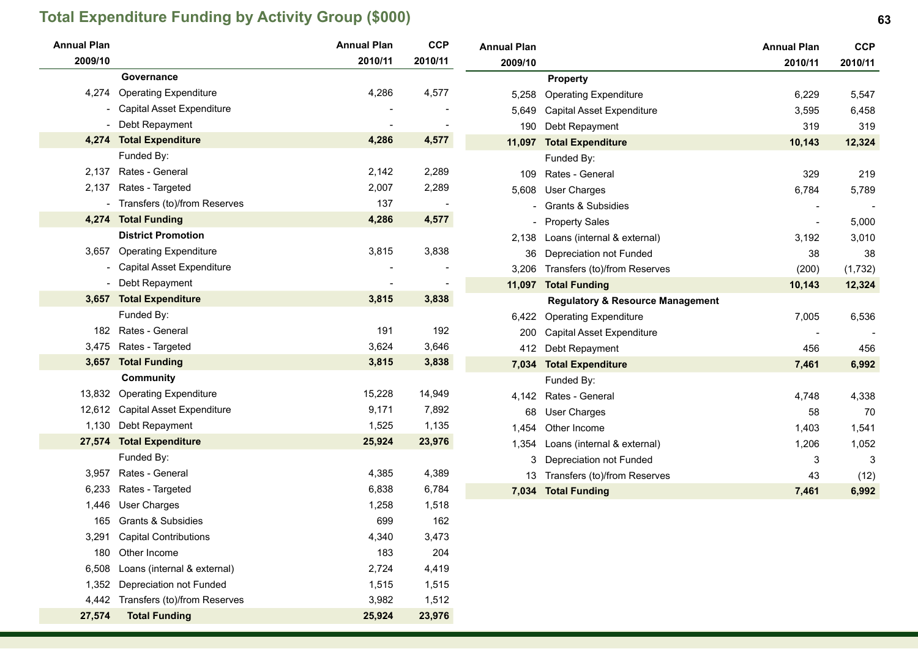# **Total Expenditure Funding by Activity Group (\$000) 63**

| <b>Annual Plan</b> |                                | <b>Annual Plan</b> | <b>CCP</b> | <b>Annual Plan</b> |                                             | <b>Annual Plan</b> | <b>CCP</b> |
|--------------------|--------------------------------|--------------------|------------|--------------------|---------------------------------------------|--------------------|------------|
| 2009/10            |                                | 2010/11            | 2010/11    | 2009/10            |                                             | 2010/11            | 2010/11    |
|                    | Governance                     |                    |            |                    | <b>Property</b>                             |                    |            |
| 4,274              | <b>Operating Expenditure</b>   | 4,286              | 4,577      | 5,258              | <b>Operating Expenditure</b>                | 6,229              | 5,547      |
|                    | Capital Asset Expenditure      |                    |            | 5,649              | Capital Asset Expenditure                   | 3,595              | 6,458      |
|                    | Debt Repayment                 |                    |            | 190                | Debt Repayment                              | 319                | 319        |
| 4,274              | <b>Total Expenditure</b>       | 4,286              | 4,577      |                    | 11,097 Total Expenditure                    | 10,143             | 12,324     |
|                    | Funded By:                     |                    |            |                    | Funded By:                                  |                    |            |
| 2,137              | Rates - General                | 2,142              | 2,289      | 109                | Rates - General                             | 329                | 219        |
| 2,137              | Rates - Targeted               | 2,007              | 2,289      | 5,608              | <b>User Charges</b>                         | 6,784              | 5,789      |
|                    | - Transfers (to)/from Reserves | 137                |            |                    | <b>Grants &amp; Subsidies</b>               |                    |            |
|                    | 4,274 Total Funding            | 4,286              | 4,577      |                    | <b>Property Sales</b>                       |                    | 5,000      |
|                    | <b>District Promotion</b>      |                    |            | 2,138              | Loans (internal & external)                 | 3,192              | 3,010      |
| 3,657              | <b>Operating Expenditure</b>   | 3,815              | 3,838      | 36                 | Depreciation not Funded                     | 38                 | 38         |
|                    | Capital Asset Expenditure      |                    |            |                    | 3,206 Transfers (to)/from Reserves          | (200)              | (1,732)    |
|                    | - Debt Repayment               |                    |            |                    | 11,097 Total Funding                        | 10,143             | 12,324     |
|                    | 3,657 Total Expenditure        | 3,815              | 3,838      |                    | <b>Regulatory &amp; Resource Management</b> |                    |            |
|                    | Funded By:                     |                    |            |                    | 6,422 Operating Expenditure                 | 7,005              | 6,536      |
|                    | 182 Rates - General            | 191                | 192        | 200                | <b>Capital Asset Expenditure</b>            |                    |            |
|                    | 3,475 Rates - Targeted         | 3,624              | 3,646      |                    | 412 Debt Repayment                          | 456                | 456        |
| 3,657              | <b>Total Funding</b>           | 3,815              | 3,838      |                    | 7,034 Total Expenditure                     | 7,461              | 6,992      |
|                    | <b>Community</b>               |                    |            |                    | Funded By:                                  |                    |            |
| 13,832             | <b>Operating Expenditure</b>   | 15,228             | 14,949     |                    | 4,142 Rates - General                       | 4,748              | 4,338      |
| 12,612             | Capital Asset Expenditure      | 9,171              | 7,892      | 68                 | <b>User Charges</b>                         | 58                 | 70         |
|                    | 1,130 Debt Repayment           | 1,525              | 1,135      | 1,454              | Other Income                                | 1,403              | 1,541      |
|                    | 27,574 Total Expenditure       | 25,924             | 23,976     | 1,354              | Loans (internal & external)                 | 1,206              | 1,052      |
|                    | Funded By:                     |                    |            | 3                  | Depreciation not Funded                     | 3                  | 3          |
| 3,957              | Rates - General                | 4,385              | 4,389      |                    | 13 Transfers (to)/from Reserves             | 43                 | (12)       |
| 6,233              | Rates - Targeted               | 6,838              | 6,784      |                    | 7,034 Total Funding                         | 7,461              | 6,992      |
|                    | 1,446 User Charges             | 1,258              | 1,518      |                    |                                             |                    |            |
|                    | 165 Grants & Subsidies         | 699                | 162        |                    |                                             |                    |            |
| 3,291              | <b>Capital Contributions</b>   | 4,340              | 3,473      |                    |                                             |                    |            |
| 180                | Other Income                   | 183                | 204        |                    |                                             |                    |            |
| 6,508              | Loans (internal & external)    | 2,724              | 4,419      |                    |                                             |                    |            |
| 1,352              | Depreciation not Funded        | 1,515              | 1,515      |                    |                                             |                    |            |
| 4,442              | Transfers (to)/from Reserves   | 3,982              | 1,512      |                    |                                             |                    |            |
| 27,574             | <b>Total Funding</b>           | 25,924             | 23,976     |                    |                                             |                    |            |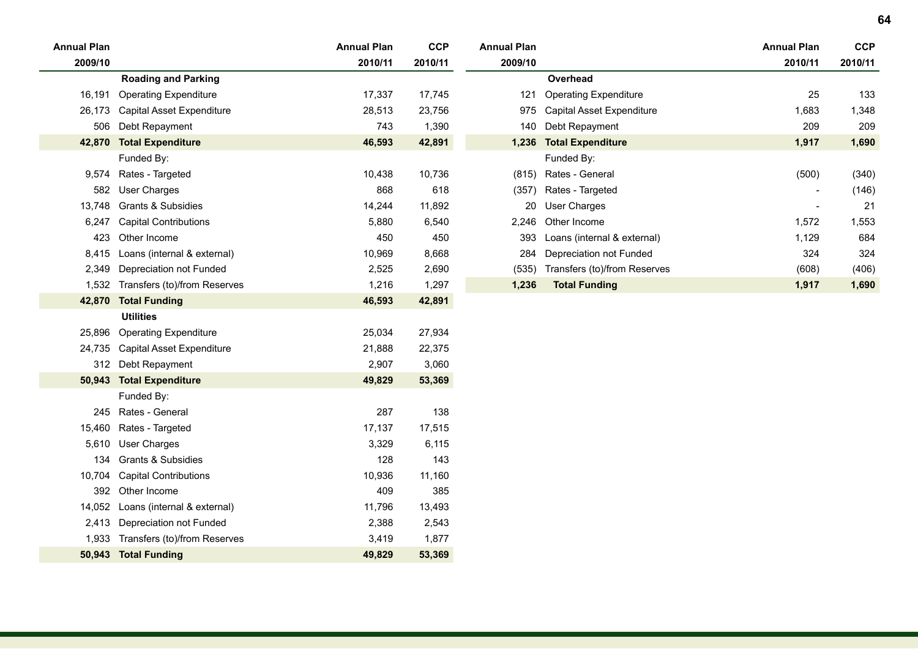| <b>Annual Plan</b> |                                    | <b>Annual Plan</b> | <b>CCP</b> | <b>Annual Plan</b> |                                    | <b>Annual Plan</b>       | <b>CCP</b> |
|--------------------|------------------------------------|--------------------|------------|--------------------|------------------------------------|--------------------------|------------|
| 2009/10            |                                    | 2010/11            | 2010/11    | 2009/10            |                                    | 2010/11                  | 2010/11    |
|                    | <b>Roading and Parking</b>         |                    |            |                    | Overhead                           |                          |            |
| 16,191             | <b>Operating Expenditure</b>       | 17,337             | 17,745     | 121                | <b>Operating Expenditure</b>       | 25                       | 133        |
| 26,173             | Capital Asset Expenditure          | 28,513             | 23,756     |                    | 975 Capital Asset Expenditure      | 1,683                    | 1,348      |
| 506                | Debt Repayment                     | 743                | 1,390      |                    | 140 Debt Repayment                 | 209                      | 209        |
|                    | 42,870 Total Expenditure           | 46,593             | 42,891     |                    | 1,236 Total Expenditure            | 1,917                    | 1,690      |
|                    | Funded By:                         |                    |            |                    | Funded By:                         |                          |            |
|                    | 9,574 Rates - Targeted             | 10,438             | 10,736     |                    | (815) Rates - General              | (500)                    | (340)      |
| 582                | User Charges                       | 868                | 618        |                    | (357) Rates - Targeted             | $\overline{\phantom{a}}$ | (146)      |
| 13,748             | Grants & Subsidies                 | 14,244             | 11,892     |                    | 20 User Charges                    | $\overline{\phantom{a}}$ | 21         |
| 6,247              | <b>Capital Contributions</b>       | 5,880              | 6,540      |                    | 2,246 Other Income                 | 1,572                    | 1,553      |
| 423                | Other Income                       | 450                | 450        | 393                | Loans (internal & external)        | 1,129                    | 684        |
| 8,415              | Loans (internal & external)        | 10,969             | 8,668      | 284                | Depreciation not Funded            | 324                      | 324        |
| 2,349              | Depreciation not Funded            | 2,525              | 2,690      |                    | (535) Transfers (to)/from Reserves | (608)                    | (406)      |
|                    | 1,532 Transfers (to)/from Reserves | 1,216              | 1,297      | 1,236              | <b>Total Funding</b>               | 1,917                    | 1,690      |
|                    | 42,870 Total Funding               | 46,593             | 42,891     |                    |                                    |                          |            |
|                    | <b>Utilities</b>                   |                    |            |                    |                                    |                          |            |
| 25,896             | <b>Operating Expenditure</b>       | 25,034             | 27,934     |                    |                                    |                          |            |
| 24,735             | Capital Asset Expenditure          | 21,888             | 22,375     |                    |                                    |                          |            |
|                    | 312 Debt Repayment                 | 2,907              | 3,060      |                    |                                    |                          |            |
|                    | 50,943 Total Expenditure           | 49,829             | 53,369     |                    |                                    |                          |            |
|                    | Funded By:                         |                    |            |                    |                                    |                          |            |
|                    | 245 Rates - General                | 287                | 138        |                    |                                    |                          |            |
| 15,460             | Rates - Targeted                   | 17,137             | 17,515     |                    |                                    |                          |            |
| 5,610              | <b>User Charges</b>                | 3,329              | 6,115      |                    |                                    |                          |            |
| 134                | Grants & Subsidies                 | 128                | 143        |                    |                                    |                          |            |
| 10,704             | <b>Capital Contributions</b>       | 10,936             | 11,160     |                    |                                    |                          |            |
| 392                | Other Income                       | 409                | 385        |                    |                                    |                          |            |
| 14,052             | Loans (internal & external)        | 11,796             | 13,493     |                    |                                    |                          |            |
|                    | 2,413 Depreciation not Funded      | 2,388              | 2,543      |                    |                                    |                          |            |
| 1,933              | Transfers (to)/from Reserves       | 3,419              | 1,877      |                    |                                    |                          |            |
| 50,943             | <b>Total Funding</b>               | 49,829             | 53,369     |                    |                                    |                          |            |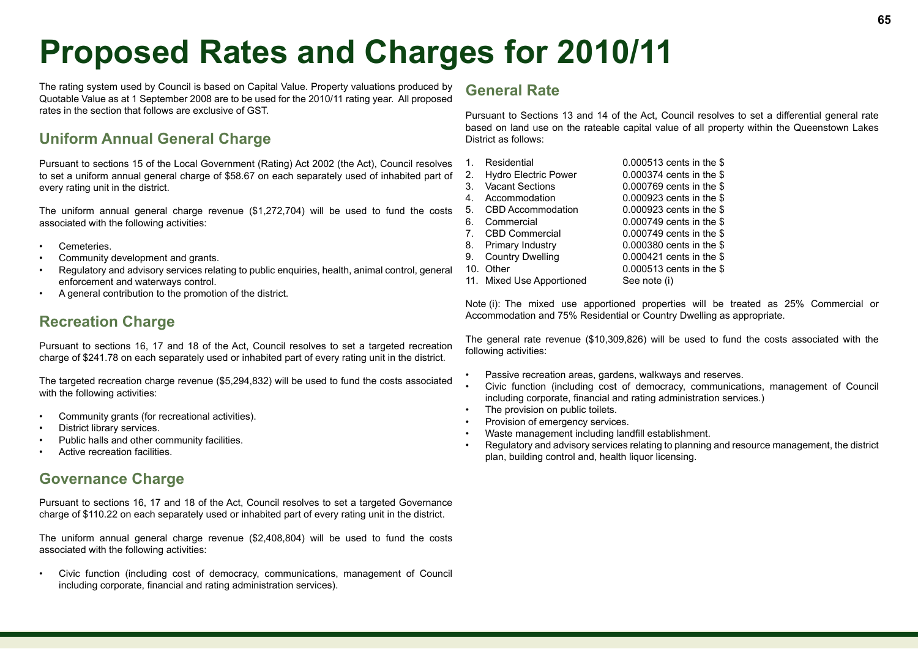# **Proposed Rates and Charges for 2010/11**

The rating system used by Council is based on Capital Value. Property valuations produced by Quotable Value as at 1 September 2008 are to be used for the 2010/11 rating year. All proposed rates in the section that follows are exclusive of GST.

# **Uniform Annual General Charge**

Pursuant to sections 15 of the Local Government (Rating) Act 2002 (the Act), Council resolves to set a uniform annual general charge of \$58.67 on each separately used of inhabited part of every rating unit in the district.

The uniform annual general charge revenue (\$1,272,704) will be used to fund the costs associated with the following activities:

- Cemeteries.
- Community development and grants.
- Regulatory and advisory services relating to public enquiries, health, animal control, general enforcement and waterways control.
- A general contribution to the promotion of the district.

## **Recreation Charge**

Pursuant to sections 16, 17 and 18 of the Act, Council resolves to set a targeted recreation charge of \$241.78 on each separately used or inhabited part of every rating unit in the district.

The targeted recreation charge revenue (\$5,294,832) will be used to fund the costs associated with the following activities:

- Community grants (for recreational activities).
- District library services.
- Public halls and other community facilities.
- Active recreation facilities.

## **Governance Charge**

Pursuant to sections 16, 17 and 18 of the Act, Council resolves to set a targeted Governance charge of \$110.22 on each separately used or inhabited part of every rating unit in the district.

The uniform annual general charge revenue (\$2,408,804) will be used to fund the costs associated with the following activities:

• Civic function (including cost of democracy, communications, management of Council including corporate, financial and rating administration services).

### **General Rate**

Pursuant to Sections 13 and 14 of the Act, Council resolves to set a differential general rate based on land use on the rateable capital value of all property within the Queenstown Lakes District as follows:

| 1 <sub>1</sub> | Residential                 | 0.000513 cents in the \$ |
|----------------|-----------------------------|--------------------------|
| 2.             | <b>Hydro Electric Power</b> | 0.000374 cents in the \$ |
| 3.             | <b>Vacant Sections</b>      | 0.000769 cents in the \$ |
| 4.             | Accommodation               | 0.000923 cents in the \$ |
| 5.             | CBD Accommodation           | 0.000923 cents in the \$ |
| 6.             | Commercial                  | 0.000749 cents in the \$ |
| $7_{-}$        | CBD Commercial              | 0.000749 cents in the \$ |
| 8.             | <b>Primary Industry</b>     | 0.000380 cents in the \$ |
| 9.             | <b>Country Dwelling</b>     | 0.000421 cents in the \$ |
| 10.            | Other                       | 0.000513 cents in the \$ |
|                | 11. Mixed Use Apportioned   | See note (i)             |

Note (i): The mixed use apportioned properties will be treated as 25% Commercial or Accommodation and 75% Residential or Country Dwelling as appropriate.

The general rate revenue (\$10,309,826) will be used to fund the costs associated with the following activities:

- Passive recreation areas, gardens, walkways and reserves.
- Civic function (including cost of democracy, communications, management of Council including corporate, financial and rating administration services.)
- The provision on public toilets.
- Provision of emergency services.
- Waste management including landfill establishment.
- Regulatory and advisory services relating to planning and resource management, the district plan, building control and, health liquor licensing.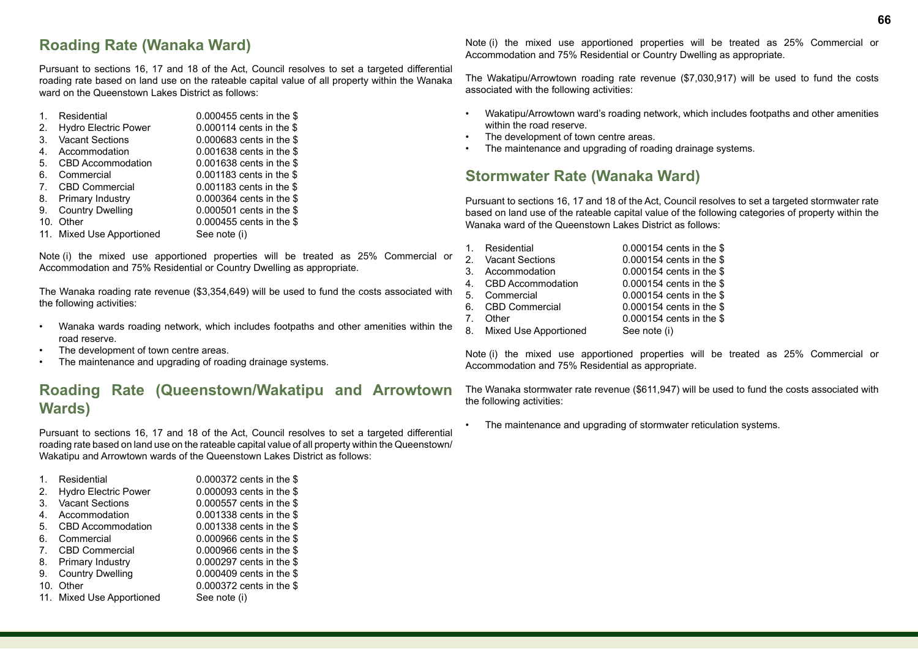Pursuant to sections 16, 17 and 18 of the Act, Council resolves to set a targeted differential roading rate based on land use on the rateable capital value of all property within the Wanaka ward on the Queenstown Lakes District as follows:

| 1.             | Residential                 | 0.000455 cents in the \$ |
|----------------|-----------------------------|--------------------------|
| 2.             | <b>Hydro Electric Power</b> | 0.000114 cents in the \$ |
| 3.             | <b>Vacant Sections</b>      | 0.000683 cents in the \$ |
| 4.             | Accommodation               | 0.001638 cents in the \$ |
| .5.            | <b>CBD Accommodation</b>    | 0.001638 cents in the \$ |
| 6.             | Commercial                  | 0.001183 cents in the \$ |
| 7 <sub>1</sub> | <b>CBD Commercial</b>       | 0.001183 cents in the \$ |
| 8.             | Primary Industry            | 0.000364 cents in the \$ |
| 9.             | <b>Country Dwelling</b>     | 0.000501 cents in the \$ |
| 10.            | Other                       | 0.000455 cents in the \$ |
|                | 11. Mixed Use Apportioned   | See note (i)             |

Note (i) the mixed use apportioned properties will be treated as 25% Commercial or Accommodation and 75% Residential or Country Dwelling as appropriate.

The Wanaka roading rate revenue (\$3,354,649) will be used to fund the costs associated with the following activities:

- Wanaka wards roading network, which includes footpaths and other amenities within the road reserve.
- The development of town centre areas.
- The maintenance and upgrading of roading drainage systems.

# **Roading Rate (Queenstown/Wakatipu and Arrowtown Wards)**

Pursuant to sections 16, 17 and 18 of the Act, Council resolves to set a targeted differential roading rate based on land use on the rateable capital value of all property within the Queenstown/ Wakatipu and Arrowtown wards of the Queenstown Lakes District as follows:

| $\mathbf 1$    | Residential                 | 0.000372 cents in the \$ |
|----------------|-----------------------------|--------------------------|
| 2.             | <b>Hydro Electric Power</b> | 0.000093 cents in the \$ |
| 3.             | <b>Vacant Sections</b>      | 0.000557 cents in the \$ |
| 4.             | Accommodation               | 0.001338 cents in the \$ |
| 5.             | CBD Accommodation           | 0.001338 cents in the \$ |
| 6.             | Commercial                  | 0.000966 cents in the \$ |
| 7 <sub>1</sub> | <b>CBD Commercial</b>       | 0.000966 cents in the \$ |
| 8.             | Primary Industry            | 0.000297 cents in the \$ |
| 9.             | <b>Country Dwelling</b>     | 0.000409 cents in the \$ |
| 10.            | Other                       | 0.000372 cents in the \$ |
|                | 11. Mixed Use Apportioned   | See note (i)             |
|                |                             |                          |

Note (i) the mixed use apportioned properties will be treated as 25% Commercial or Accommodation and 75% Residential or Country Dwelling as appropriate.

The Wakatipu/Arrowtown roading rate revenue (\$7,030,917) will be used to fund the costs associated with the following activities:

- Wakatipu/Arrowtown ward's roading network, which includes footpaths and other amenities within the road reserve.
- The development of town centre areas.
- The maintenance and upgrading of roading drainage systems.

# **Stormwater Rate (Wanaka Ward)**

Pursuant to sections 16, 17 and 18 of the Act, Council resolves to set a targeted stormwater rate based on land use of the rateable capital value of the following categories of property within the Wanaka ward of the Queenstown Lakes District as follows:

| $1_{-}$ | Residential              | 0.000154 cents in the \$ |
|---------|--------------------------|--------------------------|
|         | 2. Vacant Sections       | 0.000154 cents in the \$ |
|         | 3. Accommodation         | 0.000154 cents in the \$ |
|         | 4. CBD Accommodation     | 0.000154 cents in the \$ |
|         | 5. Commercial            | 0.000154 cents in the \$ |
|         | 6. CBD Commercial        | 0.000154 cents in the \$ |
| 7       | Other                    | 0.000154 cents in the \$ |
|         | 8. Mixed Use Apportioned | See note (i)             |

Note (i) the mixed use apportioned properties will be treated as 25% Commercial or Accommodation and 75% Residential as appropriate.

The Wanaka stormwater rate revenue (\$611,947) will be used to fund the costs associated with the following activities:

The maintenance and upgrading of stormwater reticulation systems.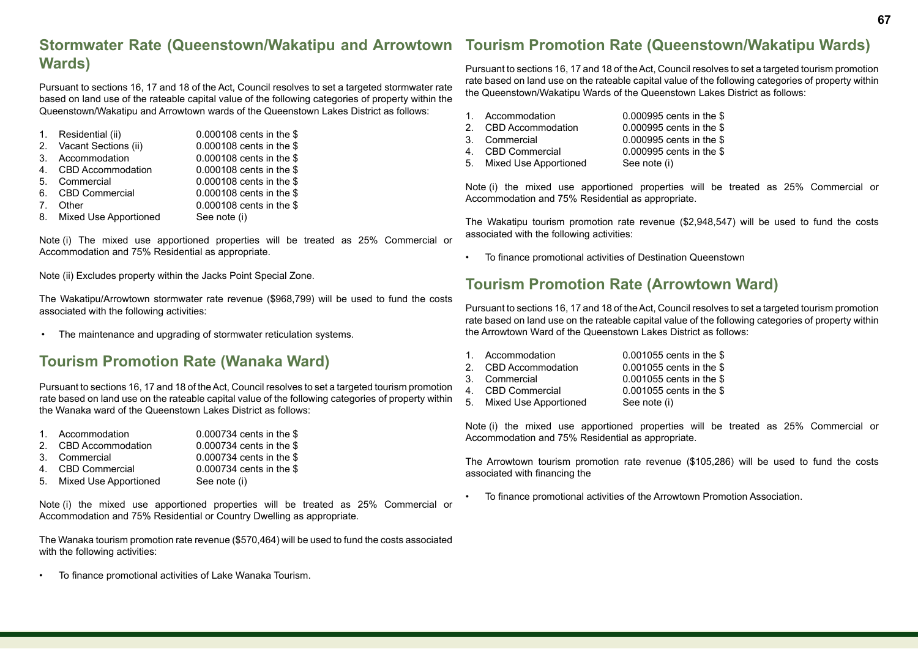#### **Stormwater Rate (Queenstown/Wakatipu and Arrowtown Wards) Tourism Promotion Rate (Queenstown/Wakatipu Wards)**

Pursuant to sections 16, 17 and 18 of the Act, Council resolves to set a targeted stormwater rate based on land use of the rateable capital value of the following categories of property within the Queenstown/Wakatipu and Arrowtown wards of the Queenstown Lakes District as follows:

|    | 1. Residential (ii)      | 0.000108 cents in the \$ |
|----|--------------------------|--------------------------|
|    | 2. Vacant Sections (ii)  | 0.000108 cents in the \$ |
|    | 3. Accommodation         | 0.000108 cents in the \$ |
|    | 4. CBD Accommodation     | 0.000108 cents in the \$ |
| 5. | Commercial               | 0.000108 cents in the \$ |
|    | 6. CBD Commercial        | 0.000108 cents in the \$ |
| 7  | Other                    | 0.000108 cents in the \$ |
|    | 8. Mixed Use Apportioned | See note (i)             |

Note (i) The mixed use apportioned properties will be treated as 25% Commercial or Accommodation and 75% Residential as appropriate.

Note (ii) Excludes property within the Jacks Point Special Zone.

The Wakatipu/Arrowtown stormwater rate revenue (\$968,799) will be used to fund the costs associated with the following activities:

• The maintenance and upgrading of stormwater reticulation systems.

# **Tourism Promotion Rate (Wanaka Ward)**

Pursuant to sections 16, 17 and 18 of the Act, Council resolves to set a targeted tourism promotion rate based on land use on the rateable capital value of the following categories of property within the Wanaka ward of the Queenstown Lakes District as follows:

- 1. Accommodation 0.000734 cents in the \$
- 2. CBD Accommodation 0.000734 cents in the \$<br>3. Commercial 0.000734 cents in the \$  $0.000734$  cents in the \$
- 
- 4. CBD Commercial 0.000734 cents in the \$
- 5. Mixed Use Apportioned See note (i)

Note (i) the mixed use apportioned properties will be treated as 25% Commercial or Accommodation and 75% Residential or Country Dwelling as appropriate.

The Wanaka tourism promotion rate revenue (\$570,464) will be used to fund the costs associated with the following activities:

• To finance promotional activities of Lake Wanaka Tourism.

Pursuant to sections 16, 17 and 18 of the Act, Council resolves to set a targeted tourism promotion rate based on land use on the rateable capital value of the following categories of property within the Queenstown/Wakatipu Wards of the Queenstown Lakes District as follows:

| 1. Accommodation         | 0.000995 cents in the \$ |
|--------------------------|--------------------------|
| 2. CBD Accommodation     | 0.000995 cents in the \$ |
| 3. Commercial            | 0.000995 cents in the \$ |
| 4. CBD Commercial        | 0.000995 cents in the \$ |
| 5. Mixed Use Apportioned | See note (i)             |
|                          |                          |

Note (i) the mixed use apportioned properties will be treated as 25% Commercial or Accommodation and 75% Residential as appropriate.

The Wakatipu tourism promotion rate revenue (\$2,948,547) will be used to fund the costs associated with the following activities:

• To finance promotional activities of Destination Queenstown

# **Tourism Promotion Rate (Arrowtown Ward)**

Pursuant to sections 16, 17 and 18 of the Act, Council resolves to set a targeted tourism promotion rate based on land use on the rateable capital value of the following categories of property within the Arrowtown Ward of the Queenstown Lakes District as follows:

| 1. Accommodation         | 0.001055 cents in the \$   |
|--------------------------|----------------------------|
| 2. CBD Accommodation     | 0.001055 cents in the \$   |
| 3. Commercial            | $0.001055$ cents in the \$ |
| 4. CBD Commercial        | 0.001055 cents in the \$   |
| 5. Mixed Use Apportioned | See note (i)               |

Note (i) the mixed use apportioned properties will be treated as 25% Commercial or Accommodation and 75% Residential as appropriate.

The Arrowtown tourism promotion rate revenue (\$105,286) will be used to fund the costs associated with financing the

• To finance promotional activities of the Arrowtown Promotion Association.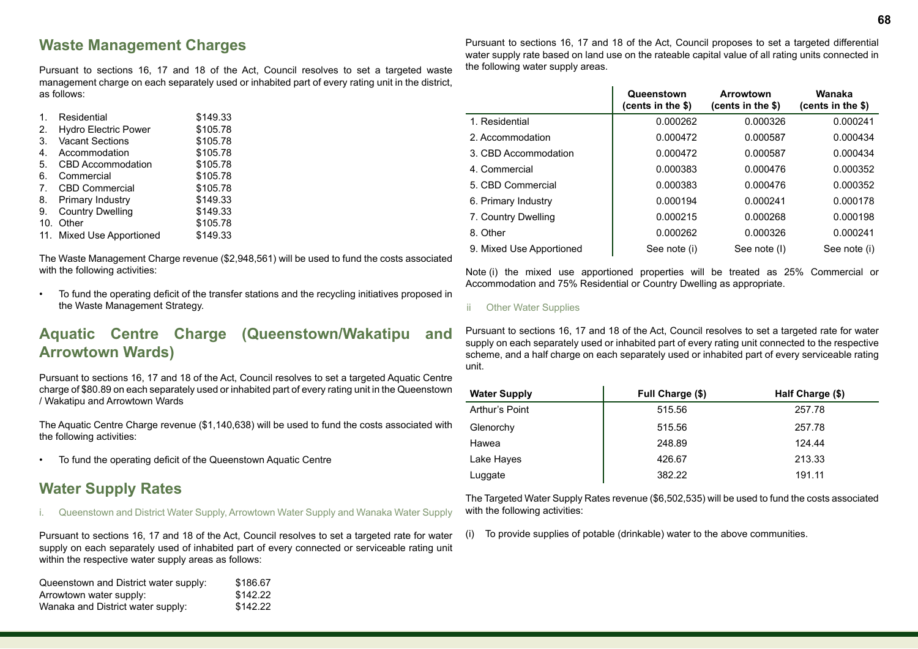## **Waste Management Charges**

Pursuant to sections 16, 17 and 18 of the Act, Council resolves to set a targeted waste management charge on each separately used or inhabited part of every rating unit in the district, as follows:

| 1.              | Residential                 | \$149.33 |  |
|-----------------|-----------------------------|----------|--|
| 2.              | <b>Hydro Electric Power</b> | \$105.78 |  |
| 3.              | <b>Vacant Sections</b>      | \$105.78 |  |
| 4.              | Accommodation               | \$105.78 |  |
| 5.              | CBD Accommodation           | \$105.78 |  |
| 6.              | Commercial                  | \$105.78 |  |
| 7 <sub>1</sub>  | <b>CBD Commercial</b>       | \$105.78 |  |
| 8.              | <b>Primary Industry</b>     | \$149.33 |  |
| 9.              | <b>Country Dwelling</b>     | \$149.33 |  |
| 10 <sub>1</sub> | Other                       | \$105.78 |  |
|                 | 11. Mixed Use Apportioned   | \$149.33 |  |

The Waste Management Charge revenue (\$2,948,561) will be used to fund the costs associated with the following activities:

• To fund the operating deficit of the transfer stations and the recycling initiatives proposed in the Waste Management Strategy.

# **Aquatic Centre Charge (Queenstown/Wakatipu and Arrowtown Wards)**

Pursuant to sections 16, 17 and 18 of the Act, Council resolves to set a targeted Aquatic Centre charge of \$80.89 on each separately used or inhabited part of every rating unit in the Queenstown / Wakatipu and Arrowtown Wards

The Aquatic Centre Charge revenue (\$1,140,638) will be used to fund the costs associated with the following activities:

• To fund the operating deficit of the Queenstown Aquatic Centre

# **Water Supply Rates**

i. Queenstown and District Water Supply, Arrowtown Water Supply and Wanaka Water Supply

Pursuant to sections 16, 17 and 18 of the Act, Council resolves to set a targeted rate for water supply on each separately used of inhabited part of every connected or serviceable rating unit within the respective water supply areas as follows:

| Queenstown and District water supply: | \$186.67 |
|---------------------------------------|----------|
| Arrowtown water supply:               | \$142.22 |
| Wanaka and District water supply:     | \$142.22 |

Pursuant to sections 16, 17 and 18 of the Act, Council proposes to set a targeted differential water supply rate based on land use on the rateable capital value of all rating units connected in the following water supply areas.

|                          | Queenstown<br>(cents in the \$) | Arrowtown<br>(cents in the \$) | Wanaka<br>(cents in the \$) |
|--------------------------|---------------------------------|--------------------------------|-----------------------------|
| 1. Residential           | 0.000262                        | 0.000326                       | 0.000241                    |
| 2. Accommodation         | 0.000472                        | 0.000587                       | 0.000434                    |
| 3. CBD Accommodation     | 0.000472                        | 0.000587                       | 0.000434                    |
| 4. Commercial            | 0.000383                        | 0.000476                       | 0.000352                    |
| 5. CBD Commercial        | 0.000383                        | 0.000476                       | 0.000352                    |
| 6. Primary Industry      | 0.000194                        | 0.000241                       | 0.000178                    |
| 7. Country Dwelling      | 0.000215                        | 0.000268                       | 0.000198                    |
| 8. Other                 | 0.000262                        | 0.000326                       | 0.000241                    |
| 9. Mixed Use Apportioned | See note (i)                    | See note (I)                   | See note (i)                |

Note (i) the mixed use apportioned properties will be treated as 25% Commercial or Accommodation and 75% Residential or Country Dwelling as appropriate.

#### ii Other Water Supplies

Pursuant to sections 16, 17 and 18 of the Act, Council resolves to set a targeted rate for water supply on each separately used or inhabited part of every rating unit connected to the respective scheme, and a half charge on each separately used or inhabited part of every serviceable rating unit.

| <b>Water Supply</b> | Full Charge (\$) | Half Charge (\$) |
|---------------------|------------------|------------------|
| Arthur's Point      | 515.56           | 257.78           |
| Glenorchy           | 515.56           | 257.78           |
| Hawea               | 248.89           | 124.44           |
| Lake Hayes          | 426.67           | 213.33           |
| Luggate             | 382.22           | 191.11           |

The Targeted Water Supply Rates revenue (\$6,502,535) will be used to fund the costs associated with the following activities:

(i) To provide supplies of potable (drinkable) water to the above communities.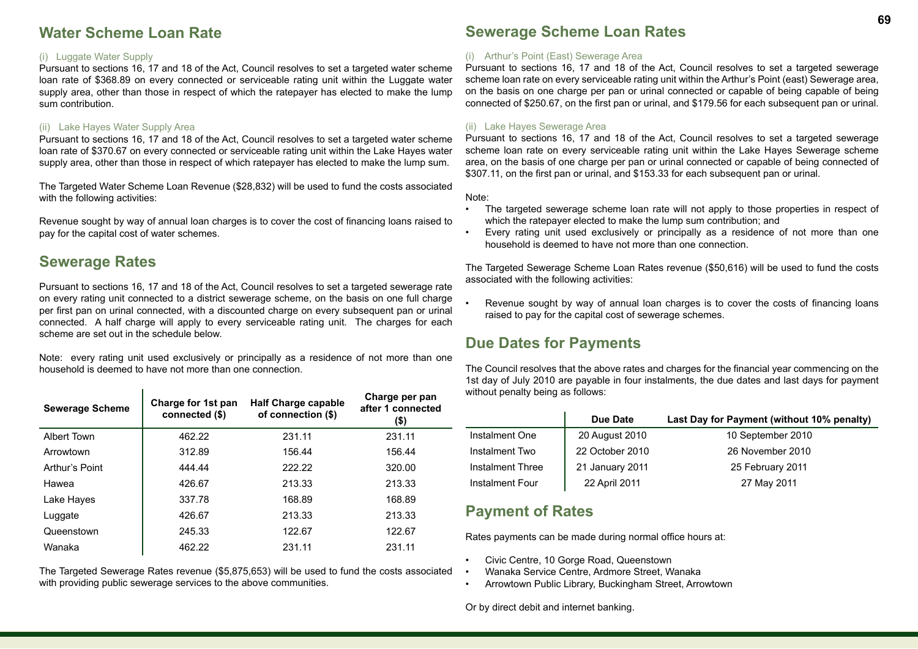## **Water Scheme Loan Rate**

#### (i) Luggate Water Supply

Pursuant to sections 16, 17 and 18 of the Act, Council resolves to set a targeted water scheme loan rate of \$368.89 on every connected or serviceable rating unit within the Luggate water supply area, other than those in respect of which the ratepayer has elected to make the lump sum contribution.

#### (ii) Lake Hayes Water Supply Area

Pursuant to sections 16, 17 and 18 of the Act, Council resolves to set a targeted water scheme loan rate of \$370.67 on every connected or serviceable rating unit within the Lake Hayes water supply area, other than those in respect of which ratepayer has elected to make the lump sum.

The Targeted Water Scheme Loan Revenue (\$28,832) will be used to fund the costs associated with the following activities:

Revenue sought by way of annual loan charges is to cover the cost of financing loans raised to pay for the capital cost of water schemes.

### **Sewerage Rates**

Pursuant to sections 16, 17 and 18 of the Act, Council resolves to set a targeted sewerage rate on every rating unit connected to a district sewerage scheme, on the basis on one full charge per first pan on urinal connected, with a discounted charge on every subsequent pan or urinal connected. A half charge will apply to every serviceable rating unit. The charges for each scheme are set out in the schedule below.

Note: every rating unit used exclusively or principally as a residence of not more than one household is deemed to have not more than one connection.

| <b>Sewerage Scheme</b> | Charge for 1st pan<br>connected (\$) | <b>Half Charge capable</b><br>of connection (\$) | Charge per pan<br>after 1 connected<br>(\$) |
|------------------------|--------------------------------------|--------------------------------------------------|---------------------------------------------|
| Albert Town            | 462.22                               | 231.11                                           | 231.11                                      |
| Arrowtown              | 312.89                               | 156.44                                           | 156.44                                      |
| Arthur's Point         | 444.44                               | 222.22                                           | 320.00                                      |
| Hawea                  | 426.67                               | 213.33                                           | 213.33                                      |
| Lake Hayes             | 337.78                               | 168.89                                           | 168.89                                      |
| Luggate                | 426.67                               | 213.33                                           | 213.33                                      |
| Queenstown             | 245.33                               | 122.67                                           | 122.67                                      |
| Wanaka                 | 462.22                               | 231.11                                           | 231.11                                      |

The Targeted Sewerage Rates revenue (\$5,875,653) will be used to fund the costs associated with providing public sewerage services to the above communities.

## **Sewerage Scheme Loan Rates**

#### (i) Arthur's Point (East) Sewerage Area

Pursuant to sections 16, 17 and 18 of the Act, Council resolves to set a targeted sewerage scheme loan rate on every serviceable rating unit within the Arthur's Point (east) Sewerage area, on the basis on one charge per pan or urinal connected or capable of being capable of being connected of \$250.67, on the first pan or urinal, and \$179.56 for each subsequent pan or urinal.

#### (ii) Lake Hayes Sewerage Area

Pursuant to sections 16, 17 and 18 of the Act, Council resolves to set a targeted sewerage scheme loan rate on every serviceable rating unit within the Lake Hayes Sewerage scheme area, on the basis of one charge per pan or urinal connected or capable of being connected of \$307.11, on the first pan or urinal, and \$153.33 for each subsequent pan or urinal.

Note:

- The targeted sewerage scheme loan rate will not apply to those properties in respect of which the ratepayer elected to make the lump sum contribution; and
- Every rating unit used exclusively or principally as a residence of not more than one household is deemed to have not more than one connection.

The Targeted Sewerage Scheme Loan Rates revenue (\$50,616) will be used to fund the costs associated with the following activities:

Revenue sought by way of annual loan charges is to cover the costs of financing loans raised to pay for the capital cost of sewerage schemes.

## **Due Dates for Payments**

The Council resolves that the above rates and charges for the financial year commencing on the 1st day of July 2010 are payable in four instalments, the due dates and last days for payment without penalty being as follows:

|                  | Due Date        | Last Day for Payment (without 10% penalty) |
|------------------|-----------------|--------------------------------------------|
| Instalment One   | 20 August 2010  | 10 September 2010                          |
| Instalment Two   | 22 October 2010 | 26 November 2010                           |
| Instalment Three | 21 January 2011 | 25 February 2011                           |
| Instalment Four  | 22 April 2011   | 27 May 2011                                |

## **Payment of Rates**

Rates payments can be made during normal office hours at:

- Civic Centre, 10 Gorge Road, Queenstown
- Wanaka Service Centre, Ardmore Street, Wanaka
- Arrowtown Public Library, Buckingham Street, Arrowtown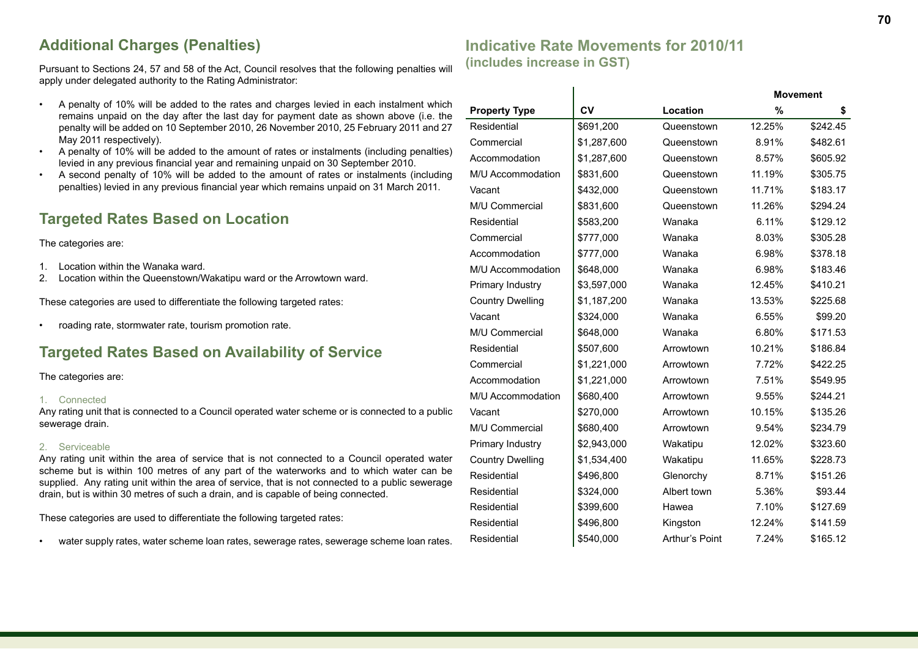# **Additional Charges (Penalties)**

Pursuant to Sections 24, 57 and 58 of the Act, Council resolves that the following penalties will apply under delegated authority to the Rating Administrator:

- A penalty of 10% will be added to the rates and charges levied in each instalment which remains unpaid on the day after the last day for payment date as shown above (i.e. the penalty will be added on 10 September 2010, 26 November 2010, 25 February 2011 and 27 May 2011 respectively).
- A penalty of 10% will be added to the amount of rates or instalments (including penalties) levied in any previous financial year and remaining unpaid on 30 September 2010.
- A second penalty of 10% will be added to the amount of rates or instalments (including penalties) levied in any previous financial year which remains unpaid on 31 March 2011.

# **Targeted Rates Based on Location**

The categories are:

- 1. Location within the Wanaka ward.
- 2. Location within the Queenstown/Wakatipu ward or the Arrowtown ward.

These categories are used to differentiate the following targeted rates:

• roading rate, stormwater rate, tourism promotion rate.

## **Targeted Rates Based on Availability of Service**

The categories are:

#### 1. Connected

Any rating unit that is connected to a Council operated water scheme or is connected to a public sewerage drain.

#### 2. Serviceable

Any rating unit within the area of service that is not connected to a Council operated water scheme but is within 100 metres of any part of the waterworks and to which water can be supplied. Any rating unit within the area of service, that is not connected to a public sewerage drain, but is within 30 metres of such a drain, and is capable of being connected.

These categories are used to differentiate the following targeted rates:

• water supply rates, water scheme loan rates, sewerage rates, sewerage scheme loan rates.

# **Indicative Rate Movements for 2010/11 (includes increase in GST) Movement**

| <b>Property Type</b>    | CV          | Location       | %      | \$       |
|-------------------------|-------------|----------------|--------|----------|
| Residential             | \$691,200   | Queenstown     | 12.25% | \$242.45 |
| Commercial              | \$1,287,600 | Queenstown     | 8.91%  | \$482.61 |
| Accommodation           | \$1,287,600 | Queenstown     | 8.57%  | \$605.92 |
| M/U Accommodation       | \$831,600   | Queenstown     | 11.19% | \$305.75 |
| Vacant                  | \$432,000   | Queenstown     | 11.71% | \$183.17 |
| M/U Commercial          | \$831,600   | Queenstown     | 11.26% | \$294.24 |
| Residential             | \$583,200   | Wanaka         | 6.11%  | \$129.12 |
| Commercial              | \$777,000   | Wanaka         | 8.03%  | \$305.28 |
| Accommodation           | \$777,000   | Wanaka         | 6.98%  | \$378.18 |
| M/U Accommodation       | \$648,000   | Wanaka         | 6.98%  | \$183.46 |
| Primary Industry        | \$3,597,000 | Wanaka         | 12.45% | \$410.21 |
| <b>Country Dwelling</b> | \$1,187,200 | Wanaka         | 13.53% | \$225.68 |
| Vacant                  | \$324,000   | Wanaka         | 6.55%  | \$99.20  |
| M/U Commercial          | \$648,000   | Wanaka         | 6.80%  | \$171.53 |
| Residential             | \$507,600   | Arrowtown      | 10.21% | \$186.84 |
| Commercial              | \$1,221,000 | Arrowtown      | 7.72%  | \$422.25 |
| Accommodation           | \$1,221,000 | Arrowtown      | 7.51%  | \$549.95 |
| M/U Accommodation       | \$680,400   | Arrowtown      | 9.55%  | \$244.21 |
| Vacant                  | \$270,000   | Arrowtown      | 10.15% | \$135.26 |
| M/U Commercial          | \$680,400   | Arrowtown      | 9.54%  | \$234.79 |
| Primary Industry        | \$2,943,000 | Wakatipu       | 12.02% | \$323.60 |
| <b>Country Dwelling</b> | \$1,534,400 | Wakatipu       | 11.65% | \$228.73 |
| Residential             | \$496,800   | Glenorchy      | 8.71%  | \$151.26 |
| Residential             | \$324,000   | Albert town    | 5.36%  | \$93.44  |
| Residential             | \$399,600   | Hawea          | 7.10%  | \$127.69 |
| Residential             | \$496,800   | Kingston       | 12.24% | \$141.59 |
| Residential             | \$540,000   | Arthur's Point | 7.24%  | \$165.12 |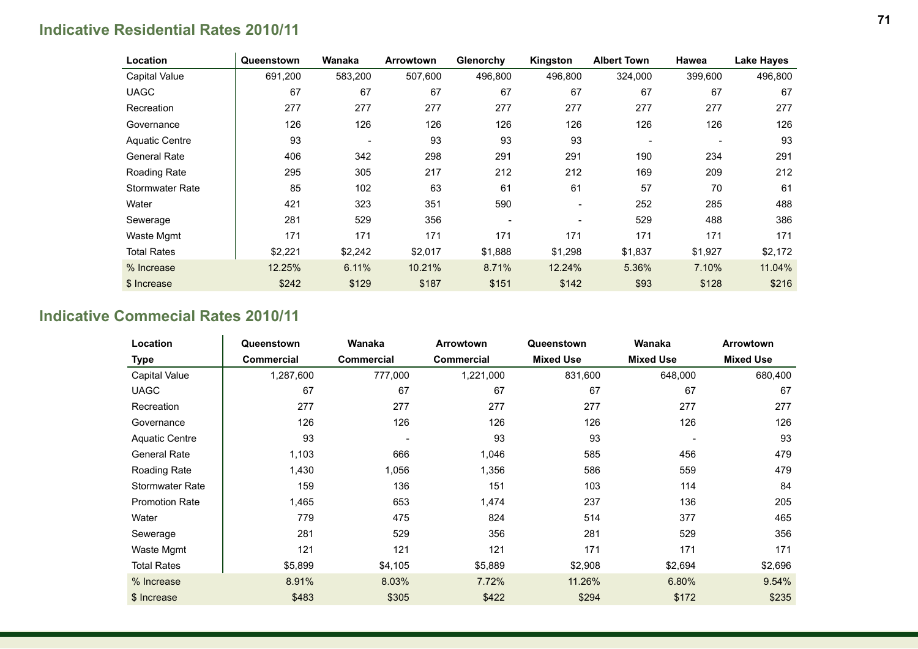# **Indicative Residential Rates 2010/11**

| Location              | Queenstown | Wanaka  | Arrowtown | Glenorchy | Kingston | <b>Albert Town</b>       | Hawea                    | Lake Hayes |
|-----------------------|------------|---------|-----------|-----------|----------|--------------------------|--------------------------|------------|
| Capital Value         | 691,200    | 583,200 | 507,600   | 496,800   | 496,800  | 324,000                  | 399,600                  | 496,800    |
| <b>UAGC</b>           | 67         | 67      | 67        | 67        | 67       | 67                       | 67                       | 67         |
| Recreation            | 277        | 277     | 277       | 277       | 277      | 277                      | 277                      | 277        |
| Governance            | 126        | 126     | 126       | 126       | 126      | 126                      | 126                      | 126        |
| <b>Aquatic Centre</b> | 93         |         | 93        | 93        | 93       | $\overline{\phantom{a}}$ | $\overline{\phantom{a}}$ | 93         |
| General Rate          | 406        | 342     | 298       | 291       | 291      | 190                      | 234                      | 291        |
| Roading Rate          | 295        | 305     | 217       | 212       | 212      | 169                      | 209                      | 212        |
| Stormwater Rate       | 85         | 102     | 63        | 61        | 61       | 57                       | 70                       | 61         |
| Water                 | 421        | 323     | 351       | 590       |          | 252                      | 285                      | 488        |
| Sewerage              | 281        | 529     | 356       |           |          | 529                      | 488                      | 386        |
| Waste Mgmt            | 171        | 171     | 171       | 171       | 171      | 171                      | 171                      | 171        |
| <b>Total Rates</b>    | \$2,221    | \$2,242 | \$2,017   | \$1,888   | \$1,298  | \$1,837                  | \$1,927                  | \$2,172    |
| % Increase            | 12.25%     | 6.11%   | 10.21%    | 8.71%     | 12.24%   | 5.36%                    | 7.10%                    | 11.04%     |
| \$ Increase           | \$242      | \$129   | \$187     | \$151     | \$142    | \$93                     | \$128                    | \$216      |

# **Indicative Commecial Rates 2010/11**

| Location               | Queenstown | Wanaka     | <b>Arrowtown</b>  | Queenstown       | Wanaka           | <b>Arrowtown</b> |
|------------------------|------------|------------|-------------------|------------------|------------------|------------------|
| <b>Type</b>            | Commercial | Commercial | <b>Commercial</b> | <b>Mixed Use</b> | <b>Mixed Use</b> | <b>Mixed Use</b> |
| Capital Value          | 1,287,600  | 777,000    | 1,221,000         | 831,600          | 648,000          | 680,400          |
| <b>UAGC</b>            | 67         | 67         | 67                | 67               | 67               | 67               |
| Recreation             | 277        | 277        | 277               | 277              | 277              | 277              |
| Governance             | 126        | 126        | 126               | 126              | 126              | 126              |
| <b>Aquatic Centre</b>  | 93         |            | 93                | 93               |                  | 93               |
| <b>General Rate</b>    | 1,103      | 666        | 1,046             | 585              | 456              | 479              |
| Roading Rate           | 1,430      | 1,056      | 1,356             | 586              | 559              | 479              |
| <b>Stormwater Rate</b> | 159        | 136        | 151               | 103              | 114              | 84               |
| <b>Promotion Rate</b>  | 1,465      | 653        | 1,474             | 237              | 136              | 205              |
| Water                  | 779        | 475        | 824               | 514              | 377              | 465              |
| Sewerage               | 281        | 529        | 356               | 281              | 529              | 356              |
| Waste Mgmt             | 121        | 121        | 121               | 171              | 171              | 171              |
| <b>Total Rates</b>     | \$5,899    | \$4,105    | \$5,889           | \$2,908          | \$2,694          | \$2,696          |
| % Increase             | 8.91%      | 8.03%      | 7.72%             | 11.26%           | 6.80%            | 9.54%            |
| \$ Increase            | \$483      | \$305      | \$422             | \$294            | \$172            | \$235            |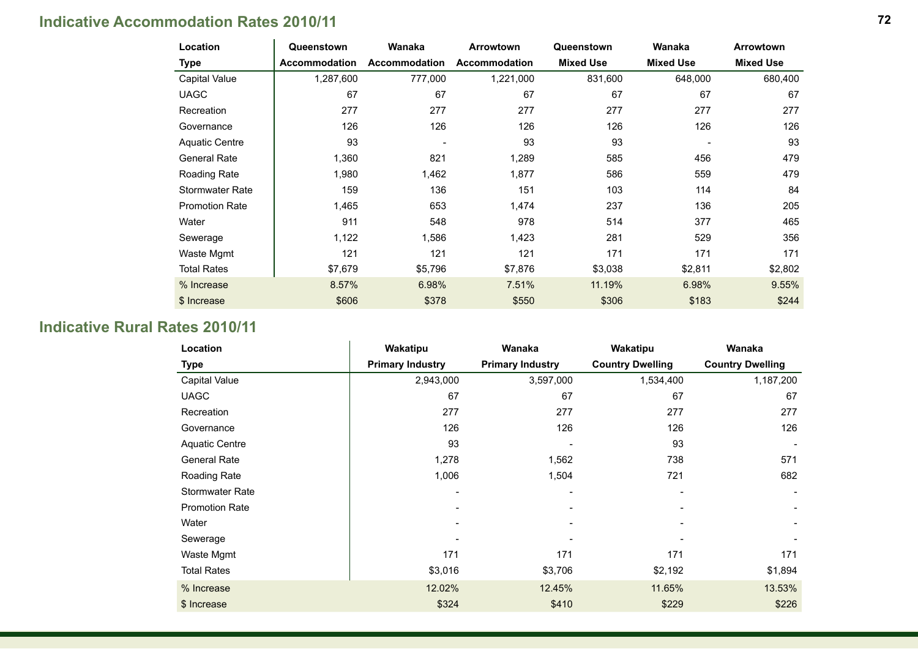# **Indicative Accommodation Rates 2010/11**

| Location               | Queenstown           | Wanaka                   | <b>Arrowtown</b>     | Queenstown       | Wanaka           | Arrowtown        |
|------------------------|----------------------|--------------------------|----------------------|------------------|------------------|------------------|
| <b>Type</b>            | <b>Accommodation</b> | <b>Accommodation</b>     | <b>Accommodation</b> | <b>Mixed Use</b> | <b>Mixed Use</b> | <b>Mixed Use</b> |
| Capital Value          | 1,287,600            | 777,000                  | 1,221,000            | 831,600          | 648,000          | 680,400          |
| <b>UAGC</b>            | 67                   | 67                       | 67                   | 67               | 67               | 67               |
| Recreation             | 277                  | 277                      | 277                  | 277              | 277              | 277              |
| Governance             | 126                  | 126                      | 126                  | 126              | 126              | 126              |
| <b>Aquatic Centre</b>  | 93                   | $\overline{\phantom{a}}$ | 93                   | 93               |                  | 93               |
| <b>General Rate</b>    | 1,360                | 821                      | 1,289                | 585              | 456              | 479              |
| Roading Rate           | 1,980                | 1,462                    | 1,877                | 586              | 559              | 479              |
| <b>Stormwater Rate</b> | 159                  | 136                      | 151                  | 103              | 114              | 84               |
| <b>Promotion Rate</b>  | 1,465                | 653                      | 1,474                | 237              | 136              | 205              |
| Water                  | 911                  | 548                      | 978                  | 514              | 377              | 465              |
| Sewerage               | 1,122                | 1,586                    | 1,423                | 281              | 529              | 356              |
| Waste Mgmt             | 121                  | 121                      | 121                  | 171              | 171              | 171              |
| <b>Total Rates</b>     | \$7,679              | \$5,796                  | \$7,876              | \$3,038          | \$2,811          | \$2,802          |
| % Increase             | 8.57%                | 6.98%                    | 7.51%                | 11.19%           | 6.98%            | 9.55%            |
| \$ Increase            | \$606                | \$378                    | \$550                | \$306            | \$183            | \$244            |

# **Indicative Rural Rates 2010/11**

| Location              | Wakatipu                | Wanaka                  | Wakatipu                | Wanaka                  |
|-----------------------|-------------------------|-------------------------|-------------------------|-------------------------|
| <b>Type</b>           | <b>Primary Industry</b> | <b>Primary Industry</b> | <b>Country Dwelling</b> | <b>Country Dwelling</b> |
| Capital Value         | 2,943,000               | 3,597,000               | 1,534,400               | 1,187,200               |
| <b>UAGC</b>           | 67                      | 67                      | 67                      | 67                      |
| Recreation            | 277                     | 277                     | 277                     | 277                     |
| Governance            | 126                     | 126                     | 126                     | 126                     |
| <b>Aquatic Centre</b> | 93                      |                         | 93                      |                         |
| <b>General Rate</b>   | 1,278                   | 1,562                   | 738                     | 571                     |
| Roading Rate          | 1,006                   | 1,504                   | 721                     | 682                     |
| Stormwater Rate       |                         |                         |                         |                         |
| <b>Promotion Rate</b> |                         |                         |                         |                         |
| Water                 |                         |                         |                         |                         |
| Sewerage              |                         |                         |                         |                         |
| Waste Mgmt            | 171                     | 171                     | 171                     | 171                     |
| <b>Total Rates</b>    | \$3,016                 | \$3,706                 | \$2,192                 | \$1,894                 |
| % Increase            | 12.02%                  | 12.45%                  | 11.65%                  | 13.53%                  |
| \$ Increase           | \$324                   | \$410                   | \$229                   | \$226                   |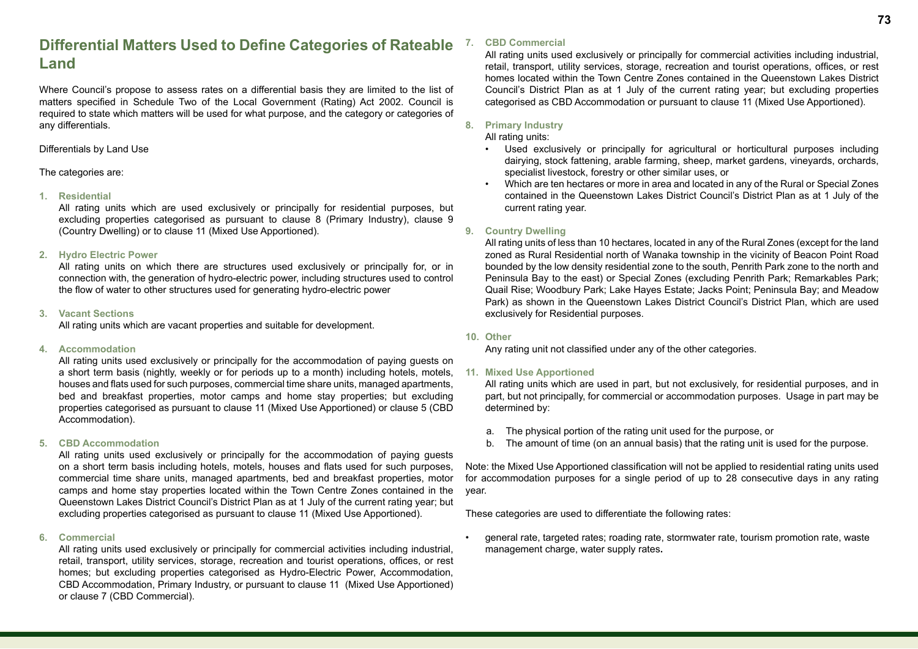### **Differential Matters Used to Define Categories of Rateable Land**

Where Council's propose to assess rates on a differential basis they are limited to the list of matters specified in Schedule Two of the Local Government (Rating) Act 2002. Council is required to state which matters will be used for what purpose, and the category or categories of any differentials.

#### Differentials by Land Use

The categories are:

#### **1. Residential**

All rating units which are used exclusively or principally for residential purposes, but excluding properties categorised as pursuant to clause 8 (Primary Industry), clause 9 (Country Dwelling) or to clause 11 (Mixed Use Apportioned).

#### **2. Hydro Electric Power**

All rating units on which there are structures used exclusively or principally for, or in connection with, the generation of hydro-electric power, including structures used to control the flow of water to other structures used for generating hydro-electric power

#### **3. Vacant Sections**

All rating units which are vacant properties and suitable for development.

#### **4. Accommodation**

All rating units used exclusively or principally for the accommodation of paying guests on a short term basis (nightly, weekly or for periods up to a month) including hotels, motels, houses and flats used for such purposes, commercial time share units, managed apartments, bed and breakfast properties, motor camps and home stay properties; but excluding properties categorised as pursuant to clause 11 (Mixed Use Apportioned) or clause 5 (CBD Accommodation).

#### **5. CBD Accommodation**

All rating units used exclusively or principally for the accommodation of paying guests on a short term basis including hotels, motels, houses and flats used for such purposes, commercial time share units, managed apartments, bed and breakfast properties, motor camps and home stay properties located within the Town Centre Zones contained in the Queenstown Lakes District Council's District Plan as at 1 July of the current rating year; but excluding properties categorised as pursuant to clause 11 (Mixed Use Apportioned).

#### **6. Commercial**

All rating units used exclusively or principally for commercial activities including industrial, retail, transport, utility services, storage, recreation and tourist operations, offices, or rest homes; but excluding properties categorised as Hydro-Electric Power, Accommodation, CBD Accommodation, Primary Industry, or pursuant to clause 11 (Mixed Use Apportioned) or clause 7 (CBD Commercial).

#### **7. CBD Commercial**

All rating units used exclusively or principally for commercial activities including industrial, retail, transport, utility services, storage, recreation and tourist operations, offices, or rest homes located within the Town Centre Zones contained in the Queenstown Lakes District Council's District Plan as at 1 July of the current rating year; but excluding properties categorised as CBD Accommodation or pursuant to clause 11 (Mixed Use Apportioned).

#### **8. Primary Industry**

#### All rating units:

- Used exclusively or principally for agricultural or horticultural purposes including dairying, stock fattening, arable farming, sheep, market gardens, vineyards, orchards, specialist livestock, forestry or other similar uses, or
- Which are ten hectares or more in area and located in any of the Rural or Special Zones contained in the Queenstown Lakes District Council's District Plan as at 1 July of the current rating year.

#### **9. Country Dwelling**

All rating units of less than 10 hectares, located in any of the Rural Zones (except for the land zoned as Rural Residential north of Wanaka township in the vicinity of Beacon Point Road bounded by the low density residential zone to the south, Penrith Park zone to the north and Peninsula Bay to the east) or Special Zones (excluding Penrith Park; Remarkables Park; Quail Rise; Woodbury Park; Lake Hayes Estate; Jacks Point; Peninsula Bay; and Meadow Park) as shown in the Queenstown Lakes District Council's District Plan, which are used exclusively for Residential purposes.

#### **10. Other**

Any rating unit not classified under any of the other categories.

#### **11. Mixed Use Apportioned**

All rating units which are used in part, but not exclusively, for residential purposes, and in part, but not principally, for commercial or accommodation purposes. Usage in part may be determined by:

- a. The physical portion of the rating unit used for the purpose, or
- b. The amount of time (on an annual basis) that the rating unit is used for the purpose.

Note: the Mixed Use Apportioned classification will not be applied to residential rating units used for accommodation purposes for a single period of up to 28 consecutive days in any rating year.

These categories are used to differentiate the following rates:

• general rate, targeted rates; roading rate, stormwater rate, tourism promotion rate, waste management charge, water supply rates**.**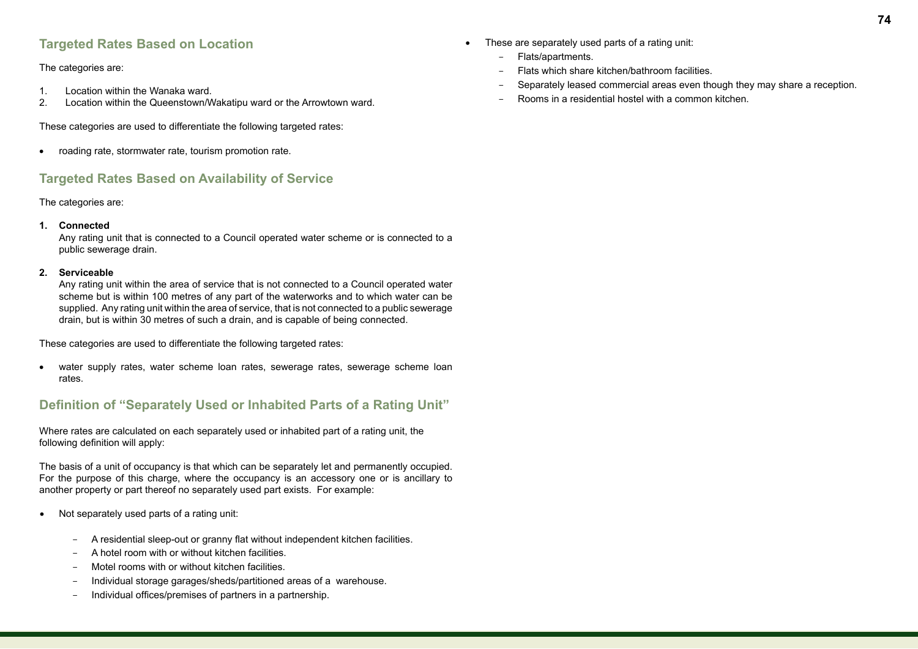### **Targeted Rates Based on Location**

The categories are:

- 1. Location within the Wanaka ward.
- 2. Location within the Queenstown/Wakatipu ward or the Arrowtown ward.

These categories are used to differentiate the following targeted rates:

• roading rate, stormwater rate, tourism promotion rate.

### **Targeted Rates Based on Availability of Service**

#### The categories are:

#### **1. Connected**

Any rating unit that is connected to a Council operated water scheme or is connected to a public sewerage drain.

#### **2. Serviceable**

Any rating unit within the area of service that is not connected to a Council operated water scheme but is within 100 metres of any part of the waterworks and to which water can be supplied. Any rating unit within the area of service, that is not connected to a public sewerage drain, but is within 30 metres of such a drain, and is capable of being connected.

These categories are used to differentiate the following targeted rates:

• water supply rates, water scheme loan rates, sewerage rates, sewerage scheme loan rates.

### **Definition of "Separately Used or Inhabited Parts of a Rating Unit"**

Where rates are calculated on each separately used or inhabited part of a rating unit, the following definition will apply:

The basis of a unit of occupancy is that which can be separately let and permanently occupied. For the purpose of this charge, where the occupancy is an accessory one or is ancillary to another property or part thereof no separately used part exists. For example:

- • Not separately used parts of a rating unit:
	- A residential sleep-out or granny flat without independent kitchen facilities.
	- A hotel room with or without kitchen facilities.
	- Motel rooms with or without kitchen facilities.
	- Individual storage garages/sheds/partitioned areas of a warehouse.
	- Individual offices/premises of partners in a partnership.
- These are separately used parts of a rating unit:
	- Flats/apartments.
	- Flats which share kitchen/bathroom facilities.
	- Separately leased commercial areas even though they may share a reception.
	- Rooms in a residential hostel with a common kitchen.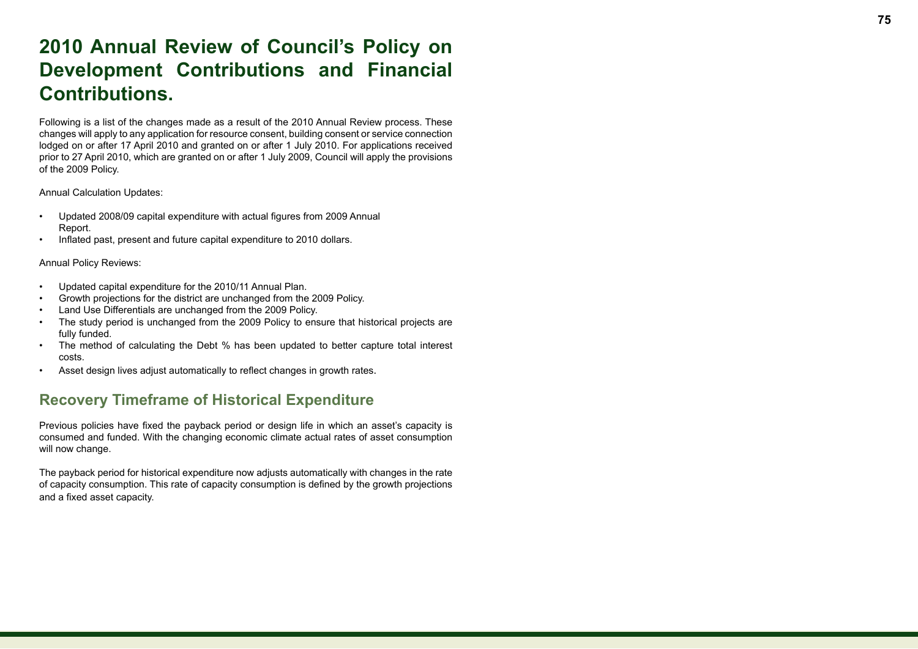# **2010 Annual Review of Council's Policy on Development Contributions and Financial Contributions.**

Following is a list of the changes made as a result of the 2010 Annual Review process. These changes will apply to any application for resource consent, building consent or service connection lodged on or after 17 April 2010 and granted on or after 1 July 2010. For applications received prior to 27 April 2010, which are granted on or after 1 July 2009, Council will apply the provisions of the 2009 Policy.

Annual Calculation Updates:

- Updated 2008/09 capital expenditure with actual figures from 2009 Annual Report.
- Inflated past, present and future capital expenditure to 2010 dollars.

Annual Policy Reviews:

- Updated capital expenditure for the 2010/11 Annual Plan.
- Growth projections for the district are unchanged from the 2009 Policy .
- Land Use Differentials are unchanged from the 2009 Policy.
- The study period is unchanged from the 2009 Policy to ensure that historical projects are fully funded.
- The method of calculating the Debt % has been updated to better capture total interest costs.
- Asset design lives adjust automatically to reflect changes in growth rates.

### **Recovery Timeframe of Historical Expenditure**

Previous policies have fixed the payback period or design life in which an asset's capacity is consumed and funded. With the changing economic climate actual rates of asset consumption will now change.

The payback period for historical expenditure now adjusts automatically with changes in the rate of capacity consumption. This rate of capacity consumption is defined by the growth projections and a fixed asset capacity.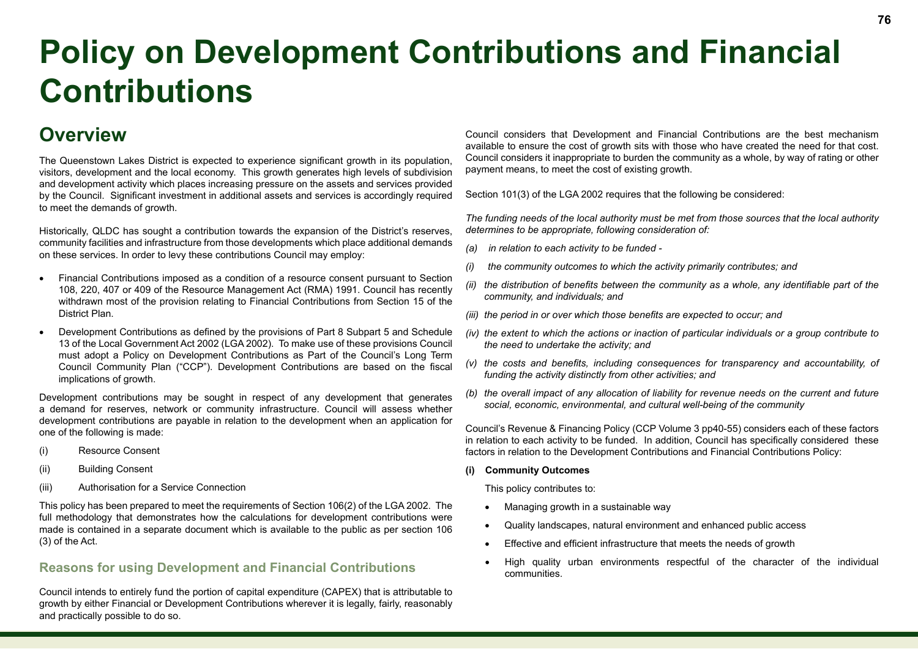# **Policy on Development Contributions and Financial Contributions**

# **Overview**

The Queenstown Lakes District is expected to experience significant growth in its population, visitors, development and the local economy. This growth generates high levels of subdivision and development activity which places increasing pressure on the assets and services provided by the Council. Significant investment in additional assets and services is accordingly required to meet the demands of growth.

Historically, QLDC has sought a contribution towards the expansion of the District's reserves, community facilities and infrastructure from those developments which place additional demands on these services. In order to levy these contributions Council may employ:

- Financial Contributions imposed as a condition of a resource consent pursuant to Section 108, 220, 407 or 409 of the Resource Management Act (RMA) 1991. Council has recently withdrawn most of the provision relating to Financial Contributions from Section 15 of the District Plan.
- Development Contributions as defined by the provisions of Part 8 Subpart 5 and Schedule 13 of the Local Government Act 2002 (LGA 2002). To make use of these provisions Council must adopt a Policy on Development Contributions as Part of the Council's Long Term Council Community Plan ("CCP"). Development Contributions are based on the fiscal implications of growth.

Development contributions may be sought in respect of any development that generates a demand for reserves, network or community infrastructure. Council will assess whether development contributions are payable in relation to the development when an application for one of the following is made:

- (i) Resource Consent
- (ii) Building Consent
- (iii) Authorisation for a Service Connection

This policy has been prepared to meet the requirements of Section 106(2) of the LGA 2002. The full methodology that demonstrates how the calculations for development contributions were made is contained in a separate document which is available to the public as per section 106 (3) of the Act.

### **Reasons for using Development and Financial Contributions**

Council intends to entirely fund the portion of capital expenditure (CAPEX) that is attributable to growth by either Financial or Development Contributions wherever it is legally, fairly, reasonably and practically possible to do so.

Council considers that Development and Financial Contributions are the best mechanism available to ensure the cost of growth sits with those who have created the need for that cost. Council considers it inappropriate to burden the community as a whole, by way of rating or other payment means, to meet the cost of existing growth.

Section 101(3) of the LGA 2002 requires that the following be considered:

*The funding needs of the local authority must be met from those sources that the local authority determines to be appropriate, following consideration of:*

- *(a) in relation to each activity to be funded*
- *(i) the community outcomes to which the activity primarily contributes; and*
- *(ii) the distribution of benefits between the community as a whole, any identifiable part of the community, and individuals; and*
- *(iii) the period in or over which those benefits are expected to occur; and*
- *(iv) the extent to which the actions or inaction of particular individuals or a group contribute to the need to undertake the activity; and*
- *(v) the costs and benefits, including consequences for transparency and accountability, of funding the activity distinctly from other activities; and*
- *(b) the overall impact of any allocation of liability for revenue needs on the current and future social, economic, environmental, and cultural well-being of the community*

Council's Revenue & Financing Policy (CCP Volume 3 pp40-55) considers each of these factors in relation to each activity to be funded. In addition, Council has specifically considered these factors in relation to the Development Contributions and Financial Contributions Policy:

**(i) Community Outcomes**

This policy contributes to:

- Managing growth in a sustainable way
- Quality landscapes, natural environment and enhanced public access
- Effective and efficient infrastructure that meets the needs of growth
- High quality urban environments respectful of the character of the individual communities.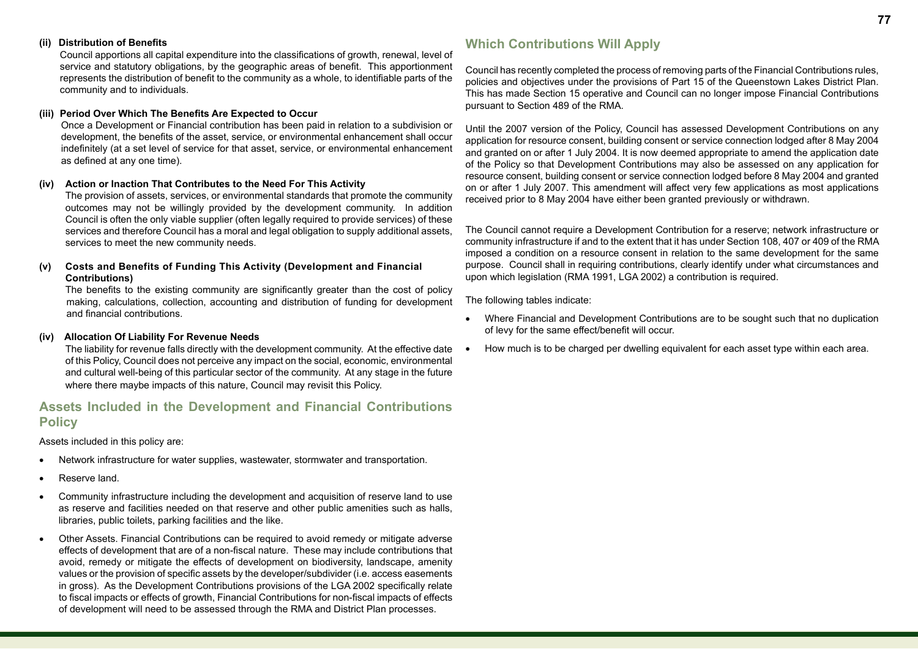#### **(ii) Distribution of Benefits**

Council apportions all capital expenditure into the classifications of growth, renewal, level of service and statutory obligations, by the geographic areas of benefit. This apportionment represents the distribution of benefit to the community as a whole, to identifiable parts of the community and to individuals.

#### **(iii) Period Over Which The Benefits Are Expected to Occur**

Once a Development or Financial contribution has been paid in relation to a subdivision or development, the benefits of the asset, service, or environmental enhancement shall occur indefinitely (at a set level of service for that asset, service, or environmental enhancement as defined at any one time).

#### **(iv) Action or Inaction That Contributes to the Need For This Activity**

The provision of assets, services, or environmental standards that promote the community outcomes may not be willingly provided by the development community. In addition Council is often the only viable supplier (often legally required to provide services) of these services and therefore Council has a moral and legal obligation to supply additional assets, services to meet the new community needs.

#### **(v) Costs and Benefits of Funding This Activity (Development and Financial Contributions)**

The benefits to the existing community are significantly greater than the cost of policy making, calculations, collection, accounting and distribution of funding for development and financial contributions.

#### **(iv) Allocation Of Liability For Revenue Needs**

The liability for revenue falls directly with the development community. At the effective date of this Policy, Council does not perceive any impact on the social, economic, environmental and cultural well-being of this particular sector of the community. At any stage in the future where there maybe impacts of this nature, Council may revisit this Policy.

### **Assets Included in the Development and Financial Contributions Policy**

Assets included in this policy are:

- Network infrastructure for water supplies, wastewater, stormwater and transportation.
- Reserve land.
- • Community infrastructure including the development and acquisition of reserve land to use as reserve and facilities needed on that reserve and other public amenities such as halls, libraries, public toilets, parking facilities and the like.
- Other Assets. Financial Contributions can be required to avoid remedy or mitigate adverse effects of development that are of a non-fiscal nature. These may include contributions that avoid, remedy or mitigate the effects of development on biodiversity, landscape, amenity values or the provision of specific assets by the developer/subdivider (i.e. access easements in gross). As the Development Contributions provisions of the LGA 2002 specifically relate to fiscal impacts or effects of growth, Financial Contributions for non-fiscal impacts of effects of development will need to be assessed through the RMA and District Plan processes.

### **Which Contributions Will Apply**

Council has recently completed the process of removing parts of the Financial Contributions rules, policies and objectives under the provisions of Part 15 of the Queenstown Lakes District Plan. This has made Section 15 operative and Council can no longer impose Financial Contributions pursuant to Section 489 of the RMA.

Until the 2007 version of the Policy, Council has assessed Development Contributions on any application for resource consent, building consent or service connection lodged after 8 May 2004 and granted on or after 1 July 2004. It is now deemed appropriate to amend the application date of the Policy so that Development Contributions may also be assessed on any application for resource consent, building consent or service connection lodged before 8 May 2004 and granted on or after 1 July 2007. This amendment will affect very few applications as most applications received prior to 8 May 2004 have either been granted previously or withdrawn.

The Council cannot require a Development Contribution for a reserve; network infrastructure or community infrastructure if and to the extent that it has under Section 108, 407 or 409 of the RMA imposed a condition on a resource consent in relation to the same development for the same purpose. Council shall in requiring contributions, clearly identify under what circumstances and upon which legislation (RMA 1991, LGA 2002) a contribution is required.

The following tables indicate:

- Where Financial and Development Contributions are to be sought such that no duplication of levy for the same effect/benefit will occur.
- How much is to be charged per dwelling equivalent for each asset type within each area.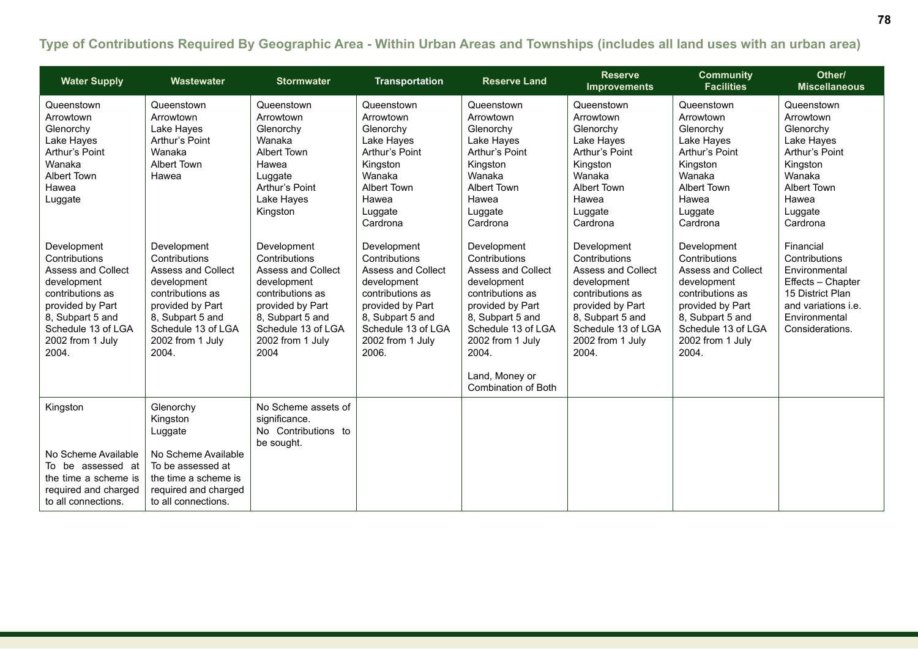### **Type of Contributions Required By Geographic Area - Within Urban Areas and Townships (includes all land uses with an urban area)**

| <b>Water Supply</b>                                                                                                                                                                     | Wastewater                                                                                                                                                                              | <b>Stormwater</b>                                                                                                                                                                      | <b>Transportation</b>                                                                                                                                                            | <b>Reserve Land</b>                                                                                                                                                                                                              | <b>Reserve</b><br><b>Improvements</b>                                                                                                                                                   | <b>Community</b><br><b>Facilities</b>                                                                                                                                                   | Other/<br><b>Miscellaneous</b>                                                                                                                         |
|-----------------------------------------------------------------------------------------------------------------------------------------------------------------------------------------|-----------------------------------------------------------------------------------------------------------------------------------------------------------------------------------------|----------------------------------------------------------------------------------------------------------------------------------------------------------------------------------------|----------------------------------------------------------------------------------------------------------------------------------------------------------------------------------|----------------------------------------------------------------------------------------------------------------------------------------------------------------------------------------------------------------------------------|-----------------------------------------------------------------------------------------------------------------------------------------------------------------------------------------|-----------------------------------------------------------------------------------------------------------------------------------------------------------------------------------------|--------------------------------------------------------------------------------------------------------------------------------------------------------|
| Queenstown<br>Arrowtown<br>Glenorchy<br>Lake Hayes<br>Arthur's Point<br>Wanaka<br>Albert Town<br>Hawea<br>Luggate                                                                       | Queenstown<br>Arrowtown<br>Lake Hayes<br>Arthur's Point<br>Wanaka<br><b>Albert Town</b><br>Hawea                                                                                        | Queenstown<br>Arrowtown<br>Glenorchy<br>Wanaka<br>Albert Town<br>Hawea<br>Luggate<br>Arthur's Point<br>Lake Hayes<br>Kingston                                                          | Queenstown<br>Arrowtown<br>Glenorchy<br>Lake Hayes<br>Arthur's Point<br>Kingston<br>Wanaka<br>Albert Town<br>Hawea<br>Luggate<br>Cardrona                                        | Queenstown<br>Arrowtown<br>Glenorchy<br>Lake Hayes<br>Arthur's Point<br>Kingston<br>Wanaka<br>Albert Town<br>Hawea<br>Luggate<br>Cardrona                                                                                        | Queenstown<br>Arrowtown<br>Glenorchy<br>Lake Hayes<br>Arthur's Point<br>Kingston<br>Wanaka<br>Albert Town<br>Hawea<br>Luggate<br>Cardrona                                               | Queenstown<br>Arrowtown<br>Glenorchy<br>Lake Hayes<br>Arthur's Point<br>Kingston<br>Wanaka<br>Albert Town<br>Hawea<br>Luggate<br>Cardrona                                               | Queenstown<br>Arrowtown<br>Glenorchy<br>Lake Hayes<br>Arthur's Point<br>Kingston<br>Wanaka<br>Albert Town<br>Hawea<br>Luggate<br>Cardrona              |
| Development<br>Contributions<br><b>Assess and Collect</b><br>development<br>contributions as<br>provided by Part<br>8, Subpart 5 and<br>Schedule 13 of LGA<br>2002 from 1 July<br>2004. | Development<br>Contributions<br><b>Assess and Collect</b><br>development<br>contributions as<br>provided by Part<br>8, Subpart 5 and<br>Schedule 13 of LGA<br>2002 from 1 July<br>2004. | Development<br>Contributions<br><b>Assess and Collect</b><br>development<br>contributions as<br>provided by Part<br>8, Subpart 5 and<br>Schedule 13 of LGA<br>2002 from 1 July<br>2004 | Development<br>Contributions<br>Assess and Collect<br>development<br>contributions as<br>provided by Part<br>8, Subpart 5 and<br>Schedule 13 of LGA<br>2002 from 1 July<br>2006. | Development<br>Contributions<br><b>Assess and Collect</b><br>development<br>contributions as<br>provided by Part<br>8, Subpart 5 and<br>Schedule 13 of LGA<br>2002 from 1 July<br>2004.<br>Land, Money or<br>Combination of Both | Development<br>Contributions<br><b>Assess and Collect</b><br>development<br>contributions as<br>provided by Part<br>8, Subpart 5 and<br>Schedule 13 of LGA<br>2002 from 1 July<br>2004. | Development<br>Contributions<br><b>Assess and Collect</b><br>development<br>contributions as<br>provided by Part<br>8, Subpart 5 and<br>Schedule 13 of LGA<br>2002 from 1 July<br>2004. | Financial<br>Contributions<br>Environmental<br>Effects - Chapter<br>15 District Plan<br>and variations <i>i.e.</i><br>Environmental<br>Considerations. |
| Kingston<br>No Scheme Available<br>To be assessed at<br>the time a scheme is<br>required and charged<br>to all connections.                                                             | Glenorchy<br>Kingston<br>Luggate<br>No Scheme Available<br>To be assessed at<br>the time a scheme is<br>required and charged<br>to all connections.                                     | No Scheme assets of<br>significance.<br>No Contributions to<br>be sought.                                                                                                              |                                                                                                                                                                                  |                                                                                                                                                                                                                                  |                                                                                                                                                                                         |                                                                                                                                                                                         |                                                                                                                                                        |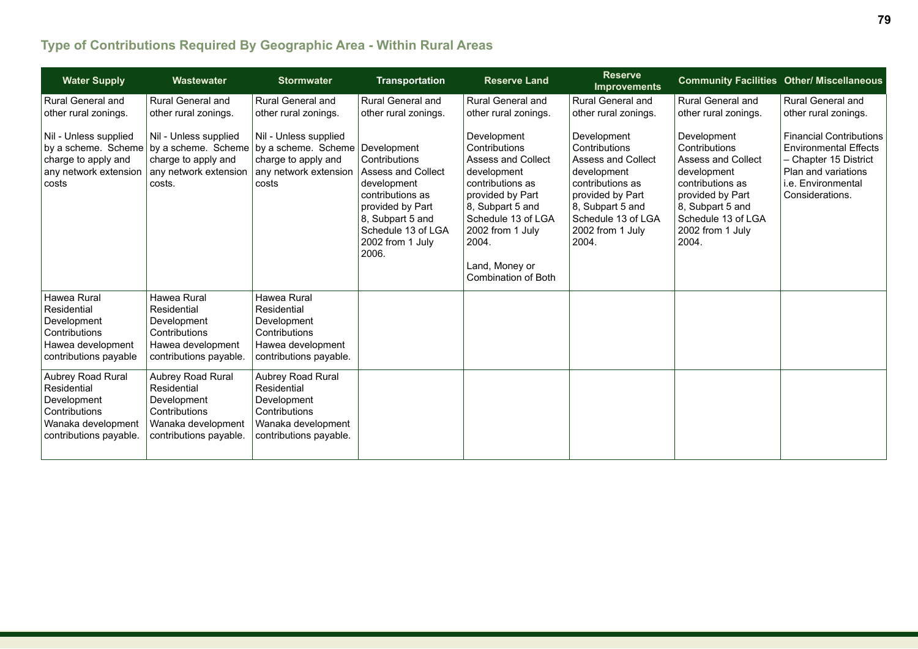# **Type of Contributions Required By Geographic Area - Within Rural Areas**

| <b>Water Supply</b>                                                                                              | Wastewater                                                                                                       | <b>Stormwater</b>                                                                                                         | <b>Transportation</b>                                                                                                                                                                   | <b>Reserve Land</b>                                                                                                                                                                                                                     | <b>Reserve</b><br><b>Improvements</b>                                                                                                                                                   |                                                                                                                                                                                         | <b>Community Facilities Other/ Miscellaneous</b>                                                                                                        |
|------------------------------------------------------------------------------------------------------------------|------------------------------------------------------------------------------------------------------------------|---------------------------------------------------------------------------------------------------------------------------|-----------------------------------------------------------------------------------------------------------------------------------------------------------------------------------------|-----------------------------------------------------------------------------------------------------------------------------------------------------------------------------------------------------------------------------------------|-----------------------------------------------------------------------------------------------------------------------------------------------------------------------------------------|-----------------------------------------------------------------------------------------------------------------------------------------------------------------------------------------|---------------------------------------------------------------------------------------------------------------------------------------------------------|
| <b>Rural General and</b>                                                                                         | Rural General and                                                                                                | <b>Rural General and</b>                                                                                                  | Rural General and                                                                                                                                                                       | <b>Rural General and</b>                                                                                                                                                                                                                | <b>Rural General and</b>                                                                                                                                                                | Rural General and                                                                                                                                                                       | Rural General and                                                                                                                                       |
| other rural zonings.                                                                                             | other rural zonings.                                                                                             | other rural zonings.                                                                                                      | other rural zonings.                                                                                                                                                                    | other rural zonings.                                                                                                                                                                                                                    | other rural zonings.                                                                                                                                                                    | other rural zonings.                                                                                                                                                                    | other rural zonings.                                                                                                                                    |
| Nil - Unless supplied<br>by a scheme. Scheme<br>charge to apply and<br>any network extension<br>costs            | Nil - Unless supplied<br>charge to apply and<br>any network extension<br>costs.                                  | Nil - Unless supplied<br>by a scheme. Scheme by a scheme. Scheme<br>charge to apply and<br>any network extension<br>costs | Development<br>Contributions<br><b>Assess and Collect</b><br>development<br>contributions as<br>provided by Part<br>8, Subpart 5 and<br>Schedule 13 of LGA<br>2002 from 1 July<br>2006. | Development<br>Contributions<br><b>Assess and Collect</b><br>development<br>contributions as<br>provided by Part<br>8, Subpart 5 and<br>Schedule 13 of LGA<br>2002 from 1 July<br>2004.<br>Land, Money or<br><b>Combination of Both</b> | Development<br>Contributions<br><b>Assess and Collect</b><br>development<br>contributions as<br>provided by Part<br>8, Subpart 5 and<br>Schedule 13 of LGA<br>2002 from 1 July<br>2004. | Development<br>Contributions<br><b>Assess and Collect</b><br>development<br>contributions as<br>provided by Part<br>8, Subpart 5 and<br>Schedule 13 of LGA<br>2002 from 1 July<br>2004. | <b>Financial Contributions</b><br><b>Environmental Effects</b><br>- Chapter 15 District<br>Plan and variations<br>i.e. Environmental<br>Considerations. |
| Hawea Rural                                                                                                      | Hawea Rural                                                                                                      | Hawea Rural                                                                                                               |                                                                                                                                                                                         |                                                                                                                                                                                                                                         |                                                                                                                                                                                         |                                                                                                                                                                                         |                                                                                                                                                         |
| Residential                                                                                                      | Residential                                                                                                      | Residential                                                                                                               |                                                                                                                                                                                         |                                                                                                                                                                                                                                         |                                                                                                                                                                                         |                                                                                                                                                                                         |                                                                                                                                                         |
| Development                                                                                                      | Development                                                                                                      | Development                                                                                                               |                                                                                                                                                                                         |                                                                                                                                                                                                                                         |                                                                                                                                                                                         |                                                                                                                                                                                         |                                                                                                                                                         |
| Contributions                                                                                                    | Contributions                                                                                                    | Contributions                                                                                                             |                                                                                                                                                                                         |                                                                                                                                                                                                                                         |                                                                                                                                                                                         |                                                                                                                                                                                         |                                                                                                                                                         |
| Hawea development<br>contributions payable                                                                       | Hawea development<br>contributions payable.                                                                      | Hawea development<br>contributions payable.                                                                               |                                                                                                                                                                                         |                                                                                                                                                                                                                                         |                                                                                                                                                                                         |                                                                                                                                                                                         |                                                                                                                                                         |
| Aubrey Road Rural<br>Residential<br>Development<br>Contributions<br>Wanaka development<br>contributions payable. | Aubrey Road Rural<br>Residential<br>Development<br>Contributions<br>Wanaka development<br>contributions payable. | Aubrey Road Rural<br>Residential<br>Development<br>Contributions<br>Wanaka development<br>contributions payable.          |                                                                                                                                                                                         |                                                                                                                                                                                                                                         |                                                                                                                                                                                         |                                                                                                                                                                                         |                                                                                                                                                         |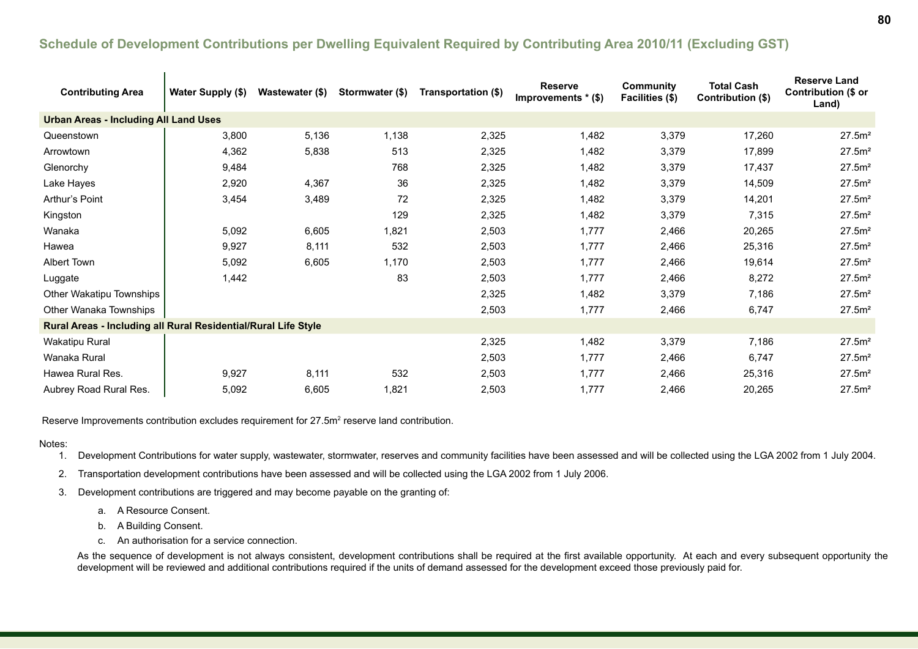### **Schedule of Development Contributions per Dwelling Equivalent Required by Contributing Area 2010/11 (Excluding GST)**

| <b>Contributing Area</b>                                       | Water Supply (\$) | Wastewater (\$) | Stormwater (\$) | Transportation (\$) | <b>Reserve</b><br>Improvements * (\$) | <b>Community</b><br>Facilities (\$) | <b>Total Cash</b><br>Contribution (\$) | <b>Reserve Land</b><br>Contribution (\$ or<br>Land) |
|----------------------------------------------------------------|-------------------|-----------------|-----------------|---------------------|---------------------------------------|-------------------------------------|----------------------------------------|-----------------------------------------------------|
| <b>Urban Areas - Including All Land Uses</b>                   |                   |                 |                 |                     |                                       |                                     |                                        |                                                     |
| Queenstown                                                     | 3,800             | 5,136           | 1,138           | 2,325               | 1,482                                 | 3,379                               | 17,260                                 | 27.5m <sup>2</sup>                                  |
| Arrowtown                                                      | 4,362             | 5,838           | 513             | 2,325               | 1,482                                 | 3,379                               | 17,899                                 | 27.5m <sup>2</sup>                                  |
| Glenorchy                                                      | 9,484             |                 | 768             | 2,325               | 1,482                                 | 3,379                               | 17,437                                 | 27.5m <sup>2</sup>                                  |
| Lake Hayes                                                     | 2,920             | 4,367           | 36              | 2,325               | 1,482                                 | 3,379                               | 14,509                                 | 27.5m <sup>2</sup>                                  |
| Arthur's Point                                                 | 3,454             | 3,489           | 72              | 2,325               | 1,482                                 | 3,379                               | 14,201                                 | 27.5m <sup>2</sup>                                  |
| Kingston                                                       |                   |                 | 129             | 2,325               | 1,482                                 | 3,379                               | 7,315                                  | 27.5m <sup>2</sup>                                  |
| Wanaka                                                         | 5,092             | 6,605           | 1,821           | 2,503               | 1,777                                 | 2,466                               | 20,265                                 | 27.5m <sup>2</sup>                                  |
| Hawea                                                          | 9,927             | 8,111           | 532             | 2,503               | 1,777                                 | 2,466                               | 25,316                                 | 27.5m <sup>2</sup>                                  |
| Albert Town                                                    | 5,092             | 6,605           | 1,170           | 2,503               | 1,777                                 | 2,466                               | 19,614                                 | 27.5m <sup>2</sup>                                  |
| Luggate                                                        | 1,442             |                 | 83              | 2,503               | 1,777                                 | 2,466                               | 8,272                                  | 27.5m <sup>2</sup>                                  |
| Other Wakatipu Townships                                       |                   |                 |                 | 2,325               | 1,482                                 | 3,379                               | 7,186                                  | 27.5m <sup>2</sup>                                  |
| Other Wanaka Townships                                         |                   |                 |                 | 2,503               | 1,777                                 | 2,466                               | 6,747                                  | 27.5m <sup>2</sup>                                  |
| Rural Areas - Including all Rural Residential/Rural Life Style |                   |                 |                 |                     |                                       |                                     |                                        |                                                     |
| <b>Wakatipu Rural</b>                                          |                   |                 |                 | 2,325               | 1,482                                 | 3,379                               | 7,186                                  | 27.5m <sup>2</sup>                                  |
| Wanaka Rural                                                   |                   |                 |                 | 2,503               | 1,777                                 | 2,466                               | 6,747                                  | 27.5m <sup>2</sup>                                  |
| Hawea Rural Res.                                               | 9,927             | 8,111           | 532             | 2,503               | 1,777                                 | 2,466                               | 25,316                                 | 27.5m <sup>2</sup>                                  |
| Aubrey Road Rural Res.                                         | 5,092             | 6,605           | 1,821           | 2,503               | 1,777                                 | 2,466                               | 20,265                                 | 27.5m <sup>2</sup>                                  |

Reserve Improvements contribution excludes requirement for 27.5m<sup>2</sup> reserve land contribution.

#### Notes:

1. Development Contributions for water supply, wastewater, stormwater, reserves and community facilities have been assessed and will be collected using the LGA 2002 from 1 July 2004.

2. Transportation development contributions have been assessed and will be collected using the LGA 2002 from 1 July 2006.

3. Development contributions are triggered and may become payable on the granting of:

- a. A Resource Consent.
- b. A Building Consent.
- c. An authorisation for a service connection.

As the sequence of development is not always consistent, development contributions shall be required at the first available opportunity. At each and every subsequent opportunity the development will be reviewed and additional contributions required if the units of demand assessed for the development exceed those previously paid for.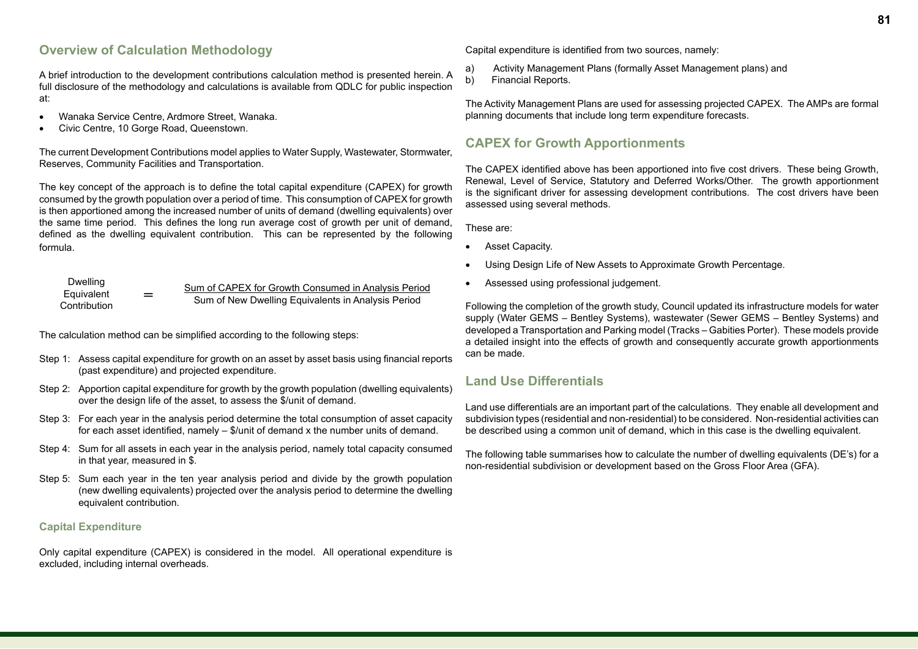### **Overview of Calculation Methodology**

A brief introduction to the development contributions calculation method is presented herein. A full disclosure of the methodology and calculations is available from QDLC for public inspection at:

- Wanaka Service Centre, Ardmore Street, Wanaka.
- Civic Centre, 10 Gorge Road, Queenstown.

The current Development Contributions model applies to Water Supply, Wastewater, Stormwater, Reserves, Community Facilities and Transportation.

The key concept of the approach is to define the total capital expenditure (CAPEX) for growth consumed by the growth population over a period of time. This consumption of CAPEX for growth is then apportioned among the increased number of units of demand (dwelling equivalents) over the same time period. This defines the long run average cost of growth per unit of demand, defined as the dwelling equivalent contribution. This can be represented by the following formula.

| Dwelling<br>Equivalent |     | Sum of CAPEX for Growth Consumed in Analysis Period |
|------------------------|-----|-----------------------------------------------------|
| Contribution           | $=$ | Sum of New Dwelling Equivalents in Analysis Period  |

The calculation method can be simplified according to the following steps:

- Step 1: Assess capital expenditure for growth on an asset by asset basis using financial reports (past expenditure) and projected expenditure.
- Step 2: Apportion capital expenditure for growth by the growth population (dwelling equivalents) over the design life of the asset, to assess the \$/unit of demand.
- Step 3: For each year in the analysis period determine the total consumption of asset capacity for each asset identified, namely – \$/unit of demand x the number units of demand.
- Step 4: Sum for all assets in each year in the analysis period, namely total capacity consumed in that year, measured in \$.
- Step 5: Sum each year in the ten year analysis period and divide by the growth population (new dwelling equivalents) projected over the analysis period to determine the dwelling equivalent contribution.

#### **Capital Expenditure**

Only capital expenditure (CAPEX) is considered in the model. All operational expenditure is excluded, including internal overheads.

Capital expenditure is identified from two sources, namely:

- a) Activity Management Plans (formally Asset Management plans) and
- b) Financial Reports.

The Activity Management Plans are used for assessing projected CAPEX. The AMPs are formal planning documents that include long term expenditure forecasts.

### **CAPEX for Growth Apportionments**

The CAPEX identified above has been apportioned into five cost drivers. These being Growth, Renewal, Level of Service, Statutory and Deferred Works/Other. The growth apportionment is the significant driver for assessing development contributions. The cost drivers have been assessed using several methods.

These are:

- Asset Capacity.
- Using Design Life of New Assets to Approximate Growth Percentage.
- Assessed using professional judgement.

Following the completion of the growth study, Council updated its infrastructure models for water supply (Water GEMS – Bentley Systems), wastewater (Sewer GEMS – Bentley Systems) and developed a Transportation and Parking model (Tracks – Gabities Porter). These models provide a detailed insight into the effects of growth and consequently accurate growth apportionments can be made.

### **Land Use Differentials**

Land use differentials are an important part of the calculations. They enable all development and subdivision types (residential and non-residential) to be considered. Non-residential activities can be described using a common unit of demand, which in this case is the dwelling equivalent.

The following table summarises how to calculate the number of dwelling equivalents (DE's) for a non-residential subdivision or development based on the Gross Floor Area (GFA).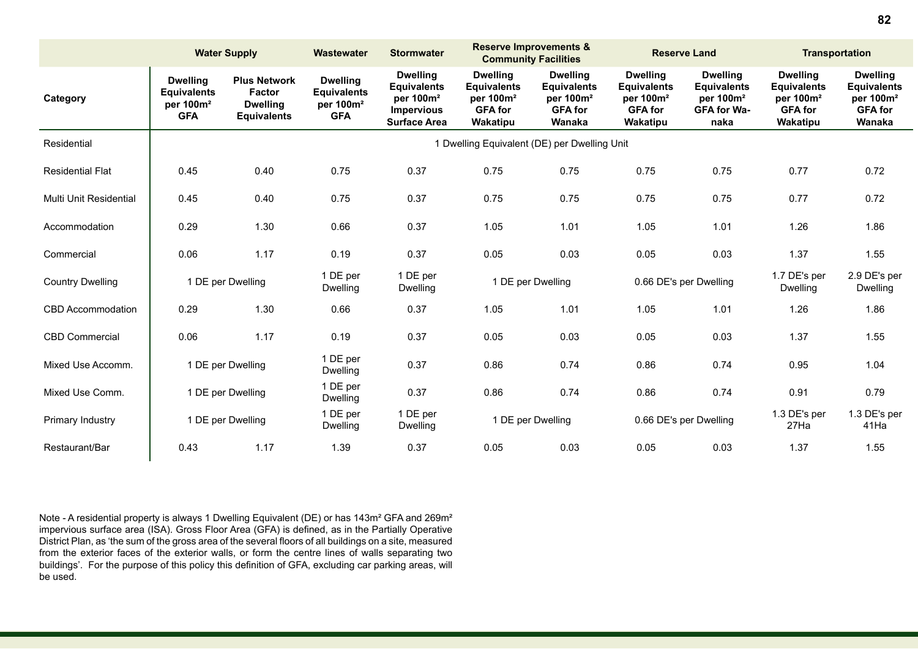|                         | <b>Water Supply</b>                                                          |                                                                               | Wastewater                                                                   | <b>Stormwater</b>                                                                                          | <b>Reserve Improvements &amp;</b><br><b>Community Facilities</b>                             |                                                                                            | <b>Reserve Land</b>                                                                          |                                                                                              | <b>Transportation</b>                                                                        |                                                                                            |
|-------------------------|------------------------------------------------------------------------------|-------------------------------------------------------------------------------|------------------------------------------------------------------------------|------------------------------------------------------------------------------------------------------------|----------------------------------------------------------------------------------------------|--------------------------------------------------------------------------------------------|----------------------------------------------------------------------------------------------|----------------------------------------------------------------------------------------------|----------------------------------------------------------------------------------------------|--------------------------------------------------------------------------------------------|
| Category                | <b>Dwelling</b><br><b>Equivalents</b><br>per 100m <sup>2</sup><br><b>GFA</b> | <b>Plus Network</b><br><b>Factor</b><br><b>Dwelling</b><br><b>Equivalents</b> | <b>Dwelling</b><br><b>Equivalents</b><br>per 100m <sup>2</sup><br><b>GFA</b> | <b>Dwelling</b><br><b>Equivalents</b><br>per 100m <sup>2</sup><br><b>Impervious</b><br><b>Surface Area</b> | <b>Dwelling</b><br><b>Equivalents</b><br>per 100m <sup>2</sup><br><b>GFA for</b><br>Wakatipu | <b>Dwelling</b><br><b>Equivalents</b><br>per 100m <sup>2</sup><br><b>GFA for</b><br>Wanaka | <b>Dwelling</b><br><b>Equivalents</b><br>per 100m <sup>2</sup><br><b>GFA for</b><br>Wakatipu | <b>Dwelling</b><br><b>Equivalents</b><br>per 100m <sup>2</sup><br><b>GFA for Wa-</b><br>naka | <b>Dwelling</b><br><b>Equivalents</b><br>per 100m <sup>2</sup><br><b>GFA for</b><br>Wakatipu | <b>Dwelling</b><br><b>Equivalents</b><br>per 100m <sup>2</sup><br><b>GFA for</b><br>Wanaka |
| Residential             |                                                                              |                                                                               | 1 Dwelling Equivalent (DE) per Dwelling Unit                                 |                                                                                                            |                                                                                              |                                                                                            |                                                                                              |                                                                                              |                                                                                              |                                                                                            |
| <b>Residential Flat</b> | 0.45                                                                         | 0.40                                                                          | 0.75                                                                         | 0.37                                                                                                       | 0.75                                                                                         | 0.75                                                                                       | 0.75                                                                                         | 0.75                                                                                         | 0.77                                                                                         | 0.72                                                                                       |
| Multi Unit Residential  | 0.45                                                                         | 0.40                                                                          | 0.75                                                                         | 0.37                                                                                                       | 0.75                                                                                         | 0.75                                                                                       | 0.75                                                                                         | 0.75                                                                                         | 0.77                                                                                         | 0.72                                                                                       |
| Accommodation           | 0.29                                                                         | 1.30                                                                          | 0.66                                                                         | 0.37                                                                                                       | 1.05                                                                                         | 1.01                                                                                       | 1.05                                                                                         | 1.01                                                                                         | 1.26                                                                                         | 1.86                                                                                       |
| Commercial              | 0.06                                                                         | 1.17                                                                          | 0.19                                                                         | 0.37                                                                                                       | 0.05                                                                                         | 0.03                                                                                       | 0.05                                                                                         | 0.03                                                                                         | 1.37                                                                                         | 1.55                                                                                       |
| <b>Country Dwelling</b> |                                                                              | 1 DE per Dwelling                                                             | 1 DE per<br>Dwelling                                                         | 1 DE per<br>Dwelling                                                                                       | 1 DE per Dwelling                                                                            |                                                                                            | 0.66 DE's per Dwelling                                                                       |                                                                                              | 1.7 DE's per<br><b>Dwelling</b>                                                              | 2.9 DE's per<br>Dwelling                                                                   |
| CBD Accommodation       | 0.29                                                                         | 1.30                                                                          | 0.66                                                                         | 0.37                                                                                                       | 1.05                                                                                         | 1.01                                                                                       | 1.05                                                                                         | 1.01                                                                                         | 1.26                                                                                         | 1.86                                                                                       |
| <b>CBD Commercial</b>   | 0.06                                                                         | 1.17                                                                          | 0.19                                                                         | 0.37                                                                                                       | 0.05                                                                                         | 0.03                                                                                       | 0.05                                                                                         | 0.03                                                                                         | 1.37                                                                                         | 1.55                                                                                       |
| Mixed Use Accomm.       |                                                                              | 1 DE per Dwelling                                                             | 1 DE per<br>Dwelling                                                         | 0.37                                                                                                       | 0.86                                                                                         | 0.74                                                                                       | 0.86                                                                                         | 0.74                                                                                         | 0.95                                                                                         | 1.04                                                                                       |
| Mixed Use Comm.         |                                                                              | 1 DE per Dwelling                                                             | 1 DE per<br>Dwelling                                                         | 0.37                                                                                                       | 0.86                                                                                         | 0.74                                                                                       | 0.86                                                                                         | 0.74                                                                                         | 0.91                                                                                         | 0.79                                                                                       |
| Primary Industry        | 1 DE per Dwelling                                                            |                                                                               | 1 DE per<br>Dwelling                                                         | 1 DE per<br>Dwelling                                                                                       | 1 DE per Dwelling                                                                            |                                                                                            | 0.66 DE's per Dwelling                                                                       |                                                                                              | 1.3 DE's per<br>27Ha                                                                         | 1.3 DE's per<br>41Ha                                                                       |
| Restaurant/Bar          | 0.43                                                                         | 1.17                                                                          | 1.39                                                                         | 0.37                                                                                                       | 0.05                                                                                         | 0.03                                                                                       | 0.05                                                                                         | 0.03                                                                                         | 1.37                                                                                         | 1.55                                                                                       |

Note - A residential property is always 1 Dwelling Equivalent (DE) or has 143m² GFA and 269m² impervious surface area (ISA). Gross Floor Area (GFA) is defined, as in the Partially Operative District Plan, as 'the sum of the gross area of the several floors of all buildings on a site, measured from the exterior faces of the exterior walls, or form the centre lines of walls separating two buildings'. For the purpose of this policy this definition of GFA, excluding car parking areas, will be used.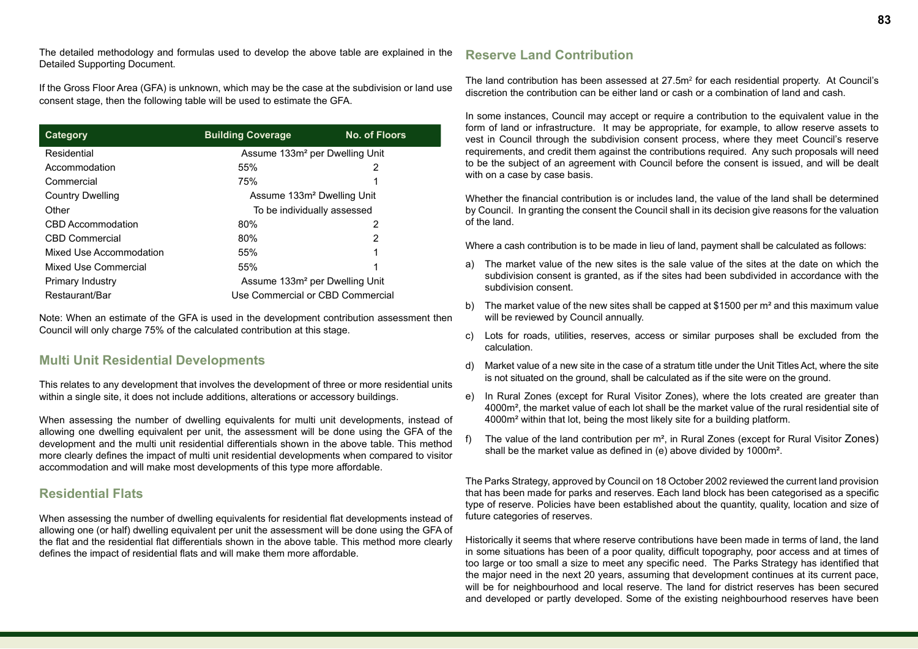The detailed methodology and formulas used to develop the above table are explained in the Detailed Supporting Document.

If the Gross Floor Area (GFA) is unknown, which may be the case at the subdivision or land use consent stage, then the following table will be used to estimate the GFA.

| Category                | <b>Building Coverage</b>                   | <b>No. of Floors</b> |  |  |  |  |
|-------------------------|--------------------------------------------|----------------------|--|--|--|--|
| Residential             | Assume 133m <sup>2</sup> per Dwelling Unit |                      |  |  |  |  |
| Accommodation           | 55%                                        | 2                    |  |  |  |  |
| Commercial              | 75%                                        |                      |  |  |  |  |
| <b>Country Dwelling</b> | Assume 133m <sup>2</sup> Dwelling Unit     |                      |  |  |  |  |
| Other                   | To be individually assessed                |                      |  |  |  |  |
| CBD Accommodation       | 80%                                        | 2                    |  |  |  |  |
| CBD Commercial          | 80%                                        | 2                    |  |  |  |  |
| Mixed Use Accommodation | 55%                                        |                      |  |  |  |  |
| Mixed Use Commercial    | 55%                                        |                      |  |  |  |  |
| Primary Industry        | Assume 133m <sup>2</sup> per Dwelling Unit |                      |  |  |  |  |
| Restaurant/Bar          | Use Commercial or CBD Commercial           |                      |  |  |  |  |

Note: When an estimate of the GFA is used in the development contribution assessment then Council will only charge 75% of the calculated contribution at this stage.

### **Multi Unit Residential Developments**

This relates to any development that involves the development of three or more residential units within a single site, it does not include additions, alterations or accessory buildings.

When assessing the number of dwelling equivalents for multi unit developments, instead of allowing one dwelling equivalent per unit, the assessment will be done using the GFA of the development and the multi unit residential differentials shown in the above table. This method more clearly defines the impact of multi unit residential developments when compared to visitor accommodation and will make most developments of this type more affordable.

### **Residential Flats**

When assessing the number of dwelling equivalents for residential flat developments instead of allowing one (or half) dwelling equivalent per unit the assessment will be done using the GFA of the flat and the residential flat differentials shown in the above table. This method more clearly defines the impact of residential flats and will make them more affordable.

### **Reserve Land Contribution**

The land contribution has been assessed at  $27.5<sup>m²</sup>$  for each residential property. At Council's discretion the contribution can be either land or cash or a combination of land and cash.

In some instances, Council may accept or require a contribution to the equivalent value in the form of land or infrastructure. It may be appropriate, for example, to allow reserve assets to vest in Council through the subdivision consent process, where they meet Council's reserve requirements, and credit them against the contributions required. Any such proposals will need to be the subject of an agreement with Council before the consent is issued, and will be dealt with on a case by case basis.

Whether the financial contribution is or includes land, the value of the land shall be determined by Council. In granting the consent the Council shall in its decision give reasons for the valuation of the land.

Where a cash contribution is to be made in lieu of land, payment shall be calculated as follows:

- a) The market value of the new sites is the sale value of the sites at the date on which the subdivision consent is granted, as if the sites had been subdivided in accordance with the subdivision consent.
- b) The market value of the new sites shall be capped at \$1500 per m<sup>2</sup> and this maximum value will be reviewed by Council annually.
- c) Lots for roads, utilities, reserves, access or similar purposes shall be excluded from the calculation.
- d) Market value of a new site in the case of a stratum title under the Unit Titles Act, where the site is not situated on the ground, shall be calculated as if the site were on the ground.
- e) In Rural Zones (except for Rural Visitor Zones), where the lots created are greater than 4000m², the market value of each lot shall be the market value of the rural residential site of 4000m² within that lot, being the most likely site for a building platform.
- f) The value of the land contribution per m², in Rural Zones (except for Rural Visitor Zones) shall be the market value as defined in (e) above divided by 1000m².

The Parks Strategy, approved by Council on 18 October 2002 reviewed the current land provision that has been made for parks and reserves. Each land block has been categorised as a specific type of reserve. Policies have been established about the quantity, quality, location and size of future categories of reserves.

Historically it seems that where reserve contributions have been made in terms of land, the land in some situations has been of a poor quality, difficult topography, poor access and at times of too large or too small a size to meet any specific need. The Parks Strategy has identified that the major need in the next 20 years, assuming that development continues at its current pace, will be for neighbourhood and local reserve. The land for district reserves has been secured and developed or partly developed. Some of the existing neighbourhood reserves have been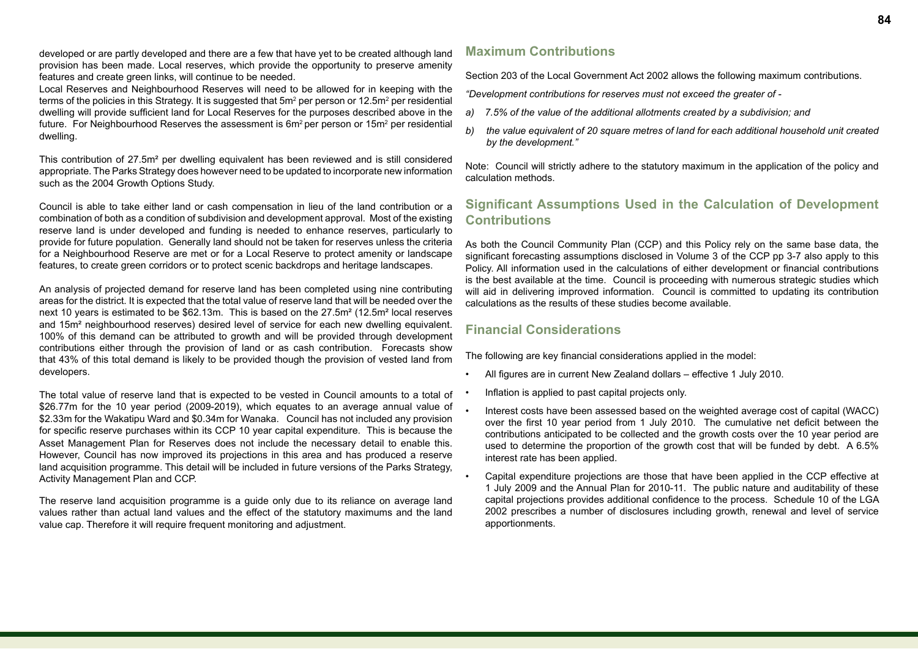developed or are partly developed and there are a few that have yet to be created although land provision has been made. Local reserves, which provide the opportunity to preserve amenity features and create green links, will continue to be needed.

Local Reserves and Neighbourhood Reserves will need to be allowed for in keeping with the terms of the policies in this Strategy. It is suggested that 5m² per person or 12.5m² per residential dwelling will provide sufficient land for Local Reserves for the purposes described above in the future. For Neighbourhood Reserves the assessment is 6m² per person or 15m² per residential dwelling.

This contribution of 27.5m² per dwelling equivalent has been reviewed and is still considered appropriate. The Parks Strategy does however need to be updated to incorporate new information such as the 2004 Growth Options Study.

Council is able to take either land or cash compensation in lieu of the land contribution or a combination of both as a condition of subdivision and development approval. Most of the existing reserve land is under developed and funding is needed to enhance reserves, particularly to provide for future population. Generally land should not be taken for reserves unless the criteria for a Neighbourhood Reserve are met or for a Local Reserve to protect amenity or landscape features, to create green corridors or to protect scenic backdrops and heritage landscapes.

An analysis of projected demand for reserve land has been completed using nine contributing areas for the district. It is expected that the total value of reserve land that will be needed over the next 10 years is estimated to be \$62.13m. This is based on the 27.5m² (12.5m² local reserves and 15m² neighbourhood reserves) desired level of service for each new dwelling equivalent. 100% of this demand can be attributed to growth and will be provided through development contributions either through the provision of land or as cash contribution. Forecasts show that 43% of this total demand is likely to be provided though the provision of vested land from developers.

The total value of reserve land that is expected to be vested in Council amounts to a total of \$26.77m for the 10 year period (2009-2019), which equates to an average annual value of \$2.33m for the Wakatipu Ward and \$0.34m for Wanaka. Council has not included any provision for specific reserve purchases within its CCP 10 year capital expenditure. This is because the Asset Management Plan for Reserves does not include the necessary detail to enable this. However, Council has now improved its projections in this area and has produced a reserve land acquisition programme. This detail will be included in future versions of the Parks Strategy, Activity Management Plan and CCP.

The reserve land acquisition programme is a guide only due to its reliance on average land values rather than actual land values and the effect of the statutory maximums and the land value cap. Therefore it will require frequent monitoring and adjustment.

### **Maximum Contributions**

Section 203 of the Local Government Act 2002 allows the following maximum contributions.

*"Development contributions for reserves must not exceed the greater of -* 

- *a) 7.5% of the value of the additional allotments created by a subdivision; and*
- *b) the value equivalent of 20 square metres of land for each additional household unit created by the development."*

Note: Council will strictly adhere to the statutory maximum in the application of the policy and calculation methods.

### **Significant Assumptions Used in the Calculation of Development Contributions**

As both the Council Community Plan (CCP) and this Policy rely on the same base data, the significant forecasting assumptions disclosed in Volume 3 of the CCP pp 3-7 also apply to this Policy. All information used in the calculations of either development or financial contributions is the best available at the time. Council is proceeding with numerous strategic studies which will aid in delivering improved information. Council is committed to updating its contribution calculations as the results of these studies become available.

### **Financial Considerations**

The following are key financial considerations applied in the model:

- All figures are in current New Zealand dollars effective 1 July 2010.
- Inflation is applied to past capital projects only.
- Interest costs have been assessed based on the weighted average cost of capital (WACC) over the first 10 year period from 1 July 2010. The cumulative net deficit between the contributions anticipated to be collected and the growth costs over the 10 year period are used to determine the proportion of the growth cost that will be funded by debt. A 6.5% interest rate has been applied.
- Capital expenditure projections are those that have been applied in the CCP effective at 1 July 2009 and the Annual Plan for 2010-11. The public nature and auditability of these capital projections provides additional confidence to the process. Schedule 10 of the LGA 2002 prescribes a number of disclosures including growth, renewal and level of service apportionments.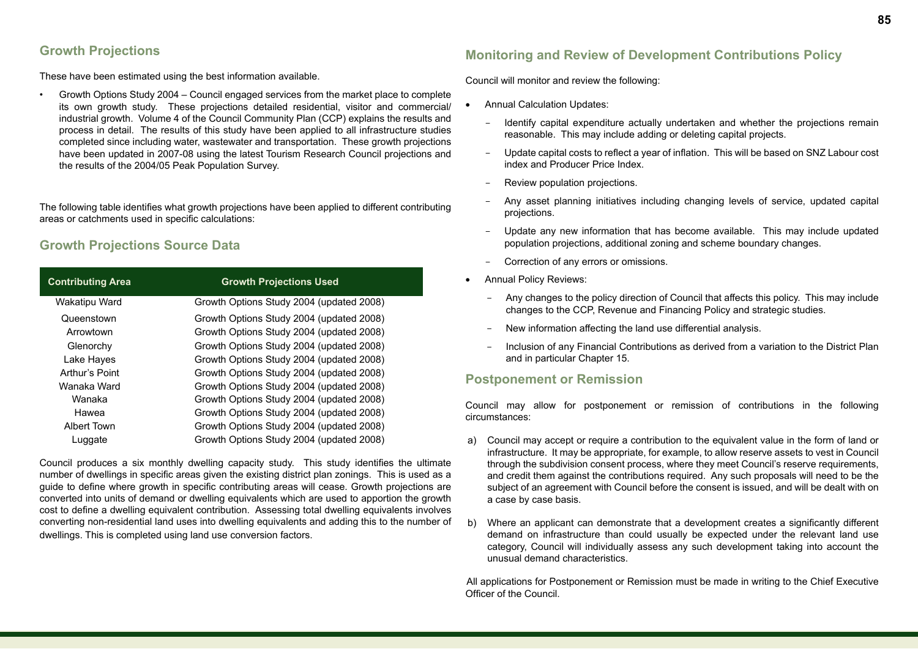### **Growth Projections**

These have been estimated using the best information available.

• Growth Options Study 2004 – Council engaged services from the market place to complete its own growth study. These projections detailed residential, visitor and commercial/ industrial growth. Volume 4 of the Council Community Plan (CCP) explains the results and process in detail. The results of this study have been applied to all infrastructure studies completed since including water, wastewater and transportation. These growth projections have been updated in 2007-08 using the latest Tourism Research Council projections and the results of the 2004/05 Peak Population Survey.

The following table identifies what growth projections have been applied to different contributing areas or catchments used in specific calculations:

### **Growth Projections Source Data**

| <b>Contributing Area</b> | <b>Growth Projections Used</b>           |
|--------------------------|------------------------------------------|
| Wakatipu Ward            | Growth Options Study 2004 (updated 2008) |
| Queenstown               | Growth Options Study 2004 (updated 2008) |
| Arrowtown                | Growth Options Study 2004 (updated 2008) |
| Glenorchy                | Growth Options Study 2004 (updated 2008) |
| Lake Hayes               | Growth Options Study 2004 (updated 2008) |
| Arthur's Point           | Growth Options Study 2004 (updated 2008) |
| Wanaka Ward              | Growth Options Study 2004 (updated 2008) |
| Wanaka                   | Growth Options Study 2004 (updated 2008) |
| Hawea                    | Growth Options Study 2004 (updated 2008) |
| Albert Town              | Growth Options Study 2004 (updated 2008) |
| Luggate                  | Growth Options Study 2004 (updated 2008) |

Council produces a six monthly dwelling capacity study. This study identifies the ultimate number of dwellings in specific areas given the existing district plan zonings. This is used as a guide to define where growth in specific contributing areas will cease. Growth projections are converted into units of demand or dwelling equivalents which are used to apportion the growth cost to define a dwelling equivalent contribution. Assessing total dwelling equivalents involves converting non-residential land uses into dwelling equivalents and adding this to the number of dwellings. This is completed using land use conversion factors.

### **Monitoring and Review of Development Contributions Policy**

Council will monitor and review the following:

- **Annual Calculation Updates:** 
	- Identify capital expenditure actually undertaken and whether the projections remain reasonable. This may include adding or deleting capital projects.
	- Update capital costs to reflect a year of inflation. This will be based on SNZ Labour cost index and Producer Price Index.
	- Review population projections.
	- Any asset planning initiatives including changing levels of service, updated capital projections.
	- Update any new information that has become available. This may include updated population projections, additional zoning and scheme boundary changes.
	- Correction of any errors or omissions.
- Annual Policy Reviews:
	- Any changes to the policy direction of Council that affects this policy. This may include changes to the CCP, Revenue and Financing Policy and strategic studies.
	- New information affecting the land use differential analysis.
	- Inclusion of any Financial Contributions as derived from a variation to the District Plan and in particular Chapter 15.

### **Postponement or Remission**

Council may allow for postponement or remission of contributions in the following circumstances:

- a) Council may accept or require a contribution to the equivalent value in the form of land or infrastructure. It may be appropriate, for example, to allow reserve assets to vest in Council through the subdivision consent process, where they meet Council's reserve requirements, and credit them against the contributions required. Any such proposals will need to be the subject of an agreement with Council before the consent is issued, and will be dealt with on a case by case basis.
- b) Where an applicant can demonstrate that a development creates a significantly different demand on infrastructure than could usually be expected under the relevant land use category, Council will individually assess any such development taking into account the unusual demand characteristics.

All applications for Postponement or Remission must be made in writing to the Chief Executive Officer of the Council.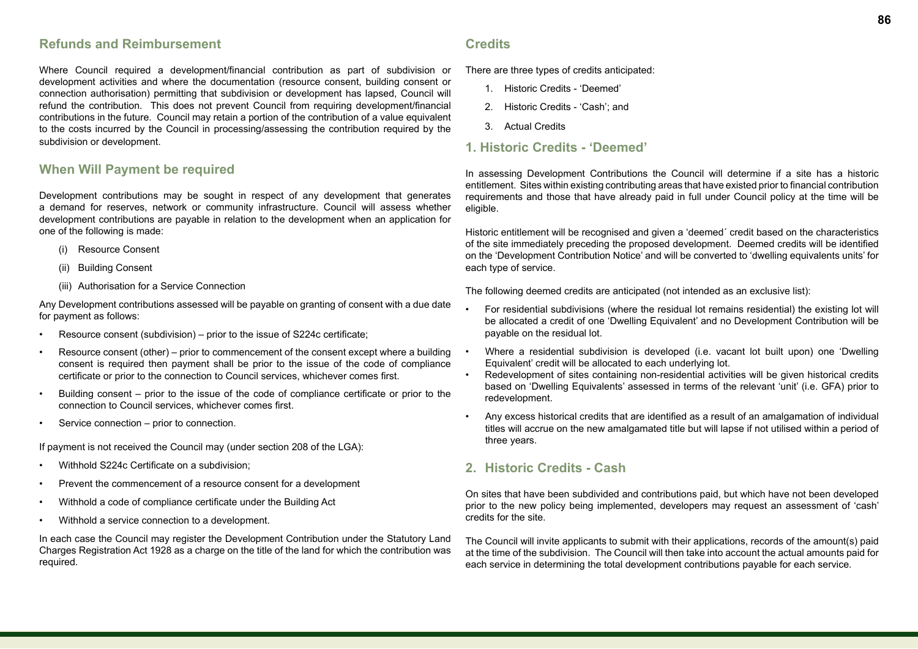### **Refunds and Reimbursement**

Where Council required a development/financial contribution as part of subdivision or development activities and where the documentation (resource consent, building consent or connection authorisation) permitting that subdivision or development has lapsed, Council will refund the contribution. This does not prevent Council from requiring development/financial contributions in the future. Council may retain a portion of the contribution of a value equivalent to the costs incurred by the Council in processing/assessing the contribution required by the subdivision or development.

#### **When Will Payment be required**

Development contributions may be sought in respect of any development that generates a demand for reserves, network or community infrastructure. Council will assess whether development contributions are payable in relation to the development when an application for one of the following is made:

- (i) Resource Consent
- (ii) Building Consent
- (iii) Authorisation for a Service Connection

Any Development contributions assessed will be payable on granting of consent with a due date for payment as follows:

- Resource consent (subdivision) prior to the issue of S224c certificate;
- Resource consent (other) prior to commencement of the consent except where a building consent is required then payment shall be prior to the issue of the code of compliance certificate or prior to the connection to Council services, whichever comes first.
- Building consent prior to the issue of the code of compliance certificate or prior to the connection to Council services, whichever comes first.
- Service connection prior to connection.

If payment is not received the Council may (under section 208 of the LGA):

- Withhold S224c Certificate on a subdivision;
- Prevent the commencement of a resource consent for a development
- Withhold a code of compliance certificate under the Building Act
- Withhold a service connection to a development.

In each case the Council may register the Development Contribution under the Statutory Land Charges Registration Act 1928 as a charge on the title of the land for which the contribution was required.

### **Credits**

There are three types of credits anticipated:

- 1. Historic Credits 'Deemed'
- 2. Historic Credits 'Cash'; and
- 3. Actual Credits

### **1. Historic Credits - 'Deemed'**

In assessing Development Contributions the Council will determine if a site has a historic entitlement. Sites within existing contributing areas that have existed prior to financial contribution requirements and those that have already paid in full under Council policy at the time will be eligible.

Historic entitlement will be recognised and given a 'deemed´ credit based on the characteristics of the site immediately preceding the proposed development. Deemed credits will be identified on the 'Development Contribution Notice' and will be converted to 'dwelling equivalents units' for each type of service.

The following deemed credits are anticipated (not intended as an exclusive list):

- For residential subdivisions (where the residual lot remains residential) the existing lot will be allocated a credit of one 'Dwelling Equivalent' and no Development Contribution will be payable on the residual lot.
- Where a residential subdivision is developed (i.e. vacant lot built upon) one 'Dwelling Equivalent' credit will be allocated to each underlying lot.
- Redevelopment of sites containing non-residential activities will be given historical credits based on 'Dwelling Equivalents' assessed in terms of the relevant 'unit' (i.e. GFA) prior to redevelopment.
- Any excess historical credits that are identified as a result of an amalgamation of individual titles will accrue on the new amalgamated title but will lapse if not utilised within a period of three years.

### **2. Historic Credits - Cash**

On sites that have been subdivided and contributions paid, but which have not been developed prior to the new policy being implemented, developers may request an assessment of 'cash' credits for the site.

The Council will invite applicants to submit with their applications, records of the amount(s) paid at the time of the subdivision. The Council will then take into account the actual amounts paid for each service in determining the total development contributions payable for each service.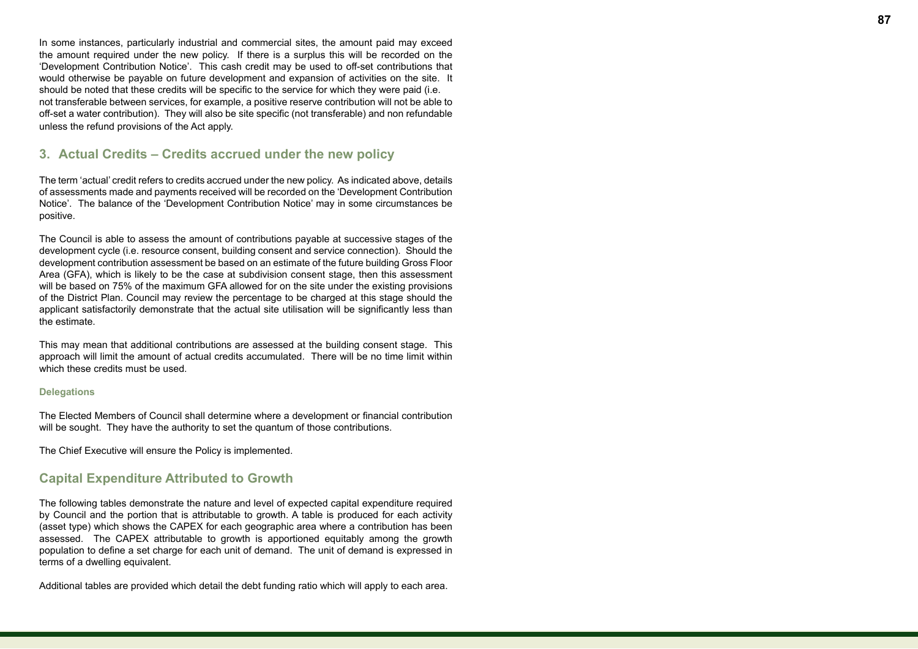In some instances, particularly industrial and commercial sites, the amount paid may exceed the amount required under the new policy. If there is a surplus this will be recorded on the 'Development Contribution Notice'. This cash credit may be used to off-set contributions that would otherwise be payable on future development and expansion of activities on the site. It should be noted that these credits will be specific to the service for which they were paid (i.e. not transferable between services, for example, a positive reserve contribution will not be able to off-set a water contribution). They will also be site specific (not transferable) and non refundable unless the refund provisions of the Act apply.

### **3. Actual Credits – Credits accrued under the new policy**

The term 'actual' credit refers to credits accrued under the new policy. As indicated above, details of assessments made and payments received will be recorded on the 'Development Contribution Notice'. The balance of the 'Development Contribution Notice' may in some circumstances be positive.

The Council is able to assess the amount of contributions payable at successive stages of the development cycle (i.e. resource consent, building consent and service connection). Should the development contribution assessment be based on an estimate of the future building Gross Floor Area (GFA), which is likely to be the case at subdivision consent stage, then this assessment will be based on 75% of the maximum GFA allowed for on the site under the existing provisions of the District Plan. Council may review the percentage to be charged at this stage should the applicant satisfactorily demonstrate that the actual site utilisation will be significantly less than the estimate.

This may mean that additional contributions are assessed at the building consent stage. This approach will limit the amount of actual credits accumulated. There will be no time limit within which these credits must be used.

#### **Delegations**

The Elected Members of Council shall determine where a development or financial contribution will be sought. They have the authority to set the quantum of those contributions.

The Chief Executive will ensure the Policy is implemented.

#### **Capital Expenditure Attributed to Growth**

The following tables demonstrate the nature and level of expected capital expenditure required by Council and the portion that is attributable to growth. A table is produced for each activity (asset type) which shows the CAPEX for each geographic area where a contribution has been assessed. The CAPEX attributable to growth is apportioned equitably among the growth population to define a set charge for each unit of demand. The unit of demand is expressed in terms of a dwelling equivalent.

Additional tables are provided which detail the debt funding ratio which will apply to each area.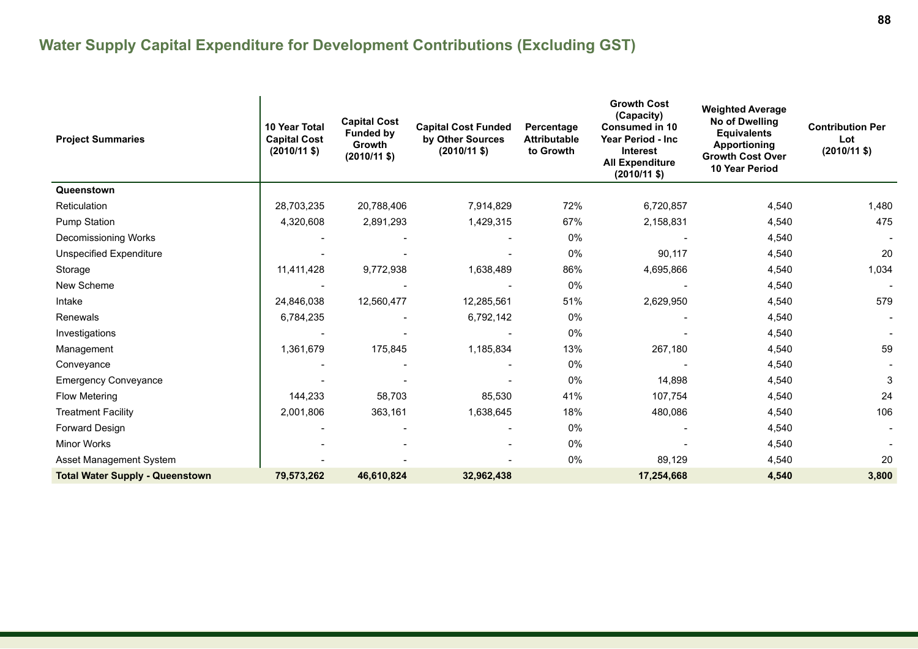| <b>Project Summaries</b>               | <b>10 Year Total</b><br><b>Capital Cost</b><br>$(2010/11 \text{ $}$ | <b>Capital Cost</b><br><b>Funded by</b><br>Growth<br>$(2010/11 \text{$ ) | <b>Capital Cost Funded</b><br>by Other Sources<br>$(2010/11 \text{ $}$ | Percentage<br><b>Attributable</b><br>to Growth | <b>Growth Cost</b><br>(Capacity)<br><b>Consumed in 10</b><br><b>Year Period - Inc</b><br><b>Interest</b><br><b>All Expenditure</b><br>$(2010/11 \text{ $}$ | <b>Weighted Average</b><br>No of Dwelling<br><b>Equivalents</b><br><b>Apportioning</b><br><b>Growth Cost Over</b><br><b>10 Year Period</b> | <b>Contribution Per</b><br>Lot<br>$(2010/11 \text{ $}$ |
|----------------------------------------|---------------------------------------------------------------------|--------------------------------------------------------------------------|------------------------------------------------------------------------|------------------------------------------------|------------------------------------------------------------------------------------------------------------------------------------------------------------|--------------------------------------------------------------------------------------------------------------------------------------------|--------------------------------------------------------|
| Queenstown                             |                                                                     |                                                                          |                                                                        |                                                |                                                                                                                                                            |                                                                                                                                            |                                                        |
| Reticulation                           | 28,703,235                                                          | 20,788,406                                                               | 7,914,829                                                              | 72%                                            | 6,720,857                                                                                                                                                  | 4,540                                                                                                                                      | 1,480                                                  |
| <b>Pump Station</b>                    | 4,320,608                                                           | 2,891,293                                                                | 1,429,315                                                              | 67%                                            | 2,158,831                                                                                                                                                  | 4,540                                                                                                                                      | 475                                                    |
| Decomissioning Works                   |                                                                     |                                                                          |                                                                        | 0%                                             |                                                                                                                                                            | 4,540                                                                                                                                      |                                                        |
| <b>Unspecified Expenditure</b>         |                                                                     |                                                                          |                                                                        | 0%                                             | 90,117                                                                                                                                                     | 4,540                                                                                                                                      | 20                                                     |
| Storage                                | 11,411,428                                                          | 9,772,938                                                                | 1,638,489                                                              | 86%                                            | 4,695,866                                                                                                                                                  | 4,540                                                                                                                                      | 1,034                                                  |
| New Scheme                             |                                                                     |                                                                          |                                                                        | 0%                                             |                                                                                                                                                            | 4,540                                                                                                                                      |                                                        |
| Intake                                 | 24,846,038                                                          | 12,560,477                                                               | 12,285,561                                                             | 51%                                            | 2,629,950                                                                                                                                                  | 4,540                                                                                                                                      | 579                                                    |
| Renewals                               | 6,784,235                                                           |                                                                          | 6,792,142                                                              | 0%                                             |                                                                                                                                                            | 4,540                                                                                                                                      |                                                        |
| Investigations                         |                                                                     |                                                                          |                                                                        | 0%                                             |                                                                                                                                                            | 4,540                                                                                                                                      |                                                        |
| Management                             | 1,361,679                                                           | 175,845                                                                  | 1,185,834                                                              | 13%                                            | 267,180                                                                                                                                                    | 4,540                                                                                                                                      | 59                                                     |
| Conveyance                             |                                                                     |                                                                          |                                                                        | 0%                                             |                                                                                                                                                            | 4,540                                                                                                                                      |                                                        |
| <b>Emergency Conveyance</b>            |                                                                     |                                                                          |                                                                        | 0%                                             | 14,898                                                                                                                                                     | 4,540                                                                                                                                      | 3                                                      |
| <b>Flow Metering</b>                   | 144,233                                                             | 58,703                                                                   | 85,530                                                                 | 41%                                            | 107,754                                                                                                                                                    | 4,540                                                                                                                                      | 24                                                     |
| <b>Treatment Facility</b>              | 2,001,806                                                           | 363,161                                                                  | 1,638,645                                                              | 18%                                            | 480,086                                                                                                                                                    | 4,540                                                                                                                                      | 106                                                    |
| Forward Design                         |                                                                     |                                                                          |                                                                        | 0%                                             |                                                                                                                                                            | 4,540                                                                                                                                      |                                                        |
| <b>Minor Works</b>                     |                                                                     |                                                                          |                                                                        | 0%                                             |                                                                                                                                                            | 4,540                                                                                                                                      |                                                        |
| Asset Management System                |                                                                     |                                                                          |                                                                        | 0%                                             | 89,129                                                                                                                                                     | 4,540                                                                                                                                      | 20                                                     |
| <b>Total Water Supply - Queenstown</b> | 79,573,262                                                          | 46,610,824                                                               | 32,962,438                                                             |                                                | 17,254,668                                                                                                                                                 | 4,540                                                                                                                                      | 3,800                                                  |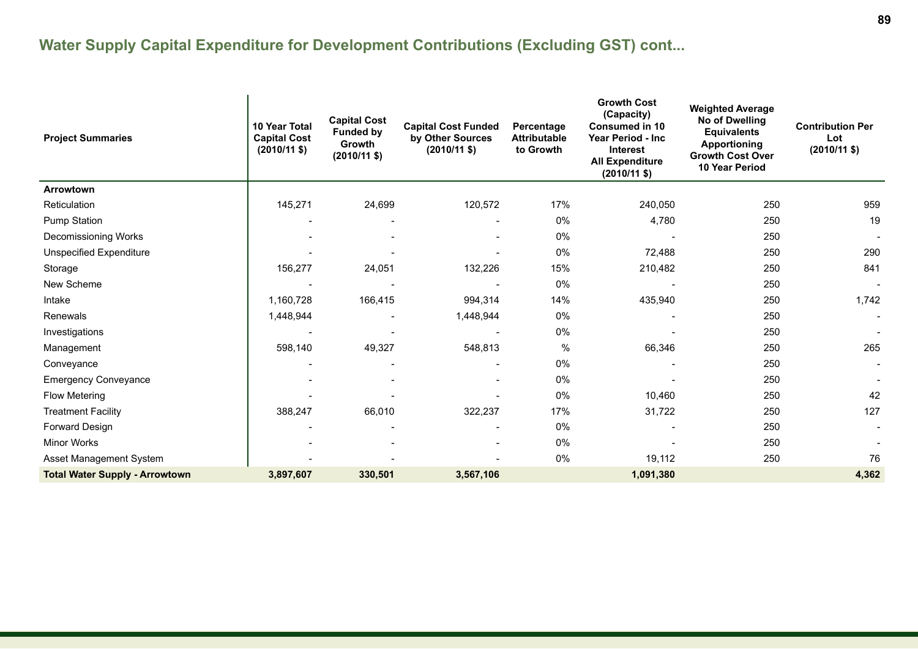| <b>Project Summaries</b>              | 10 Year Total<br><b>Capital Cost</b><br>$(2010/11 \text{ $}$ | <b>Capital Cost</b><br><b>Funded by</b><br>Growth<br>$(2010/11$ \$) | <b>Capital Cost Funded</b><br>by Other Sources<br>$(2010/11$ \$) | Percentage<br><b>Attributable</b><br>to Growth | <b>Growth Cost</b><br>(Capacity)<br><b>Consumed in 10</b><br>Year Period - Inc<br><b>Interest</b><br><b>All Expenditure</b><br>$(2010/11 \text{ $}$ | <b>Weighted Average</b><br>No of Dwelling<br><b>Equivalents</b><br><b>Apportioning</b><br><b>Growth Cost Over</b><br>10 Year Period | <b>Contribution Per</b><br>Lot<br>$(2010/11$ \$) |
|---------------------------------------|--------------------------------------------------------------|---------------------------------------------------------------------|------------------------------------------------------------------|------------------------------------------------|-----------------------------------------------------------------------------------------------------------------------------------------------------|-------------------------------------------------------------------------------------------------------------------------------------|--------------------------------------------------|
| Arrowtown                             |                                                              |                                                                     |                                                                  |                                                |                                                                                                                                                     |                                                                                                                                     |                                                  |
| Reticulation                          | 145,271                                                      | 24,699                                                              | 120,572                                                          | 17%                                            | 240,050                                                                                                                                             | 250                                                                                                                                 | 959                                              |
| <b>Pump Station</b>                   |                                                              |                                                                     |                                                                  | 0%                                             | 4,780                                                                                                                                               | 250                                                                                                                                 | 19                                               |
| Decomissioning Works                  |                                                              |                                                                     |                                                                  | 0%                                             |                                                                                                                                                     | 250                                                                                                                                 |                                                  |
| Unspecified Expenditure               |                                                              |                                                                     |                                                                  | 0%                                             | 72,488                                                                                                                                              | 250                                                                                                                                 | 290                                              |
| Storage                               | 156,277                                                      | 24,051                                                              | 132,226                                                          | 15%                                            | 210,482                                                                                                                                             | 250                                                                                                                                 | 841                                              |
| New Scheme                            |                                                              |                                                                     |                                                                  | 0%                                             |                                                                                                                                                     | 250                                                                                                                                 | $\blacksquare$                                   |
| Intake                                | 1,160,728                                                    | 166,415                                                             | 994,314                                                          | 14%                                            | 435,940                                                                                                                                             | 250                                                                                                                                 | 1,742                                            |
| Renewals                              | 1,448,944                                                    |                                                                     | 1,448,944                                                        | 0%                                             |                                                                                                                                                     | 250                                                                                                                                 |                                                  |
| Investigations                        |                                                              |                                                                     |                                                                  | 0%                                             |                                                                                                                                                     | 250                                                                                                                                 |                                                  |
| Management                            | 598,140                                                      | 49,327                                                              | 548,813                                                          | %                                              | 66,346                                                                                                                                              | 250                                                                                                                                 | 265                                              |
| Conveyance                            |                                                              | $\overline{\phantom{0}}$                                            | $\overline{\phantom{a}}$                                         | 0%                                             |                                                                                                                                                     | 250                                                                                                                                 | $\overline{\phantom{a}}$                         |
| <b>Emergency Conveyance</b>           |                                                              |                                                                     |                                                                  | 0%                                             |                                                                                                                                                     | 250                                                                                                                                 |                                                  |
| <b>Flow Metering</b>                  |                                                              |                                                                     |                                                                  | 0%                                             | 10,460                                                                                                                                              | 250                                                                                                                                 | 42                                               |
| <b>Treatment Facility</b>             | 388,247                                                      | 66,010                                                              | 322,237                                                          | 17%                                            | 31,722                                                                                                                                              | 250                                                                                                                                 | 127                                              |
| Forward Design                        |                                                              |                                                                     | $\overline{\phantom{a}}$                                         | 0%                                             |                                                                                                                                                     | 250                                                                                                                                 |                                                  |
| <b>Minor Works</b>                    |                                                              |                                                                     |                                                                  | 0%                                             |                                                                                                                                                     | 250                                                                                                                                 |                                                  |
| Asset Management System               |                                                              |                                                                     |                                                                  | 0%                                             | 19,112                                                                                                                                              | 250                                                                                                                                 | 76                                               |
| <b>Total Water Supply - Arrowtown</b> | 3,897,607                                                    | 330,501                                                             | 3,567,106                                                        |                                                | 1,091,380                                                                                                                                           |                                                                                                                                     | 4,362                                            |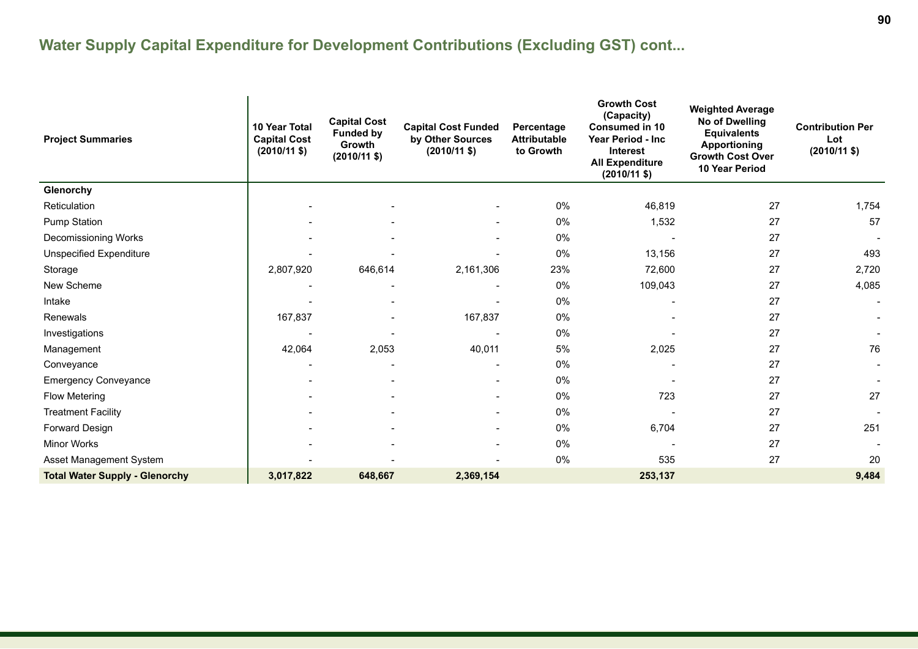| <b>Project Summaries</b>              | 10 Year Total<br><b>Capital Cost</b><br>$(2010/11 \text{ $}$ | <b>Capital Cost</b><br><b>Funded by</b><br>Growth<br>$(2010/11 \text{ $}$ | <b>Capital Cost Funded</b><br>by Other Sources<br>$(2010/11 \text{ $}$ | Percentage<br><b>Attributable</b><br>to Growth | <b>Growth Cost</b><br>(Capacity)<br><b>Consumed in 10</b><br>Year Period - Inc<br>Interest<br><b>All Expenditure</b><br>$(2010/11$ \$) | <b>Weighted Average</b><br>No of Dwelling<br><b>Equivalents</b><br><b>Apportioning</b><br><b>Growth Cost Over</b><br><b>10 Year Period</b> | <b>Contribution Per</b><br>Lot<br>$(2010/11 \text{ $}$ |
|---------------------------------------|--------------------------------------------------------------|---------------------------------------------------------------------------|------------------------------------------------------------------------|------------------------------------------------|----------------------------------------------------------------------------------------------------------------------------------------|--------------------------------------------------------------------------------------------------------------------------------------------|--------------------------------------------------------|
| Glenorchy                             |                                                              |                                                                           |                                                                        |                                                |                                                                                                                                        |                                                                                                                                            |                                                        |
| Reticulation                          |                                                              |                                                                           |                                                                        | 0%                                             | 46,819                                                                                                                                 | 27                                                                                                                                         | 1,754                                                  |
| <b>Pump Station</b>                   |                                                              |                                                                           |                                                                        | 0%                                             | 1,532                                                                                                                                  | 27                                                                                                                                         | 57                                                     |
| Decomissioning Works                  |                                                              |                                                                           |                                                                        | 0%                                             |                                                                                                                                        | 27                                                                                                                                         |                                                        |
| <b>Unspecified Expenditure</b>        |                                                              |                                                                           |                                                                        | 0%                                             | 13,156                                                                                                                                 | 27                                                                                                                                         | 493                                                    |
| Storage                               | 2,807,920                                                    | 646,614                                                                   | 2,161,306                                                              | 23%                                            | 72,600                                                                                                                                 | 27                                                                                                                                         | 2,720                                                  |
| New Scheme                            |                                                              |                                                                           | $\overline{\phantom{a}}$                                               | 0%                                             | 109,043                                                                                                                                | 27                                                                                                                                         | 4,085                                                  |
| Intake                                |                                                              |                                                                           |                                                                        | 0%                                             |                                                                                                                                        | 27                                                                                                                                         |                                                        |
| Renewals                              | 167,837                                                      |                                                                           | 167,837                                                                | 0%                                             |                                                                                                                                        | 27                                                                                                                                         |                                                        |
| Investigations                        |                                                              |                                                                           |                                                                        | 0%                                             |                                                                                                                                        | 27                                                                                                                                         |                                                        |
| Management                            | 42,064                                                       | 2,053                                                                     | 40,011                                                                 | 5%                                             | 2,025                                                                                                                                  | 27                                                                                                                                         | 76                                                     |
| Conveyance                            |                                                              |                                                                           |                                                                        | 0%                                             |                                                                                                                                        | 27                                                                                                                                         |                                                        |
| <b>Emergency Conveyance</b>           |                                                              |                                                                           |                                                                        | 0%                                             |                                                                                                                                        | 27                                                                                                                                         |                                                        |
| <b>Flow Metering</b>                  |                                                              |                                                                           |                                                                        | 0%                                             | 723                                                                                                                                    | 27                                                                                                                                         | 27                                                     |
| <b>Treatment Facility</b>             |                                                              |                                                                           |                                                                        | 0%                                             |                                                                                                                                        | 27                                                                                                                                         |                                                        |
| Forward Design                        |                                                              |                                                                           | $\overline{\phantom{a}}$                                               | 0%                                             | 6,704                                                                                                                                  | 27                                                                                                                                         | 251                                                    |
| <b>Minor Works</b>                    |                                                              |                                                                           |                                                                        | 0%                                             |                                                                                                                                        | 27                                                                                                                                         |                                                        |
| Asset Management System               |                                                              |                                                                           |                                                                        | 0%                                             | 535                                                                                                                                    | 27                                                                                                                                         | 20                                                     |
| <b>Total Water Supply - Glenorchy</b> | 3,017,822                                                    | 648,667                                                                   | 2,369,154                                                              |                                                | 253,137                                                                                                                                |                                                                                                                                            | 9,484                                                  |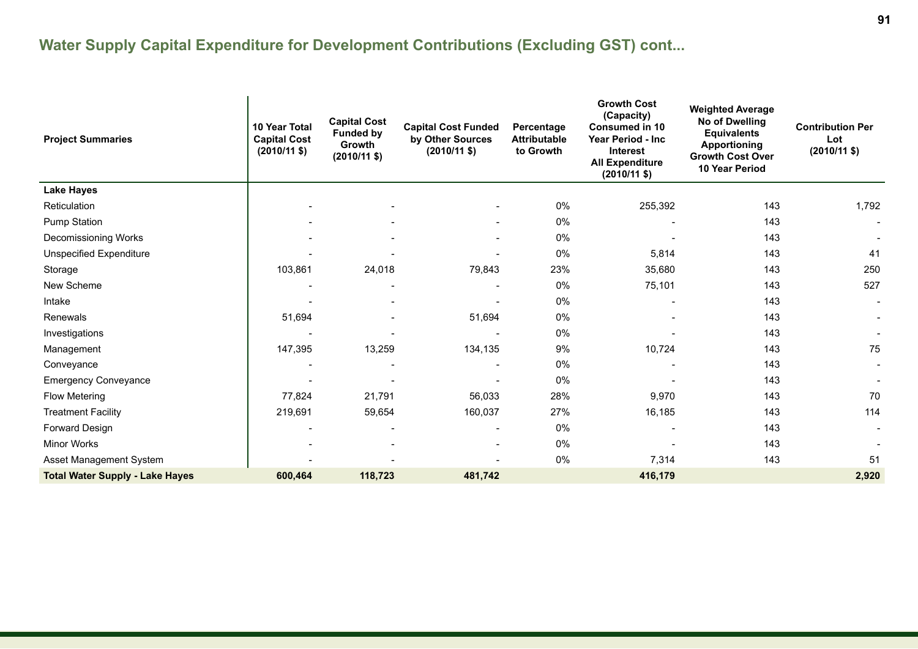| <b>Project Summaries</b>               | 10 Year Total<br><b>Capital Cost</b><br>$(2010/11 \text{ $}$ | <b>Capital Cost</b><br><b>Funded by</b><br>Growth<br>$(2010/11 \text{ $}$ | <b>Capital Cost Funded</b><br>by Other Sources<br>$(2010/11 \text{ $}$ | Percentage<br><b>Attributable</b><br>to Growth | <b>Growth Cost</b><br>(Capacity)<br><b>Consumed in 10</b><br>Year Period - Inc<br>Interest<br><b>All Expenditure</b><br>$(2010/11 \text{ $}$ | <b>Weighted Average</b><br>No of Dwelling<br><b>Equivalents</b><br><b>Apportioning</b><br><b>Growth Cost Over</b><br><b>10 Year Period</b> | <b>Contribution Per</b><br>Lot<br>$(2010/11 \text{ $}$ |
|----------------------------------------|--------------------------------------------------------------|---------------------------------------------------------------------------|------------------------------------------------------------------------|------------------------------------------------|----------------------------------------------------------------------------------------------------------------------------------------------|--------------------------------------------------------------------------------------------------------------------------------------------|--------------------------------------------------------|
| <b>Lake Hayes</b>                      |                                                              |                                                                           |                                                                        |                                                |                                                                                                                                              |                                                                                                                                            |                                                        |
| Reticulation                           |                                                              |                                                                           |                                                                        | 0%                                             | 255,392                                                                                                                                      | 143                                                                                                                                        | 1,792                                                  |
| <b>Pump Station</b>                    |                                                              |                                                                           |                                                                        | 0%                                             |                                                                                                                                              | 143                                                                                                                                        |                                                        |
| Decomissioning Works                   |                                                              |                                                                           |                                                                        | 0%                                             |                                                                                                                                              | 143                                                                                                                                        |                                                        |
| <b>Unspecified Expenditure</b>         |                                                              |                                                                           |                                                                        | 0%                                             | 5,814                                                                                                                                        | 143                                                                                                                                        | 41                                                     |
| Storage                                | 103,861                                                      | 24,018                                                                    | 79,843                                                                 | 23%                                            | 35,680                                                                                                                                       | 143                                                                                                                                        | 250                                                    |
| New Scheme                             |                                                              |                                                                           |                                                                        | 0%                                             | 75,101                                                                                                                                       | 143                                                                                                                                        | 527                                                    |
| Intake                                 |                                                              |                                                                           |                                                                        | 0%                                             |                                                                                                                                              | 143                                                                                                                                        |                                                        |
| Renewals                               | 51,694                                                       |                                                                           | 51,694                                                                 | 0%                                             |                                                                                                                                              | 143                                                                                                                                        |                                                        |
| Investigations                         |                                                              |                                                                           |                                                                        | 0%                                             |                                                                                                                                              | 143                                                                                                                                        |                                                        |
| Management                             | 147,395                                                      | 13,259                                                                    | 134,135                                                                | 9%                                             | 10,724                                                                                                                                       | 143                                                                                                                                        | 75                                                     |
| Conveyance                             |                                                              |                                                                           |                                                                        | 0%                                             |                                                                                                                                              | 143                                                                                                                                        |                                                        |
| <b>Emergency Conveyance</b>            |                                                              |                                                                           |                                                                        | 0%                                             |                                                                                                                                              | 143                                                                                                                                        |                                                        |
| <b>Flow Metering</b>                   | 77,824                                                       | 21,791                                                                    | 56,033                                                                 | 28%                                            | 9,970                                                                                                                                        | 143                                                                                                                                        | 70                                                     |
| <b>Treatment Facility</b>              | 219,691                                                      | 59,654                                                                    | 160,037                                                                | 27%                                            | 16,185                                                                                                                                       | 143                                                                                                                                        | 114                                                    |
| Forward Design                         |                                                              |                                                                           | $\overline{\phantom{a}}$                                               | 0%                                             |                                                                                                                                              | 143                                                                                                                                        |                                                        |
| Minor Works                            |                                                              |                                                                           |                                                                        | 0%                                             |                                                                                                                                              | 143                                                                                                                                        |                                                        |
| Asset Management System                |                                                              |                                                                           |                                                                        | 0%                                             | 7,314                                                                                                                                        | 143                                                                                                                                        | 51                                                     |
| <b>Total Water Supply - Lake Hayes</b> | 600,464                                                      | 118,723                                                                   | 481,742                                                                |                                                | 416,179                                                                                                                                      |                                                                                                                                            | 2,920                                                  |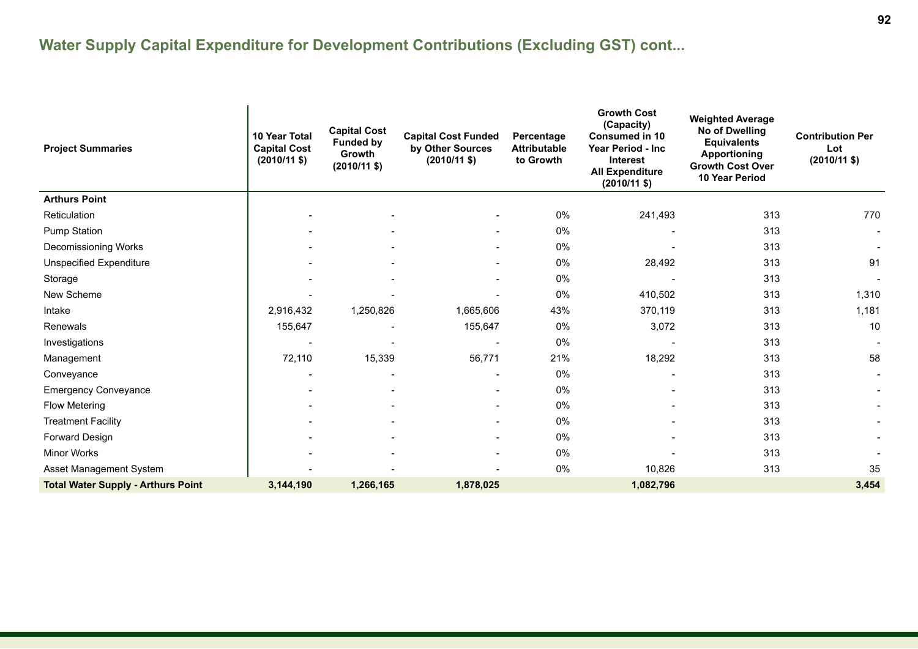| <b>Project Summaries</b>                  | 10 Year Total<br><b>Capital Cost</b><br>$(2010/11 \text{ $}$ | <b>Capital Cost</b><br><b>Funded by</b><br>Growth<br>$(2010/11 \text{ $}$ | <b>Capital Cost Funded</b><br>by Other Sources<br>$(2010/11$ \$) | Percentage<br><b>Attributable</b><br>to Growth | <b>Growth Cost</b><br>(Capacity)<br><b>Consumed in 10</b><br>Year Period - Inc<br><b>Interest</b><br><b>All Expenditure</b><br>$(2010/11 \text{ $}$ | <b>Weighted Average</b><br>No of Dwelling<br><b>Equivalents</b><br><b>Apportioning</b><br><b>Growth Cost Over</b><br>10 Year Period | <b>Contribution Per</b><br>Lot<br>$(2010/11 \text{ $}$ |
|-------------------------------------------|--------------------------------------------------------------|---------------------------------------------------------------------------|------------------------------------------------------------------|------------------------------------------------|-----------------------------------------------------------------------------------------------------------------------------------------------------|-------------------------------------------------------------------------------------------------------------------------------------|--------------------------------------------------------|
| <b>Arthurs Point</b>                      |                                                              |                                                                           |                                                                  |                                                |                                                                                                                                                     |                                                                                                                                     |                                                        |
| Reticulation                              |                                                              |                                                                           |                                                                  | 0%                                             | 241,493                                                                                                                                             | 313                                                                                                                                 | 770                                                    |
| <b>Pump Station</b>                       |                                                              |                                                                           |                                                                  | 0%                                             |                                                                                                                                                     | 313                                                                                                                                 |                                                        |
| Decomissioning Works                      |                                                              |                                                                           |                                                                  | 0%                                             |                                                                                                                                                     | 313                                                                                                                                 |                                                        |
| <b>Unspecified Expenditure</b>            |                                                              |                                                                           | $\overline{\phantom{a}}$                                         | 0%                                             | 28,492                                                                                                                                              | 313                                                                                                                                 | 91                                                     |
| Storage                                   |                                                              |                                                                           |                                                                  | 0%                                             |                                                                                                                                                     | 313                                                                                                                                 |                                                        |
| New Scheme                                |                                                              |                                                                           | $\qquad \qquad \blacksquare$                                     | 0%                                             | 410,502                                                                                                                                             | 313                                                                                                                                 | 1,310                                                  |
| Intake                                    | 2,916,432                                                    | 1,250,826                                                                 | 1,665,606                                                        | 43%                                            | 370,119                                                                                                                                             | 313                                                                                                                                 | 1,181                                                  |
| Renewals                                  | 155,647                                                      |                                                                           | 155,647                                                          | 0%                                             | 3,072                                                                                                                                               | 313                                                                                                                                 | 10                                                     |
| Investigations                            |                                                              |                                                                           |                                                                  | 0%                                             |                                                                                                                                                     | 313                                                                                                                                 |                                                        |
| Management                                | 72,110                                                       | 15,339                                                                    | 56,771                                                           | 21%                                            | 18,292                                                                                                                                              | 313                                                                                                                                 | 58                                                     |
| Conveyance                                |                                                              |                                                                           |                                                                  | 0%                                             |                                                                                                                                                     | 313                                                                                                                                 |                                                        |
| <b>Emergency Conveyance</b>               |                                                              |                                                                           |                                                                  | 0%                                             |                                                                                                                                                     | 313                                                                                                                                 |                                                        |
| Flow Metering                             |                                                              |                                                                           |                                                                  | 0%                                             |                                                                                                                                                     | 313                                                                                                                                 |                                                        |
| <b>Treatment Facility</b>                 |                                                              |                                                                           |                                                                  | 0%                                             |                                                                                                                                                     | 313                                                                                                                                 |                                                        |
| Forward Design                            |                                                              |                                                                           |                                                                  | 0%                                             |                                                                                                                                                     | 313                                                                                                                                 |                                                        |
| <b>Minor Works</b>                        |                                                              |                                                                           | $\blacksquare$                                                   | 0%                                             |                                                                                                                                                     | 313                                                                                                                                 |                                                        |
| Asset Management System                   |                                                              |                                                                           |                                                                  | 0%                                             | 10,826                                                                                                                                              | 313                                                                                                                                 | 35                                                     |
| <b>Total Water Supply - Arthurs Point</b> | 3,144,190                                                    | 1,266,165                                                                 | 1,878,025                                                        |                                                | 1,082,796                                                                                                                                           |                                                                                                                                     | 3,454                                                  |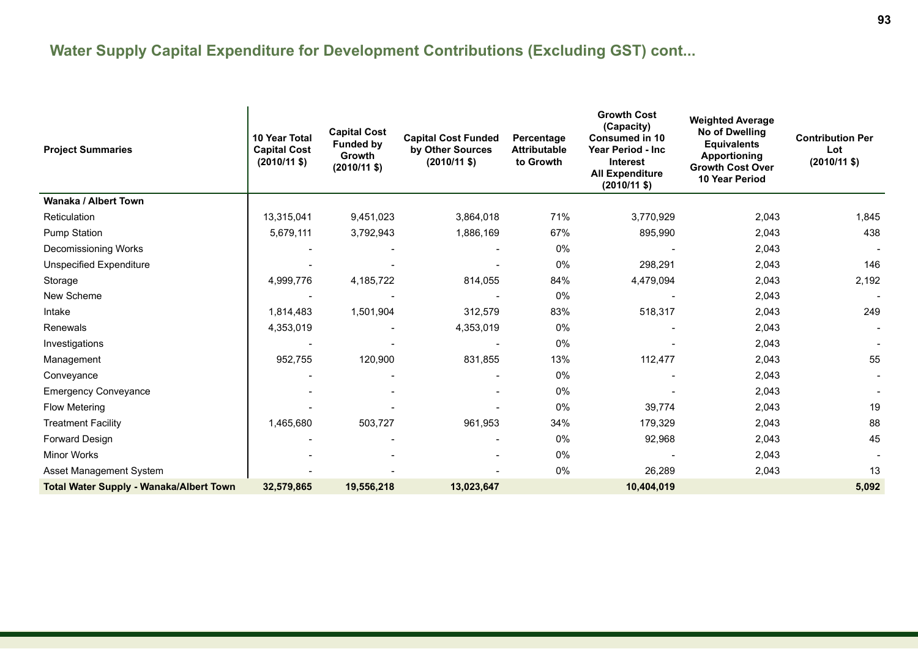| <b>Project Summaries</b>                       | <b>10 Year Total</b><br><b>Capital Cost</b><br>$(2010/11 \text{ $}$ | <b>Capital Cost</b><br><b>Funded by</b><br><b>Growth</b><br>$(2010/11$ \$) | <b>Capital Cost Funded</b><br>by Other Sources<br>$(2010/11 \text{ $}$ | Percentage<br><b>Attributable</b><br>to Growth | <b>Growth Cost</b><br>(Capacity)<br><b>Consumed in 10</b><br><b>Year Period - Inc.</b><br><b>Interest</b><br><b>All Expenditure</b><br>$(2010/11 \text{ $}$ | <b>Weighted Average</b><br>No of Dwelling<br><b>Equivalents</b><br><b>Apportioning</b><br><b>Growth Cost Over</b><br><b>10 Year Period</b> | <b>Contribution Per</b><br>Lot<br>$(2010/11 \text{ $}$ |
|------------------------------------------------|---------------------------------------------------------------------|----------------------------------------------------------------------------|------------------------------------------------------------------------|------------------------------------------------|-------------------------------------------------------------------------------------------------------------------------------------------------------------|--------------------------------------------------------------------------------------------------------------------------------------------|--------------------------------------------------------|
| Wanaka / Albert Town                           |                                                                     |                                                                            |                                                                        |                                                |                                                                                                                                                             |                                                                                                                                            |                                                        |
| Reticulation                                   | 13,315,041                                                          | 9,451,023                                                                  | 3,864,018                                                              | 71%                                            | 3,770,929                                                                                                                                                   | 2,043                                                                                                                                      | 1,845                                                  |
| <b>Pump Station</b>                            | 5,679,111                                                           | 3,792,943                                                                  | 1,886,169                                                              | 67%                                            | 895,990                                                                                                                                                     | 2,043                                                                                                                                      | 438                                                    |
| Decomissioning Works                           |                                                                     |                                                                            |                                                                        | 0%                                             |                                                                                                                                                             | 2,043                                                                                                                                      |                                                        |
| Unspecified Expenditure                        |                                                                     |                                                                            |                                                                        | 0%                                             | 298,291                                                                                                                                                     | 2,043                                                                                                                                      | 146                                                    |
| Storage                                        | 4,999,776                                                           | 4,185,722                                                                  | 814,055                                                                | 84%                                            | 4,479,094                                                                                                                                                   | 2,043                                                                                                                                      | 2,192                                                  |
| New Scheme                                     |                                                                     |                                                                            |                                                                        | 0%                                             |                                                                                                                                                             | 2,043                                                                                                                                      |                                                        |
| Intake                                         | 1,814,483                                                           | 1,501,904                                                                  | 312,579                                                                | 83%                                            | 518,317                                                                                                                                                     | 2,043                                                                                                                                      | 249                                                    |
| Renewals                                       | 4,353,019                                                           |                                                                            | 4,353,019                                                              | 0%                                             |                                                                                                                                                             | 2,043                                                                                                                                      |                                                        |
| Investigations                                 |                                                                     |                                                                            |                                                                        | 0%                                             |                                                                                                                                                             | 2,043                                                                                                                                      |                                                        |
| Management                                     | 952,755                                                             | 120,900                                                                    | 831,855                                                                | 13%                                            | 112,477                                                                                                                                                     | 2,043                                                                                                                                      | 55                                                     |
| Conveyance                                     |                                                                     |                                                                            |                                                                        | 0%                                             |                                                                                                                                                             | 2,043                                                                                                                                      |                                                        |
| <b>Emergency Conveyance</b>                    |                                                                     |                                                                            |                                                                        | 0%                                             |                                                                                                                                                             | 2,043                                                                                                                                      |                                                        |
| <b>Flow Metering</b>                           |                                                                     |                                                                            |                                                                        | 0%                                             | 39,774                                                                                                                                                      | 2,043                                                                                                                                      | 19                                                     |
| <b>Treatment Facility</b>                      | 1,465,680                                                           | 503,727                                                                    | 961,953                                                                | 34%                                            | 179,329                                                                                                                                                     | 2,043                                                                                                                                      | 88                                                     |
| Forward Design                                 |                                                                     |                                                                            |                                                                        | 0%                                             | 92,968                                                                                                                                                      | 2,043                                                                                                                                      | 45                                                     |
| <b>Minor Works</b>                             |                                                                     |                                                                            | $\overline{\phantom{a}}$                                               | 0%                                             |                                                                                                                                                             | 2,043                                                                                                                                      |                                                        |
| Asset Management System                        |                                                                     |                                                                            |                                                                        | 0%                                             | 26,289                                                                                                                                                      | 2,043                                                                                                                                      | 13                                                     |
| <b>Total Water Supply - Wanaka/Albert Town</b> | 32,579,865                                                          | 19,556,218                                                                 | 13,023,647                                                             |                                                | 10,404,019                                                                                                                                                  |                                                                                                                                            | 5,092                                                  |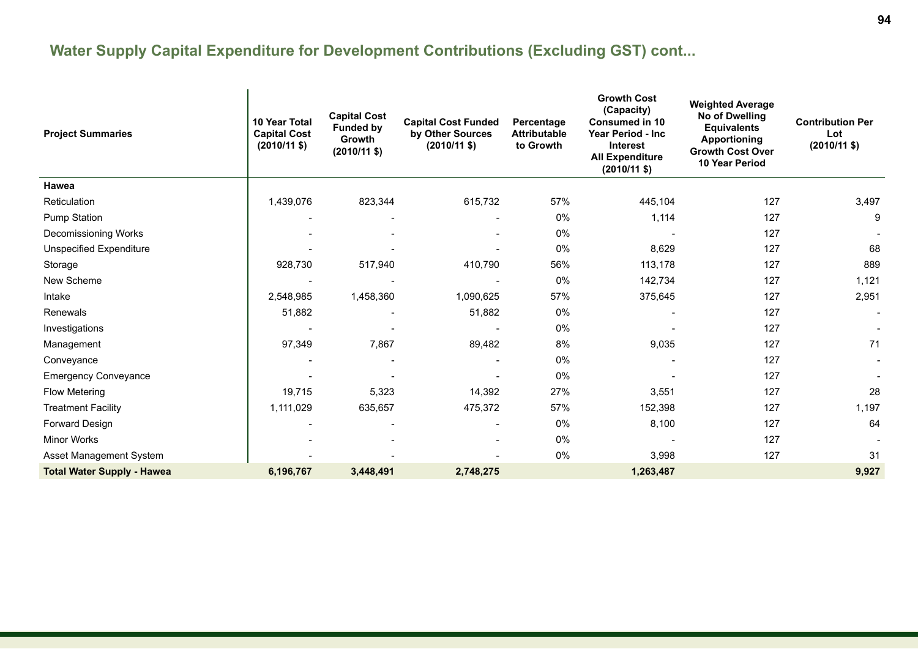| <b>Project Summaries</b>          | 10 Year Total<br><b>Capital Cost</b><br>$(2010/11 \text{ $}$ | <b>Capital Cost</b><br><b>Funded by</b><br>Growth<br>$(2010/11$ \$) | <b>Capital Cost Funded</b><br>by Other Sources<br>$(2010/11 \text{ $}$ | Percentage<br><b>Attributable</b><br>to Growth | <b>Growth Cost</b><br>(Capacity)<br><b>Consumed in 10</b><br>Year Period - Inc<br><b>Interest</b><br><b>All Expenditure</b><br>$(2010/11 \text{$ ) | <b>Weighted Average</b><br><b>No of Dwelling</b><br><b>Equivalents</b><br><b>Apportioning</b><br><b>Growth Cost Over</b><br>10 Year Period | <b>Contribution Per</b><br>Lot<br>$(2010/11 \text{ $})$ |
|-----------------------------------|--------------------------------------------------------------|---------------------------------------------------------------------|------------------------------------------------------------------------|------------------------------------------------|----------------------------------------------------------------------------------------------------------------------------------------------------|--------------------------------------------------------------------------------------------------------------------------------------------|---------------------------------------------------------|
| Hawea                             |                                                              |                                                                     |                                                                        |                                                |                                                                                                                                                    |                                                                                                                                            |                                                         |
| Reticulation                      | 1,439,076                                                    | 823,344                                                             | 615,732                                                                | 57%                                            | 445,104                                                                                                                                            | 127                                                                                                                                        | 3,497                                                   |
| <b>Pump Station</b>               |                                                              |                                                                     |                                                                        | 0%                                             | 1,114                                                                                                                                              | 127                                                                                                                                        | 9                                                       |
| Decomissioning Works              |                                                              |                                                                     |                                                                        | 0%                                             |                                                                                                                                                    | 127                                                                                                                                        |                                                         |
| <b>Unspecified Expenditure</b>    |                                                              |                                                                     |                                                                        | 0%                                             | 8,629                                                                                                                                              | 127                                                                                                                                        | 68                                                      |
| Storage                           | 928,730                                                      | 517,940                                                             | 410,790                                                                | 56%                                            | 113,178                                                                                                                                            | 127                                                                                                                                        | 889                                                     |
| New Scheme                        |                                                              |                                                                     |                                                                        | 0%                                             | 142,734                                                                                                                                            | 127                                                                                                                                        | 1,121                                                   |
| Intake                            | 2,548,985                                                    | 1,458,360                                                           | 1,090,625                                                              | 57%                                            | 375,645                                                                                                                                            | 127                                                                                                                                        | 2,951                                                   |
| Renewals                          | 51,882                                                       |                                                                     | 51,882                                                                 | $0\%$                                          |                                                                                                                                                    | 127                                                                                                                                        |                                                         |
| Investigations                    |                                                              |                                                                     |                                                                        | $0\%$                                          |                                                                                                                                                    | 127                                                                                                                                        |                                                         |
| Management                        | 97,349                                                       | 7,867                                                               | 89,482                                                                 | 8%                                             | 9,035                                                                                                                                              | 127                                                                                                                                        | 71                                                      |
| Conveyance                        |                                                              |                                                                     |                                                                        | $0\%$                                          |                                                                                                                                                    | 127                                                                                                                                        |                                                         |
| <b>Emergency Conveyance</b>       |                                                              |                                                                     |                                                                        | 0%                                             |                                                                                                                                                    | 127                                                                                                                                        |                                                         |
| <b>Flow Metering</b>              | 19,715                                                       | 5,323                                                               | 14,392                                                                 | 27%                                            | 3,551                                                                                                                                              | 127                                                                                                                                        | 28                                                      |
| <b>Treatment Facility</b>         | 1,111,029                                                    | 635,657                                                             | 475,372                                                                | 57%                                            | 152,398                                                                                                                                            | 127                                                                                                                                        | 1,197                                                   |
| Forward Design                    |                                                              |                                                                     |                                                                        | 0%                                             | 8,100                                                                                                                                              | 127                                                                                                                                        | 64                                                      |
| <b>Minor Works</b>                |                                                              |                                                                     |                                                                        | 0%                                             |                                                                                                                                                    | 127                                                                                                                                        |                                                         |
| Asset Management System           |                                                              |                                                                     |                                                                        | 0%                                             | 3,998                                                                                                                                              | 127                                                                                                                                        | 31                                                      |
| <b>Total Water Supply - Hawea</b> | 6,196,767                                                    | 3,448,491                                                           | 2,748,275                                                              |                                                | 1,263,487                                                                                                                                          |                                                                                                                                            | 9,927                                                   |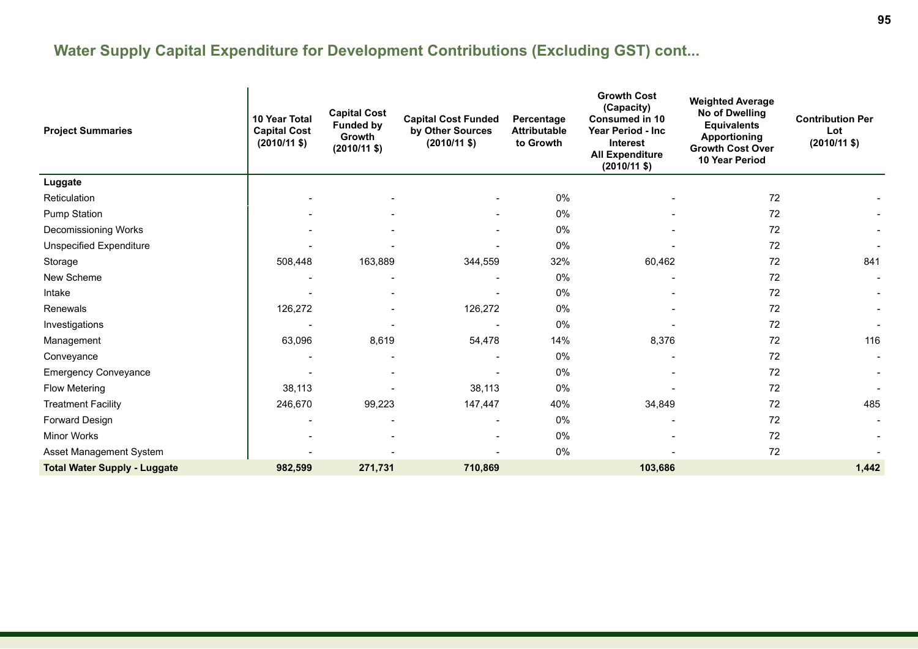| <b>Project Summaries</b>            | 10 Year Total<br><b>Capital Cost</b><br>$(2010/11 \text{ $}$ | <b>Capital Cost</b><br><b>Funded by</b><br><b>Growth</b><br>$(2010/11 \text{ $}$ | <b>Capital Cost Funded</b><br>by Other Sources<br>$(2010/11 \text{ $}$ | Percentage<br><b>Attributable</b><br>to Growth | <b>Growth Cost</b><br>(Capacity)<br><b>Consumed in 10</b><br>Year Period - Inc<br><b>Interest</b><br><b>All Expenditure</b><br>$(2010/11$ \$) | <b>Weighted Average</b><br>No of Dwelling<br><b>Equivalents</b><br><b>Apportioning</b><br><b>Growth Cost Over</b><br>10 Year Period | <b>Contribution Per</b><br>Lot<br>$(2010/11 \text{ $}$ |
|-------------------------------------|--------------------------------------------------------------|----------------------------------------------------------------------------------|------------------------------------------------------------------------|------------------------------------------------|-----------------------------------------------------------------------------------------------------------------------------------------------|-------------------------------------------------------------------------------------------------------------------------------------|--------------------------------------------------------|
| Luggate                             |                                                              |                                                                                  |                                                                        |                                                |                                                                                                                                               |                                                                                                                                     |                                                        |
| Reticulation                        |                                                              |                                                                                  |                                                                        | 0%                                             |                                                                                                                                               | 72                                                                                                                                  |                                                        |
| <b>Pump Station</b>                 |                                                              |                                                                                  |                                                                        | 0%                                             |                                                                                                                                               | 72                                                                                                                                  |                                                        |
| Decomissioning Works                |                                                              |                                                                                  |                                                                        | 0%                                             |                                                                                                                                               | 72                                                                                                                                  |                                                        |
| <b>Unspecified Expenditure</b>      |                                                              |                                                                                  |                                                                        | 0%                                             |                                                                                                                                               | 72                                                                                                                                  |                                                        |
| Storage                             | 508,448                                                      | 163,889                                                                          | 344,559                                                                | 32%                                            | 60,462                                                                                                                                        | 72                                                                                                                                  | 841                                                    |
| New Scheme                          |                                                              |                                                                                  |                                                                        | 0%                                             |                                                                                                                                               | 72                                                                                                                                  |                                                        |
| Intake                              |                                                              |                                                                                  |                                                                        | 0%                                             |                                                                                                                                               | 72                                                                                                                                  |                                                        |
| Renewals                            | 126,272                                                      |                                                                                  | 126,272                                                                | 0%                                             |                                                                                                                                               | 72                                                                                                                                  |                                                        |
| Investigations                      |                                                              |                                                                                  |                                                                        | 0%                                             |                                                                                                                                               | 72                                                                                                                                  |                                                        |
| Management                          | 63,096                                                       | 8,619                                                                            | 54,478                                                                 | 14%                                            | 8,376                                                                                                                                         | 72                                                                                                                                  | 116                                                    |
| Conveyance                          |                                                              |                                                                                  |                                                                        | 0%                                             |                                                                                                                                               | 72                                                                                                                                  |                                                        |
| <b>Emergency Conveyance</b>         |                                                              |                                                                                  |                                                                        | 0%                                             |                                                                                                                                               | 72                                                                                                                                  |                                                        |
| <b>Flow Metering</b>                | 38,113                                                       |                                                                                  | 38,113                                                                 | 0%                                             |                                                                                                                                               | 72                                                                                                                                  |                                                        |
| <b>Treatment Facility</b>           | 246,670                                                      | 99,223                                                                           | 147,447                                                                | 40%                                            | 34,849                                                                                                                                        | 72                                                                                                                                  | 485                                                    |
| Forward Design                      |                                                              |                                                                                  | $\overline{\phantom{a}}$                                               | 0%                                             |                                                                                                                                               | 72                                                                                                                                  |                                                        |
| Minor Works                         |                                                              |                                                                                  |                                                                        | 0%                                             |                                                                                                                                               | 72                                                                                                                                  |                                                        |
| Asset Management System             |                                                              |                                                                                  |                                                                        | 0%                                             |                                                                                                                                               | 72                                                                                                                                  |                                                        |
| <b>Total Water Supply - Luggate</b> | 982,599                                                      | 271,731                                                                          | 710,869                                                                |                                                | 103,686                                                                                                                                       |                                                                                                                                     | 1,442                                                  |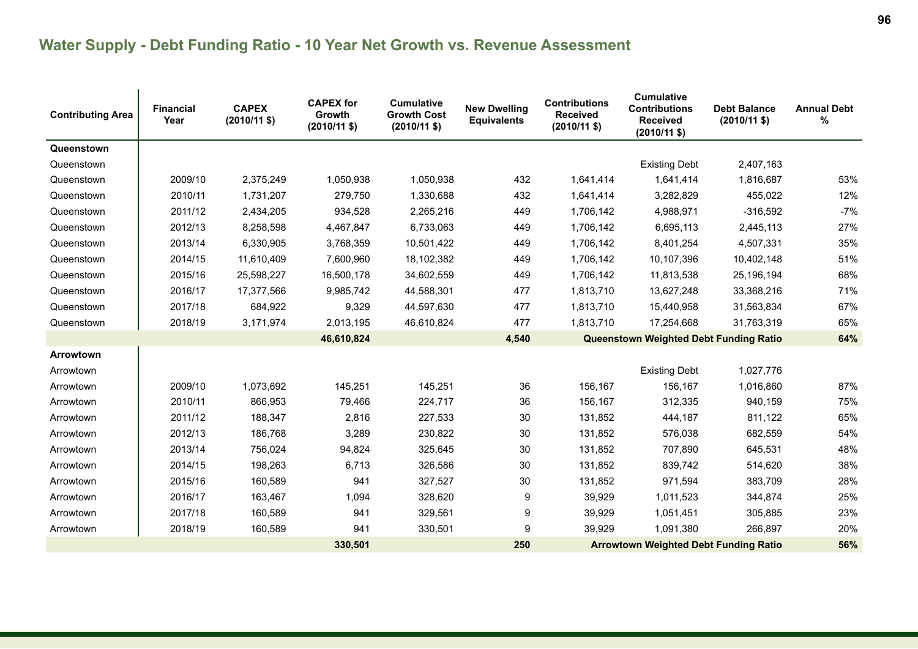# **Water Supply - Debt Funding Ratio - 10 Year Net Growth vs. Revenue Assessment**

| <b>Contributing Area</b> | <b>Financial</b><br>Year | <b>CAPEX</b><br>$(2010/11$ \$) | <b>CAPEX for</b><br>Growth<br>$(2010/11$ \$) | <b>Cumulative</b><br><b>Growth Cost</b><br>$(2010/11 \text{ $}$ | <b>New Dwelling</b><br><b>Equivalents</b> | <b>Contributions</b><br><b>Received</b><br>$(2010/11$ \$) | <b>Cumulative</b><br><b>Contributions</b><br><b>Received</b><br>$(2010/11$ \$) | <b>Debt Balance</b><br>$(2010/11$ \$) | <b>Annual Debt</b><br>% |
|--------------------------|--------------------------|--------------------------------|----------------------------------------------|-----------------------------------------------------------------|-------------------------------------------|-----------------------------------------------------------|--------------------------------------------------------------------------------|---------------------------------------|-------------------------|
| Queenstown               |                          |                                |                                              |                                                                 |                                           |                                                           |                                                                                |                                       |                         |
| Queenstown               |                          |                                |                                              |                                                                 |                                           |                                                           | <b>Existing Debt</b>                                                           | 2,407,163                             |                         |
| Queenstown               | 2009/10                  | 2,375,249                      | 1,050,938                                    | 1,050,938                                                       | 432                                       | 1,641,414                                                 | 1,641,414                                                                      | 1,816,687                             | 53%                     |
| Queenstown               | 2010/11                  | 1,731,207                      | 279,750                                      | 1,330,688                                                       | 432                                       | 1,641,414                                                 | 3,282,829                                                                      | 455,022                               | 12%                     |
| Queenstown               | 2011/12                  | 2,434,205                      | 934,528                                      | 2,265,216                                                       | 449                                       | 1,706,142                                                 | 4,988,971                                                                      | $-316,592$                            | $-7%$                   |
| Queenstown               | 2012/13                  | 8,258,598                      | 4,467,847                                    | 6,733,063                                                       | 449                                       | 1,706,142                                                 | 6,695,113                                                                      | 2,445,113                             | 27%                     |
| Queenstown               | 2013/14                  | 6,330,905                      | 3,768,359                                    | 10,501,422                                                      | 449                                       | 1,706,142                                                 | 8,401,254                                                                      | 4,507,331                             | 35%                     |
| Queenstown               | 2014/15                  | 11,610,409                     | 7,600,960                                    | 18,102,382                                                      | 449                                       | 1,706,142                                                 | 10,107,396                                                                     | 10,402,148                            | 51%                     |
| Queenstown               | 2015/16                  | 25,598,227                     | 16,500,178                                   | 34,602,559                                                      | 449                                       | 1,706,142                                                 | 11,813,538                                                                     | 25,196,194                            | 68%                     |
| Queenstown               | 2016/17                  | 17,377,566                     | 9,985,742                                    | 44,588,301                                                      | 477                                       | 1,813,710                                                 | 13,627,248                                                                     | 33,368,216                            | 71%                     |
| Queenstown               | 2017/18                  | 684,922                        | 9,329                                        | 44,597,630                                                      | 477                                       | 1,813,710                                                 | 15,440,958                                                                     | 31,563,834                            | 67%                     |
| Queenstown               | 2018/19                  | 3,171,974                      | 2,013,195                                    | 46,610,824                                                      | 477                                       | 1,813,710                                                 | 17,254,668                                                                     | 31,763,319                            | 65%                     |
|                          |                          |                                | 46,610,824                                   |                                                                 | 4,540                                     |                                                           | Queenstown Weighted Debt Funding Ratio                                         |                                       | 64%                     |
| Arrowtown                |                          |                                |                                              |                                                                 |                                           |                                                           |                                                                                |                                       |                         |
| Arrowtown                |                          |                                |                                              |                                                                 |                                           |                                                           | <b>Existing Debt</b>                                                           | 1,027,776                             |                         |
| Arrowtown                | 2009/10                  | 1,073,692                      | 145,251                                      | 145,251                                                         | 36                                        | 156,167                                                   | 156,167                                                                        | 1,016,860                             | 87%                     |
| Arrowtown                | 2010/11                  | 866,953                        | 79,466                                       | 224,717                                                         | 36                                        | 156,167                                                   | 312,335                                                                        | 940,159                               | 75%                     |
| Arrowtown                | 2011/12                  | 188,347                        | 2,816                                        | 227,533                                                         | 30                                        | 131,852                                                   | 444,187                                                                        | 811,122                               | 65%                     |
| Arrowtown                | 2012/13                  | 186,768                        | 3,289                                        | 230,822                                                         | 30                                        | 131,852                                                   | 576,038                                                                        | 682,559                               | 54%                     |
| Arrowtown                | 2013/14                  | 756,024                        | 94,824                                       | 325,645                                                         | 30                                        | 131,852                                                   | 707,890                                                                        | 645,531                               | 48%                     |
| Arrowtown                | 2014/15                  | 198,263                        | 6,713                                        | 326,586                                                         | 30                                        | 131,852                                                   | 839,742                                                                        | 514,620                               | 38%                     |
| Arrowtown                | 2015/16                  | 160,589                        | 941                                          | 327,527                                                         | 30                                        | 131,852                                                   | 971,594                                                                        | 383,709                               | 28%                     |
| Arrowtown                | 2016/17                  | 163,467                        | 1,094                                        | 328,620                                                         | 9                                         | 39,929                                                    | 1,011,523                                                                      | 344,874                               | 25%                     |
| Arrowtown                | 2017/18                  | 160,589                        | 941                                          | 329,561                                                         | 9                                         | 39,929                                                    | 1,051,451                                                                      | 305,885                               | 23%                     |
| Arrowtown                | 2018/19                  | 160,589                        | 941                                          | 330,501                                                         | 9                                         | 39,929                                                    | 1,091,380                                                                      | 266,897                               | 20%                     |
|                          |                          |                                | 330,501                                      |                                                                 | 250                                       |                                                           | <b>Arrowtown Weighted Debt Funding Ratio</b>                                   |                                       | 56%                     |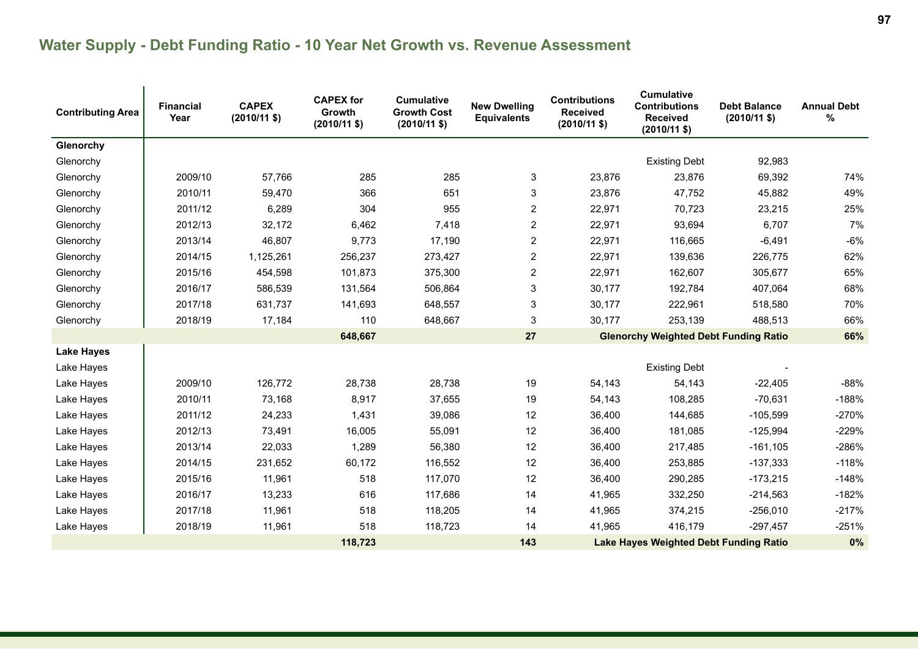# **Water Supply - Debt Funding Ratio - 10 Year Net Growth vs. Revenue Assessment**

| <b>Contributing Area</b> | <b>Financial</b><br>Year | <b>CAPEX</b><br>$(2010/11$ \$) | <b>CAPEX for</b><br>Growth<br>$(2010/11 \text{ $}$ | <b>Cumulative</b><br><b>Growth Cost</b><br>$(2010/11 \text{ $}$ | <b>New Dwelling</b><br><b>Equivalents</b> | <b>Contributions</b><br><b>Received</b><br>$(2010/11 \text{ $}$ | <b>Cumulative</b><br><b>Contributions</b><br><b>Received</b><br>$(2010/11$ \$) | <b>Debt Balance</b><br>$(2010/11$ \$) | <b>Annual Debt</b><br>% |
|--------------------------|--------------------------|--------------------------------|----------------------------------------------------|-----------------------------------------------------------------|-------------------------------------------|-----------------------------------------------------------------|--------------------------------------------------------------------------------|---------------------------------------|-------------------------|
| Glenorchy                |                          |                                |                                                    |                                                                 |                                           |                                                                 |                                                                                |                                       |                         |
| Glenorchy                |                          |                                |                                                    |                                                                 |                                           |                                                                 | <b>Existing Debt</b>                                                           | 92,983                                |                         |
| Glenorchy                | 2009/10                  | 57,766                         | 285                                                | 285                                                             | 3                                         | 23,876                                                          | 23,876                                                                         | 69,392                                | 74%                     |
| Glenorchy                | 2010/11                  | 59,470                         | 366                                                | 651                                                             | 3                                         | 23,876                                                          | 47,752                                                                         | 45,882                                | 49%                     |
| Glenorchy                | 2011/12                  | 6,289                          | 304                                                | 955                                                             | $\overline{c}$                            | 22,971                                                          | 70,723                                                                         | 23,215                                | 25%                     |
| Glenorchy                | 2012/13                  | 32,172                         | 6,462                                              | 7,418                                                           | $\overline{c}$                            | 22,971                                                          | 93,694                                                                         | 6,707                                 | 7%                      |
| Glenorchy                | 2013/14                  | 46,807                         | 9,773                                              | 17,190                                                          | $\overline{c}$                            | 22,971                                                          | 116,665                                                                        | $-6,491$                              | $-6%$                   |
| Glenorchy                | 2014/15                  | 1,125,261                      | 256,237                                            | 273,427                                                         | $\overline{\mathbf{c}}$                   | 22,971                                                          | 139,636                                                                        | 226,775                               | 62%                     |
| Glenorchy                | 2015/16                  | 454,598                        | 101,873                                            | 375,300                                                         | $\overline{c}$                            | 22,971                                                          | 162,607                                                                        | 305,677                               | 65%                     |
| Glenorchy                | 2016/17                  | 586,539                        | 131,564                                            | 506,864                                                         | 3                                         | 30,177                                                          | 192,784                                                                        | 407,064                               | 68%                     |
| Glenorchy                | 2017/18                  | 631,737                        | 141,693                                            | 648,557                                                         | 3                                         | 30,177                                                          | 222,961                                                                        | 518,580                               | 70%                     |
| Glenorchy                | 2018/19                  | 17,184                         | 110                                                | 648,667                                                         | 3                                         | 30,177                                                          | 253,139                                                                        | 488,513                               | 66%                     |
|                          |                          |                                | 648,667                                            |                                                                 | 27                                        |                                                                 | <b>Glenorchy Weighted Debt Funding Ratio</b>                                   |                                       | 66%                     |
| <b>Lake Hayes</b>        |                          |                                |                                                    |                                                                 |                                           |                                                                 |                                                                                |                                       |                         |
| Lake Hayes               |                          |                                |                                                    |                                                                 |                                           |                                                                 | <b>Existing Debt</b>                                                           |                                       |                         |
| Lake Hayes               | 2009/10                  | 126,772                        | 28,738                                             | 28,738                                                          | 19                                        | 54,143                                                          | 54,143                                                                         | $-22,405$                             | $-88%$                  |
| Lake Hayes               | 2010/11                  | 73,168                         | 8,917                                              | 37,655                                                          | 19                                        | 54,143                                                          | 108,285                                                                        | $-70,631$                             | $-188%$                 |
| Lake Hayes               | 2011/12                  | 24,233                         | 1,431                                              | 39,086                                                          | 12                                        | 36,400                                                          | 144,685                                                                        | $-105,599$                            | $-270%$                 |
| Lake Hayes               | 2012/13                  | 73,491                         | 16,005                                             | 55,091                                                          | 12                                        | 36,400                                                          | 181,085                                                                        | $-125,994$                            | $-229%$                 |
| Lake Hayes               | 2013/14                  | 22,033                         | 1,289                                              | 56,380                                                          | 12                                        | 36,400                                                          | 217,485                                                                        | $-161,105$                            | $-286%$                 |
| Lake Hayes               | 2014/15                  | 231,652                        | 60,172                                             | 116,552                                                         | 12                                        | 36,400                                                          | 253,885                                                                        | $-137,333$                            | $-118%$                 |
| Lake Hayes               | 2015/16                  | 11,961                         | 518                                                | 117,070                                                         | 12                                        | 36,400                                                          | 290,285                                                                        | $-173,215$                            | $-148%$                 |
| Lake Hayes               | 2016/17                  | 13,233                         | 616                                                | 117,686                                                         | 14                                        | 41,965                                                          | 332,250                                                                        | $-214,563$                            | $-182%$                 |
| Lake Hayes               | 2017/18                  | 11,961                         | 518                                                | 118,205                                                         | 14                                        | 41,965                                                          | 374,215                                                                        | $-256,010$                            | $-217%$                 |
| Lake Hayes               | 2018/19                  | 11,961                         | 518                                                | 118,723                                                         | 14                                        | 41,965                                                          | 416,179                                                                        | $-297,457$                            | $-251%$                 |
|                          |                          |                                | 118,723                                            |                                                                 | 143                                       |                                                                 | <b>Lake Hayes Weighted Debt Funding Ratio</b>                                  |                                       | 0%                      |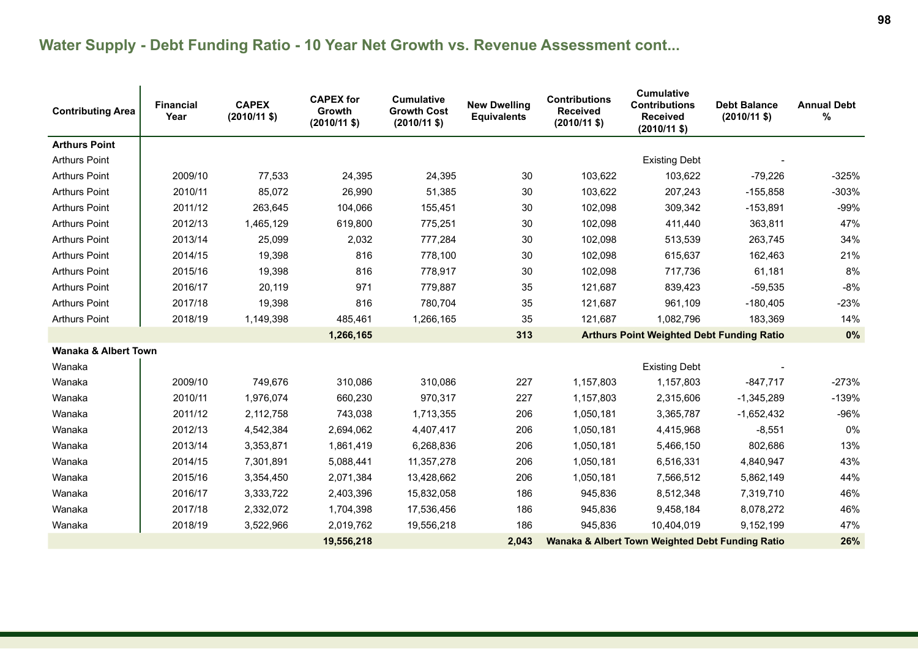| <b>Contributing Area</b>        | <b>Financial</b><br>Year | <b>CAPEX</b><br>$(2010/11$ \$) | <b>CAPEX for</b><br>Growth<br>$(2010/11$ \$) | <b>Cumulative</b><br><b>Growth Cost</b><br>$(2010/11$ \$) | <b>New Dwelling</b><br><b>Equivalents</b> | <b>Contributions</b><br><b>Received</b><br>$(2010/11$ \$) | <b>Cumulative</b><br><b>Contributions</b><br><b>Received</b><br>$(2010/11$ \$) | <b>Debt Balance</b><br>$(2010/11 \text{ $}$ | <b>Annual Debt</b><br>$\%$ |
|---------------------------------|--------------------------|--------------------------------|----------------------------------------------|-----------------------------------------------------------|-------------------------------------------|-----------------------------------------------------------|--------------------------------------------------------------------------------|---------------------------------------------|----------------------------|
| <b>Arthurs Point</b>            |                          |                                |                                              |                                                           |                                           |                                                           |                                                                                |                                             |                            |
| <b>Arthurs Point</b>            |                          |                                |                                              |                                                           |                                           |                                                           | <b>Existing Debt</b>                                                           |                                             |                            |
| <b>Arthurs Point</b>            | 2009/10                  | 77,533                         | 24,395                                       | 24,395                                                    | 30                                        | 103,622                                                   | 103,622                                                                        | $-79,226$                                   | $-325%$                    |
| <b>Arthurs Point</b>            | 2010/11                  | 85,072                         | 26,990                                       | 51,385                                                    | 30                                        | 103,622                                                   | 207,243                                                                        | $-155,858$                                  | $-303%$                    |
| <b>Arthurs Point</b>            | 2011/12                  | 263,645                        | 104,066                                      | 155,451                                                   | 30                                        | 102,098                                                   | 309,342                                                                        | $-153,891$                                  | $-99%$                     |
| <b>Arthurs Point</b>            | 2012/13                  | 1,465,129                      | 619,800                                      | 775,251                                                   | 30                                        | 102,098                                                   | 411,440                                                                        | 363,811                                     | 47%                        |
| <b>Arthurs Point</b>            | 2013/14                  | 25,099                         | 2,032                                        | 777,284                                                   | 30                                        | 102,098                                                   | 513,539                                                                        | 263,745                                     | 34%                        |
| <b>Arthurs Point</b>            | 2014/15                  | 19,398                         | 816                                          | 778,100                                                   | 30                                        | 102,098                                                   | 615,637                                                                        | 162,463                                     | 21%                        |
| <b>Arthurs Point</b>            | 2015/16                  | 19,398                         | 816                                          | 778,917                                                   | 30                                        | 102,098                                                   | 717,736                                                                        | 61,181                                      | 8%                         |
| <b>Arthurs Point</b>            | 2016/17                  | 20,119                         | 971                                          | 779,887                                                   | 35                                        | 121,687                                                   | 839,423                                                                        | $-59,535$                                   | $-8%$                      |
| <b>Arthurs Point</b>            | 2017/18                  | 19,398                         | 816                                          | 780,704                                                   | 35                                        | 121,687                                                   | 961,109                                                                        | $-180,405$                                  | $-23%$                     |
| <b>Arthurs Point</b>            | 2018/19                  | 1,149,398                      | 485,461                                      | 1,266,165                                                 | 35                                        | 121,687                                                   | 1,082,796                                                                      | 183,369                                     | 14%                        |
|                                 |                          |                                | 1,266,165                                    |                                                           | 313                                       |                                                           | <b>Arthurs Point Weighted Debt Funding Ratio</b>                               |                                             | 0%                         |
| <b>Wanaka &amp; Albert Town</b> |                          |                                |                                              |                                                           |                                           |                                                           |                                                                                |                                             |                            |
| Wanaka                          |                          |                                |                                              |                                                           |                                           |                                                           | <b>Existing Debt</b>                                                           |                                             |                            |
| Wanaka                          | 2009/10                  | 749,676                        | 310,086                                      | 310,086                                                   | 227                                       | 1,157,803                                                 | 1,157,803                                                                      | $-847,717$                                  | $-273%$                    |
| Wanaka                          | 2010/11                  | 1,976,074                      | 660,230                                      | 970,317                                                   | 227                                       | 1,157,803                                                 | 2,315,606                                                                      | $-1,345,289$                                | $-139%$                    |
| Wanaka                          | 2011/12                  | 2,112,758                      | 743,038                                      | 1,713,355                                                 | 206                                       | 1,050,181                                                 | 3,365,787                                                                      | $-1,652,432$                                | -96%                       |
| Wanaka                          | 2012/13                  | 4,542,384                      | 2,694,062                                    | 4,407,417                                                 | 206                                       | 1,050,181                                                 | 4,415,968                                                                      | $-8,551$                                    | $0\%$                      |
| Wanaka                          | 2013/14                  | 3,353,871                      | 1,861,419                                    | 6,268,836                                                 | 206                                       | 1,050,181                                                 | 5,466,150                                                                      | 802,686                                     | 13%                        |
| Wanaka                          | 2014/15                  | 7,301,891                      | 5,088,441                                    | 11,357,278                                                | 206                                       | 1,050,181                                                 | 6,516,331                                                                      | 4,840,947                                   | 43%                        |
| Wanaka                          | 2015/16                  | 3,354,450                      | 2,071,384                                    | 13,428,662                                                | 206                                       | 1,050,181                                                 | 7,566,512                                                                      | 5,862,149                                   | 44%                        |
| Wanaka                          | 2016/17                  | 3,333,722                      | 2,403,396                                    | 15,832,058                                                | 186                                       | 945,836                                                   | 8,512,348                                                                      | 7,319,710                                   | 46%                        |
| Wanaka                          | 2017/18                  | 2,332,072                      | 1,704,398                                    | 17,536,456                                                | 186                                       | 945,836                                                   | 9,458,184                                                                      | 8,078,272                                   | 46%                        |
| Wanaka                          | 2018/19                  | 3,522,966                      | 2,019,762                                    | 19,556,218                                                | 186                                       | 945,836                                                   | 10,404,019                                                                     | 9,152,199                                   | 47%                        |
|                                 |                          |                                | 19,556,218                                   |                                                           | 2,043                                     |                                                           | <b>Wanaka &amp; Albert Town Weighted Debt Funding Ratio</b>                    |                                             | 26%                        |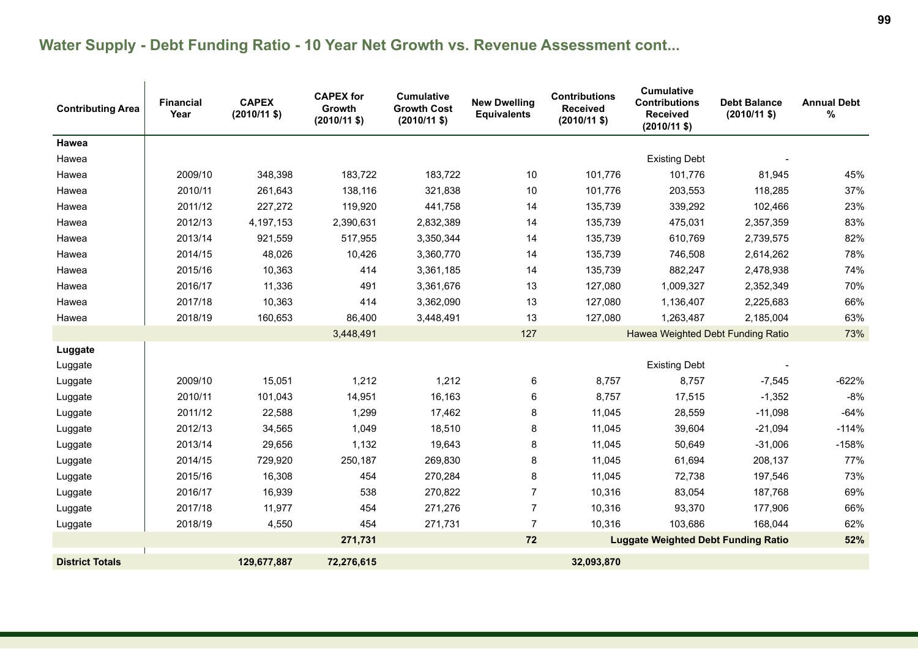| <b>Contributing Area</b> | <b>Financial</b><br>Year | <b>CAPEX</b><br>$(2010/11$ \$) | <b>CAPEX for</b><br>Growth<br>$(2010/11$ \$) | <b>Cumulative</b><br><b>Growth Cost</b><br>$(2010/11$ \$) | <b>New Dwelling</b><br><b>Equivalents</b> | <b>Contributions</b><br><b>Received</b><br>$(2010/11 \text{ $}$ | <b>Cumulative</b><br><b>Contributions</b><br><b>Received</b><br>$(2010/11$ \$) | <b>Debt Balance</b><br>$(2010/11$ \$) | <b>Annual Debt</b><br>$\%$ |
|--------------------------|--------------------------|--------------------------------|----------------------------------------------|-----------------------------------------------------------|-------------------------------------------|-----------------------------------------------------------------|--------------------------------------------------------------------------------|---------------------------------------|----------------------------|
| <b>Hawea</b>             |                          |                                |                                              |                                                           |                                           |                                                                 |                                                                                |                                       |                            |
| Hawea                    |                          |                                |                                              |                                                           |                                           |                                                                 | <b>Existing Debt</b>                                                           |                                       |                            |
| Hawea                    | 2009/10                  | 348,398                        | 183,722                                      | 183,722                                                   | 10                                        | 101,776                                                         | 101,776                                                                        | 81,945                                | 45%                        |
| Hawea                    | 2010/11                  | 261,643                        | 138,116                                      | 321,838                                                   | 10                                        | 101,776                                                         | 203,553                                                                        | 118,285                               | 37%                        |
| Hawea                    | 2011/12                  | 227,272                        | 119,920                                      | 441,758                                                   | 14                                        | 135,739                                                         | 339,292                                                                        | 102,466                               | 23%                        |
| Hawea                    | 2012/13                  | 4,197,153                      | 2,390,631                                    | 2,832,389                                                 | 14                                        | 135,739                                                         | 475,031                                                                        | 2,357,359                             | 83%                        |
| Hawea                    | 2013/14                  | 921,559                        | 517,955                                      | 3,350,344                                                 | 14                                        | 135,739                                                         | 610,769                                                                        | 2,739,575                             | 82%                        |
| Hawea                    | 2014/15                  | 48,026                         | 10,426                                       | 3,360,770                                                 | 14                                        | 135,739                                                         | 746,508                                                                        | 2,614,262                             | 78%                        |
| Hawea                    | 2015/16                  | 10,363                         | 414                                          | 3,361,185                                                 | 14                                        | 135,739                                                         | 882,247                                                                        | 2,478,938                             | 74%                        |
| Hawea                    | 2016/17                  | 11,336                         | 491                                          | 3,361,676                                                 | 13                                        | 127,080                                                         | 1,009,327                                                                      | 2,352,349                             | 70%                        |
| Hawea                    | 2017/18                  | 10,363                         | 414                                          | 3,362,090                                                 | 13                                        | 127,080                                                         | 1,136,407                                                                      | 2,225,683                             | 66%                        |
| Hawea                    | 2018/19                  | 160,653                        | 86,400                                       | 3,448,491                                                 | 13                                        | 127,080                                                         | 1,263,487                                                                      | 2,185,004                             | 63%                        |
|                          |                          |                                | 3,448,491                                    |                                                           | 127                                       |                                                                 | Hawea Weighted Debt Funding Ratio                                              |                                       | 73%                        |
| Luggate                  |                          |                                |                                              |                                                           |                                           |                                                                 |                                                                                |                                       |                            |
| Luggate                  |                          |                                |                                              |                                                           |                                           |                                                                 | <b>Existing Debt</b>                                                           |                                       |                            |
| Luggate                  | 2009/10                  | 15,051                         | 1,212                                        | 1,212                                                     | 6                                         | 8,757                                                           | 8,757                                                                          | $-7,545$                              | $-622%$                    |
| Luggate                  | 2010/11                  | 101,043                        | 14,951                                       | 16,163                                                    | 6                                         | 8,757                                                           | 17,515                                                                         | $-1,352$                              | $-8%$                      |
| Luggate                  | 2011/12                  | 22,588                         | 1,299                                        | 17,462                                                    | 8                                         | 11,045                                                          | 28,559                                                                         | $-11,098$                             | $-64%$                     |
| Luggate                  | 2012/13                  | 34,565                         | 1,049                                        | 18,510                                                    | 8                                         | 11,045                                                          | 39,604                                                                         | $-21,094$                             | $-114%$                    |
| Luggate                  | 2013/14                  | 29,656                         | 1,132                                        | 19,643                                                    | 8                                         | 11,045                                                          | 50,649                                                                         | $-31,006$                             | $-158%$                    |
| Luggate                  | 2014/15                  | 729,920                        | 250,187                                      | 269,830                                                   | 8                                         | 11,045                                                          | 61,694                                                                         | 208,137                               | 77%                        |
| Luggate                  | 2015/16                  | 16,308                         | 454                                          | 270,284                                                   | 8                                         | 11,045                                                          | 72,738                                                                         | 197,546                               | 73%                        |
| Luggate                  | 2016/17                  | 16,939                         | 538                                          | 270,822                                                   | $\overline{7}$                            | 10,316                                                          | 83,054                                                                         | 187,768                               | 69%                        |
| Luggate                  | 2017/18                  | 11,977                         | 454                                          | 271,276                                                   | $\overline{7}$                            | 10,316                                                          | 93,370                                                                         | 177,906                               | 66%                        |
| Luggate                  | 2018/19                  | 4,550                          | 454                                          | 271,731                                                   | $\overline{7}$                            | 10,316                                                          | 103,686                                                                        | 168,044                               | 62%                        |
|                          |                          |                                | 271,731                                      |                                                           | 72                                        |                                                                 | <b>Luggate Weighted Debt Funding Ratio</b>                                     |                                       | 52%                        |
| <b>District Totals</b>   |                          | 129,677,887                    | 72,276,615                                   |                                                           |                                           | 32,093,870                                                      |                                                                                |                                       |                            |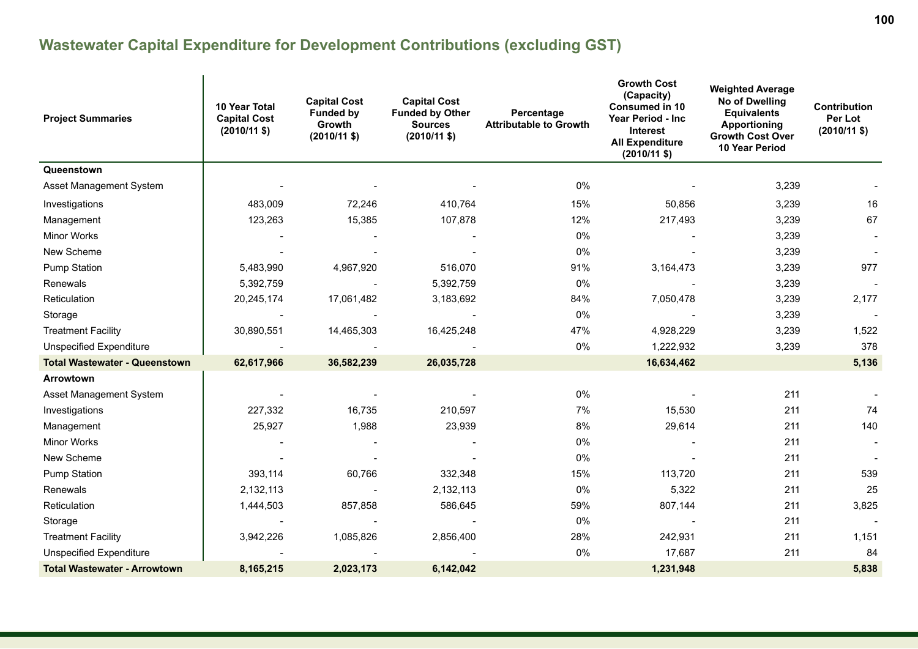# **Wastewater Capital Expenditure for Development Contributions (excluding GST)**

| <b>Project Summaries</b>             | 10 Year Total<br><b>Capital Cost</b><br>$(2010/11$ \$) | <b>Capital Cost</b><br><b>Funded by</b><br>Growth<br>$(2010/11 \text{ $}$ | <b>Capital Cost</b><br><b>Funded by Other</b><br><b>Sources</b><br>$(2010/11 \text{ $}$ | Percentage<br><b>Attributable to Growth</b> | <b>Growth Cost</b><br>(Capacity)<br><b>Consumed in 10</b><br><b>Year Period - Inc</b><br>Interest<br><b>All Expenditure</b><br>$(2010/11$ \$) | <b>Weighted Average</b><br><b>No of Dwelling</b><br><b>Equivalents</b><br><b>Apportioning</b><br><b>Growth Cost Over</b><br>10 Year Period | Contribution<br>Per Lot<br>$(2010/11$ \$) |
|--------------------------------------|--------------------------------------------------------|---------------------------------------------------------------------------|-----------------------------------------------------------------------------------------|---------------------------------------------|-----------------------------------------------------------------------------------------------------------------------------------------------|--------------------------------------------------------------------------------------------------------------------------------------------|-------------------------------------------|
| Queenstown                           |                                                        |                                                                           |                                                                                         |                                             |                                                                                                                                               |                                                                                                                                            |                                           |
| Asset Management System              |                                                        |                                                                           |                                                                                         | 0%                                          |                                                                                                                                               | 3,239                                                                                                                                      |                                           |
| Investigations                       | 483,009                                                | 72,246                                                                    | 410,764                                                                                 | 15%                                         | 50,856                                                                                                                                        | 3,239                                                                                                                                      | 16                                        |
| Management                           | 123,263                                                | 15,385                                                                    | 107,878                                                                                 | 12%                                         | 217,493                                                                                                                                       | 3,239                                                                                                                                      | 67                                        |
| <b>Minor Works</b>                   |                                                        |                                                                           |                                                                                         | 0%                                          |                                                                                                                                               | 3,239                                                                                                                                      |                                           |
| New Scheme                           |                                                        |                                                                           |                                                                                         | 0%                                          |                                                                                                                                               | 3,239                                                                                                                                      |                                           |
| <b>Pump Station</b>                  | 5,483,990                                              | 4,967,920                                                                 | 516,070                                                                                 | 91%                                         | 3,164,473                                                                                                                                     | 3,239                                                                                                                                      | 977                                       |
| Renewals                             | 5,392,759                                              |                                                                           | 5,392,759                                                                               | 0%                                          |                                                                                                                                               | 3,239                                                                                                                                      |                                           |
| Reticulation                         | 20,245,174                                             | 17,061,482                                                                | 3,183,692                                                                               | 84%                                         | 7,050,478                                                                                                                                     | 3,239                                                                                                                                      | 2,177                                     |
| Storage                              |                                                        |                                                                           |                                                                                         | 0%                                          |                                                                                                                                               | 3,239                                                                                                                                      |                                           |
| <b>Treatment Facility</b>            | 30,890,551                                             | 14,465,303                                                                | 16,425,248                                                                              | 47%                                         | 4,928,229                                                                                                                                     | 3,239                                                                                                                                      | 1,522                                     |
| Unspecified Expenditure              |                                                        |                                                                           |                                                                                         | 0%                                          | 1,222,932                                                                                                                                     | 3,239                                                                                                                                      | 378                                       |
| <b>Total Wastewater - Queenstown</b> | 62,617,966                                             | 36,582,239                                                                | 26,035,728                                                                              |                                             | 16,634,462                                                                                                                                    |                                                                                                                                            | 5,136                                     |
| Arrowtown                            |                                                        |                                                                           |                                                                                         |                                             |                                                                                                                                               |                                                                                                                                            |                                           |
| Asset Management System              |                                                        |                                                                           |                                                                                         | 0%                                          |                                                                                                                                               | 211                                                                                                                                        |                                           |
| Investigations                       | 227,332                                                | 16,735                                                                    | 210,597                                                                                 | 7%                                          | 15,530                                                                                                                                        | 211                                                                                                                                        | 74                                        |
| Management                           | 25,927                                                 | 1,988                                                                     | 23,939                                                                                  | 8%                                          | 29,614                                                                                                                                        | 211                                                                                                                                        | 140                                       |
| <b>Minor Works</b>                   |                                                        |                                                                           |                                                                                         | 0%                                          |                                                                                                                                               | 211                                                                                                                                        | $\overline{\phantom{a}}$                  |
| New Scheme                           |                                                        |                                                                           |                                                                                         | 0%                                          |                                                                                                                                               | 211                                                                                                                                        |                                           |
| Pump Station                         | 393,114                                                | 60,766                                                                    | 332,348                                                                                 | 15%                                         | 113,720                                                                                                                                       | 211                                                                                                                                        | 539                                       |
| Renewals                             | 2,132,113                                              |                                                                           | 2,132,113                                                                               | 0%                                          | 5,322                                                                                                                                         | 211                                                                                                                                        | 25                                        |
| Reticulation                         | 1,444,503                                              | 857,858                                                                   | 586,645                                                                                 | 59%                                         | 807,144                                                                                                                                       | 211                                                                                                                                        | 3,825                                     |
| Storage                              |                                                        |                                                                           |                                                                                         | 0%                                          |                                                                                                                                               | 211                                                                                                                                        |                                           |
| <b>Treatment Facility</b>            | 3,942,226                                              | 1,085,826                                                                 | 2,856,400                                                                               | 28%                                         | 242,931                                                                                                                                       | 211                                                                                                                                        | 1,151                                     |
| <b>Unspecified Expenditure</b>       |                                                        |                                                                           |                                                                                         | 0%                                          | 17,687                                                                                                                                        | 211                                                                                                                                        | 84                                        |
| <b>Total Wastewater - Arrowtown</b>  | 8,165,215                                              | 2,023,173                                                                 | 6,142,042                                                                               |                                             | 1,231,948                                                                                                                                     |                                                                                                                                            | 5,838                                     |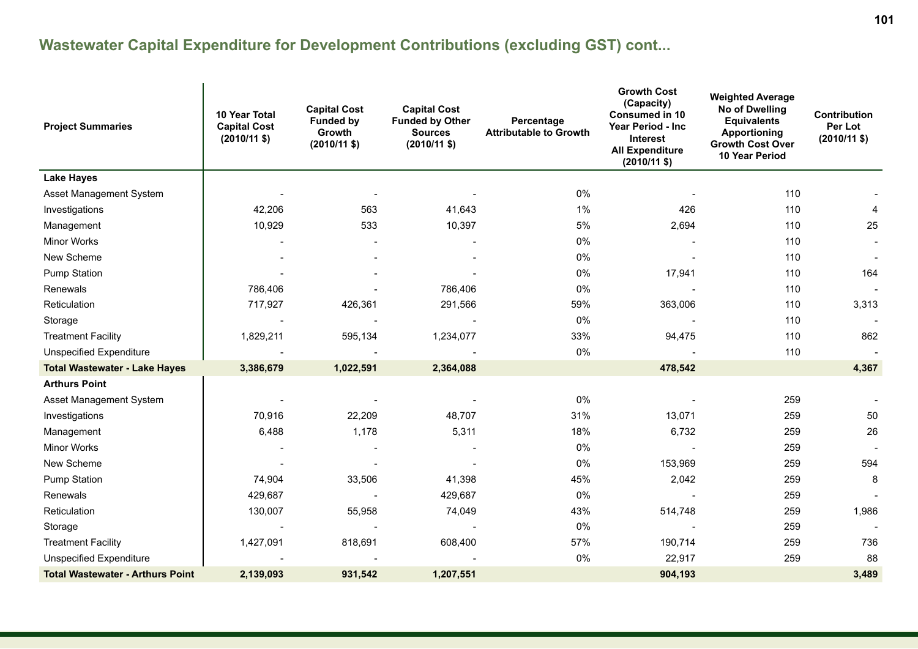| <b>Project Summaries</b>                | 10 Year Total<br><b>Capital Cost</b><br>$(2010/11$ \$) | <b>Capital Cost</b><br><b>Funded by</b><br>Growth<br>$(2010/11 \text{ $}$ | <b>Capital Cost</b><br><b>Funded by Other</b><br><b>Sources</b><br>$(2010/11$ \$) | Percentage<br><b>Attributable to Growth</b> | <b>Growth Cost</b><br>(Capacity)<br><b>Consumed in 10</b><br><b>Year Period - Inc.</b><br><b>Interest</b><br><b>All Expenditure</b><br>$(2010/11$ \$) | <b>Weighted Average</b><br>No of Dwelling<br><b>Equivalents</b><br><b>Apportioning</b><br><b>Growth Cost Over</b><br>10 Year Period | Contribution<br>Per Lot<br>$(2010/11$ \$) |
|-----------------------------------------|--------------------------------------------------------|---------------------------------------------------------------------------|-----------------------------------------------------------------------------------|---------------------------------------------|-------------------------------------------------------------------------------------------------------------------------------------------------------|-------------------------------------------------------------------------------------------------------------------------------------|-------------------------------------------|
| <b>Lake Hayes</b>                       |                                                        |                                                                           |                                                                                   |                                             |                                                                                                                                                       |                                                                                                                                     |                                           |
| Asset Management System                 |                                                        |                                                                           |                                                                                   | 0%                                          |                                                                                                                                                       | 110                                                                                                                                 |                                           |
| Investigations                          | 42,206                                                 | 563                                                                       | 41,643                                                                            | 1%                                          | 426                                                                                                                                                   | 110                                                                                                                                 | 4                                         |
| Management                              | 10,929                                                 | 533                                                                       | 10,397                                                                            | $5\%$                                       | 2,694                                                                                                                                                 | 110                                                                                                                                 | 25                                        |
| Minor Works                             |                                                        |                                                                           |                                                                                   | $0\%$                                       |                                                                                                                                                       | 110                                                                                                                                 |                                           |
| New Scheme                              |                                                        |                                                                           |                                                                                   | $0\%$                                       |                                                                                                                                                       | 110                                                                                                                                 |                                           |
| Pump Station                            |                                                        |                                                                           |                                                                                   | 0%                                          | 17,941                                                                                                                                                | 110                                                                                                                                 | 164                                       |
| Renewals                                | 786,406                                                |                                                                           | 786,406                                                                           | 0%                                          |                                                                                                                                                       | 110                                                                                                                                 |                                           |
| Reticulation                            | 717,927                                                | 426,361                                                                   | 291,566                                                                           | 59%                                         | 363,006                                                                                                                                               | 110                                                                                                                                 | 3,313                                     |
| Storage                                 |                                                        |                                                                           |                                                                                   | 0%                                          |                                                                                                                                                       | 110                                                                                                                                 | $\overline{\phantom{a}}$                  |
| <b>Treatment Facility</b>               | 1,829,211                                              | 595,134                                                                   | 1,234,077                                                                         | 33%                                         | 94,475                                                                                                                                                | 110                                                                                                                                 | 862                                       |
| <b>Unspecified Expenditure</b>          |                                                        |                                                                           |                                                                                   | 0%                                          |                                                                                                                                                       | 110                                                                                                                                 |                                           |
| <b>Total Wastewater - Lake Hayes</b>    | 3,386,679                                              | 1,022,591                                                                 | 2,364,088                                                                         |                                             | 478,542                                                                                                                                               |                                                                                                                                     | 4,367                                     |
| <b>Arthurs Point</b>                    |                                                        |                                                                           |                                                                                   |                                             |                                                                                                                                                       |                                                                                                                                     |                                           |
| Asset Management System                 |                                                        |                                                                           |                                                                                   | 0%                                          |                                                                                                                                                       | 259                                                                                                                                 |                                           |
| Investigations                          | 70,916                                                 | 22,209                                                                    | 48,707                                                                            | 31%                                         | 13,071                                                                                                                                                | 259                                                                                                                                 | 50                                        |
| Management                              | 6,488                                                  | 1,178                                                                     | 5,311                                                                             | 18%                                         | 6,732                                                                                                                                                 | 259                                                                                                                                 | 26                                        |
| Minor Works                             |                                                        |                                                                           |                                                                                   | 0%                                          |                                                                                                                                                       | 259                                                                                                                                 |                                           |
| New Scheme                              |                                                        |                                                                           |                                                                                   | $0\%$                                       | 153,969                                                                                                                                               | 259                                                                                                                                 | 594                                       |
| Pump Station                            | 74,904                                                 | 33,506                                                                    | 41,398                                                                            | 45%                                         | 2,042                                                                                                                                                 | 259                                                                                                                                 | 8                                         |
| Renewals                                | 429,687                                                |                                                                           | 429,687                                                                           | 0%                                          |                                                                                                                                                       | 259                                                                                                                                 |                                           |
| Reticulation                            | 130,007                                                | 55,958                                                                    | 74,049                                                                            | 43%                                         | 514,748                                                                                                                                               | 259                                                                                                                                 | 1,986                                     |
| Storage                                 |                                                        |                                                                           |                                                                                   | 0%                                          |                                                                                                                                                       | 259                                                                                                                                 |                                           |
| <b>Treatment Facility</b>               | 1,427,091                                              | 818,691                                                                   | 608,400                                                                           | 57%                                         | 190,714                                                                                                                                               | 259                                                                                                                                 | 736                                       |
| <b>Unspecified Expenditure</b>          |                                                        |                                                                           |                                                                                   | 0%                                          | 22,917                                                                                                                                                | 259                                                                                                                                 | 88                                        |
| <b>Total Wastewater - Arthurs Point</b> | 2,139,093                                              | 931,542                                                                   | 1,207,551                                                                         |                                             | 904,193                                                                                                                                               |                                                                                                                                     | 3,489                                     |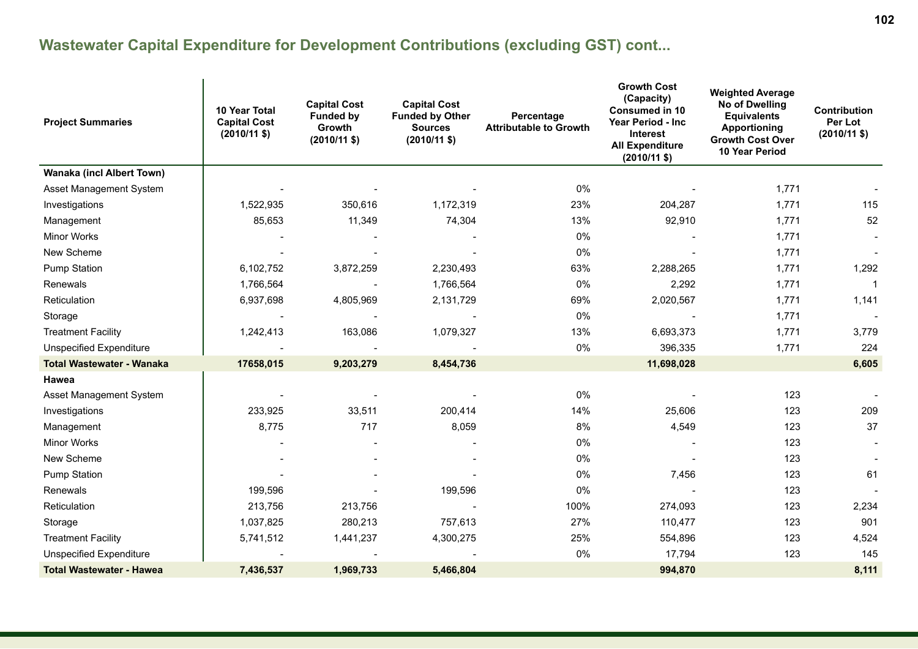| <b>Project Summaries</b>         | <b>10 Year Total</b><br><b>Capital Cost</b><br>$(2010/11$ \$) | <b>Capital Cost</b><br><b>Funded by</b><br><b>Growth</b><br>$(2010/11$ \$) | <b>Capital Cost</b><br><b>Funded by Other</b><br><b>Sources</b><br>$(2010/11$ \$) | Percentage<br><b>Attributable to Growth</b> | <b>Growth Cost</b><br>(Capacity)<br><b>Consumed in 10</b><br>Year Period - Inc<br><b>Interest</b><br><b>All Expenditure</b><br>$(2010/11$ \$) | <b>Weighted Average</b><br>No of Dwelling<br><b>Equivalents</b><br>Apportioning<br><b>Growth Cost Over</b><br>10 Year Period | <b>Contribution</b><br>Per Lot<br>$(2010/11$ \$) |
|----------------------------------|---------------------------------------------------------------|----------------------------------------------------------------------------|-----------------------------------------------------------------------------------|---------------------------------------------|-----------------------------------------------------------------------------------------------------------------------------------------------|------------------------------------------------------------------------------------------------------------------------------|--------------------------------------------------|
| <b>Wanaka (incl Albert Town)</b> |                                                               |                                                                            |                                                                                   |                                             |                                                                                                                                               |                                                                                                                              |                                                  |
| Asset Management System          |                                                               |                                                                            |                                                                                   | $0\%$                                       |                                                                                                                                               | 1,771                                                                                                                        |                                                  |
| Investigations                   | 1,522,935                                                     | 350,616                                                                    | 1,172,319                                                                         | 23%                                         | 204,287                                                                                                                                       | 1,771                                                                                                                        | 115                                              |
| Management                       | 85,653                                                        | 11,349                                                                     | 74,304                                                                            | 13%                                         | 92,910                                                                                                                                        | 1,771                                                                                                                        | 52                                               |
| <b>Minor Works</b>               |                                                               |                                                                            |                                                                                   | 0%                                          |                                                                                                                                               | 1,771                                                                                                                        |                                                  |
| New Scheme                       |                                                               |                                                                            |                                                                                   | $0\%$                                       |                                                                                                                                               | 1,771                                                                                                                        |                                                  |
| <b>Pump Station</b>              | 6,102,752                                                     | 3,872,259                                                                  | 2,230,493                                                                         | 63%                                         | 2,288,265                                                                                                                                     | 1,771                                                                                                                        | 1,292                                            |
| Renewals                         | 1,766,564                                                     |                                                                            | 1,766,564                                                                         | $0\%$                                       | 2,292                                                                                                                                         | 1,771                                                                                                                        |                                                  |
| Reticulation                     | 6,937,698                                                     | 4,805,969                                                                  | 2,131,729                                                                         | 69%                                         | 2,020,567                                                                                                                                     | 1,771                                                                                                                        | 1,141                                            |
| Storage                          |                                                               |                                                                            |                                                                                   | 0%                                          |                                                                                                                                               | 1,771                                                                                                                        |                                                  |
| <b>Treatment Facility</b>        | 1,242,413                                                     | 163,086                                                                    | 1,079,327                                                                         | 13%                                         | 6,693,373                                                                                                                                     | 1,771                                                                                                                        | 3,779                                            |
| <b>Unspecified Expenditure</b>   |                                                               |                                                                            |                                                                                   | $0\%$                                       | 396,335                                                                                                                                       | 1,771                                                                                                                        | 224                                              |
| <b>Total Wastewater - Wanaka</b> | 17658,015                                                     | 9,203,279                                                                  | 8,454,736                                                                         |                                             | 11,698,028                                                                                                                                    |                                                                                                                              | 6,605                                            |
| Hawea                            |                                                               |                                                                            |                                                                                   |                                             |                                                                                                                                               |                                                                                                                              |                                                  |
| Asset Management System          |                                                               |                                                                            |                                                                                   | $0\%$                                       |                                                                                                                                               | 123                                                                                                                          |                                                  |
| Investigations                   | 233,925                                                       | 33,511                                                                     | 200,414                                                                           | 14%                                         | 25,606                                                                                                                                        | 123                                                                                                                          | 209                                              |
| Management                       | 8,775                                                         | 717                                                                        | 8,059                                                                             | 8%                                          | 4,549                                                                                                                                         | 123                                                                                                                          | 37                                               |
| <b>Minor Works</b>               |                                                               |                                                                            |                                                                                   | 0%                                          |                                                                                                                                               | 123                                                                                                                          |                                                  |
| New Scheme                       |                                                               |                                                                            |                                                                                   | 0%                                          |                                                                                                                                               | 123                                                                                                                          |                                                  |
| <b>Pump Station</b>              |                                                               |                                                                            |                                                                                   | 0%                                          | 7,456                                                                                                                                         | 123                                                                                                                          | 61                                               |
| Renewals                         | 199,596                                                       |                                                                            | 199,596                                                                           | 0%                                          |                                                                                                                                               | 123                                                                                                                          |                                                  |
| Reticulation                     | 213,756                                                       | 213,756                                                                    |                                                                                   | 100%                                        | 274,093                                                                                                                                       | 123                                                                                                                          | 2,234                                            |
| Storage                          | 1,037,825                                                     | 280,213                                                                    | 757,613                                                                           | 27%                                         | 110,477                                                                                                                                       | 123                                                                                                                          | 901                                              |
| <b>Treatment Facility</b>        | 5,741,512                                                     | 1,441,237                                                                  | 4,300,275                                                                         | 25%                                         | 554,896                                                                                                                                       | 123                                                                                                                          | 4,524                                            |
| <b>Unspecified Expenditure</b>   |                                                               |                                                                            |                                                                                   | 0%                                          | 17,794                                                                                                                                        | 123                                                                                                                          | 145                                              |
| <b>Total Wastewater - Hawea</b>  | 7,436,537                                                     | 1,969,733                                                                  | 5,466,804                                                                         |                                             | 994,870                                                                                                                                       |                                                                                                                              | 8,111                                            |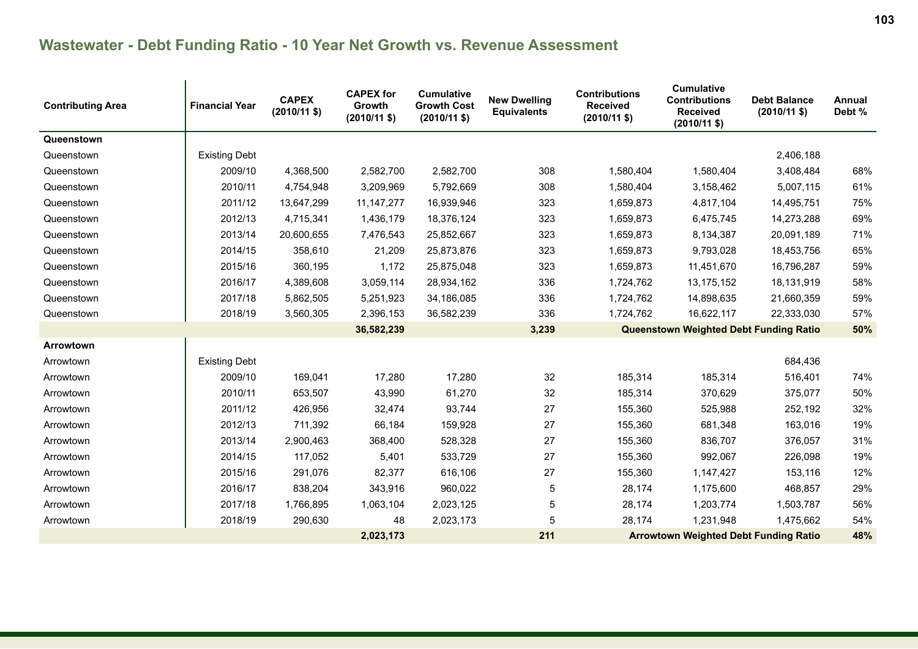| <b>Contributing Area</b> | <b>Financial Year</b> | <b>CAPEX</b><br>$(2010/11$ \$) | <b>CAPEX for</b><br>Growth<br>$(2010/11$ \$) | <b>Cumulative</b><br><b>Growth Cost</b><br>$(2010/11 \text{ $}$ | <b>New Dwelling</b><br><b>Equivalents</b> | <b>Contributions</b><br><b>Received</b><br>$(2010/11$ \$) | <b>Cumulative</b><br><b>Contributions</b><br><b>Received</b><br>$(2010/11$ \$) | <b>Debt Balance</b><br>$(2010/11 \text{$ }) | Annual<br>Debt % |
|--------------------------|-----------------------|--------------------------------|----------------------------------------------|-----------------------------------------------------------------|-------------------------------------------|-----------------------------------------------------------|--------------------------------------------------------------------------------|---------------------------------------------|------------------|
| Queenstown               |                       |                                |                                              |                                                                 |                                           |                                                           |                                                                                |                                             |                  |
| Queenstown               | <b>Existing Debt</b>  |                                |                                              |                                                                 |                                           |                                                           |                                                                                | 2,406,188                                   |                  |
| Queenstown               | 2009/10               | 4,368,500                      | 2,582,700                                    | 2,582,700                                                       | 308                                       | 1,580,404                                                 | 1,580,404                                                                      | 3,408,484                                   | 68%              |
| Queenstown               | 2010/11               | 4,754,948                      | 3,209,969                                    | 5,792,669                                                       | 308                                       | 1,580,404                                                 | 3,158,462                                                                      | 5,007,115                                   | 61%              |
| Queenstown               | 2011/12               | 13,647,299                     | 11, 147, 277                                 | 16,939,946                                                      | 323                                       | 1,659,873                                                 | 4,817,104                                                                      | 14,495,751                                  | 75%              |
| Queenstown               | 2012/13               | 4,715,341                      | 1,436,179                                    | 18,376,124                                                      | 323                                       | 1,659,873                                                 | 6,475,745                                                                      | 14,273,288                                  | 69%              |
| Queenstown               | 2013/14               | 20,600,655                     | 7,476,543                                    | 25,852,667                                                      | 323                                       | 1,659,873                                                 | 8,134,387                                                                      | 20,091,189                                  | 71%              |
| Queenstown               | 2014/15               | 358,610                        | 21,209                                       | 25,873,876                                                      | 323                                       | 1,659,873                                                 | 9,793,028                                                                      | 18,453,756                                  | 65%              |
| Queenstown               | 2015/16               | 360,195                        | 1,172                                        | 25,875,048                                                      | 323                                       | 1,659,873                                                 | 11,451,670                                                                     | 16,796,287                                  | 59%              |
| Queenstown               | 2016/17               | 4,389,608                      | 3,059,114                                    | 28,934,162                                                      | 336                                       | 1,724,762                                                 | 13,175,152                                                                     | 18,131,919                                  | 58%              |
| Queenstown               | 2017/18               | 5,862,505                      | 5,251,923                                    | 34,186,085                                                      | 336                                       | 1,724,762                                                 | 14,898,635                                                                     | 21,660,359                                  | 59%              |
| Queenstown               | 2018/19               | 3,560,305                      | 2,396,153                                    | 36,582,239                                                      | 336                                       | 1,724,762                                                 | 16,622,117                                                                     | 22,333,030                                  | 57%              |
|                          |                       |                                | 36,582,239                                   |                                                                 | 3,239                                     |                                                           | <b>Queenstown Weighted Debt Funding Ratio</b>                                  |                                             | 50%              |
| Arrowtown                |                       |                                |                                              |                                                                 |                                           |                                                           |                                                                                |                                             |                  |
| Arrowtown                | <b>Existing Debt</b>  |                                |                                              |                                                                 |                                           |                                                           |                                                                                | 684,436                                     |                  |
| Arrowtown                | 2009/10               | 169,041                        | 17,280                                       | 17,280                                                          | 32                                        | 185,314                                                   | 185,314                                                                        | 516,401                                     | 74%              |
| Arrowtown                | 2010/11               | 653,507                        | 43,990                                       | 61,270                                                          | 32                                        | 185,314                                                   | 370,629                                                                        | 375,077                                     | 50%              |
| Arrowtown                | 2011/12               | 426,956                        | 32,474                                       | 93,744                                                          | 27                                        | 155,360                                                   | 525,988                                                                        | 252,192                                     | 32%              |
| Arrowtown                | 2012/13               | 711,392                        | 66,184                                       | 159,928                                                         | 27                                        | 155,360                                                   | 681,348                                                                        | 163,016                                     | 19%              |
| Arrowtown                | 2013/14               | 2,900,463                      | 368,400                                      | 528,328                                                         | 27                                        | 155,360                                                   | 836,707                                                                        | 376,057                                     | 31%              |
| Arrowtown                | 2014/15               | 117,052                        | 5,401                                        | 533,729                                                         | 27                                        | 155,360                                                   | 992,067                                                                        | 226,098                                     | 19%              |
| Arrowtown                | 2015/16               | 291,076                        | 82,377                                       | 616,106                                                         | 27                                        | 155,360                                                   | 1,147,427                                                                      | 153,116                                     | 12%              |
| Arrowtown                | 2016/17               | 838,204                        | 343,916                                      | 960,022                                                         | 5                                         | 28,174                                                    | 1,175,600                                                                      | 468,857                                     | 29%              |
| Arrowtown                | 2017/18               | 1,766,895                      | 1,063,104                                    | 2,023,125                                                       | 5                                         | 28,174                                                    | 1,203,774                                                                      | 1,503,787                                   | 56%              |
| Arrowtown                | 2018/19               | 290,630                        | 48                                           | 2,023,173                                                       | 5                                         | 28,174                                                    | 1,231,948                                                                      | 1,475,662                                   | 54%              |
| 2,023,173                |                       |                                |                                              |                                                                 | 211                                       |                                                           | <b>Arrowtown Weighted Debt Funding Ratio</b>                                   |                                             | 48%              |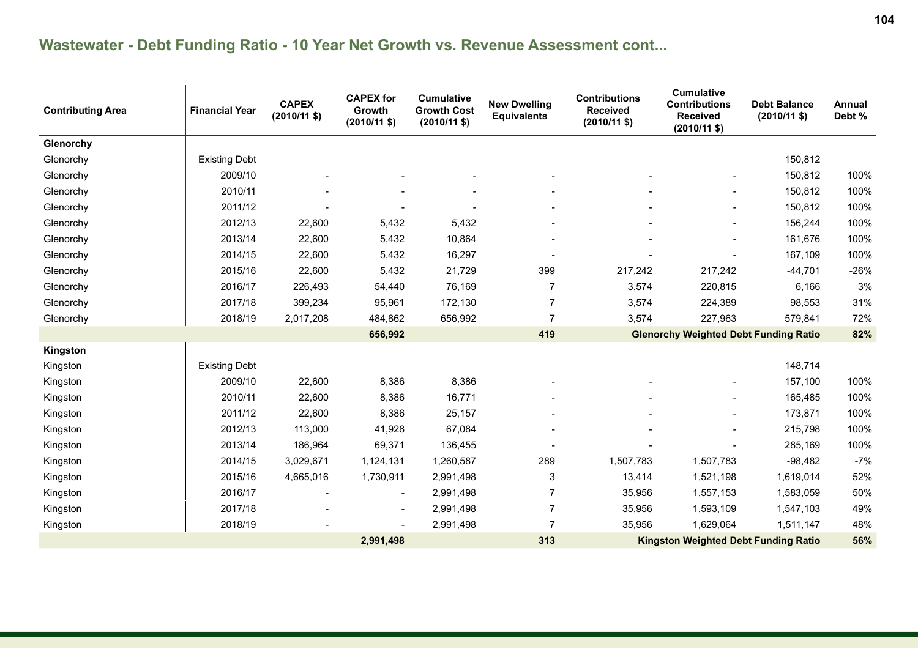| <b>Contributing Area</b> | <b>Financial Year</b> | <b>CAPEX</b><br>$(2010/11$ \$) | <b>CAPEX</b> for<br>Growth<br>$(2010/11 \text{ $}$ | <b>Cumulative</b><br><b>Growth Cost</b><br>$(2010/11 \text{ $}$ | <b>New Dwelling</b><br><b>Equivalents</b>   | <b>Contributions</b><br><b>Received</b><br>$(2010/11$ \$) | <b>Cumulative</b><br><b>Contributions</b><br><b>Received</b><br>$(2010/11$ \$) | <b>Debt Balance</b><br>$(2010/11 \text{ $}$ | Annual<br>Debt % |
|--------------------------|-----------------------|--------------------------------|----------------------------------------------------|-----------------------------------------------------------------|---------------------------------------------|-----------------------------------------------------------|--------------------------------------------------------------------------------|---------------------------------------------|------------------|
| Glenorchy                |                       |                                |                                                    |                                                                 |                                             |                                                           |                                                                                |                                             |                  |
| Glenorchy                | <b>Existing Debt</b>  |                                |                                                    |                                                                 |                                             |                                                           |                                                                                | 150,812                                     |                  |
| Glenorchy                | 2009/10               |                                |                                                    |                                                                 |                                             |                                                           |                                                                                | 150,812                                     | 100%             |
| Glenorchy                | 2010/11               |                                |                                                    |                                                                 |                                             |                                                           |                                                                                | 150,812                                     | 100%             |
| Glenorchy                | 2011/12               |                                |                                                    |                                                                 |                                             |                                                           |                                                                                | 150,812                                     | 100%             |
| Glenorchy                | 2012/13               | 22,600                         | 5,432                                              | 5,432                                                           |                                             |                                                           |                                                                                | 156,244                                     | 100%             |
| Glenorchy                | 2013/14               | 22,600                         | 5,432                                              | 10,864                                                          |                                             |                                                           |                                                                                | 161,676                                     | 100%             |
| Glenorchy                | 2014/15               | 22,600                         | 5,432                                              | 16,297                                                          |                                             |                                                           |                                                                                | 167,109                                     | 100%             |
| Glenorchy                | 2015/16               | 22,600                         | 5,432                                              | 21,729                                                          | 399                                         | 217,242                                                   | 217,242                                                                        | $-44,701$                                   | $-26%$           |
| Glenorchy                | 2016/17               | 226,493                        | 54,440                                             | 76,169                                                          | 7                                           | 3,574                                                     | 220,815                                                                        | 6,166                                       | 3%               |
| Glenorchy                | 2017/18               | 399,234                        | 95,961                                             | 172,130                                                         | $\overline{7}$                              | 3,574                                                     | 224,389                                                                        | 98,553                                      | 31%              |
| Glenorchy                | 2018/19               | 2,017,208                      | 484,862                                            | 656,992                                                         | $\overline{7}$                              | 3,574                                                     | 227,963                                                                        | 579,841                                     | 72%              |
|                          |                       |                                | 656,992                                            |                                                                 | 419                                         |                                                           | <b>Glenorchy Weighted Debt Funding Ratio</b>                                   |                                             | 82%              |
| Kingston                 |                       |                                |                                                    |                                                                 |                                             |                                                           |                                                                                |                                             |                  |
| Kingston                 | <b>Existing Debt</b>  |                                |                                                    |                                                                 |                                             |                                                           |                                                                                | 148,714                                     |                  |
| Kingston                 | 2009/10               | 22,600                         | 8,386                                              | 8,386                                                           |                                             |                                                           |                                                                                | 157,100                                     | 100%             |
| Kingston                 | 2010/11               | 22,600                         | 8,386                                              | 16,771                                                          |                                             |                                                           |                                                                                | 165,485                                     | 100%             |
| Kingston                 | 2011/12               | 22,600                         | 8,386                                              | 25,157                                                          |                                             |                                                           |                                                                                | 173,871                                     | 100%             |
| Kingston                 | 2012/13               | 113,000                        | 41,928                                             | 67,084                                                          |                                             |                                                           |                                                                                | 215,798                                     | 100%             |
| Kingston                 | 2013/14               | 186,964                        | 69,371                                             | 136,455                                                         |                                             |                                                           |                                                                                | 285,169                                     | 100%             |
| Kingston                 | 2014/15               | 3,029,671                      | 1,124,131                                          | 1,260,587                                                       | 289                                         | 1,507,783                                                 | 1,507,783                                                                      | $-98,482$                                   | $-7%$            |
| Kingston                 | 2015/16               | 4,665,016                      | 1,730,911                                          | 2,991,498                                                       | 3                                           | 13,414                                                    | 1,521,198                                                                      | 1,619,014                                   | 52%              |
| Kingston                 | 2016/17               |                                | $\overline{\phantom{a}}$                           | 2,991,498                                                       | $\overline{7}$                              | 35,956                                                    | 1,557,153                                                                      | 1,583,059                                   | 50%              |
| Kingston                 | 2017/18               |                                | $\overline{\phantom{a}}$                           | 2,991,498                                                       | $\overline{7}$                              | 35,956                                                    | 1,593,109                                                                      | 1,547,103                                   | 49%              |
| Kingston                 | 2018/19               |                                | $\overline{a}$                                     | 2,991,498                                                       | $\overline{7}$                              | 35,956                                                    | 1,629,064                                                                      | 1,511,147                                   | 48%              |
| 2,991,498                |                       |                                |                                                    | 313                                                             | <b>Kingston Weighted Debt Funding Ratio</b> |                                                           |                                                                                | 56%                                         |                  |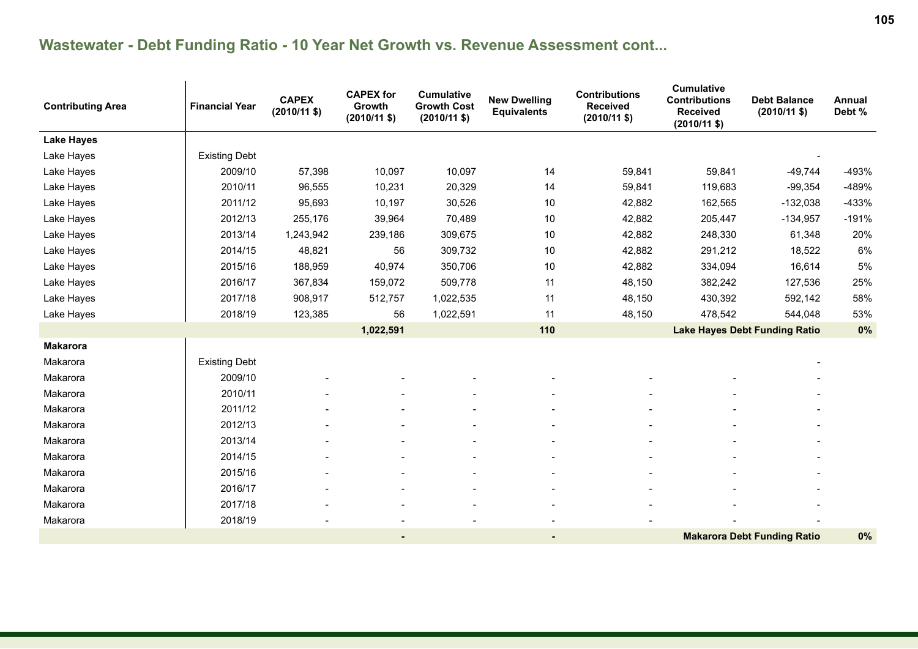| <b>Contributing Area</b> | <b>Financial Year</b> | <b>CAPEX</b><br>$(2010/11$ \$) | <b>CAPEX for</b><br>Growth<br>$(2010/11$ \$) | <b>Cumulative</b><br><b>Growth Cost</b><br>$(2010/11 \text{ $}$ | <b>New Dwelling</b><br><b>Equivalents</b> | <b>Contributions</b><br><b>Received</b><br>$(2010/11 \text{ $}$ | <b>Cumulative</b><br><b>Contributions</b><br><b>Received</b><br>$(2010/11$ \$) | <b>Debt Balance</b><br>$(2010/11 \text{ $}$ | <b>Annual</b><br>Debt % |
|--------------------------|-----------------------|--------------------------------|----------------------------------------------|-----------------------------------------------------------------|-------------------------------------------|-----------------------------------------------------------------|--------------------------------------------------------------------------------|---------------------------------------------|-------------------------|
| <b>Lake Hayes</b>        |                       |                                |                                              |                                                                 |                                           |                                                                 |                                                                                |                                             |                         |
| Lake Hayes               | <b>Existing Debt</b>  |                                |                                              |                                                                 |                                           |                                                                 |                                                                                |                                             |                         |
| Lake Hayes               | 2009/10               | 57,398                         | 10,097                                       | 10,097                                                          | 14                                        | 59,841                                                          | 59,841                                                                         | $-49,744$                                   | -493%                   |
| Lake Hayes               | 2010/11               | 96,555                         | 10,231                                       | 20,329                                                          | 14                                        | 59,841                                                          | 119,683                                                                        | $-99,354$                                   | -489%                   |
| Lake Hayes               | 2011/12               | 95,693                         | 10,197                                       | 30,526                                                          | 10                                        | 42,882                                                          | 162,565                                                                        | $-132,038$                                  | $-433%$                 |
| Lake Hayes               | 2012/13               | 255,176                        | 39,964                                       | 70,489                                                          | 10                                        | 42,882                                                          | 205,447                                                                        | $-134,957$                                  | $-191%$                 |
| Lake Hayes               | 2013/14               | 1,243,942                      | 239,186                                      | 309,675                                                         | 10                                        | 42,882                                                          | 248,330                                                                        | 61,348                                      | 20%                     |
| Lake Hayes               | 2014/15               | 48,821                         | 56                                           | 309,732                                                         | 10                                        | 42,882                                                          | 291,212                                                                        | 18,522                                      | 6%                      |
| Lake Hayes               | 2015/16               | 188,959                        | 40,974                                       | 350,706                                                         | 10                                        | 42,882                                                          | 334,094                                                                        | 16,614                                      | 5%                      |
| Lake Hayes               | 2016/17               | 367,834                        | 159,072                                      | 509,778                                                         | 11                                        | 48,150                                                          | 382,242                                                                        | 127,536                                     | 25%                     |
| Lake Hayes               | 2017/18               | 908,917                        | 512,757                                      | 1,022,535                                                       | 11                                        | 48,150                                                          | 430,392                                                                        | 592,142                                     | 58%                     |
| Lake Hayes               | 2018/19               | 123,385                        | 56                                           | 1,022,591                                                       | 11                                        | 48,150                                                          | 478,542                                                                        | 544,048                                     | 53%                     |
|                          |                       |                                | 1,022,591                                    |                                                                 | 110                                       |                                                                 | <b>Lake Hayes Debt Funding Ratio</b>                                           |                                             | 0%                      |
| <b>Makarora</b>          |                       |                                |                                              |                                                                 |                                           |                                                                 |                                                                                |                                             |                         |
| Makarora                 | <b>Existing Debt</b>  |                                |                                              |                                                                 |                                           |                                                                 |                                                                                |                                             |                         |
| Makarora                 | 2009/10               |                                |                                              |                                                                 |                                           |                                                                 |                                                                                |                                             |                         |
| Makarora                 | 2010/11               |                                |                                              |                                                                 |                                           |                                                                 |                                                                                |                                             |                         |
| Makarora                 | 2011/12               |                                |                                              |                                                                 |                                           |                                                                 |                                                                                |                                             |                         |
| Makarora                 | 2012/13               |                                |                                              |                                                                 |                                           |                                                                 |                                                                                |                                             |                         |
| Makarora                 | 2013/14               |                                |                                              |                                                                 |                                           |                                                                 |                                                                                |                                             |                         |
| Makarora                 | 2014/15               |                                |                                              |                                                                 |                                           |                                                                 |                                                                                |                                             |                         |
| Makarora                 | 2015/16               |                                |                                              |                                                                 |                                           |                                                                 |                                                                                |                                             |                         |
| Makarora                 | 2016/17               |                                |                                              |                                                                 |                                           |                                                                 |                                                                                |                                             |                         |
| Makarora                 | 2017/18               |                                |                                              |                                                                 |                                           |                                                                 |                                                                                |                                             |                         |
| Makarora                 | 2018/19               |                                |                                              |                                                                 |                                           |                                                                 |                                                                                |                                             |                         |
|                          |                       |                                | $\blacksquare$                               |                                                                 |                                           |                                                                 | <b>Makarora Debt Funding Ratio</b>                                             |                                             | 0%                      |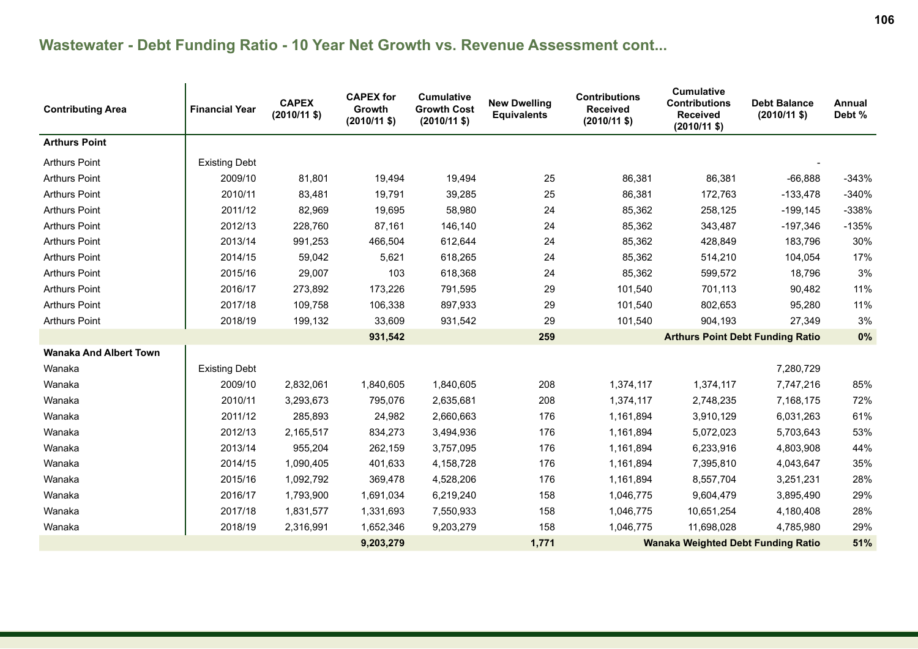| <b>Contributing Area</b>      | <b>Financial Year</b>                                           | <b>CAPEX</b><br>$(2010/11 \text{ $}$ | <b>CAPEX for</b><br>Growth<br>$(2010/11$ \$) | <b>Cumulative</b><br><b>Growth Cost</b><br>$(2010/11 \text{ $}$ | <b>New Dwelling</b><br><b>Equivalents</b> | <b>Contributions</b><br><b>Received</b><br>$(2010/11$ \$) | <b>Cumulative</b><br><b>Contributions</b><br><b>Received</b><br>$(2010/11$ \$) | <b>Debt Balance</b><br>$(2010/11 \text{$ ) | Annual<br>Debt % |
|-------------------------------|-----------------------------------------------------------------|--------------------------------------|----------------------------------------------|-----------------------------------------------------------------|-------------------------------------------|-----------------------------------------------------------|--------------------------------------------------------------------------------|--------------------------------------------|------------------|
| <b>Arthurs Point</b>          |                                                                 |                                      |                                              |                                                                 |                                           |                                                           |                                                                                |                                            |                  |
| Arthurs Point                 | <b>Existing Debt</b>                                            |                                      |                                              |                                                                 |                                           |                                                           |                                                                                |                                            |                  |
| <b>Arthurs Point</b>          | 2009/10                                                         | 81,801                               | 19,494                                       | 19,494                                                          | 25                                        | 86,381                                                    | 86,381                                                                         | $-66,888$                                  | $-343%$          |
| <b>Arthurs Point</b>          | 2010/11                                                         | 83,481                               | 19,791                                       | 39,285                                                          | 25                                        | 86,381                                                    | 172,763                                                                        | $-133,478$                                 | $-340%$          |
| <b>Arthurs Point</b>          | 2011/12                                                         | 82,969                               | 19,695                                       | 58,980                                                          | 24                                        | 85,362                                                    | 258,125                                                                        | $-199, 145$                                | $-338%$          |
| <b>Arthurs Point</b>          | 2012/13                                                         | 228,760                              | 87,161                                       | 146,140                                                         | 24                                        | 85,362                                                    | 343,487                                                                        | $-197,346$                                 | $-135%$          |
| <b>Arthurs Point</b>          | 2013/14                                                         | 991,253                              | 466,504                                      | 612,644                                                         | 24                                        | 85,362                                                    | 428,849                                                                        | 183,796                                    | 30%              |
| <b>Arthurs Point</b>          | 2014/15                                                         | 59,042                               | 5,621                                        | 618,265                                                         | 24                                        | 85,362                                                    | 514,210                                                                        | 104,054                                    | 17%              |
| <b>Arthurs Point</b>          | 2015/16                                                         | 29,007                               | 103                                          | 618,368                                                         | 24                                        | 85,362                                                    | 599,572                                                                        | 18,796                                     | 3%               |
| <b>Arthurs Point</b>          | 2016/17                                                         | 273,892                              | 173,226                                      | 791,595                                                         | 29                                        | 101,540                                                   | 701,113                                                                        | 90,482                                     | 11%              |
| <b>Arthurs Point</b>          | 2017/18                                                         | 109,758                              | 106,338                                      | 897,933                                                         | 29                                        | 101,540                                                   | 802,653                                                                        | 95,280                                     | 11%              |
| <b>Arthurs Point</b>          | 2018/19                                                         | 199,132                              | 33,609                                       | 931,542                                                         | 29                                        | 101,540                                                   | 904,193                                                                        | 27,349                                     | 3%               |
|                               |                                                                 | 931,542                              |                                              | 259                                                             |                                           | <b>Arthurs Point Debt Funding Ratio</b>                   | 0%                                                                             |                                            |                  |
| <b>Wanaka And Albert Town</b> |                                                                 |                                      |                                              |                                                                 |                                           |                                                           |                                                                                |                                            |                  |
| Wanaka                        | <b>Existing Debt</b>                                            |                                      |                                              |                                                                 |                                           |                                                           |                                                                                | 7,280,729                                  |                  |
| Wanaka                        | 2009/10                                                         | 2,832,061                            | 1,840,605                                    | 1,840,605                                                       | 208                                       | 1,374,117                                                 | 1,374,117                                                                      | 7,747,216                                  | 85%              |
| Wanaka                        | 2010/11                                                         | 3,293,673                            | 795,076                                      | 2,635,681                                                       | 208                                       | 1,374,117                                                 | 2,748,235                                                                      | 7,168,175                                  | 72%              |
| Wanaka                        | 2011/12                                                         | 285,893                              | 24,982                                       | 2,660,663                                                       | 176                                       | 1,161,894                                                 | 3,910,129                                                                      | 6,031,263                                  | 61%              |
| Wanaka                        | 2012/13                                                         | 2,165,517                            | 834,273                                      | 3,494,936                                                       | 176                                       | 1,161,894                                                 | 5,072,023                                                                      | 5,703,643                                  | 53%              |
| Wanaka                        | 2013/14                                                         | 955,204                              | 262,159                                      | 3,757,095                                                       | 176                                       | 1,161,894                                                 | 6,233,916                                                                      | 4,803,908                                  | 44%              |
| Wanaka                        | 2014/15                                                         | 1,090,405                            | 401,633                                      | 4,158,728                                                       | 176                                       | 1,161,894                                                 | 7,395,810                                                                      | 4,043,647                                  | 35%              |
| Wanaka                        | 2015/16                                                         | 1,092,792                            | 369,478                                      | 4,528,206                                                       | 176                                       | 1,161,894                                                 | 8,557,704                                                                      | 3,251,231                                  | 28%              |
| Wanaka                        | 2016/17                                                         | 1,793,900                            | 1,691,034                                    | 6,219,240                                                       | 158                                       | 1,046,775                                                 | 9,604,479                                                                      | 3,895,490                                  | 29%              |
| Wanaka                        | 2017/18                                                         | 1,831,577                            | 1,331,693                                    | 7,550,933                                                       | 158                                       | 1,046,775                                                 | 10,651,254                                                                     | 4,180,408                                  | 28%              |
| Wanaka                        | 2018/19                                                         | 2,316,991                            | 1,652,346                                    | 9,203,279                                                       | 158                                       | 1,046,775                                                 | 11,698,028                                                                     | 4,785,980                                  | 29%              |
|                               | 9,203,279<br>1,771<br><b>Wanaka Weighted Debt Funding Ratio</b> |                                      |                                              |                                                                 | 51%                                       |                                                           |                                                                                |                                            |                  |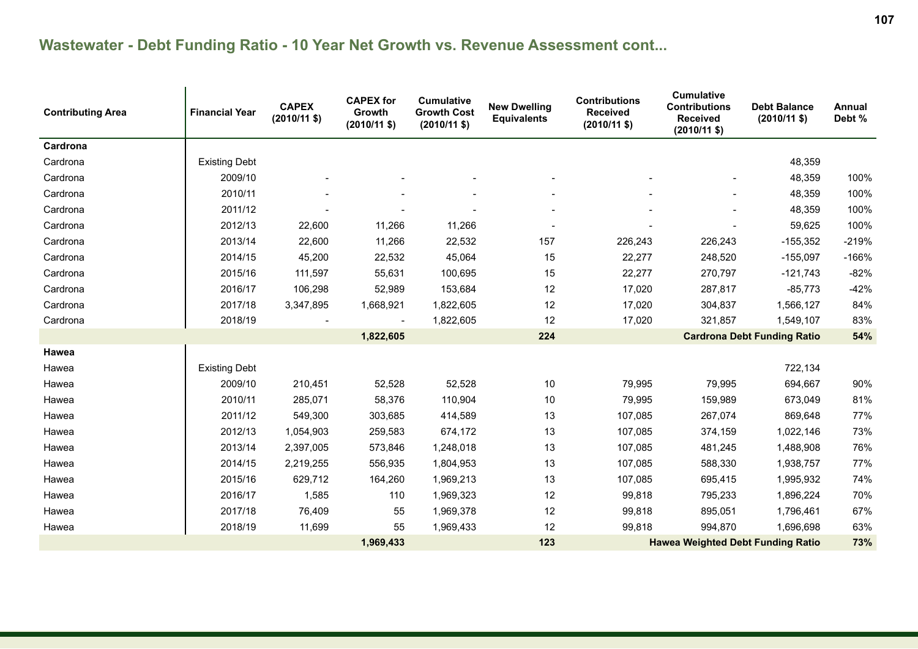| <b>Contributing Area</b> | <b>Financial Year</b>                                        | <b>CAPEX</b><br>$(2010/11$ \$) | <b>CAPEX for</b><br>Growth<br>$(2010/11$ \$) | <b>Cumulative</b><br><b>Growth Cost</b><br>$(2010/11$ \$) | <b>New Dwelling</b><br><b>Equivalents</b> | <b>Contributions</b><br><b>Received</b><br>$(2010/11 \text{ $}$ | <b>Cumulative</b><br><b>Contributions</b><br><b>Received</b><br>$(2010/11$ \$) | <b>Debt Balance</b><br>$(2010/11 \text{ $}$ | Annual<br>Debt % |
|--------------------------|--------------------------------------------------------------|--------------------------------|----------------------------------------------|-----------------------------------------------------------|-------------------------------------------|-----------------------------------------------------------------|--------------------------------------------------------------------------------|---------------------------------------------|------------------|
| Cardrona                 |                                                              |                                |                                              |                                                           |                                           |                                                                 |                                                                                |                                             |                  |
| Cardrona                 | <b>Existing Debt</b>                                         |                                |                                              |                                                           |                                           |                                                                 |                                                                                | 48,359                                      |                  |
| Cardrona                 | 2009/10                                                      |                                |                                              |                                                           |                                           |                                                                 |                                                                                | 48,359                                      | 100%             |
| Cardrona                 | 2010/11                                                      |                                |                                              |                                                           |                                           |                                                                 |                                                                                | 48,359                                      | 100%             |
| Cardrona                 | 2011/12                                                      |                                |                                              |                                                           |                                           |                                                                 |                                                                                | 48,359                                      | 100%             |
| Cardrona                 | 2012/13                                                      | 22,600                         | 11,266                                       | 11,266                                                    |                                           |                                                                 |                                                                                | 59,625                                      | 100%             |
| Cardrona                 | 2013/14                                                      | 22,600                         | 11,266                                       | 22,532                                                    | 157                                       | 226,243                                                         | 226,243                                                                        | $-155,352$                                  | $-219%$          |
| Cardrona                 | 2014/15                                                      | 45,200                         | 22,532                                       | 45,064                                                    | 15                                        | 22,277                                                          | 248,520                                                                        | $-155,097$                                  | $-166%$          |
| Cardrona                 | 2015/16                                                      | 111,597                        | 55,631                                       | 100,695                                                   | 15                                        | 22,277                                                          | 270,797                                                                        | $-121,743$                                  | $-82%$           |
| Cardrona                 | 2016/17                                                      | 106,298                        | 52,989                                       | 153,684                                                   | 12                                        | 17,020                                                          | 287,817                                                                        | $-85,773$                                   | $-42%$           |
| Cardrona                 | 2017/18                                                      | 3,347,895                      | 1,668,921                                    | 1,822,605                                                 | 12                                        | 17,020                                                          | 304,837                                                                        | 1,566,127                                   | 84%              |
| Cardrona                 | 2018/19                                                      |                                | $\overline{\phantom{a}}$                     | 1,822,605                                                 | 12                                        | 17,020                                                          | 321,857                                                                        | 1,549,107                                   | 83%              |
|                          | 1,822,605                                                    |                                |                                              |                                                           | 224                                       |                                                                 | <b>Cardrona Debt Funding Ratio</b>                                             | 54%                                         |                  |
| Hawea                    |                                                              |                                |                                              |                                                           |                                           |                                                                 |                                                                                |                                             |                  |
| Hawea                    | <b>Existing Debt</b>                                         |                                |                                              |                                                           |                                           |                                                                 |                                                                                | 722,134                                     |                  |
| Hawea                    | 2009/10                                                      | 210,451                        | 52,528                                       | 52,528                                                    | 10                                        | 79,995                                                          | 79,995                                                                         | 694,667                                     | 90%              |
| Hawea                    | 2010/11                                                      | 285,071                        | 58,376                                       | 110,904                                                   | 10                                        | 79,995                                                          | 159,989                                                                        | 673,049                                     | 81%              |
| Hawea                    | 2011/12                                                      | 549,300                        | 303,685                                      | 414,589                                                   | 13                                        | 107,085                                                         | 267,074                                                                        | 869,648                                     | 77%              |
| Hawea                    | 2012/13                                                      | 1,054,903                      | 259,583                                      | 674,172                                                   | 13                                        | 107,085                                                         | 374,159                                                                        | 1,022,146                                   | 73%              |
| Hawea                    | 2013/14                                                      | 2,397,005                      | 573,846                                      | 1,248,018                                                 | 13                                        | 107,085                                                         | 481,245                                                                        | 1,488,908                                   | 76%              |
| Hawea                    | 2014/15                                                      | 2,219,255                      | 556,935                                      | 1,804,953                                                 | 13                                        | 107,085                                                         | 588,330                                                                        | 1,938,757                                   | 77%              |
| Hawea                    | 2015/16                                                      | 629,712                        | 164,260                                      | 1,969,213                                                 | 13                                        | 107,085                                                         | 695,415                                                                        | 1,995,932                                   | 74%              |
| Hawea                    | 2016/17                                                      | 1,585                          | 110                                          | 1,969,323                                                 | 12                                        | 99,818                                                          | 795,233                                                                        | 1,896,224                                   | 70%              |
| Hawea                    | 2017/18                                                      | 76,409                         | 55                                           | 1,969,378                                                 | 12                                        | 99,818                                                          | 895,051                                                                        | 1,796,461                                   | 67%              |
| Hawea                    | 2018/19                                                      | 11,699                         | 55                                           | 1,969,433                                                 | 12                                        | 99,818                                                          | 994,870                                                                        | 1,696,698                                   | 63%              |
|                          | 123<br>1,969,433<br><b>Hawea Weighted Debt Funding Ratio</b> |                                |                                              |                                                           |                                           | 73%                                                             |                                                                                |                                             |                  |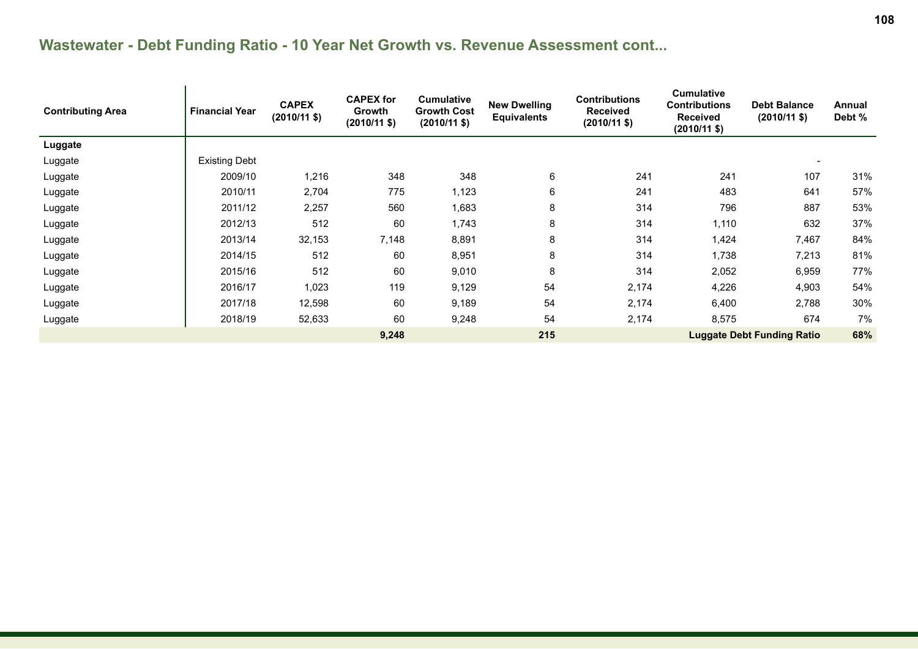| <b>Contributing Area</b> | <b>Financial Year</b> | <b>CAPEX</b><br>$(2010/11 \text{ $}$ | <b>CAPEX for</b><br><b>Growth</b><br>$(2010/11 \text{ $}$ | <b>Cumulative</b><br><b>Growth Cost</b><br>$(2010/11 \text{ $}$ | <b>New Dwelling</b><br><b>Equivalents</b> | <b>Contributions</b><br><b>Received</b><br>$(2010/11 \text{ $}$ | <b>Cumulative</b><br><b>Contributions</b><br><b>Received</b><br>$(2010/11 \text{ $})$ | <b>Debt Balance</b><br>$(2010/11 \text{ $})$ | <b>Annual</b><br>Debt % |
|--------------------------|-----------------------|--------------------------------------|-----------------------------------------------------------|-----------------------------------------------------------------|-------------------------------------------|-----------------------------------------------------------------|---------------------------------------------------------------------------------------|----------------------------------------------|-------------------------|
| Luggate                  |                       |                                      |                                                           |                                                                 |                                           |                                                                 |                                                                                       |                                              |                         |
| Luggate                  | <b>Existing Debt</b>  |                                      |                                                           |                                                                 |                                           |                                                                 |                                                                                       |                                              |                         |
| Luggate                  | 2009/10               | 1,216                                | 348                                                       | 348                                                             | 6                                         | 241                                                             | 241                                                                                   | 107                                          | 31%                     |
| Luggate                  | 2010/11               | 2,704                                | 775                                                       | 1,123                                                           | 6                                         | 241                                                             | 483                                                                                   | 641                                          | 57%                     |
| Luggate                  | 2011/12               | 2,257                                | 560                                                       | 1,683                                                           | 8                                         | 314                                                             | 796                                                                                   | 887                                          | 53%                     |
| Luggate                  | 2012/13               | 512                                  | 60                                                        | 1,743                                                           | 8                                         | 314                                                             | 1,110                                                                                 | 632                                          | 37%                     |
| Luggate                  | 2013/14               | 32,153                               | 7,148                                                     | 8,891                                                           | 8                                         | 314                                                             | 1,424                                                                                 | 7,467                                        | 84%                     |
| Luggate                  | 2014/15               | 512                                  | 60                                                        | 8,951                                                           | 8                                         | 314                                                             | 1,738                                                                                 | 7,213                                        | 81%                     |
| Luggate                  | 2015/16               | 512                                  | 60                                                        | 9,010                                                           | 8                                         | 314                                                             | 2,052                                                                                 | 6,959                                        | 77%                     |
| Luggate                  | 2016/17               | 1,023                                | 119                                                       | 9,129                                                           | 54                                        | 2,174                                                           | 4,226                                                                                 | 4,903                                        | 54%                     |
| Luggate                  | 2017/18               | 12,598                               | 60                                                        | 9,189                                                           | 54                                        | 2,174                                                           | 6,400                                                                                 | 2,788                                        | 30%                     |
| Luggate                  | 2018/19               | 52,633                               | 60                                                        | 9,248                                                           | 54                                        | 2,174                                                           | 8,575                                                                                 | 674                                          | 7%                      |
|                          |                       |                                      | 9,248                                                     |                                                                 | 215                                       |                                                                 |                                                                                       | <b>Luggate Debt Funding Ratio</b>            | 68%                     |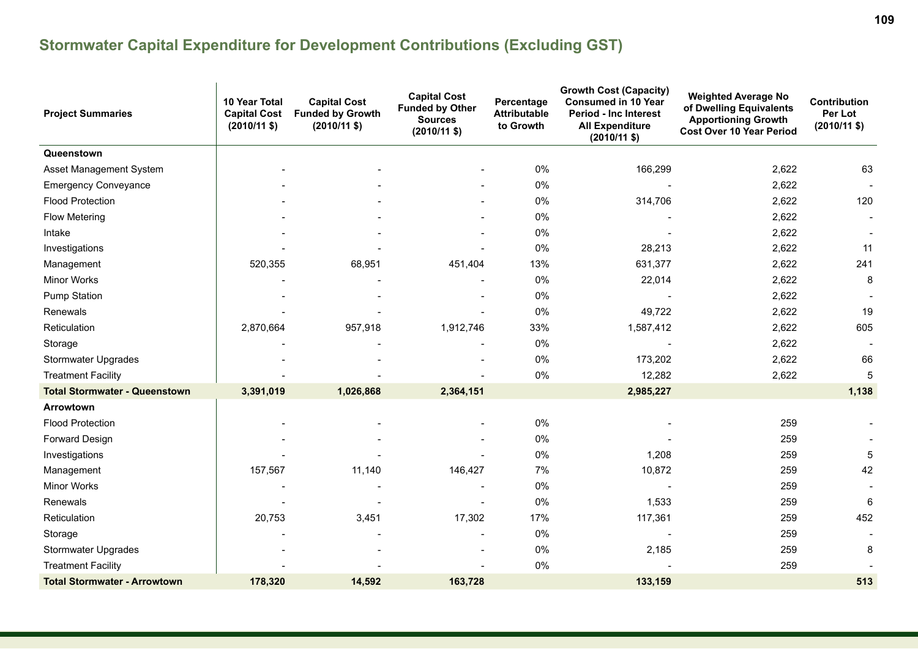| <b>Project Summaries</b>             | 10 Year Total<br><b>Capital Cost</b><br>$(2010/11$ \$) | <b>Capital Cost</b><br><b>Funded by Growth</b><br>$(2010/11$ \$) | <b>Capital Cost</b><br><b>Funded by Other</b><br><b>Sources</b><br>$(2010/11 \text{ $}$ | <b>Growth Cost (Capacity)</b><br><b>Consumed in 10 Year</b><br>Percentage<br><b>Attributable</b><br><b>Period - Inc Interest</b><br>to Growth<br><b>All Expenditure</b><br>$(2010/11 \text{ $}$ |           | <b>Weighted Average No</b><br>of Dwelling Equivalents<br><b>Apportioning Growth</b><br><b>Cost Over 10 Year Period</b> | Contribution<br>Per Lot<br>$(2010/11$ \$) |
|--------------------------------------|--------------------------------------------------------|------------------------------------------------------------------|-----------------------------------------------------------------------------------------|-------------------------------------------------------------------------------------------------------------------------------------------------------------------------------------------------|-----------|------------------------------------------------------------------------------------------------------------------------|-------------------------------------------|
| Queenstown                           |                                                        |                                                                  |                                                                                         |                                                                                                                                                                                                 |           |                                                                                                                        |                                           |
| Asset Management System              |                                                        |                                                                  |                                                                                         | 0%                                                                                                                                                                                              | 166,299   | 2,622                                                                                                                  | 63                                        |
| <b>Emergency Conveyance</b>          |                                                        |                                                                  |                                                                                         | 0%                                                                                                                                                                                              |           | 2,622                                                                                                                  |                                           |
| <b>Flood Protection</b>              |                                                        |                                                                  | $\blacksquare$                                                                          | 0%                                                                                                                                                                                              | 314,706   | 2,622                                                                                                                  | 120                                       |
| <b>Flow Metering</b>                 |                                                        |                                                                  |                                                                                         | 0%                                                                                                                                                                                              |           | 2,622                                                                                                                  |                                           |
| Intake                               |                                                        |                                                                  |                                                                                         | 0%                                                                                                                                                                                              |           | 2,622                                                                                                                  |                                           |
| Investigations                       |                                                        |                                                                  |                                                                                         | 0%                                                                                                                                                                                              | 28,213    | 2,622                                                                                                                  | 11                                        |
| Management                           | 520,355                                                | 68,951                                                           | 451,404                                                                                 | 13%                                                                                                                                                                                             | 631,377   | 2,622                                                                                                                  | 241                                       |
| <b>Minor Works</b>                   |                                                        |                                                                  |                                                                                         | 0%                                                                                                                                                                                              | 22,014    | 2,622                                                                                                                  | 8                                         |
| <b>Pump Station</b>                  |                                                        |                                                                  |                                                                                         | 0%                                                                                                                                                                                              |           | 2,622                                                                                                                  |                                           |
| Renewals                             |                                                        |                                                                  | $\overline{\phantom{a}}$                                                                | 0%                                                                                                                                                                                              | 49,722    | 2,622                                                                                                                  | 19                                        |
| Reticulation                         | 2,870,664                                              | 957,918                                                          | 1,912,746                                                                               | 33%                                                                                                                                                                                             | 1,587,412 | 2,622                                                                                                                  | 605                                       |
| Storage                              |                                                        |                                                                  |                                                                                         | 0%                                                                                                                                                                                              |           | 2,622                                                                                                                  |                                           |
| <b>Stormwater Upgrades</b>           |                                                        |                                                                  |                                                                                         | 0%                                                                                                                                                                                              | 173,202   | 2,622                                                                                                                  | 66                                        |
| <b>Treatment Facility</b>            |                                                        |                                                                  |                                                                                         | 0%                                                                                                                                                                                              | 12,282    | 2,622                                                                                                                  | 5                                         |
| <b>Total Stormwater - Queenstown</b> | 3,391,019                                              | 1,026,868                                                        | 2,364,151                                                                               |                                                                                                                                                                                                 | 2,985,227 |                                                                                                                        | 1,138                                     |
| Arrowtown                            |                                                        |                                                                  |                                                                                         |                                                                                                                                                                                                 |           |                                                                                                                        |                                           |
| <b>Flood Protection</b>              |                                                        |                                                                  |                                                                                         | 0%                                                                                                                                                                                              |           | 259                                                                                                                    |                                           |
| Forward Design                       |                                                        |                                                                  |                                                                                         | 0%                                                                                                                                                                                              |           | 259                                                                                                                    |                                           |
| Investigations                       |                                                        |                                                                  |                                                                                         | 0%                                                                                                                                                                                              | 1,208     | 259                                                                                                                    | 5                                         |
| Management                           | 157,567                                                | 11,140                                                           | 146,427                                                                                 | 7%                                                                                                                                                                                              | 10,872    | 259                                                                                                                    | 42                                        |
| Minor Works                          |                                                        |                                                                  |                                                                                         | 0%                                                                                                                                                                                              |           | 259                                                                                                                    |                                           |
| Renewals                             |                                                        |                                                                  | L,                                                                                      | 0%                                                                                                                                                                                              | 1,533     | 259                                                                                                                    | 6                                         |
| Reticulation                         | 20,753                                                 | 3,451                                                            | 17,302                                                                                  | 17%                                                                                                                                                                                             | 117,361   | 259                                                                                                                    | 452                                       |
| Storage                              |                                                        |                                                                  | $\overline{\phantom{a}}$                                                                | 0%                                                                                                                                                                                              |           | 259                                                                                                                    |                                           |
| Stormwater Upgrades                  |                                                        |                                                                  |                                                                                         | $0\%$                                                                                                                                                                                           | 2,185     | 259                                                                                                                    | 8                                         |
| <b>Treatment Facility</b>            |                                                        |                                                                  |                                                                                         | 0%                                                                                                                                                                                              |           | 259                                                                                                                    |                                           |
| <b>Total Stormwater - Arrowtown</b>  | 178,320                                                | 14,592                                                           | 163,728                                                                                 |                                                                                                                                                                                                 | 133,159   |                                                                                                                        | 513                                       |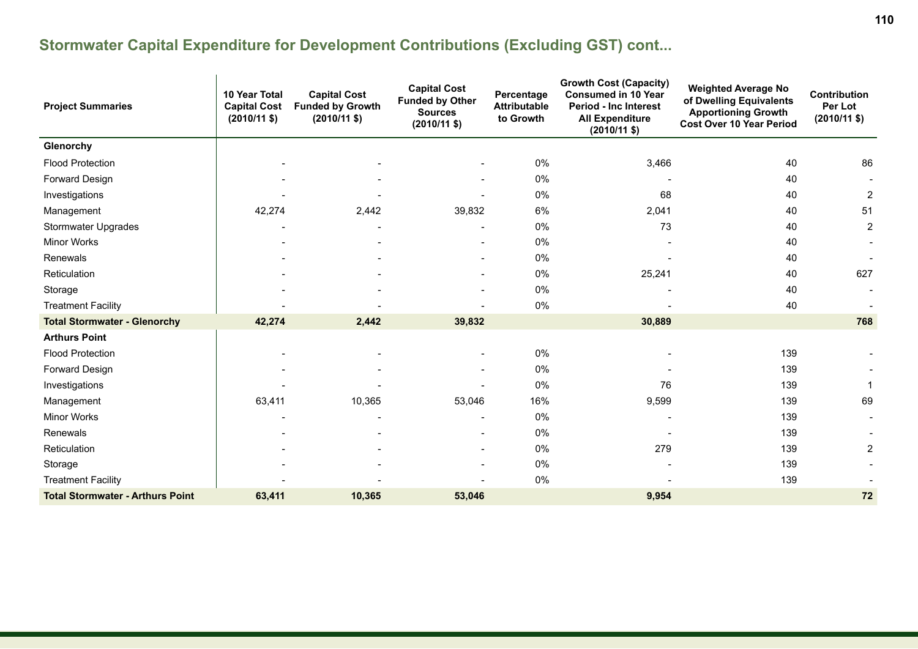| <b>Project Summaries</b>                | 10 Year Total<br><b>Capital Cost</b><br>$(2010/11 \text{ $}$ | <b>Capital Cost</b><br><b>Funded by Growth</b><br>$(2010/11 \text{ $}$ | <b>Capital Cost</b><br><b>Funded by Other</b><br><b>Sources</b><br>$(2010/11 \text{ $}$ | <b>Growth Cost (Capacity)</b><br><b>Consumed in 10 Year</b><br>Percentage<br><b>Attributable</b><br><b>Period - Inc Interest</b><br>to Growth<br><b>All Expenditure</b><br>$(2010/11 \text{ $}$ |        | <b>Weighted Average No</b><br>of Dwelling Equivalents<br><b>Apportioning Growth</b><br><b>Cost Over 10 Year Period</b> | Contribution<br>Per Lot<br>$(2010/11 \text{ $}$ |
|-----------------------------------------|--------------------------------------------------------------|------------------------------------------------------------------------|-----------------------------------------------------------------------------------------|-------------------------------------------------------------------------------------------------------------------------------------------------------------------------------------------------|--------|------------------------------------------------------------------------------------------------------------------------|-------------------------------------------------|
| Glenorchy                               |                                                              |                                                                        |                                                                                         |                                                                                                                                                                                                 |        |                                                                                                                        |                                                 |
| <b>Flood Protection</b>                 |                                                              |                                                                        |                                                                                         | 0%                                                                                                                                                                                              | 3,466  | 40                                                                                                                     | 86                                              |
| Forward Design                          |                                                              |                                                                        |                                                                                         | 0%                                                                                                                                                                                              |        | 40                                                                                                                     |                                                 |
| Investigations                          |                                                              |                                                                        |                                                                                         | 0%                                                                                                                                                                                              | 68     | 40                                                                                                                     | 2                                               |
| Management                              | 42,274                                                       | 2,442                                                                  | 39,832                                                                                  | 6%                                                                                                                                                                                              | 2,041  | 40                                                                                                                     | 51                                              |
| Stormwater Upgrades                     |                                                              |                                                                        |                                                                                         | 0%                                                                                                                                                                                              | 73     | 40                                                                                                                     | $\overline{2}$                                  |
| <b>Minor Works</b>                      |                                                              |                                                                        |                                                                                         | 0%                                                                                                                                                                                              |        | 40                                                                                                                     |                                                 |
| Renewals                                |                                                              |                                                                        | $\overline{\phantom{a}}$                                                                | 0%                                                                                                                                                                                              |        | 40                                                                                                                     |                                                 |
| Reticulation                            |                                                              |                                                                        |                                                                                         | 0%                                                                                                                                                                                              | 25,241 | 40                                                                                                                     | 627                                             |
| Storage                                 |                                                              |                                                                        |                                                                                         | 0%                                                                                                                                                                                              |        | 40                                                                                                                     |                                                 |
| <b>Treatment Facility</b>               |                                                              |                                                                        | $\blacksquare$                                                                          | 0%                                                                                                                                                                                              |        | 40                                                                                                                     |                                                 |
| <b>Total Stormwater - Glenorchy</b>     | 42,274                                                       | 2,442                                                                  | 39,832                                                                                  |                                                                                                                                                                                                 | 30,889 |                                                                                                                        | 768                                             |
| <b>Arthurs Point</b>                    |                                                              |                                                                        |                                                                                         |                                                                                                                                                                                                 |        |                                                                                                                        |                                                 |
| <b>Flood Protection</b>                 |                                                              |                                                                        | $\blacksquare$                                                                          | 0%                                                                                                                                                                                              |        | 139                                                                                                                    |                                                 |
| Forward Design                          |                                                              |                                                                        |                                                                                         | 0%                                                                                                                                                                                              |        | 139                                                                                                                    |                                                 |
| Investigations                          |                                                              |                                                                        |                                                                                         | 0%                                                                                                                                                                                              | 76     | 139                                                                                                                    |                                                 |
| Management                              | 63,411                                                       | 10,365                                                                 | 53,046                                                                                  | 16%                                                                                                                                                                                             | 9,599  | 139                                                                                                                    | 69                                              |
| <b>Minor Works</b>                      |                                                              |                                                                        |                                                                                         | 0%                                                                                                                                                                                              |        | 139                                                                                                                    |                                                 |
| Renewals                                |                                                              |                                                                        | $\blacksquare$                                                                          | 0%                                                                                                                                                                                              |        | 139                                                                                                                    |                                                 |
| Reticulation                            |                                                              |                                                                        |                                                                                         | 0%                                                                                                                                                                                              | 279    | 139                                                                                                                    | $\overline{2}$                                  |
| Storage                                 |                                                              |                                                                        |                                                                                         | 0%                                                                                                                                                                                              |        | 139                                                                                                                    |                                                 |
| <b>Treatment Facility</b>               |                                                              |                                                                        | $\blacksquare$                                                                          | 0%                                                                                                                                                                                              |        | 139                                                                                                                    |                                                 |
| <b>Total Stormwater - Arthurs Point</b> | 63,411                                                       | 10,365                                                                 | 53,046                                                                                  |                                                                                                                                                                                                 | 9,954  |                                                                                                                        | 72                                              |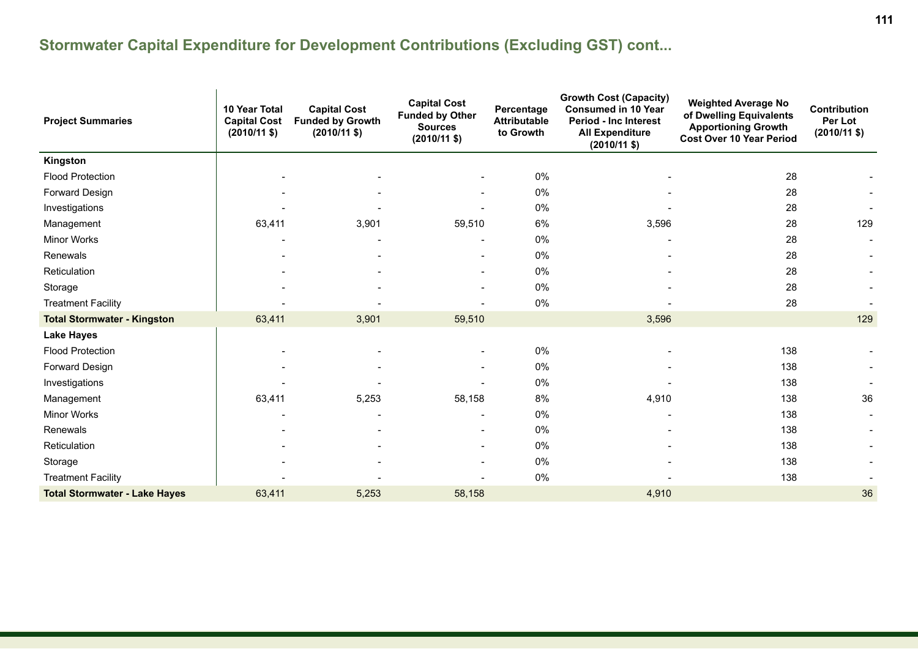| <b>Project Summaries</b>             | 10 Year Total<br><b>Capital Cost</b><br>$(2010/11 \text{ $}$ | <b>Capital Cost</b><br><b>Funded by Growth</b><br>$(2010/11 \text{ $}$ | <b>Capital Cost</b><br><b>Funded by Other</b><br><b>Sources</b><br>$(2010/11 \text{ $}$ | <b>Growth Cost (Capacity)</b><br><b>Consumed in 10 Year</b><br>Percentage<br><b>Attributable</b><br><b>Period - Inc Interest</b><br>to Growth<br><b>All Expenditure</b><br>$(2010/11 \text{ $}$ |       | <b>Weighted Average No</b><br>of Dwelling Equivalents<br><b>Apportioning Growth</b><br><b>Cost Over 10 Year Period</b> | <b>Contribution</b><br>Per Lot<br>$(2010/11 \text{ $}$ |
|--------------------------------------|--------------------------------------------------------------|------------------------------------------------------------------------|-----------------------------------------------------------------------------------------|-------------------------------------------------------------------------------------------------------------------------------------------------------------------------------------------------|-------|------------------------------------------------------------------------------------------------------------------------|--------------------------------------------------------|
| Kingston                             |                                                              |                                                                        |                                                                                         |                                                                                                                                                                                                 |       |                                                                                                                        |                                                        |
| <b>Flood Protection</b>              |                                                              |                                                                        | $\overline{\phantom{a}}$                                                                | 0%                                                                                                                                                                                              |       | 28                                                                                                                     |                                                        |
| Forward Design                       |                                                              |                                                                        |                                                                                         | 0%                                                                                                                                                                                              |       | 28                                                                                                                     |                                                        |
| Investigations                       |                                                              |                                                                        |                                                                                         | 0%                                                                                                                                                                                              |       | 28                                                                                                                     |                                                        |
| Management                           | 63,411                                                       | 3,901                                                                  | 59,510                                                                                  | 6%                                                                                                                                                                                              | 3,596 | 28                                                                                                                     | 129                                                    |
| Minor Works                          |                                                              |                                                                        |                                                                                         | 0%                                                                                                                                                                                              |       | 28                                                                                                                     |                                                        |
| Renewals                             |                                                              |                                                                        | $\blacksquare$                                                                          | 0%                                                                                                                                                                                              |       | 28                                                                                                                     |                                                        |
| Reticulation                         |                                                              |                                                                        | -                                                                                       | 0%                                                                                                                                                                                              |       | 28                                                                                                                     |                                                        |
| Storage                              |                                                              |                                                                        | $\overline{\phantom{a}}$                                                                | 0%                                                                                                                                                                                              |       | 28                                                                                                                     |                                                        |
| <b>Treatment Facility</b>            |                                                              |                                                                        |                                                                                         | 0%                                                                                                                                                                                              |       | 28                                                                                                                     |                                                        |
| <b>Total Stormwater - Kingston</b>   | 63,411                                                       | 3,901                                                                  | 59,510                                                                                  |                                                                                                                                                                                                 | 3,596 |                                                                                                                        | 129                                                    |
| <b>Lake Hayes</b>                    |                                                              |                                                                        |                                                                                         |                                                                                                                                                                                                 |       |                                                                                                                        |                                                        |
| <b>Flood Protection</b>              |                                                              |                                                                        |                                                                                         | 0%                                                                                                                                                                                              |       | 138                                                                                                                    |                                                        |
| Forward Design                       |                                                              |                                                                        |                                                                                         | 0%                                                                                                                                                                                              |       | 138                                                                                                                    |                                                        |
| Investigations                       |                                                              |                                                                        |                                                                                         | 0%                                                                                                                                                                                              |       | 138                                                                                                                    |                                                        |
| Management                           | 63,411                                                       | 5,253                                                                  | 58,158                                                                                  | 8%                                                                                                                                                                                              | 4,910 | 138                                                                                                                    | 36                                                     |
| <b>Minor Works</b>                   |                                                              |                                                                        | $\blacksquare$                                                                          | 0%                                                                                                                                                                                              |       | 138                                                                                                                    |                                                        |
| Renewals                             |                                                              |                                                                        | $\blacksquare$                                                                          | 0%                                                                                                                                                                                              |       | 138                                                                                                                    |                                                        |
| Reticulation                         |                                                              |                                                                        |                                                                                         | 0%                                                                                                                                                                                              |       | 138                                                                                                                    |                                                        |
| Storage                              |                                                              |                                                                        |                                                                                         | 0%                                                                                                                                                                                              |       | 138                                                                                                                    |                                                        |
| <b>Treatment Facility</b>            |                                                              |                                                                        |                                                                                         | 0%                                                                                                                                                                                              |       | 138                                                                                                                    |                                                        |
| <b>Total Stormwater - Lake Hayes</b> | 63,411                                                       | 5,253                                                                  | 58,158                                                                                  |                                                                                                                                                                                                 | 4,910 |                                                                                                                        | 36                                                     |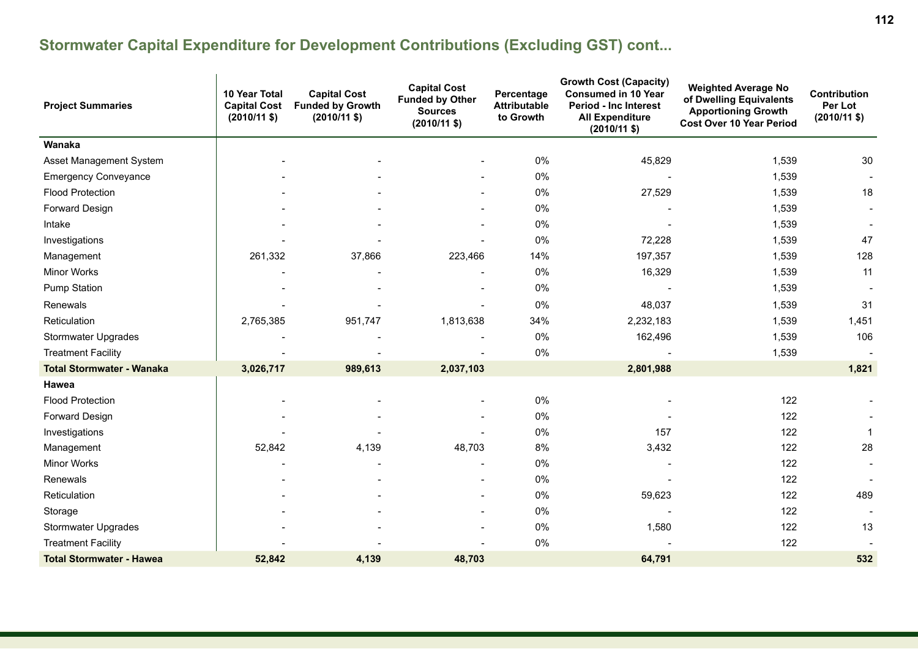| <b>Project Summaries</b>         | 10 Year Total<br><b>Capital Cost</b><br>$(2010/11$ \$) | <b>Capital Cost</b><br><b>Funded by Growth</b><br>$(2010/11$ \$) | <b>Capital Cost</b><br><b>Funded by Other</b><br><b>Sources</b><br>$(2010/11 \text{ $}$ | <b>Growth Cost (Capacity)</b><br><b>Consumed in 10 Year</b><br>Percentage<br><b>Attributable</b><br><b>Period - Inc Interest</b><br>to Growth<br><b>All Expenditure</b><br>$(2010/11 \text{ $}$ |           | <b>Weighted Average No</b><br>of Dwelling Equivalents<br><b>Apportioning Growth</b><br><b>Cost Over 10 Year Period</b> | Contribution<br>Per Lot<br>$(2010/11$ \$) |
|----------------------------------|--------------------------------------------------------|------------------------------------------------------------------|-----------------------------------------------------------------------------------------|-------------------------------------------------------------------------------------------------------------------------------------------------------------------------------------------------|-----------|------------------------------------------------------------------------------------------------------------------------|-------------------------------------------|
| Wanaka                           |                                                        |                                                                  |                                                                                         |                                                                                                                                                                                                 |           |                                                                                                                        |                                           |
| Asset Management System          |                                                        |                                                                  |                                                                                         | 0%                                                                                                                                                                                              | 45,829    | 1,539                                                                                                                  | 30                                        |
| <b>Emergency Conveyance</b>      |                                                        |                                                                  | $\blacksquare$                                                                          | 0%                                                                                                                                                                                              |           | 1,539                                                                                                                  |                                           |
| <b>Flood Protection</b>          |                                                        |                                                                  | $\blacksquare$                                                                          | 0%                                                                                                                                                                                              | 27,529    | 1,539                                                                                                                  | 18                                        |
| Forward Design                   |                                                        |                                                                  |                                                                                         | 0%                                                                                                                                                                                              |           | 1,539                                                                                                                  |                                           |
| Intake                           |                                                        |                                                                  |                                                                                         | 0%                                                                                                                                                                                              |           | 1,539                                                                                                                  |                                           |
| Investigations                   |                                                        |                                                                  |                                                                                         | 0%                                                                                                                                                                                              | 72,228    | 1,539                                                                                                                  | 47                                        |
| Management                       | 261,332                                                | 37,866                                                           | 223,466                                                                                 | 14%                                                                                                                                                                                             | 197,357   | 1,539                                                                                                                  | 128                                       |
| <b>Minor Works</b>               |                                                        |                                                                  |                                                                                         | 0%                                                                                                                                                                                              | 16,329    | 1,539                                                                                                                  | 11                                        |
| <b>Pump Station</b>              |                                                        |                                                                  |                                                                                         | 0%                                                                                                                                                                                              |           | 1,539                                                                                                                  |                                           |
| Renewals                         |                                                        |                                                                  |                                                                                         | 0%                                                                                                                                                                                              | 48,037    | 1,539                                                                                                                  | 31                                        |
| Reticulation                     | 2,765,385                                              | 951,747                                                          | 1,813,638                                                                               | 34%                                                                                                                                                                                             | 2,232,183 | 1,539                                                                                                                  | 1,451                                     |
| <b>Stormwater Upgrades</b>       |                                                        |                                                                  |                                                                                         | 0%                                                                                                                                                                                              | 162,496   | 1,539                                                                                                                  | 106                                       |
| <b>Treatment Facility</b>        |                                                        |                                                                  |                                                                                         | 0%                                                                                                                                                                                              |           | 1,539                                                                                                                  |                                           |
| <b>Total Stormwater - Wanaka</b> | 3,026,717                                              | 989,613                                                          | 2,037,103                                                                               |                                                                                                                                                                                                 | 2,801,988 |                                                                                                                        | 1,821                                     |
| Hawea                            |                                                        |                                                                  |                                                                                         |                                                                                                                                                                                                 |           |                                                                                                                        |                                           |
| <b>Flood Protection</b>          |                                                        |                                                                  |                                                                                         | 0%                                                                                                                                                                                              |           | 122                                                                                                                    |                                           |
| Forward Design                   |                                                        |                                                                  |                                                                                         | 0%                                                                                                                                                                                              |           | 122                                                                                                                    |                                           |
| Investigations                   |                                                        |                                                                  |                                                                                         | 0%                                                                                                                                                                                              | 157       | 122                                                                                                                    | $\mathbf 1$                               |
| Management                       | 52,842                                                 | 4,139                                                            | 48,703                                                                                  | 8%                                                                                                                                                                                              | 3,432     | 122                                                                                                                    | 28                                        |
| Minor Works                      |                                                        |                                                                  | $\blacksquare$                                                                          | 0%                                                                                                                                                                                              |           | 122                                                                                                                    |                                           |
| Renewals                         |                                                        |                                                                  | $\overline{a}$                                                                          | 0%                                                                                                                                                                                              |           | 122                                                                                                                    |                                           |
| Reticulation                     |                                                        |                                                                  | $\overline{\phantom{a}}$                                                                | 0%                                                                                                                                                                                              | 59,623    | 122                                                                                                                    | 489                                       |
| Storage                          |                                                        |                                                                  | $\blacksquare$                                                                          | 0%                                                                                                                                                                                              |           | 122                                                                                                                    |                                           |
| <b>Stormwater Upgrades</b>       |                                                        |                                                                  |                                                                                         | 0%                                                                                                                                                                                              | 1,580     | 122                                                                                                                    | 13                                        |
| <b>Treatment Facility</b>        |                                                        |                                                                  |                                                                                         | 0%                                                                                                                                                                                              |           | 122                                                                                                                    |                                           |
| <b>Total Stormwater - Hawea</b>  | 52,842                                                 | 4,139                                                            | 48,703                                                                                  |                                                                                                                                                                                                 | 64,791    |                                                                                                                        | 532                                       |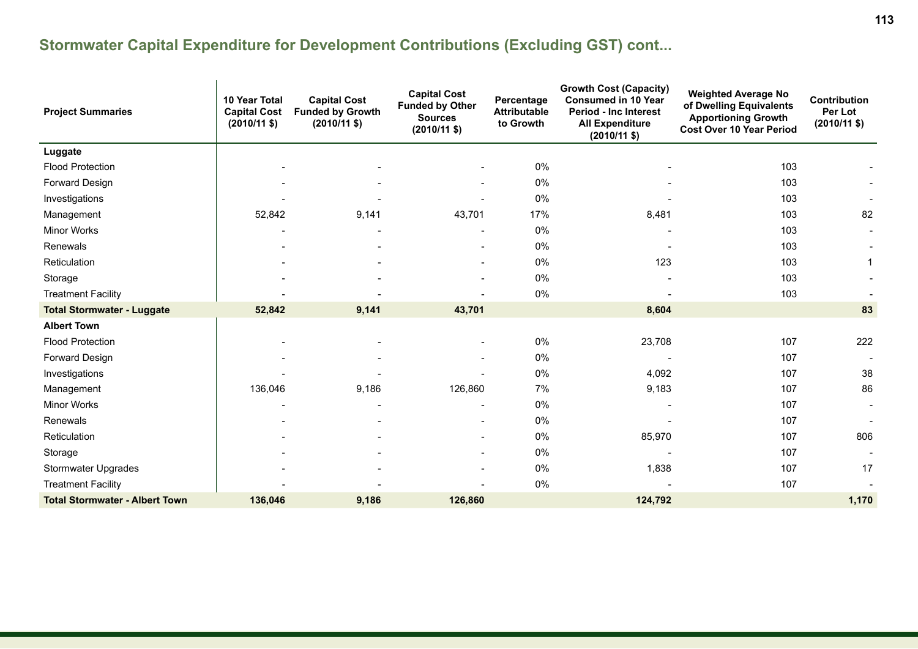| <b>Project Summaries</b>              | 10 Year Total<br><b>Capital Cost</b><br>$(2010/11 \text{ $})$ | <b>Capital Cost</b><br><b>Funded by Growth</b><br>$(2010/11 \text{ $}$ | <b>Capital Cost</b><br><b>Funded by Other</b><br><b>Sources</b><br>$(2010/11 \text{ $}$ | <b>Growth Cost (Capacity)</b><br>Percentage<br><b>Consumed in 10 Year</b><br><b>Attributable</b><br><b>Period - Inc Interest</b><br>to Growth<br><b>All Expenditure</b><br>$(2010/11 \text{ $}$ |         | <b>Weighted Average No</b><br>of Dwelling Equivalents<br><b>Apportioning Growth</b><br><b>Cost Over 10 Year Period</b> | Contribution<br>Per Lot<br>$(2010/11 \text{ $}$ |
|---------------------------------------|---------------------------------------------------------------|------------------------------------------------------------------------|-----------------------------------------------------------------------------------------|-------------------------------------------------------------------------------------------------------------------------------------------------------------------------------------------------|---------|------------------------------------------------------------------------------------------------------------------------|-------------------------------------------------|
| Luggate                               |                                                               |                                                                        |                                                                                         |                                                                                                                                                                                                 |         |                                                                                                                        |                                                 |
| <b>Flood Protection</b>               |                                                               |                                                                        | -                                                                                       | 0%                                                                                                                                                                                              |         | 103                                                                                                                    |                                                 |
| Forward Design                        |                                                               |                                                                        |                                                                                         | 0%                                                                                                                                                                                              |         | 103                                                                                                                    |                                                 |
| Investigations                        |                                                               |                                                                        |                                                                                         | 0%                                                                                                                                                                                              |         | 103                                                                                                                    |                                                 |
| Management                            | 52,842                                                        | 9,141                                                                  | 43,701                                                                                  | 17%                                                                                                                                                                                             | 8,481   | 103                                                                                                                    | 82                                              |
| <b>Minor Works</b>                    |                                                               |                                                                        | $\overline{\phantom{a}}$                                                                | 0%                                                                                                                                                                                              |         | 103                                                                                                                    |                                                 |
| Renewals                              |                                                               |                                                                        |                                                                                         | 0%                                                                                                                                                                                              |         | 103                                                                                                                    |                                                 |
| Reticulation                          |                                                               |                                                                        | $\blacksquare$                                                                          | 0%                                                                                                                                                                                              | 123     | 103                                                                                                                    | 1                                               |
| Storage                               |                                                               |                                                                        | $\overline{\phantom{0}}$                                                                | 0%                                                                                                                                                                                              |         | 103                                                                                                                    |                                                 |
| <b>Treatment Facility</b>             |                                                               |                                                                        |                                                                                         | 0%                                                                                                                                                                                              |         | 103                                                                                                                    |                                                 |
| <b>Total Stormwater - Luggate</b>     | 52,842                                                        | 9,141                                                                  | 43,701                                                                                  |                                                                                                                                                                                                 | 8,604   |                                                                                                                        | 83                                              |
| <b>Albert Town</b>                    |                                                               |                                                                        |                                                                                         |                                                                                                                                                                                                 |         |                                                                                                                        |                                                 |
| <b>Flood Protection</b>               |                                                               |                                                                        | $\overline{\phantom{a}}$                                                                | 0%                                                                                                                                                                                              | 23,708  | 107                                                                                                                    | 222                                             |
| Forward Design                        |                                                               |                                                                        |                                                                                         | 0%                                                                                                                                                                                              |         | 107                                                                                                                    |                                                 |
| Investigations                        |                                                               |                                                                        |                                                                                         | 0%                                                                                                                                                                                              | 4,092   | 107                                                                                                                    | 38                                              |
| Management                            | 136,046                                                       | 9,186                                                                  | 126,860                                                                                 | 7%                                                                                                                                                                                              | 9,183   | 107                                                                                                                    | 86                                              |
| Minor Works                           |                                                               |                                                                        | $\overline{\phantom{a}}$                                                                | 0%                                                                                                                                                                                              |         | 107                                                                                                                    |                                                 |
| Renewals                              |                                                               |                                                                        |                                                                                         | 0%                                                                                                                                                                                              |         | 107                                                                                                                    |                                                 |
| Reticulation                          |                                                               |                                                                        |                                                                                         | 0%                                                                                                                                                                                              | 85,970  | 107                                                                                                                    | 806                                             |
| Storage                               |                                                               |                                                                        | $\overline{\phantom{a}}$                                                                | 0%                                                                                                                                                                                              |         | 107                                                                                                                    |                                                 |
| Stormwater Upgrades                   |                                                               |                                                                        | $\overline{a}$                                                                          | 0%                                                                                                                                                                                              | 1,838   | 107                                                                                                                    | 17                                              |
| <b>Treatment Facility</b>             |                                                               |                                                                        |                                                                                         | 0%                                                                                                                                                                                              |         | 107                                                                                                                    |                                                 |
| <b>Total Stormwater - Albert Town</b> | 136,046                                                       | 9,186                                                                  | 126,860                                                                                 |                                                                                                                                                                                                 | 124,792 |                                                                                                                        | 1,170                                           |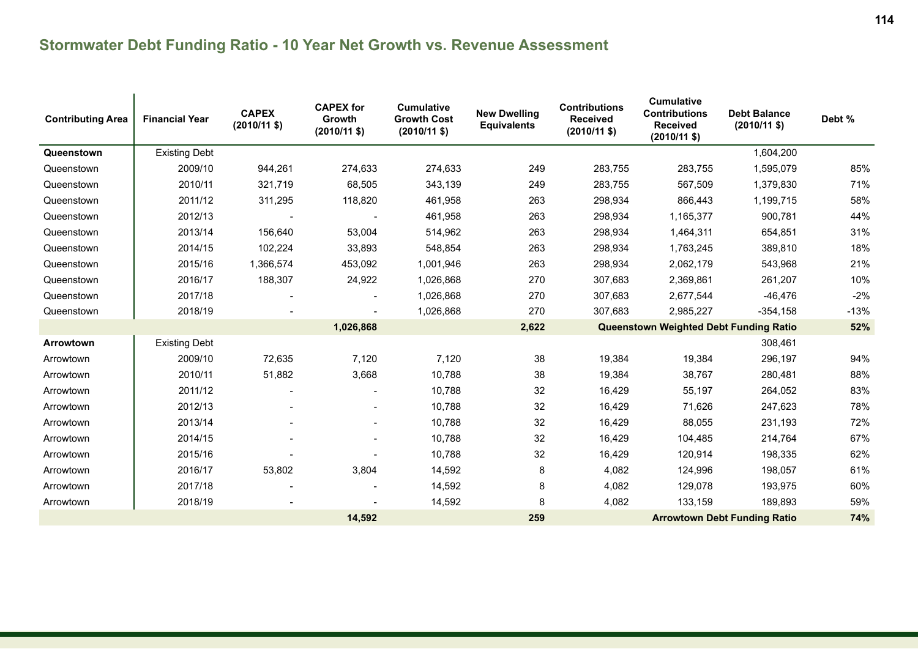| <b>Contributing Area</b> | <b>Financial Year</b> | <b>CAPEX</b><br>$(2010/11$ \$) | <b>CAPEX for</b><br>Growth<br>$(2010/11$ \$) | <b>Cumulative</b><br><b>Growth Cost</b><br>$(2010/11 \text{$ }) | <b>New Dwelling</b><br><b>Equivalents</b> | <b>Contributions</b><br><b>Received</b><br>$(2010/11 \text{ $}$ | <b>Cumulative</b><br><b>Contributions</b><br><b>Received</b><br>$(2010/11 \text{$ ) | <b>Debt Balance</b><br>$(2010/11$ \$) | Debt % |
|--------------------------|-----------------------|--------------------------------|----------------------------------------------|-----------------------------------------------------------------|-------------------------------------------|-----------------------------------------------------------------|-------------------------------------------------------------------------------------|---------------------------------------|--------|
| Queenstown               | <b>Existing Debt</b>  |                                |                                              |                                                                 |                                           |                                                                 |                                                                                     | 1,604,200                             |        |
| Queenstown               | 2009/10               | 944,261                        | 274,633                                      | 274,633                                                         | 249                                       | 283,755                                                         | 283,755                                                                             | 1,595,079                             | 85%    |
| Queenstown               | 2010/11               | 321,719                        | 68,505                                       | 343,139                                                         | 249                                       | 283,755                                                         | 567,509                                                                             | 1,379,830                             | 71%    |
| Queenstown               | 2011/12               | 311,295                        | 118,820                                      | 461,958                                                         | 263                                       | 298,934                                                         | 866,443                                                                             | 1,199,715                             | 58%    |
| Queenstown               | 2012/13               |                                |                                              | 461,958                                                         | 263                                       | 298,934                                                         | 1,165,377                                                                           | 900,781                               | 44%    |
| Queenstown               | 2013/14               | 156,640                        | 53,004                                       | 514,962                                                         | 263                                       | 298,934                                                         | 1,464,311                                                                           | 654,851                               | 31%    |
| Queenstown               | 2014/15               | 102,224                        | 33,893                                       | 548,854                                                         | 263                                       | 298,934                                                         | 1,763,245                                                                           | 389,810                               | 18%    |
| Queenstown               | 2015/16               | 1,366,574                      | 453,092                                      | 1,001,946                                                       | 263                                       | 298,934                                                         | 2,062,179                                                                           | 543,968                               | 21%    |
| Queenstown               | 2016/17               | 188,307                        | 24,922                                       | 1,026,868                                                       | 270                                       | 307,683                                                         | 2,369,861                                                                           | 261,207                               | 10%    |
| Queenstown               | 2017/18               |                                |                                              | 1,026,868                                                       | 270                                       | 307,683                                                         | 2,677,544                                                                           | $-46,476$                             | $-2%$  |
| Queenstown               | 2018/19               |                                |                                              | 1,026,868                                                       | 270                                       | 307,683                                                         | 2,985,227                                                                           | $-354,158$                            | $-13%$ |
|                          |                       |                                | 1,026,868                                    |                                                                 | 2,622                                     |                                                                 | <b>Queenstown Weighted Debt Funding Ratio</b>                                       |                                       | 52%    |
| Arrowtown                | <b>Existing Debt</b>  |                                |                                              |                                                                 |                                           |                                                                 |                                                                                     | 308,461                               |        |
| Arrowtown                | 2009/10               | 72,635                         | 7,120                                        | 7,120                                                           | 38                                        | 19,384                                                          | 19,384                                                                              | 296,197                               | 94%    |
| Arrowtown                | 2010/11               | 51,882                         | 3,668                                        | 10,788                                                          | 38                                        | 19,384                                                          | 38,767                                                                              | 280,481                               | 88%    |
| Arrowtown                | 2011/12               |                                |                                              | 10,788                                                          | 32                                        | 16,429                                                          | 55,197                                                                              | 264,052                               | 83%    |
| Arrowtown                | 2012/13               |                                |                                              | 10,788                                                          | 32                                        | 16,429                                                          | 71,626                                                                              | 247,623                               | 78%    |
| Arrowtown                | 2013/14               |                                |                                              | 10,788                                                          | 32                                        | 16,429                                                          | 88,055                                                                              | 231,193                               | 72%    |
| Arrowtown                | 2014/15               |                                |                                              | 10,788                                                          | 32                                        | 16,429                                                          | 104,485                                                                             | 214,764                               | 67%    |
| Arrowtown                | 2015/16               |                                |                                              | 10,788                                                          | 32                                        | 16,429                                                          | 120,914                                                                             | 198,335                               | 62%    |
| Arrowtown                | 2016/17               | 53,802                         | 3,804                                        | 14,592                                                          | 8                                         | 4,082                                                           | 124,996                                                                             | 198,057                               | 61%    |
| Arrowtown                | 2017/18               |                                |                                              | 14,592                                                          | 8                                         | 4,082                                                           | 129,078                                                                             | 193,975                               | 60%    |
| Arrowtown                | 2018/19               |                                |                                              | 14,592                                                          | 8                                         | 4,082                                                           | 133,159                                                                             | 189,893                               | 59%    |
|                          |                       |                                | 14,592                                       |                                                                 | 259                                       |                                                                 |                                                                                     | <b>Arrowtown Debt Funding Ratio</b>   | 74%    |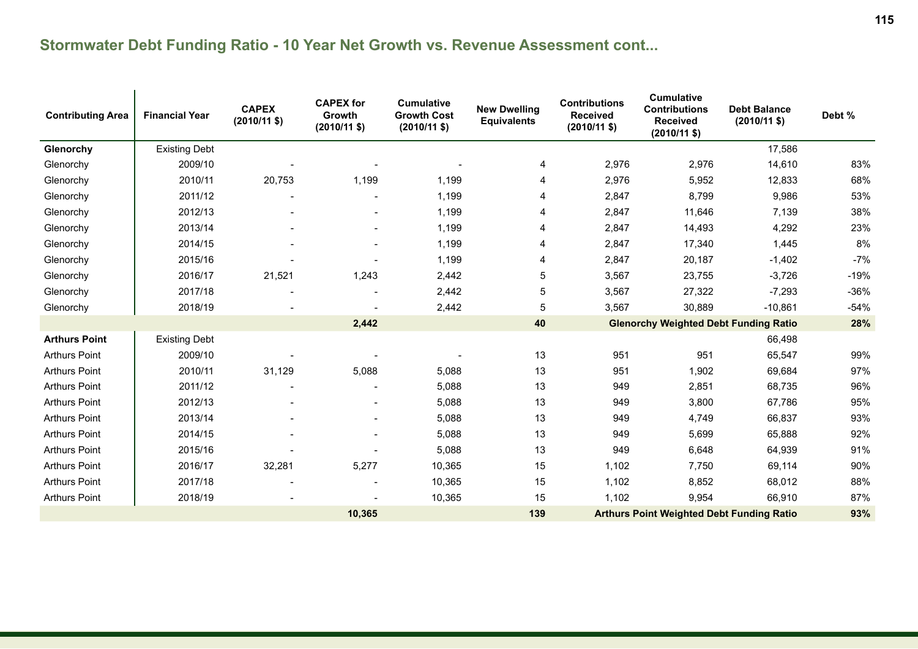| <b>Contributing Area</b> | <b>Financial Year</b> | <b>CAPEX</b><br>$(2010/11 \text{ $}$ | <b>CAPEX for</b><br><b>Growth</b><br>$(2010/11$ \$) | <b>Cumulative</b><br><b>Growth Cost</b><br>$(2010/11 \text{$ }) | <b>New Dwelling</b><br><b>Equivalents</b> | <b>Contributions</b><br><b>Received</b><br>$(2010/11 \text{ $}$ | <b>Cumulative</b><br><b>Contributions</b><br><b>Received</b><br>$(2010/11$ \$) | <b>Debt Balance</b><br>$(2010/11 \text{$ ) | Debt % |
|--------------------------|-----------------------|--------------------------------------|-----------------------------------------------------|-----------------------------------------------------------------|-------------------------------------------|-----------------------------------------------------------------|--------------------------------------------------------------------------------|--------------------------------------------|--------|
| Glenorchy                | <b>Existing Debt</b>  |                                      |                                                     |                                                                 |                                           |                                                                 |                                                                                | 17,586                                     |        |
| Glenorchy                | 2009/10               |                                      |                                                     |                                                                 | 4                                         | 2,976                                                           | 2,976                                                                          | 14,610                                     | 83%    |
| Glenorchy                | 2010/11               | 20,753                               | 1,199                                               | 1,199                                                           | 4                                         | 2,976                                                           | 5,952                                                                          | 12,833                                     | 68%    |
| Glenorchy                | 2011/12               |                                      |                                                     | 1,199                                                           | 4                                         | 2,847                                                           | 8,799                                                                          | 9,986                                      | 53%    |
| Glenorchy                | 2012/13               |                                      |                                                     | 1,199                                                           | 4                                         | 2,847                                                           | 11,646                                                                         | 7,139                                      | 38%    |
| Glenorchy                | 2013/14               |                                      | $\overline{\phantom{a}}$                            | 1,199                                                           | 4                                         | 2,847                                                           | 14,493                                                                         | 4,292                                      | 23%    |
| Glenorchy                | 2014/15               |                                      |                                                     | 1,199                                                           | 4                                         | 2,847                                                           | 17,340                                                                         | 1,445                                      | 8%     |
| Glenorchy                | 2015/16               |                                      |                                                     | 1,199                                                           | 4                                         | 2,847                                                           | 20,187                                                                         | $-1,402$                                   | $-7%$  |
| Glenorchy                | 2016/17               | 21,521                               | 1,243                                               | 2,442                                                           | 5                                         | 3,567                                                           | 23,755                                                                         | $-3,726$                                   | $-19%$ |
| Glenorchy                | 2017/18               |                                      |                                                     | 2,442                                                           | 5                                         | 3,567                                                           | 27,322                                                                         | $-7,293$                                   | $-36%$ |
| Glenorchy                | 2018/19               |                                      |                                                     | 2,442                                                           | 5                                         | 3,567                                                           | 30,889                                                                         | $-10,861$                                  | $-54%$ |
|                          |                       |                                      | 2,442                                               |                                                                 | 40                                        |                                                                 | <b>Glenorchy Weighted Debt Funding Ratio</b>                                   |                                            | 28%    |
| <b>Arthurs Point</b>     | <b>Existing Debt</b>  |                                      |                                                     |                                                                 |                                           |                                                                 |                                                                                | 66,498                                     |        |
| <b>Arthurs Point</b>     | 2009/10               |                                      |                                                     |                                                                 | 13                                        | 951                                                             | 951                                                                            | 65,547                                     | 99%    |
| <b>Arthurs Point</b>     | 2010/11               | 31,129                               | 5,088                                               | 5,088                                                           | 13                                        | 951                                                             | 1,902                                                                          | 69,684                                     | 97%    |
| <b>Arthurs Point</b>     | 2011/12               |                                      |                                                     | 5,088                                                           | 13                                        | 949                                                             | 2,851                                                                          | 68,735                                     | 96%    |
| <b>Arthurs Point</b>     | 2012/13               |                                      |                                                     | 5,088                                                           | 13                                        | 949                                                             | 3,800                                                                          | 67,786                                     | 95%    |
| <b>Arthurs Point</b>     | 2013/14               |                                      |                                                     | 5,088                                                           | 13                                        | 949                                                             | 4,749                                                                          | 66,837                                     | 93%    |
| <b>Arthurs Point</b>     | 2014/15               |                                      |                                                     | 5,088                                                           | 13                                        | 949                                                             | 5,699                                                                          | 65,888                                     | 92%    |
| <b>Arthurs Point</b>     | 2015/16               |                                      |                                                     | 5,088                                                           | 13                                        | 949                                                             | 6,648                                                                          | 64,939                                     | 91%    |
| <b>Arthurs Point</b>     | 2016/17               | 32,281                               | 5,277                                               | 10,365                                                          | 15                                        | 1,102                                                           | 7,750                                                                          | 69,114                                     | 90%    |
| <b>Arthurs Point</b>     | 2017/18               |                                      |                                                     | 10,365                                                          | 15                                        | 1,102                                                           | 8,852                                                                          | 68,012                                     | 88%    |
| <b>Arthurs Point</b>     | 2018/19               |                                      |                                                     | 10,365                                                          | 15                                        | 1,102                                                           | 9,954                                                                          | 66,910                                     | 87%    |
|                          |                       |                                      | 10,365                                              |                                                                 | 139                                       |                                                                 | <b>Arthurs Point Weighted Debt Funding Ratio</b>                               |                                            | 93%    |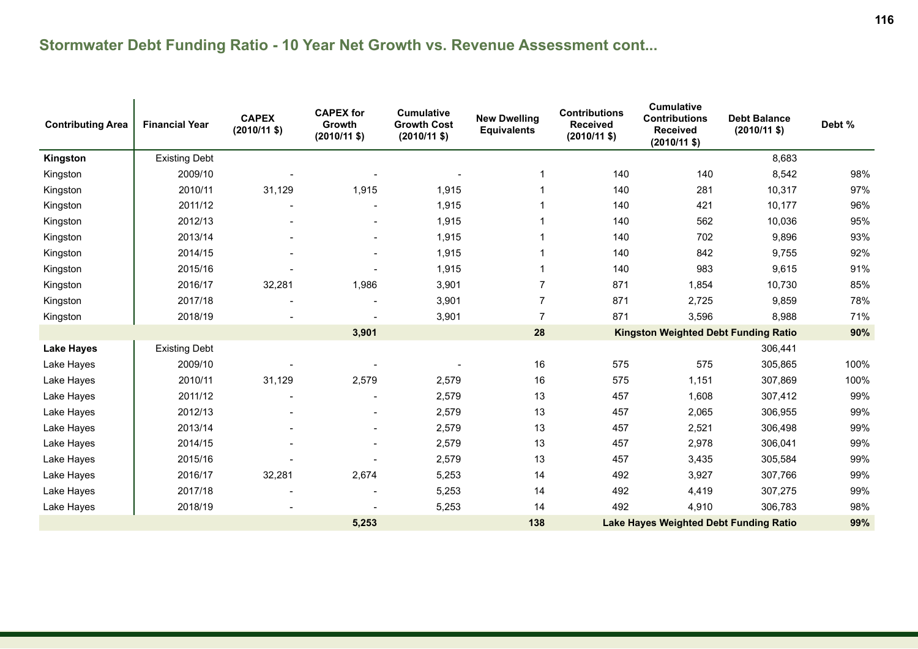| <b>Contributing Area</b> | <b>Financial Year</b> | <b>CAPEX</b><br>$(2010/11$ \$) | <b>CAPEX for</b><br>Growth<br>$(2010/11$ \$) | <b>Cumulative</b><br><b>Growth Cost</b><br>$(2010/11 \text{ $}$ | <b>New Dwelling</b><br><b>Equivalents</b> | <b>Contributions</b><br><b>Received</b><br>$(2010/11$ \$) | <b>Cumulative</b><br><b>Contributions</b><br><b>Received</b><br>$(2010/11 \text{$ ) | <b>Debt Balance</b><br>$(2010/11$ \$) | Debt % |
|--------------------------|-----------------------|--------------------------------|----------------------------------------------|-----------------------------------------------------------------|-------------------------------------------|-----------------------------------------------------------|-------------------------------------------------------------------------------------|---------------------------------------|--------|
| Kingston                 | <b>Existing Debt</b>  |                                |                                              |                                                                 |                                           |                                                           |                                                                                     | 8,683                                 |        |
| Kingston                 | 2009/10               |                                |                                              |                                                                 |                                           | 140                                                       | 140                                                                                 | 8,542                                 | 98%    |
| Kingston                 | 2010/11               | 31,129                         | 1,915                                        | 1,915                                                           |                                           | 140                                                       | 281                                                                                 | 10,317                                | 97%    |
| Kingston                 | 2011/12               |                                |                                              | 1,915                                                           |                                           | 140                                                       | 421                                                                                 | 10,177                                | 96%    |
| Kingston                 | 2012/13               |                                |                                              | 1,915                                                           |                                           | 140                                                       | 562                                                                                 | 10,036                                | 95%    |
| Kingston                 | 2013/14               |                                |                                              | 1,915                                                           |                                           | 140                                                       | 702                                                                                 | 9,896                                 | 93%    |
| Kingston                 | 2014/15               |                                |                                              | 1,915                                                           |                                           | 140                                                       | 842                                                                                 | 9,755                                 | 92%    |
| Kingston                 | 2015/16               |                                |                                              | 1,915                                                           |                                           | 140                                                       | 983                                                                                 | 9,615                                 | 91%    |
| Kingston                 | 2016/17               | 32,281                         | 1,986                                        | 3,901                                                           | $\overline{7}$                            | 871                                                       | 1,854                                                                               | 10,730                                | 85%    |
| Kingston                 | 2017/18               |                                |                                              | 3,901                                                           | $\overline{7}$                            | 871                                                       | 2,725                                                                               | 9,859                                 | 78%    |
| Kingston                 | 2018/19               |                                |                                              | 3,901                                                           | $\overline{7}$                            | 871                                                       | 3,596                                                                               | 8,988                                 | 71%    |
|                          |                       |                                | 3,901                                        |                                                                 | 28                                        |                                                           | <b>Kingston Weighted Debt Funding Ratio</b>                                         |                                       | 90%    |
| <b>Lake Hayes</b>        | <b>Existing Debt</b>  |                                |                                              |                                                                 |                                           |                                                           |                                                                                     | 306,441                               |        |
| Lake Hayes               | 2009/10               |                                |                                              |                                                                 | 16                                        | 575                                                       | 575                                                                                 | 305,865                               | 100%   |
| Lake Hayes               | 2010/11               | 31,129                         | 2,579                                        | 2,579                                                           | 16                                        | 575                                                       | 1,151                                                                               | 307,869                               | 100%   |
| Lake Hayes               | 2011/12               |                                |                                              | 2,579                                                           | 13                                        | 457                                                       | 1,608                                                                               | 307,412                               | 99%    |
| Lake Hayes               | 2012/13               |                                |                                              | 2,579                                                           | 13                                        | 457                                                       | 2,065                                                                               | 306,955                               | 99%    |
| Lake Hayes               | 2013/14               |                                |                                              | 2,579                                                           | 13                                        | 457                                                       | 2,521                                                                               | 306,498                               | 99%    |
| Lake Hayes               | 2014/15               |                                |                                              | 2,579                                                           | 13                                        | 457                                                       | 2,978                                                                               | 306,041                               | 99%    |
| Lake Hayes               | 2015/16               |                                |                                              | 2,579                                                           | 13                                        | 457                                                       | 3,435                                                                               | 305,584                               | 99%    |
| Lake Hayes               | 2016/17               | 32,281                         | 2,674                                        | 5,253                                                           | 14                                        | 492                                                       | 3,927                                                                               | 307,766                               | 99%    |
| Lake Hayes               | 2017/18               |                                |                                              | 5,253                                                           | 14                                        | 492                                                       | 4,419                                                                               | 307,275                               | 99%    |
| Lake Hayes               | 2018/19               |                                |                                              | 5,253                                                           | 14                                        | 492                                                       | 4,910                                                                               | 306,783                               | 98%    |
|                          |                       |                                | 5,253                                        |                                                                 | 138                                       |                                                           | <b>Lake Hayes Weighted Debt Funding Ratio</b>                                       |                                       | 99%    |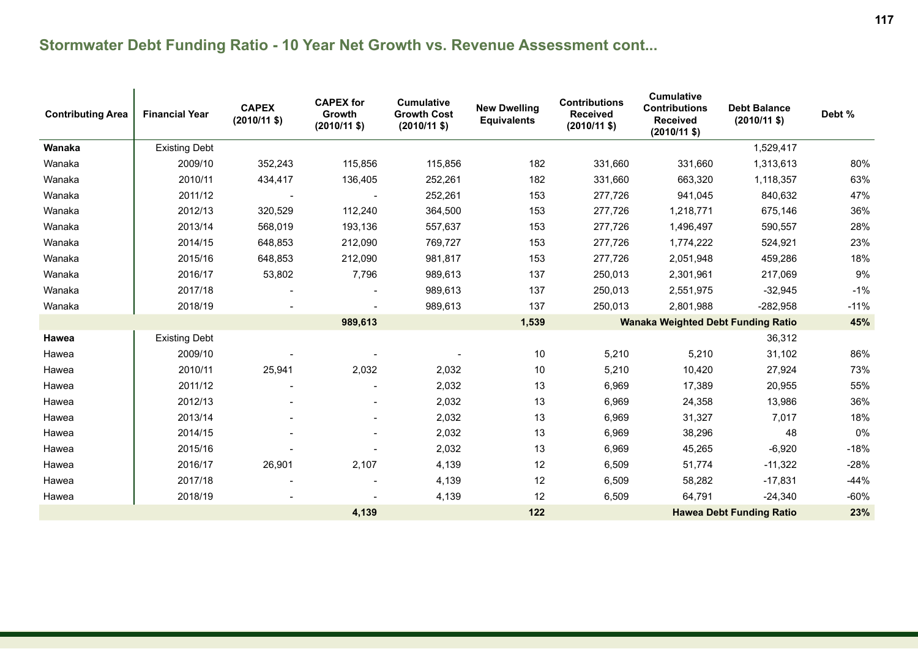| <b>Contributing Area</b> | <b>Financial Year</b> | <b>CAPEX</b><br>$(2010/11 \text{ $}$ | <b>CAPEX for</b><br>Growth<br>$(2010/11$ \$) | <b>Cumulative</b><br><b>Growth Cost</b><br>$(2010/11 \text{ $}$ | <b>New Dwelling</b><br><b>Equivalents</b> | <b>Contributions</b><br><b>Received</b><br>$(2010/11$ \$) | <b>Cumulative</b><br><b>Contributions</b><br><b>Received</b><br>$(2010/11$ \$) | <b>Debt Balance</b><br>$(2010/11 \text{$ }) | Debt % |
|--------------------------|-----------------------|--------------------------------------|----------------------------------------------|-----------------------------------------------------------------|-------------------------------------------|-----------------------------------------------------------|--------------------------------------------------------------------------------|---------------------------------------------|--------|
| Wanaka                   | <b>Existing Debt</b>  |                                      |                                              |                                                                 |                                           |                                                           |                                                                                | 1,529,417                                   |        |
| Wanaka                   | 2009/10               | 352,243                              | 115.856                                      | 115,856                                                         | 182                                       | 331,660                                                   | 331,660                                                                        | 1,313,613                                   | 80%    |
| Wanaka                   | 2010/11               | 434,417                              | 136,405                                      | 252.261                                                         | 182                                       | 331,660                                                   | 663.320                                                                        | 1,118,357                                   | 63%    |
| Wanaka                   | 2011/12               |                                      |                                              | 252,261                                                         | 153                                       | 277,726                                                   | 941,045                                                                        | 840,632                                     | 47%    |
| Wanaka                   | 2012/13               | 320,529                              | 112,240                                      | 364,500                                                         | 153                                       | 277,726                                                   | 1,218,771                                                                      | 675,146                                     | 36%    |
| Wanaka                   | 2013/14               | 568,019                              | 193,136                                      | 557,637                                                         | 153                                       | 277,726                                                   | 1,496,497                                                                      | 590,557                                     | 28%    |
| Wanaka                   | 2014/15               | 648,853                              | 212,090                                      | 769,727                                                         | 153                                       | 277,726                                                   | 1,774,222                                                                      | 524,921                                     | 23%    |
| Wanaka                   | 2015/16               | 648,853                              | 212,090                                      | 981,817                                                         | 153                                       | 277,726                                                   | 2,051,948                                                                      | 459,286                                     | 18%    |
| Wanaka                   | 2016/17               | 53,802                               | 7,796                                        | 989,613                                                         | 137                                       | 250,013                                                   | 2,301,961                                                                      | 217,069                                     | $9\%$  |
| Wanaka                   | 2017/18               |                                      |                                              | 989,613                                                         | 137                                       | 250,013                                                   | 2,551,975                                                                      | $-32,945$                                   | $-1%$  |
| Wanaka                   | 2018/19               |                                      |                                              | 989,613                                                         | 137                                       | 250,013                                                   | 2,801,988                                                                      | $-282,958$                                  | $-11%$ |
|                          |                       |                                      | 989,613                                      |                                                                 | 1,539                                     |                                                           | <b>Wanaka Weighted Debt Funding Ratio</b>                                      |                                             | 45%    |
| Hawea                    | <b>Existing Debt</b>  |                                      |                                              |                                                                 |                                           |                                                           |                                                                                | 36,312                                      |        |
| Hawea                    | 2009/10               |                                      |                                              |                                                                 | 10                                        | 5,210                                                     | 5,210                                                                          | 31,102                                      | 86%    |
| Hawea                    | 2010/11               | 25,941                               | 2,032                                        | 2,032                                                           | 10                                        | 5,210                                                     | 10,420                                                                         | 27,924                                      | 73%    |
| Hawea                    | 2011/12               |                                      |                                              | 2,032                                                           | 13                                        | 6,969                                                     | 17,389                                                                         | 20,955                                      | 55%    |
| Hawea                    | 2012/13               | $\blacksquare$                       |                                              | 2,032                                                           | 13                                        | 6,969                                                     | 24,358                                                                         | 13,986                                      | 36%    |
| Hawea                    | 2013/14               |                                      |                                              | 2,032                                                           | 13                                        | 6,969                                                     | 31,327                                                                         | 7,017                                       | 18%    |
| Hawea                    | 2014/15               |                                      |                                              | 2,032                                                           | 13                                        | 6,969                                                     | 38,296                                                                         | 48                                          | 0%     |
| Hawea                    | 2015/16               |                                      |                                              | 2,032                                                           | 13                                        | 6,969                                                     | 45,265                                                                         | $-6,920$                                    | $-18%$ |
| Hawea                    | 2016/17               | 26,901                               | 2,107                                        | 4,139                                                           | 12                                        | 6,509                                                     | 51,774                                                                         | $-11,322$                                   | $-28%$ |
| Hawea                    | 2017/18               |                                      |                                              | 4,139                                                           | 12                                        | 6,509                                                     | 58,282                                                                         | $-17,831$                                   | $-44%$ |
| Hawea                    | 2018/19               |                                      |                                              | 4,139                                                           | 12                                        | 6,509                                                     | 64,791                                                                         | $-24,340$                                   | $-60%$ |
|                          |                       |                                      | 4,139                                        |                                                                 | 122                                       |                                                           |                                                                                | <b>Hawea Debt Funding Ratio</b>             | 23%    |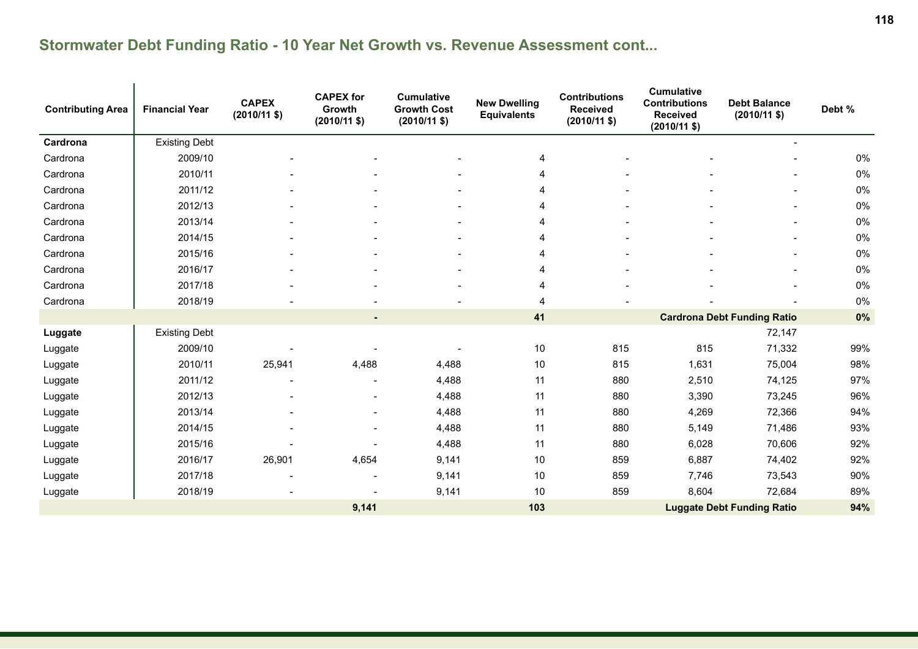| <b>Contributing Area</b> | <b>Financial Year</b> | <b>CAPEX</b><br>$(2010/11$ \$) | <b>CAPEX</b> for<br>Growth<br>$(2010/11$ \$) | <b>Cumulative</b><br><b>Growth Cost</b><br>$(2010/11$ \$) | <b>New Dwelling</b><br><b>Equivalents</b> | <b>Contributions</b><br><b>Received</b><br>$(2010/11$ \$) | <b>Cumulative</b><br><b>Contributions</b><br><b>Received</b><br>$(2010/11 \text{ $}$ | <b>Debt Balance</b><br>$(2010/11$ \$) | Debt % |
|--------------------------|-----------------------|--------------------------------|----------------------------------------------|-----------------------------------------------------------|-------------------------------------------|-----------------------------------------------------------|--------------------------------------------------------------------------------------|---------------------------------------|--------|
| Cardrona                 | <b>Existing Debt</b>  |                                |                                              |                                                           |                                           |                                                           |                                                                                      |                                       |        |
| Cardrona                 | 2009/10               |                                |                                              |                                                           | 4                                         |                                                           |                                                                                      |                                       | 0%     |
| Cardrona                 | 2010/11               |                                |                                              |                                                           | 4                                         |                                                           |                                                                                      |                                       | 0%     |
| Cardrona                 | 2011/12               |                                |                                              |                                                           | 4                                         |                                                           |                                                                                      |                                       | 0%     |
| Cardrona                 | 2012/13               |                                |                                              |                                                           | 4                                         |                                                           |                                                                                      |                                       | 0%     |
| Cardrona                 | 2013/14               |                                |                                              |                                                           | 4                                         |                                                           |                                                                                      | $\overline{\phantom{a}}$              | 0%     |
| Cardrona                 | 2014/15               |                                |                                              |                                                           | 4                                         |                                                           |                                                                                      |                                       | 0%     |
| Cardrona                 | 2015/16               |                                |                                              |                                                           | 4                                         |                                                           |                                                                                      |                                       | 0%     |
| Cardrona                 | 2016/17               |                                |                                              |                                                           | 4                                         |                                                           |                                                                                      |                                       | 0%     |
| Cardrona                 | 2017/18               |                                |                                              |                                                           | 4                                         |                                                           |                                                                                      |                                       | 0%     |
| Cardrona                 | 2018/19               |                                |                                              |                                                           | 4                                         |                                                           |                                                                                      |                                       | 0%     |
|                          |                       |                                |                                              |                                                           | 41                                        |                                                           |                                                                                      | <b>Cardrona Debt Funding Ratio</b>    | 0%     |
| Luggate                  | <b>Existing Debt</b>  |                                |                                              |                                                           |                                           |                                                           |                                                                                      | 72,147                                |        |
| Luggate                  | 2009/10               |                                |                                              |                                                           | 10                                        | 815                                                       | 815                                                                                  | 71,332                                | 99%    |
| Luggate                  | 2010/11               | 25,941                         | 4,488                                        | 4,488                                                     | 10                                        | 815                                                       | 1,631                                                                                | 75,004                                | 98%    |
| Luggate                  | 2011/12               |                                |                                              | 4,488                                                     | 11                                        | 880                                                       | 2,510                                                                                | 74,125                                | 97%    |
| Luggate                  | 2012/13               |                                |                                              | 4,488                                                     | 11                                        | 880                                                       | 3,390                                                                                | 73,245                                | 96%    |
| Luggate                  | 2013/14               |                                |                                              | 4,488                                                     | 11                                        | 880                                                       | 4,269                                                                                | 72,366                                | 94%    |
| Luggate                  | 2014/15               |                                |                                              | 4,488                                                     | 11                                        | 880                                                       | 5,149                                                                                | 71,486                                | 93%    |
| Luggate                  | 2015/16               |                                |                                              | 4,488                                                     | 11                                        | 880                                                       | 6,028                                                                                | 70,606                                | 92%    |
| Luggate                  | 2016/17               | 26,901                         | 4,654                                        | 9,141                                                     | 10                                        | 859                                                       | 6,887                                                                                | 74,402                                | 92%    |
| Luggate                  | 2017/18               |                                | $\overline{\phantom{a}}$                     | 9,141                                                     | 10                                        | 859                                                       | 7,746                                                                                | 73,543                                | 90%    |
| Luggate                  | 2018/19               |                                |                                              | 9,141                                                     | 10                                        | 859                                                       | 8,604                                                                                | 72,684                                | 89%    |
|                          |                       |                                | 9,141                                        |                                                           | 103                                       |                                                           |                                                                                      | <b>Luggate Debt Funding Ratio</b>     | 94%    |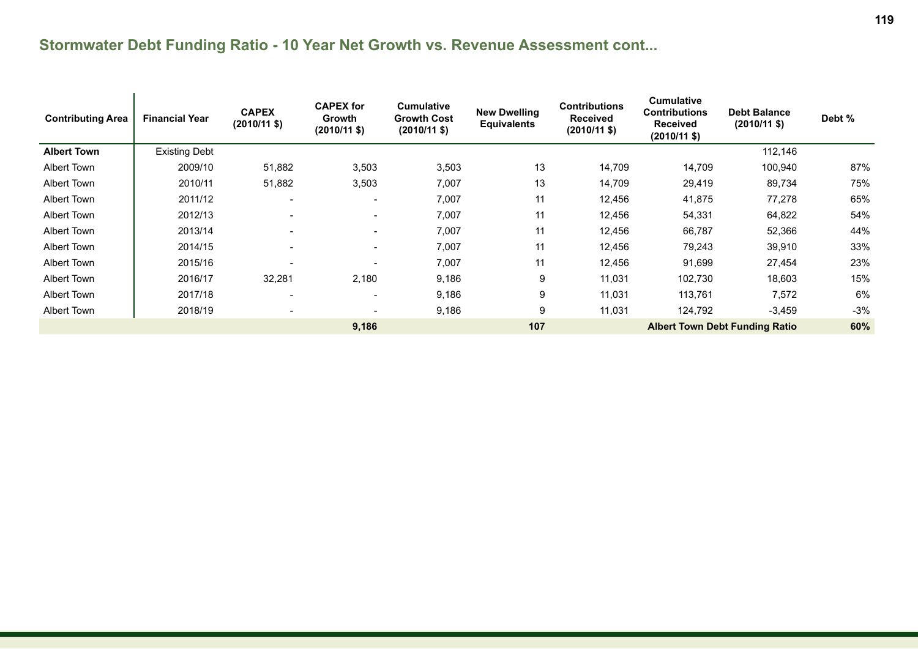| <b>Contributing Area</b> | <b>Financial Year</b> | <b>CAPEX</b><br>$(2010/11 \text{ $}$ | <b>CAPEX for</b><br>Growth<br>$(2010/11 \text{ $}$ | <b>Cumulative</b><br><b>Growth Cost</b><br>$(2010/11 \text{ $}$ | <b>New Dwelling</b><br><b>Equivalents</b> | <b>Contributions</b><br><b>Received</b><br>$(2010/11$ \$) | <b>Cumulative</b><br><b>Contributions</b><br><b>Received</b><br>$(2010/11 \text{ $}$ | <b>Debt Balance</b><br>$(2010/11 \text{$ ) | Debt % |
|--------------------------|-----------------------|--------------------------------------|----------------------------------------------------|-----------------------------------------------------------------|-------------------------------------------|-----------------------------------------------------------|--------------------------------------------------------------------------------------|--------------------------------------------|--------|
| <b>Albert Town</b>       | <b>Existing Debt</b>  |                                      |                                                    |                                                                 |                                           |                                                           |                                                                                      | 112,146                                    |        |
| Albert Town              | 2009/10               | 51,882                               | 3,503                                              | 3,503                                                           | 13                                        | 14,709                                                    | 14,709                                                                               | 100,940                                    | 87%    |
| <b>Albert Town</b>       | 2010/11               | 51,882                               | 3,503                                              | 7,007                                                           | 13                                        | 14,709                                                    | 29,419                                                                               | 89,734                                     | 75%    |
| <b>Albert Town</b>       | 2011/12               | $\overline{\phantom{a}}$             | $\overline{\phantom{a}}$                           | 7,007                                                           | 11                                        | 12,456                                                    | 41,875                                                                               | 77,278                                     | 65%    |
| Albert Town              | 2012/13               | $\overline{\phantom{a}}$             | $\overline{\phantom{a}}$                           | 7,007                                                           | 11                                        | 12,456                                                    | 54,331                                                                               | 64,822                                     | 54%    |
| Albert Town              | 2013/14               |                                      | $\overline{\phantom{a}}$                           | 7,007                                                           | 11                                        | 12,456                                                    | 66,787                                                                               | 52,366                                     | 44%    |
| <b>Albert Town</b>       | 2014/15               | $\overline{\phantom{a}}$             | $\overline{\phantom{a}}$                           | 7,007                                                           | 11                                        | 12,456                                                    | 79,243                                                                               | 39,910                                     | 33%    |
| <b>Albert Town</b>       | 2015/16               | $\overline{\phantom{0}}$             |                                                    | 7,007                                                           | 11                                        | 12,456                                                    | 91,699                                                                               | 27,454                                     | 23%    |
| Albert Town              | 2016/17               | 32,281                               | 2,180                                              | 9,186                                                           | 9                                         | 11,031                                                    | 102,730                                                                              | 18,603                                     | 15%    |
| Albert Town              | 2017/18               | $\overline{\phantom{a}}$             | $\overline{\phantom{a}}$                           | 9,186                                                           | 9                                         | 11,031                                                    | 113,761                                                                              | 7,572                                      | 6%     |
| <b>Albert Town</b>       | 2018/19               | $\overline{\phantom{a}}$             | $\overline{\phantom{a}}$                           | 9,186                                                           | 9                                         | 11,031                                                    | 124,792                                                                              | $-3,459$                                   | $-3%$  |
|                          |                       |                                      | 9,186                                              |                                                                 | 107                                       |                                                           |                                                                                      | <b>Albert Town Debt Funding Ratio</b>      | 60%    |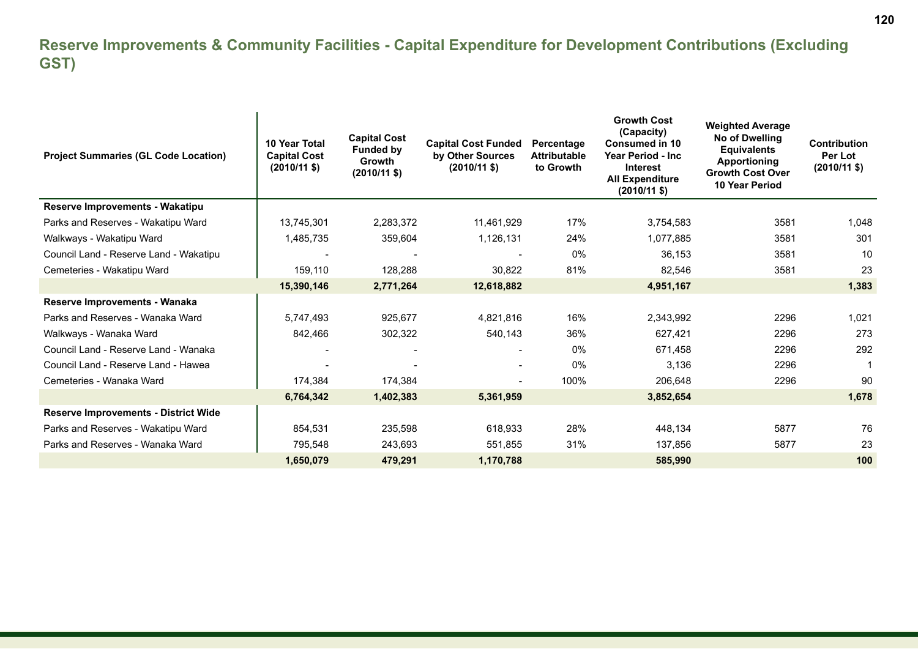#### **Reserve Improvements & Community Facilities - Capital Expenditure for Development Contributions (Excluding GST)**

| <b>Project Summaries (GL Code Location)</b> | 10 Year Total<br><b>Capital Cost</b><br>$(2010/11 \text{$ ) | <b>Capital Cost</b><br><b>Funded by</b><br><b>Growth</b><br>$(2010/11 \text{$ ) | <b>Capital Cost Funded</b><br>by Other Sources<br>$(2010/11 \text{$ ) | Percentage<br><b>Attributable</b><br>to Growth | <b>Growth Cost</b><br>(Capacity)<br>Consumed in 10<br>Year Period - Inc<br><b>Interest</b><br><b>All Expenditure</b><br>$(2010/11 \text{$ ) | <b>Weighted Average</b><br>No of Dwelling<br><b>Equivalents</b><br><b>Apportioning</b><br><b>Growth Cost Over</b><br><b>10 Year Period</b> | <b>Contribution</b><br>Per Lot<br>$(2010/11 \text{ $})$ |
|---------------------------------------------|-------------------------------------------------------------|---------------------------------------------------------------------------------|-----------------------------------------------------------------------|------------------------------------------------|---------------------------------------------------------------------------------------------------------------------------------------------|--------------------------------------------------------------------------------------------------------------------------------------------|---------------------------------------------------------|
| <b>Reserve Improvements - Wakatipu</b>      |                                                             |                                                                                 |                                                                       |                                                |                                                                                                                                             |                                                                                                                                            |                                                         |
| Parks and Reserves - Wakatipu Ward          | 13,745,301                                                  | 2,283,372                                                                       | 11,461,929                                                            | 17%                                            | 3,754,583                                                                                                                                   | 3581                                                                                                                                       | 1,048                                                   |
| Walkways - Wakatipu Ward                    | 1,485,735                                                   | 359,604                                                                         | 1,126,131                                                             | 24%                                            | 1,077,885                                                                                                                                   | 3581                                                                                                                                       | 301                                                     |
| Council Land - Reserve Land - Wakatipu      |                                                             |                                                                                 |                                                                       | 0%                                             | 36,153                                                                                                                                      | 3581                                                                                                                                       | 10                                                      |
| Cemeteries - Wakatipu Ward                  | 159,110                                                     | 128,288                                                                         | 30,822                                                                | 81%                                            | 82,546                                                                                                                                      | 3581                                                                                                                                       | 23                                                      |
|                                             | 15,390,146                                                  | 2,771,264                                                                       | 12,618,882                                                            |                                                | 4,951,167                                                                                                                                   |                                                                                                                                            | 1,383                                                   |
| Reserve Improvements - Wanaka               |                                                             |                                                                                 |                                                                       |                                                |                                                                                                                                             |                                                                                                                                            |                                                         |
| Parks and Reserves - Wanaka Ward            | 5,747,493                                                   | 925,677                                                                         | 4,821,816                                                             | 16%                                            | 2,343,992                                                                                                                                   | 2296                                                                                                                                       | 1,021                                                   |
| Walkways - Wanaka Ward                      | 842,466                                                     | 302,322                                                                         | 540,143                                                               | 36%                                            | 627,421                                                                                                                                     | 2296                                                                                                                                       | 273                                                     |
| Council Land - Reserve Land - Wanaka        |                                                             |                                                                                 | $\blacksquare$                                                        | 0%                                             | 671,458                                                                                                                                     | 2296                                                                                                                                       | 292                                                     |
| Council Land - Reserve Land - Hawea         |                                                             |                                                                                 |                                                                       | 0%                                             | 3,136                                                                                                                                       | 2296                                                                                                                                       | 1                                                       |
| Cemeteries - Wanaka Ward                    | 174,384                                                     | 174,384                                                                         |                                                                       | 100%                                           | 206,648                                                                                                                                     | 2296                                                                                                                                       | 90                                                      |
|                                             | 6,764,342                                                   | 1,402,383                                                                       | 5,361,959                                                             |                                                | 3,852,654                                                                                                                                   |                                                                                                                                            | 1.678                                                   |
| <b>Reserve Improvements - District Wide</b> |                                                             |                                                                                 |                                                                       |                                                |                                                                                                                                             |                                                                                                                                            |                                                         |
| Parks and Reserves - Wakatipu Ward          | 854,531                                                     | 235,598                                                                         | 618,933                                                               | 28%                                            | 448,134                                                                                                                                     | 5877                                                                                                                                       | 76                                                      |
| Parks and Reserves - Wanaka Ward            | 795,548                                                     | 243,693                                                                         | 551,855                                                               | 31%                                            | 137,856                                                                                                                                     | 5877                                                                                                                                       | 23                                                      |
|                                             | 1,650,079                                                   | 479,291                                                                         | 1,170,788                                                             |                                                | 585,990                                                                                                                                     |                                                                                                                                            | 100                                                     |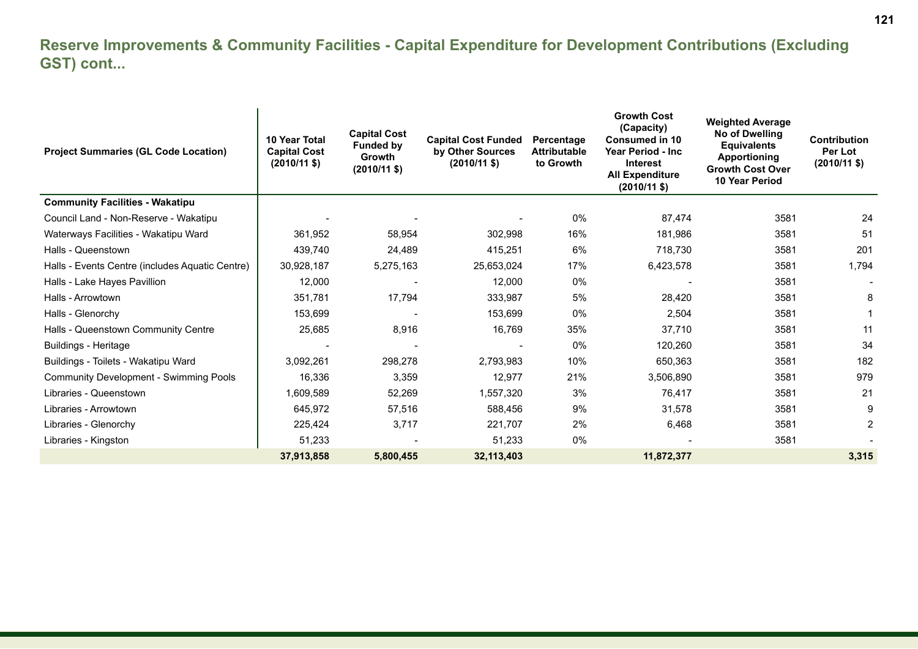#### **Reserve Improvements & Community Facilities - Capital Expenditure for Development Contributions (Excluding GST) cont...**

| <b>Project Summaries (GL Code Location)</b>     | 10 Year Total<br><b>Capital Cost</b><br>$(2010/11 \text{ $}$ | <b>Capital Cost</b><br><b>Funded by</b><br><b>Growth</b><br>$(2010/11 \text{ $}$ | <b>Capital Cost Funded</b><br>by Other Sources<br>$(2010/11 \text{ $})$ | Percentage<br><b>Attributable</b><br>to Growth | <b>Growth Cost</b><br>(Capacity)<br><b>Consumed in 10</b><br>Year Period - Inc<br><b>Interest</b><br><b>All Expenditure</b><br>$(2010/11 \text{$ }) | <b>Weighted Average</b><br>No of Dwelling<br><b>Equivalents</b><br><b>Apportioning</b><br><b>Growth Cost Over</b><br><b>10 Year Period</b> | <b>Contribution</b><br>Per Lot<br>$(2010/11 \text{ $}$ |
|-------------------------------------------------|--------------------------------------------------------------|----------------------------------------------------------------------------------|-------------------------------------------------------------------------|------------------------------------------------|-----------------------------------------------------------------------------------------------------------------------------------------------------|--------------------------------------------------------------------------------------------------------------------------------------------|--------------------------------------------------------|
| <b>Community Facilities - Wakatipu</b>          |                                                              |                                                                                  |                                                                         |                                                |                                                                                                                                                     |                                                                                                                                            |                                                        |
| Council Land - Non-Reserve - Wakatipu           |                                                              |                                                                                  |                                                                         | 0%                                             | 87,474                                                                                                                                              | 3581                                                                                                                                       | 24                                                     |
| Waterways Facilities - Wakatipu Ward            | 361,952                                                      | 58,954                                                                           | 302,998                                                                 | 16%                                            | 181,986                                                                                                                                             | 3581                                                                                                                                       | 51                                                     |
| Halls - Queenstown                              | 439,740                                                      | 24,489                                                                           | 415,251                                                                 | 6%                                             | 718,730                                                                                                                                             | 3581                                                                                                                                       | 201                                                    |
| Halls - Events Centre (includes Aquatic Centre) | 30,928,187                                                   | 5,275,163                                                                        | 25,653,024                                                              | 17%                                            | 6,423,578                                                                                                                                           | 3581                                                                                                                                       | 1,794                                                  |
| Halls - Lake Hayes Pavillion                    | 12,000                                                       |                                                                                  | 12,000                                                                  | 0%                                             |                                                                                                                                                     | 3581                                                                                                                                       |                                                        |
| Halls - Arrowtown                               | 351,781                                                      | 17,794                                                                           | 333,987                                                                 | 5%                                             | 28,420                                                                                                                                              | 3581                                                                                                                                       | 8                                                      |
| Halls - Glenorchy                               | 153,699                                                      |                                                                                  | 153,699                                                                 | 0%                                             | 2,504                                                                                                                                               | 3581                                                                                                                                       |                                                        |
| Halls - Queenstown Community Centre             | 25,685                                                       | 8,916                                                                            | 16,769                                                                  | 35%                                            | 37,710                                                                                                                                              | 3581                                                                                                                                       | 11                                                     |
| <b>Buildings - Heritage</b>                     |                                                              |                                                                                  |                                                                         | $0\%$                                          | 120,260                                                                                                                                             | 3581                                                                                                                                       | 34                                                     |
| Buildings - Toilets - Wakatipu Ward             | 3,092,261                                                    | 298,278                                                                          | 2,793,983                                                               | 10%                                            | 650,363                                                                                                                                             | 3581                                                                                                                                       | 182                                                    |
| <b>Community Development - Swimming Pools</b>   | 16,336                                                       | 3,359                                                                            | 12,977                                                                  | 21%                                            | 3,506,890                                                                                                                                           | 3581                                                                                                                                       | 979                                                    |
| Libraries - Queenstown                          | 1,609,589                                                    | 52,269                                                                           | 1,557,320                                                               | 3%                                             | 76,417                                                                                                                                              | 3581                                                                                                                                       | 21                                                     |
| Libraries - Arrowtown                           | 645,972                                                      | 57,516                                                                           | 588,456                                                                 | 9%                                             | 31,578                                                                                                                                              | 3581                                                                                                                                       | 9                                                      |
| Libraries - Glenorchy                           | 225,424                                                      | 3,717                                                                            | 221,707                                                                 | 2%                                             | 6,468                                                                                                                                               | 3581                                                                                                                                       | 2                                                      |
| Libraries - Kingston                            | 51,233                                                       |                                                                                  | 51,233                                                                  | 0%                                             |                                                                                                                                                     | 3581                                                                                                                                       |                                                        |
|                                                 | 37,913,858                                                   | 5,800,455                                                                        | 32,113,403                                                              |                                                | 11,872,377                                                                                                                                          |                                                                                                                                            | 3,315                                                  |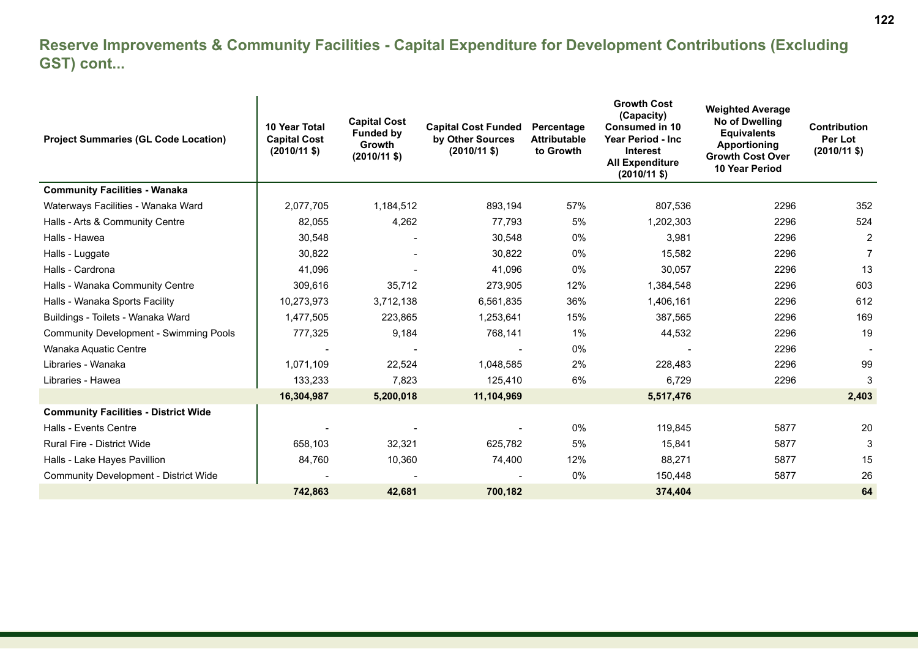#### **Reserve Improvements & Community Facilities - Capital Expenditure for Development Contributions (Excluding GST) cont...**

| <b>Project Summaries (GL Code Location)</b>   | 10 Year Total<br><b>Capital Cost</b><br>$(2010/11 \text{ $}$ | <b>Capital Cost</b><br><b>Funded by</b><br><b>Growth</b><br>$(2010/11 \text{ $}$ | <b>Capital Cost Funded</b><br>by Other Sources<br>$(2010/11 \text{ $})$ | Percentage<br><b>Attributable</b><br>to Growth | <b>Growth Cost</b><br>(Capacity)<br><b>Consumed in 10</b><br>Year Period - Inc<br><b>Interest</b><br><b>All Expenditure</b><br>$(2010/11 \text{$ ) | <b>Weighted Average</b><br>No of Dwelling<br><b>Equivalents</b><br>Apportioning<br><b>Growth Cost Over</b><br><b>10 Year Period</b> | <b>Contribution</b><br>Per Lot<br>$(2010/11$ \$) |
|-----------------------------------------------|--------------------------------------------------------------|----------------------------------------------------------------------------------|-------------------------------------------------------------------------|------------------------------------------------|----------------------------------------------------------------------------------------------------------------------------------------------------|-------------------------------------------------------------------------------------------------------------------------------------|--------------------------------------------------|
| <b>Community Facilities - Wanaka</b>          |                                                              |                                                                                  |                                                                         |                                                |                                                                                                                                                    |                                                                                                                                     |                                                  |
| Waterways Facilities - Wanaka Ward            | 2,077,705                                                    | 1,184,512                                                                        | 893,194                                                                 | 57%                                            | 807,536                                                                                                                                            | 2296                                                                                                                                | 352                                              |
| Halls - Arts & Community Centre               | 82,055                                                       | 4,262                                                                            | 77,793                                                                  | 5%                                             | 1,202,303                                                                                                                                          | 2296                                                                                                                                | 524                                              |
| Halls - Hawea                                 | 30,548                                                       |                                                                                  | 30,548                                                                  | 0%                                             | 3,981                                                                                                                                              | 2296                                                                                                                                | $\overline{2}$                                   |
| Halls - Luggate                               | 30,822                                                       |                                                                                  | 30,822                                                                  | 0%                                             | 15,582                                                                                                                                             | 2296                                                                                                                                | 7                                                |
| Halls - Cardrona                              | 41,096                                                       |                                                                                  | 41,096                                                                  | 0%                                             | 30,057                                                                                                                                             | 2296                                                                                                                                | 13                                               |
| Halls - Wanaka Community Centre               | 309,616                                                      | 35,712                                                                           | 273,905                                                                 | 12%                                            | 1,384,548                                                                                                                                          | 2296                                                                                                                                | 603                                              |
| Halls - Wanaka Sports Facility                | 10,273,973                                                   | 3,712,138                                                                        | 6,561,835                                                               | 36%                                            | 1,406,161                                                                                                                                          | 2296                                                                                                                                | 612                                              |
| Buildings - Toilets - Wanaka Ward             | 1,477,505                                                    | 223,865                                                                          | 1,253,641                                                               | 15%                                            | 387,565                                                                                                                                            | 2296                                                                                                                                | 169                                              |
| <b>Community Development - Swimming Pools</b> | 777,325                                                      | 9,184                                                                            | 768,141                                                                 | $1\%$                                          | 44,532                                                                                                                                             | 2296                                                                                                                                | 19                                               |
| Wanaka Aquatic Centre                         |                                                              |                                                                                  |                                                                         | 0%                                             |                                                                                                                                                    | 2296                                                                                                                                |                                                  |
| Libraries - Wanaka                            | 1,071,109                                                    | 22,524                                                                           | 1,048,585                                                               | 2%                                             | 228,483                                                                                                                                            | 2296                                                                                                                                | 99                                               |
| Libraries - Hawea                             | 133,233                                                      | 7,823                                                                            | 125.410                                                                 | 6%                                             | 6,729                                                                                                                                              | 2296                                                                                                                                | 3                                                |
|                                               | 16,304,987                                                   | 5,200,018                                                                        | 11,104,969                                                              |                                                | 5,517,476                                                                                                                                          |                                                                                                                                     | 2,403                                            |
| <b>Community Facilities - District Wide</b>   |                                                              |                                                                                  |                                                                         |                                                |                                                                                                                                                    |                                                                                                                                     |                                                  |
| <b>Halls - Events Centre</b>                  |                                                              |                                                                                  |                                                                         | 0%                                             | 119,845                                                                                                                                            | 5877                                                                                                                                | 20                                               |
| <b>Rural Fire - District Wide</b>             | 658,103                                                      | 32,321                                                                           | 625,782                                                                 | 5%                                             | 15,841                                                                                                                                             | 5877                                                                                                                                | 3                                                |
| Halls - Lake Hayes Pavillion                  | 84,760                                                       | 10,360                                                                           | 74,400                                                                  | 12%                                            | 88,271                                                                                                                                             | 5877                                                                                                                                | 15                                               |
| <b>Community Development - District Wide</b>  |                                                              |                                                                                  |                                                                         | 0%                                             | 150,448                                                                                                                                            | 5877                                                                                                                                | 26                                               |
|                                               | 742,863                                                      | 42,681                                                                           | 700,182                                                                 |                                                | 374,404                                                                                                                                            |                                                                                                                                     | 64                                               |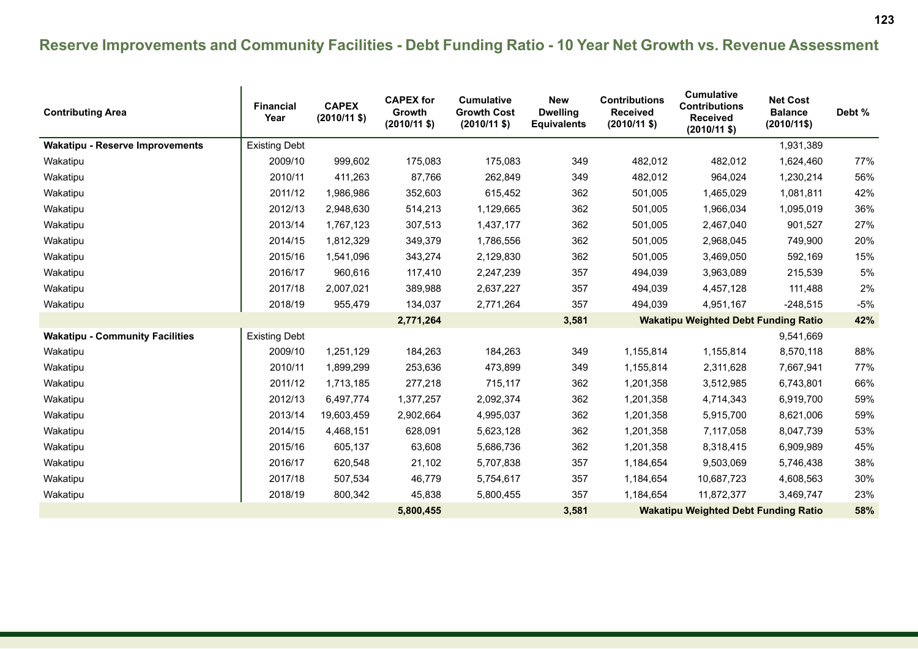### **Reserve Improvements and Community Facilities - Debt Funding Ratio - 10 Year Net Growth vs. Revenue Assessment**

| <b>Contributing Area</b>               | <b>Financial</b><br>Year | <b>CAPEX</b><br>$(2010/11$ \$) | <b>CAPEX for</b><br>Growth<br>$(2010/11$ \$) | <b>Cumulative</b><br><b>Growth Cost</b><br>$(2010/11$ \$) | <b>New</b><br><b>Dwelling</b><br><b>Equivalents</b> | <b>Contributions</b><br><b>Received</b><br>$(2010/11 \text{ $}$ | <b>Cumulative</b><br><b>Contributions</b><br><b>Received</b><br>$(2010/11$ \$) | <b>Net Cost</b><br><b>Balance</b><br>$(2010/11$ \$) | Debt % |
|----------------------------------------|--------------------------|--------------------------------|----------------------------------------------|-----------------------------------------------------------|-----------------------------------------------------|-----------------------------------------------------------------|--------------------------------------------------------------------------------|-----------------------------------------------------|--------|
| <b>Wakatipu - Reserve Improvements</b> | <b>Existing Debt</b>     |                                |                                              |                                                           |                                                     |                                                                 |                                                                                | 1,931,389                                           |        |
| Wakatipu                               | 2009/10                  | 999,602                        | 175,083                                      | 175,083                                                   | 349                                                 | 482,012                                                         | 482,012                                                                        | 1,624,460                                           | 77%    |
| Wakatipu                               | 2010/11                  | 411,263                        | 87,766                                       | 262,849                                                   | 349                                                 | 482,012                                                         | 964,024                                                                        | 1,230,214                                           | 56%    |
| Wakatipu                               | 2011/12                  | 1,986,986                      | 352,603                                      | 615,452                                                   | 362                                                 | 501,005                                                         | 1,465,029                                                                      | 1,081,811                                           | 42%    |
| Wakatipu                               | 2012/13                  | 2,948,630                      | 514,213                                      | 1,129,665                                                 | 362                                                 | 501,005                                                         | 1,966,034                                                                      | 1,095,019                                           | 36%    |
| Wakatipu                               | 2013/14                  | 1,767,123                      | 307,513                                      | 1,437,177                                                 | 362                                                 | 501,005                                                         | 2,467,040                                                                      | 901,527                                             | 27%    |
| Wakatipu                               | 2014/15                  | 1,812,329                      | 349,379                                      | 1,786,556                                                 | 362                                                 | 501,005                                                         | 2,968,045                                                                      | 749,900                                             | 20%    |
| Wakatipu                               | 2015/16                  | 1,541,096                      | 343,274                                      | 2,129,830                                                 | 362                                                 | 501,005                                                         | 3,469,050                                                                      | 592,169                                             | 15%    |
| Wakatipu                               | 2016/17                  | 960,616                        | 117,410                                      | 2,247,239                                                 | 357                                                 | 494,039                                                         | 3,963,089                                                                      | 215,539                                             | 5%     |
| Wakatipu                               | 2017/18                  | 2,007,021                      | 389,988                                      | 2,637,227                                                 | 357                                                 | 494,039                                                         | 4,457,128                                                                      | 111,488                                             | 2%     |
| Wakatipu                               | 2018/19                  | 955,479                        | 134,037                                      | 2,771,264                                                 | 357                                                 | 494,039                                                         | 4,951,167                                                                      | $-248,515$                                          | $-5%$  |
|                                        |                          |                                | 2,771,264                                    |                                                           | 3,581                                               |                                                                 | <b>Wakatipu Weighted Debt Funding Ratio</b>                                    |                                                     | 42%    |
| <b>Wakatipu - Community Facilities</b> | <b>Existing Debt</b>     |                                |                                              |                                                           |                                                     |                                                                 |                                                                                | 9,541,669                                           |        |
| Wakatipu                               | 2009/10                  | 1,251,129                      | 184,263                                      | 184,263                                                   | 349                                                 | 1,155,814                                                       | 1,155,814                                                                      | 8,570,118                                           | 88%    |
| Wakatipu                               | 2010/11                  | 1,899,299                      | 253,636                                      | 473,899                                                   | 349                                                 | 1,155,814                                                       | 2,311,628                                                                      | 7,667,941                                           | 77%    |
| Wakatipu                               | 2011/12                  | 1,713,185                      | 277,218                                      | 715,117                                                   | 362                                                 | 1,201,358                                                       | 3,512,985                                                                      | 6,743,801                                           | 66%    |
| Wakatipu                               | 2012/13                  | 6,497,774                      | 1,377,257                                    | 2,092,374                                                 | 362                                                 | 1,201,358                                                       | 4,714,343                                                                      | 6,919,700                                           | 59%    |
| Wakatipu                               | 2013/14                  | 19,603,459                     | 2,902,664                                    | 4,995,037                                                 | 362                                                 | 1,201,358                                                       | 5,915,700                                                                      | 8,621,006                                           | 59%    |
| Wakatipu                               | 2014/15                  | 4,468,151                      | 628,091                                      | 5,623,128                                                 | 362                                                 | 1,201,358                                                       | 7,117,058                                                                      | 8,047,739                                           | 53%    |
| Wakatipu                               | 2015/16                  | 605,137                        | 63,608                                       | 5,686,736                                                 | 362                                                 | 1,201,358                                                       | 8,318,415                                                                      | 6,909,989                                           | 45%    |
| Wakatipu                               | 2016/17                  | 620,548                        | 21,102                                       | 5,707,838                                                 | 357                                                 | 1,184,654                                                       | 9,503,069                                                                      | 5,746,438                                           | 38%    |
| Wakatipu                               | 2017/18                  | 507,534                        | 46,779                                       | 5,754,617                                                 | 357                                                 | 1,184,654                                                       | 10,687,723                                                                     | 4,608,563                                           | 30%    |
| Wakatipu                               | 2018/19                  | 800,342                        | 45,838                                       | 5,800,455                                                 | 357                                                 | 1,184,654                                                       | 11,872,377                                                                     | 3,469,747                                           | 23%    |
|                                        |                          |                                | 5,800,455                                    |                                                           | 3,581                                               |                                                                 | <b>Wakatipu Weighted Debt Funding Ratio</b>                                    |                                                     | 58%    |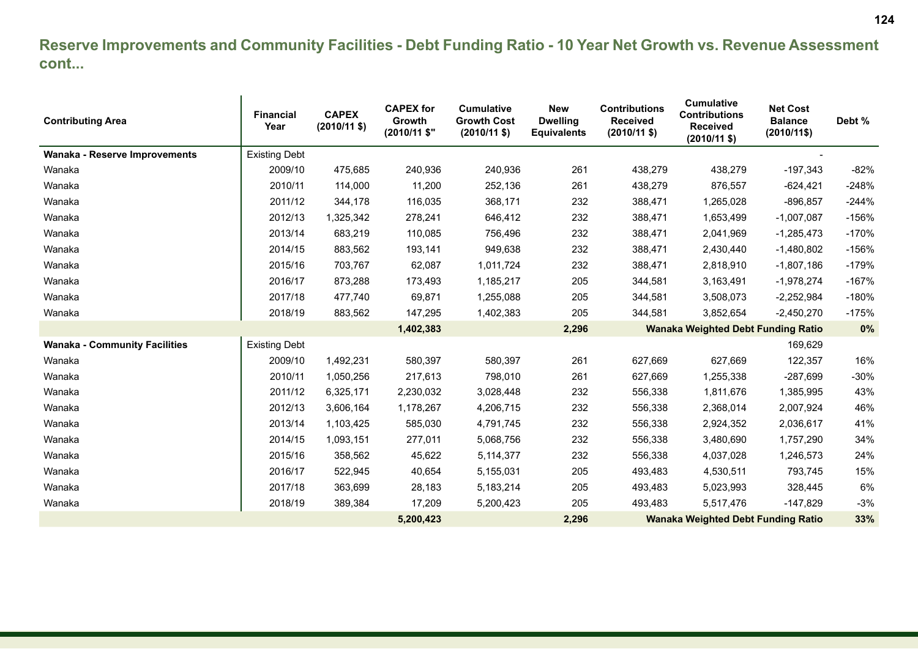#### **Reserve Improvements and Community Facilities - Debt Funding Ratio - 10 Year Net Growth vs. Revenue Assessment cont...**

| <b>Contributing Area</b>             | <b>Financial</b><br>Year | <b>CAPEX</b><br>$(2010/11$ \$) | <b>CAPEX for</b><br>Growth<br>(2010/11 \$" | <b>Cumulative</b><br><b>Growth Cost</b><br>$(2010/11 \text{$ }) | <b>New</b><br><b>Dwelling</b><br><b>Equivalents</b> | <b>Contributions</b><br><b>Received</b><br>$(2010/11 \text{$ }) | <b>Cumulative</b><br><b>Contributions</b><br><b>Received</b><br>$(2010/11$ \$) | <b>Net Cost</b><br><b>Balance</b><br>$(2010/11$ \$) | Debt %  |
|--------------------------------------|--------------------------|--------------------------------|--------------------------------------------|-----------------------------------------------------------------|-----------------------------------------------------|-----------------------------------------------------------------|--------------------------------------------------------------------------------|-----------------------------------------------------|---------|
| Wanaka - Reserve Improvements        | <b>Existing Debt</b>     |                                |                                            |                                                                 |                                                     |                                                                 |                                                                                |                                                     |         |
| Wanaka                               | 2009/10                  | 475,685                        | 240,936                                    | 240,936                                                         | 261                                                 | 438,279                                                         | 438,279                                                                        | $-197,343$                                          | $-82%$  |
| Wanaka                               | 2010/11                  | 114,000                        | 11,200                                     | 252,136                                                         | 261                                                 | 438,279                                                         | 876,557                                                                        | $-624,421$                                          | $-248%$ |
| Wanaka                               | 2011/12                  | 344,178                        | 116,035                                    | 368,171                                                         | 232                                                 | 388,471                                                         | 1,265,028                                                                      | $-896.857$                                          | $-244%$ |
| Wanaka                               | 2012/13                  | 1,325,342                      | 278,241                                    | 646,412                                                         | 232                                                 | 388,471                                                         | 1,653,499                                                                      | $-1,007,087$                                        | $-156%$ |
| Wanaka                               | 2013/14                  | 683,219                        | 110,085                                    | 756,496                                                         | 232                                                 | 388,471                                                         | 2,041,969                                                                      | $-1,285,473$                                        | $-170%$ |
| Wanaka                               | 2014/15                  | 883,562                        | 193,141                                    | 949,638                                                         | 232                                                 | 388,471                                                         | 2,430,440                                                                      | $-1,480,802$                                        | $-156%$ |
| Wanaka                               | 2015/16                  | 703,767                        | 62,087                                     | 1,011,724                                                       | 232                                                 | 388,471                                                         | 2,818,910                                                                      | $-1,807,186$                                        | $-179%$ |
| Wanaka                               | 2016/17                  | 873,288                        | 173,493                                    | 1,185,217                                                       | 205                                                 | 344,581                                                         | 3,163,491                                                                      | $-1,978,274$                                        | $-167%$ |
| Wanaka                               | 2017/18                  | 477,740                        | 69,871                                     | 1,255,088                                                       | 205                                                 | 344,581                                                         | 3,508,073                                                                      | $-2,252,984$                                        | $-180%$ |
| Wanaka                               | 2018/19                  | 883,562                        | 147,295                                    | 1,402,383                                                       | 205                                                 | 344,581                                                         | 3,852,654                                                                      | $-2,450,270$                                        | $-175%$ |
|                                      |                          |                                | 1,402,383                                  |                                                                 | 2,296                                               |                                                                 | <b>Wanaka Weighted Debt Funding Ratio</b>                                      |                                                     | 0%      |
| <b>Wanaka - Community Facilities</b> | <b>Existing Debt</b>     |                                |                                            |                                                                 |                                                     |                                                                 |                                                                                | 169,629                                             |         |
| Wanaka                               | 2009/10                  | 1,492,231                      | 580,397                                    | 580,397                                                         | 261                                                 | 627,669                                                         | 627,669                                                                        | 122,357                                             | 16%     |
| Wanaka                               | 2010/11                  | 1,050,256                      | 217,613                                    | 798,010                                                         | 261                                                 | 627,669                                                         | 1,255,338                                                                      | $-287,699$                                          | $-30%$  |
| Wanaka                               | 2011/12                  | 6,325,171                      | 2,230,032                                  | 3,028,448                                                       | 232                                                 | 556,338                                                         | 1,811,676                                                                      | 1,385,995                                           | 43%     |
| Wanaka                               | 2012/13                  | 3,606,164                      | 1,178,267                                  | 4,206,715                                                       | 232                                                 | 556,338                                                         | 2,368,014                                                                      | 2,007,924                                           | 46%     |
| Wanaka                               | 2013/14                  | 1,103,425                      | 585,030                                    | 4,791,745                                                       | 232                                                 | 556,338                                                         | 2,924,352                                                                      | 2,036,617                                           | 41%     |
| Wanaka                               | 2014/15                  | 1,093,151                      | 277,011                                    | 5,068,756                                                       | 232                                                 | 556,338                                                         | 3,480,690                                                                      | 1,757,290                                           | 34%     |
| Wanaka                               | 2015/16                  | 358,562                        | 45,622                                     | 5,114,377                                                       | 232                                                 | 556,338                                                         | 4,037,028                                                                      | 1,246,573                                           | 24%     |
| Wanaka                               | 2016/17                  | 522,945                        | 40,654                                     | 5,155,031                                                       | 205                                                 | 493,483                                                         | 4,530,511                                                                      | 793,745                                             | 15%     |
| Wanaka                               | 2017/18                  | 363,699                        | 28,183                                     | 5, 183, 214                                                     | 205                                                 | 493,483                                                         | 5,023,993                                                                      | 328,445                                             | 6%      |
| Wanaka                               | 2018/19                  | 389,384                        | 17,209                                     | 5,200,423                                                       | 205                                                 | 493,483                                                         | 5,517,476                                                                      | $-147,829$                                          | $-3%$   |
|                                      |                          |                                | 5,200,423                                  |                                                                 | 2,296                                               |                                                                 | <b>Wanaka Weighted Debt Funding Ratio</b>                                      |                                                     | 33%     |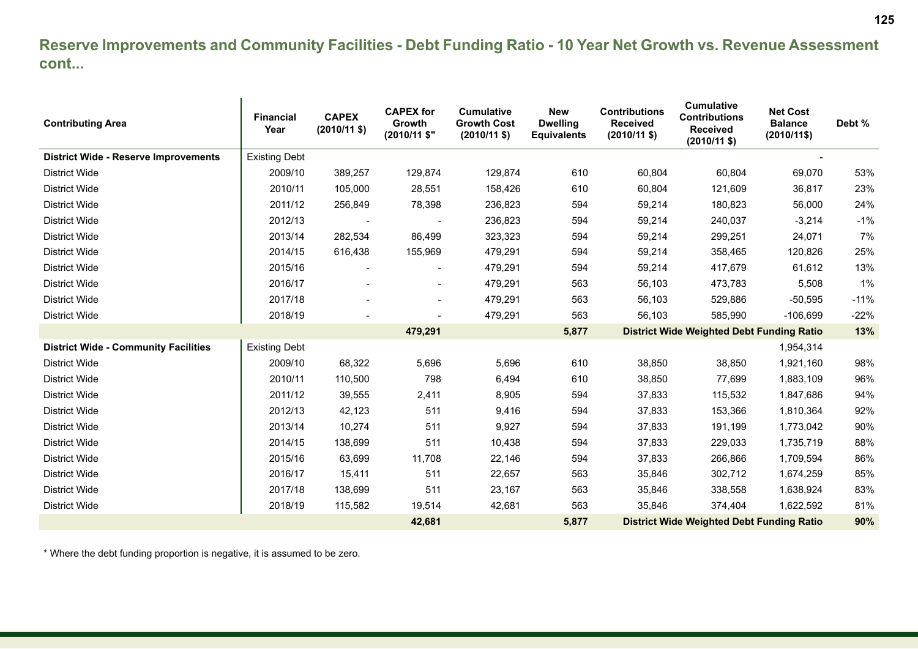#### **Reserve Improvements and Community Facilities - Debt Funding Ratio - 10 Year Net Growth vs. Revenue Assessment cont...**

| <b>Contributing Area</b>                    | <b>Financial</b><br>Year | <b>CAPEX</b><br>$(2010/11$ \$) | <b>CAPEX for</b><br>Growth<br>(2010/11 \$" | <b>Cumulative</b><br><b>Growth Cost</b><br>$(2010/11 \text{$ }) | <b>New</b><br><b>Dwelling</b><br><b>Equivalents</b> | <b>Contributions</b><br><b>Received</b><br>$(2010/11$ \$) | Cumulative<br><b>Contributions</b><br><b>Received</b><br>$(2010/11$ \$) | <b>Net Cost</b><br><b>Balance</b><br>$(2010/11\$ | Debt % |
|---------------------------------------------|--------------------------|--------------------------------|--------------------------------------------|-----------------------------------------------------------------|-----------------------------------------------------|-----------------------------------------------------------|-------------------------------------------------------------------------|--------------------------------------------------|--------|
| <b>District Wide - Reserve Improvements</b> | <b>Existing Debt</b>     |                                |                                            |                                                                 |                                                     |                                                           |                                                                         |                                                  |        |
| <b>District Wide</b>                        | 2009/10                  | 389,257                        | 129,874                                    | 129,874                                                         | 610                                                 | 60,804                                                    | 60,804                                                                  | 69,070                                           | 53%    |
| <b>District Wide</b>                        | 2010/11                  | 105,000                        | 28,551                                     | 158,426                                                         | 610                                                 | 60,804                                                    | 121,609                                                                 | 36,817                                           | 23%    |
| District Wide                               | 2011/12                  | 256,849                        | 78,398                                     | 236,823                                                         | 594                                                 | 59,214                                                    | 180,823                                                                 | 56,000                                           | 24%    |
| <b>District Wide</b>                        | 2012/13                  |                                |                                            | 236,823                                                         | 594                                                 | 59,214                                                    | 240,037                                                                 | $-3,214$                                         | $-1%$  |
| <b>District Wide</b>                        | 2013/14                  | 282,534                        | 86,499                                     | 323,323                                                         | 594                                                 | 59,214                                                    | 299,251                                                                 | 24,071                                           | 7%     |
| <b>District Wide</b>                        | 2014/15                  | 616,438                        | 155,969                                    | 479,291                                                         | 594                                                 | 59,214                                                    | 358,465                                                                 | 120,826                                          | 25%    |
| <b>District Wide</b>                        | 2015/16                  |                                |                                            | 479,291                                                         | 594                                                 | 59,214                                                    | 417,679                                                                 | 61,612                                           | 13%    |
| <b>District Wide</b>                        | 2016/17                  |                                |                                            | 479,291                                                         | 563                                                 | 56,103                                                    | 473,783                                                                 | 5,508                                            | 1%     |
| <b>District Wide</b>                        | 2017/18                  |                                |                                            | 479,291                                                         | 563                                                 | 56,103                                                    | 529,886                                                                 | $-50,595$                                        | $-11%$ |
| District Wide                               | 2018/19                  |                                |                                            | 479,291                                                         | 563                                                 | 56,103                                                    | 585,990                                                                 | $-106,699$                                       | $-22%$ |
|                                             |                          |                                | 479,291                                    |                                                                 | 5,877                                               |                                                           | <b>District Wide Weighted Debt Funding Ratio</b>                        |                                                  | 13%    |
| <b>District Wide - Community Facilities</b> | <b>Existing Debt</b>     |                                |                                            |                                                                 |                                                     |                                                           |                                                                         | 1,954,314                                        |        |
| <b>District Wide</b>                        | 2009/10                  | 68,322                         | 5,696                                      | 5,696                                                           | 610                                                 | 38,850                                                    | 38,850                                                                  | 1,921,160                                        | 98%    |
| <b>District Wide</b>                        | 2010/11                  | 110,500                        | 798                                        | 6,494                                                           | 610                                                 | 38,850                                                    | 77,699                                                                  | 1,883,109                                        | 96%    |
| <b>District Wide</b>                        | 2011/12                  | 39,555                         | 2,411                                      | 8,905                                                           | 594                                                 | 37,833                                                    | 115,532                                                                 | 1,847,686                                        | 94%    |
| <b>District Wide</b>                        | 2012/13                  | 42,123                         | 511                                        | 9,416                                                           | 594                                                 | 37,833                                                    | 153,366                                                                 | 1,810,364                                        | 92%    |
| <b>District Wide</b>                        | 2013/14                  | 10,274                         | 511                                        | 9,927                                                           | 594                                                 | 37,833                                                    | 191,199                                                                 | 1,773,042                                        | 90%    |
| District Wide                               | 2014/15                  | 138,699                        | 511                                        | 10,438                                                          | 594                                                 | 37,833                                                    | 229,033                                                                 | 1,735,719                                        | 88%    |
| <b>District Wide</b>                        | 2015/16                  | 63,699                         | 11,708                                     | 22,146                                                          | 594                                                 | 37,833                                                    | 266,866                                                                 | 1,709,594                                        | 86%    |
| District Wide                               | 2016/17                  | 15,411                         | 511                                        | 22,657                                                          | 563                                                 | 35,846                                                    | 302,712                                                                 | 1,674,259                                        | 85%    |
| <b>District Wide</b>                        | 2017/18                  | 138,699                        | 511                                        | 23,167                                                          | 563                                                 | 35,846                                                    | 338,558                                                                 | 1,638,924                                        | 83%    |
| <b>District Wide</b>                        | 2018/19                  | 115,582                        | 19,514                                     | 42,681                                                          | 563                                                 | 35,846                                                    | 374,404                                                                 | 1,622,592                                        | 81%    |
|                                             |                          |                                | 42,681                                     |                                                                 | 5,877                                               |                                                           | <b>District Wide Weighted Debt Funding Ratio</b>                        |                                                  | 90%    |

\* Where the debt funding proportion is negative, it is assumed to be zero.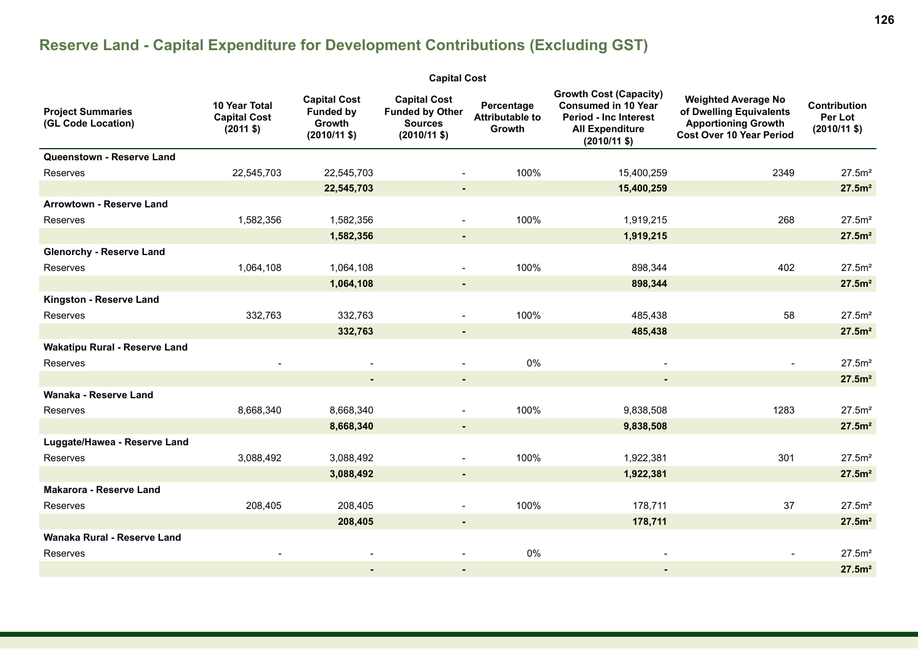# **Reserve Land - Capital Expenditure for Development Contributions (Excluding GST)**

| <b>Capital Cost</b>                            |                                                             |                                                                           |                                                                                          |                                                |                                                                                                                                         |                                                                                                                        |                                                 |  |  |  |  |  |
|------------------------------------------------|-------------------------------------------------------------|---------------------------------------------------------------------------|------------------------------------------------------------------------------------------|------------------------------------------------|-----------------------------------------------------------------------------------------------------------------------------------------|------------------------------------------------------------------------------------------------------------------------|-------------------------------------------------|--|--|--|--|--|
| <b>Project Summaries</b><br>(GL Code Location) | 10 Year Total<br><b>Capital Cost</b><br>$(2011 \text{ $}1)$ | <b>Capital Cost</b><br><b>Funded by</b><br>Growth<br>$(2010/11 \text{ $}$ | <b>Capital Cost</b><br><b>Funded by Other</b><br><b>Sources</b><br>$(2010/11 \text{ $})$ | Percentage<br><b>Attributable to</b><br>Growth | <b>Growth Cost (Capacity)</b><br><b>Consumed in 10 Year</b><br><b>Period - Inc Interest</b><br><b>All Expenditure</b><br>$(2010/11$ \$) | <b>Weighted Average No</b><br>of Dwelling Equivalents<br><b>Apportioning Growth</b><br><b>Cost Over 10 Year Period</b> | Contribution<br>Per Lot<br>$(2010/11 \text{ $}$ |  |  |  |  |  |
| Queenstown - Reserve Land                      |                                                             |                                                                           |                                                                                          |                                                |                                                                                                                                         |                                                                                                                        |                                                 |  |  |  |  |  |
| <b>Reserves</b>                                | 22,545,703                                                  | 22,545,703                                                                |                                                                                          | 100%                                           | 15,400,259                                                                                                                              | 2349                                                                                                                   | 27.5m <sup>2</sup>                              |  |  |  |  |  |
|                                                |                                                             | 22,545,703                                                                | $\sim$                                                                                   |                                                | 15,400,259                                                                                                                              |                                                                                                                        | 27.5m <sup>2</sup>                              |  |  |  |  |  |
| <b>Arrowtown - Reserve Land</b>                |                                                             |                                                                           |                                                                                          |                                                |                                                                                                                                         |                                                                                                                        |                                                 |  |  |  |  |  |
| Reserves                                       | 1,582,356                                                   | 1,582,356                                                                 |                                                                                          | 100%                                           | 1,919,215                                                                                                                               | 268                                                                                                                    | 27.5m <sup>2</sup>                              |  |  |  |  |  |
|                                                |                                                             | 1,582,356                                                                 | $\sim$                                                                                   |                                                | 1,919,215                                                                                                                               |                                                                                                                        | 27.5m <sup>2</sup>                              |  |  |  |  |  |
| <b>Glenorchy - Reserve Land</b>                |                                                             |                                                                           |                                                                                          |                                                |                                                                                                                                         |                                                                                                                        |                                                 |  |  |  |  |  |
| Reserves                                       | 1,064,108                                                   | 1,064,108                                                                 |                                                                                          | 100%                                           | 898,344                                                                                                                                 | 402                                                                                                                    | 27.5m <sup>2</sup>                              |  |  |  |  |  |
|                                                |                                                             | 1,064,108                                                                 | $\sim$                                                                                   |                                                | 898,344                                                                                                                                 |                                                                                                                        | 27.5m <sup>2</sup>                              |  |  |  |  |  |
| Kingston - Reserve Land                        |                                                             |                                                                           |                                                                                          |                                                |                                                                                                                                         |                                                                                                                        |                                                 |  |  |  |  |  |
| <b>Reserves</b>                                | 332,763                                                     | 332,763                                                                   |                                                                                          | 100%                                           | 485,438                                                                                                                                 | 58                                                                                                                     | 27.5m <sup>2</sup>                              |  |  |  |  |  |
|                                                |                                                             | 332,763                                                                   | $\blacksquare$                                                                           |                                                | 485,438                                                                                                                                 |                                                                                                                        | 27.5m <sup>2</sup>                              |  |  |  |  |  |
| <b>Wakatipu Rural - Reserve Land</b>           |                                                             |                                                                           |                                                                                          |                                                |                                                                                                                                         |                                                                                                                        |                                                 |  |  |  |  |  |
| Reserves                                       |                                                             |                                                                           |                                                                                          | 0%                                             |                                                                                                                                         |                                                                                                                        | 27.5m <sup>2</sup>                              |  |  |  |  |  |
|                                                |                                                             |                                                                           | $\sim$                                                                                   |                                                | $\blacksquare$                                                                                                                          |                                                                                                                        | 27.5m <sup>2</sup>                              |  |  |  |  |  |
| Wanaka - Reserve Land                          |                                                             |                                                                           |                                                                                          |                                                |                                                                                                                                         |                                                                                                                        |                                                 |  |  |  |  |  |
| Reserves                                       | 8,668,340                                                   | 8,668,340                                                                 |                                                                                          | 100%                                           | 9,838,508                                                                                                                               | 1283                                                                                                                   | 27.5m <sup>2</sup>                              |  |  |  |  |  |
|                                                |                                                             | 8,668,340                                                                 | $\sim$                                                                                   |                                                | 9,838,508                                                                                                                               |                                                                                                                        | 27.5m <sup>2</sup>                              |  |  |  |  |  |
| Luggate/Hawea - Reserve Land                   |                                                             |                                                                           |                                                                                          |                                                |                                                                                                                                         |                                                                                                                        |                                                 |  |  |  |  |  |
| Reserves                                       | 3,088,492                                                   | 3,088,492                                                                 |                                                                                          | 100%                                           | 1,922,381                                                                                                                               | 301                                                                                                                    | 27.5m <sup>2</sup>                              |  |  |  |  |  |
|                                                |                                                             | 3,088,492                                                                 | $\sim$                                                                                   |                                                | 1,922,381                                                                                                                               |                                                                                                                        | 27.5m <sup>2</sup>                              |  |  |  |  |  |
| <b>Makarora - Reserve Land</b>                 |                                                             |                                                                           |                                                                                          |                                                |                                                                                                                                         |                                                                                                                        |                                                 |  |  |  |  |  |
| <b>Reserves</b>                                | 208,405                                                     | 208,405                                                                   | $\sim$                                                                                   | 100%                                           | 178,711                                                                                                                                 | 37                                                                                                                     | 27.5m <sup>2</sup>                              |  |  |  |  |  |
|                                                |                                                             | 208,405                                                                   | $\sim$                                                                                   |                                                | 178,711                                                                                                                                 |                                                                                                                        | 27.5m <sup>2</sup>                              |  |  |  |  |  |
| Wanaka Rural - Reserve Land                    |                                                             |                                                                           |                                                                                          |                                                |                                                                                                                                         |                                                                                                                        |                                                 |  |  |  |  |  |
| Reserves                                       |                                                             |                                                                           |                                                                                          | $0\%$                                          |                                                                                                                                         |                                                                                                                        | 27.5m <sup>2</sup>                              |  |  |  |  |  |
|                                                |                                                             |                                                                           |                                                                                          |                                                |                                                                                                                                         |                                                                                                                        | 27.5 <sup>m²</sup>                              |  |  |  |  |  |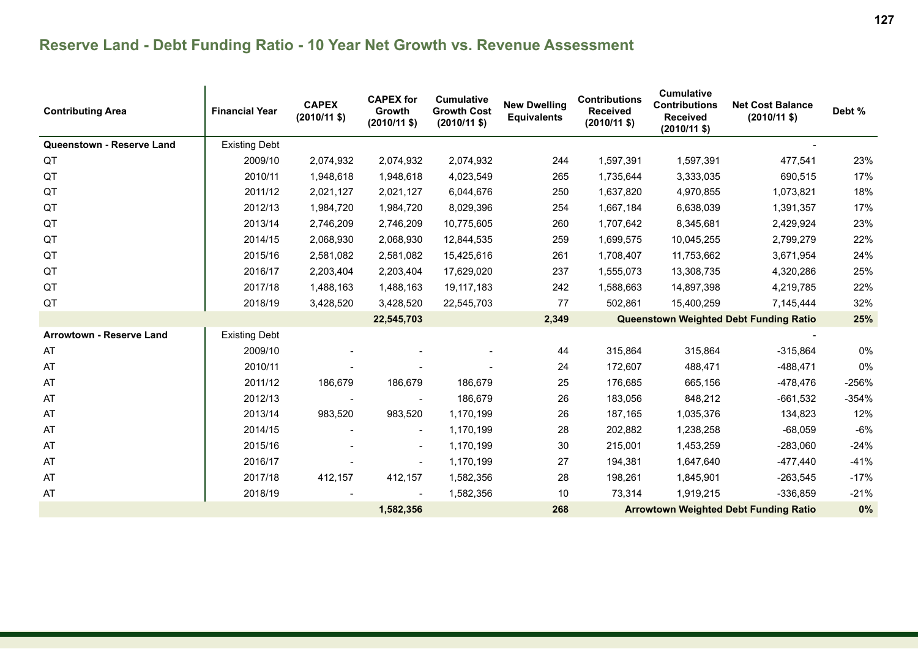| <b>Contributing Area</b>  | <b>Financial Year</b> | <b>CAPEX</b><br>$(2010/11$ \$) | <b>CAPEX for</b><br><b>Growth</b><br>$(2010/11$ \$) | <b>Cumulative</b><br><b>Growth Cost</b><br>$(2010/11 \text{ $}$ | <b>New Dwelling</b><br><b>Equivalents</b> | <b>Contributions</b><br><b>Received</b><br>$(2010/11 \text{ $}$ | <b>Cumulative</b><br><b>Contributions</b><br><b>Received</b><br>$(2010/11 \text{ $}$ | <b>Net Cost Balance</b><br>$(2010/11 \text{ $}$ | Debt %  |
|---------------------------|-----------------------|--------------------------------|-----------------------------------------------------|-----------------------------------------------------------------|-------------------------------------------|-----------------------------------------------------------------|--------------------------------------------------------------------------------------|-------------------------------------------------|---------|
| Queenstown - Reserve Land | <b>Existing Debt</b>  |                                |                                                     |                                                                 |                                           |                                                                 |                                                                                      |                                                 |         |
| QT                        | 2009/10               | 2,074,932                      | 2,074,932                                           | 2,074,932                                                       | 244                                       | 1,597,391                                                       | 1,597,391                                                                            | 477,541                                         | 23%     |
| QT                        | 2010/11               | 1,948,618                      | 1,948,618                                           | 4,023,549                                                       | 265                                       | 1,735,644                                                       | 3,333,035                                                                            | 690,515                                         | 17%     |
| QT                        | 2011/12               | 2,021,127                      | 2,021,127                                           | 6,044,676                                                       | 250                                       | 1,637,820                                                       | 4,970,855                                                                            | 1,073,821                                       | 18%     |
| QT                        | 2012/13               | 1,984,720                      | 1,984,720                                           | 8,029,396                                                       | 254                                       | 1,667,184                                                       | 6,638,039                                                                            | 1,391,357                                       | 17%     |
| QT                        | 2013/14               | 2,746,209                      | 2,746,209                                           | 10,775,605                                                      | 260                                       | 1,707,642                                                       | 8,345,681                                                                            | 2,429,924                                       | 23%     |
| QT                        | 2014/15               | 2,068,930                      | 2,068,930                                           | 12,844,535                                                      | 259                                       | 1,699,575                                                       | 10,045,255                                                                           | 2,799,279                                       | 22%     |
| QT                        | 2015/16               | 2,581,082                      | 2,581,082                                           | 15,425,616                                                      | 261                                       | 1,708,407                                                       | 11,753,662                                                                           | 3,671,954                                       | 24%     |
| QT                        | 2016/17               | 2,203,404                      | 2,203,404                                           | 17,629,020                                                      | 237                                       | 1,555,073                                                       | 13,308,735                                                                           | 4,320,286                                       | 25%     |
| QT                        | 2017/18               | 1,488,163                      | 1,488,163                                           | 19,117,183                                                      | 242                                       | 1,588,663                                                       | 14,897,398                                                                           | 4,219,785                                       | 22%     |
| QT                        | 2018/19               | 3,428,520                      | 3,428,520                                           | 22,545,703                                                      | 77                                        | 502,861                                                         | 15,400,259                                                                           | 7,145,444                                       | 32%     |
|                           |                       |                                | 22,545,703                                          |                                                                 | 2,349                                     |                                                                 |                                                                                      | Queenstown Weighted Debt Funding Ratio          | 25%     |
| Arrowtown - Reserve Land  | <b>Existing Debt</b>  |                                |                                                     |                                                                 |                                           |                                                                 |                                                                                      |                                                 |         |
| AT                        | 2009/10               |                                |                                                     |                                                                 | 44                                        | 315,864                                                         | 315,864                                                                              | $-315,864$                                      | 0%      |
| AT                        | 2010/11               |                                |                                                     |                                                                 | 24                                        | 172,607                                                         | 488,471                                                                              | $-488,471$                                      | 0%      |
| AT                        | 2011/12               | 186,679                        | 186,679                                             | 186,679                                                         | 25                                        | 176,685                                                         | 665,156                                                                              | -478,476                                        | $-256%$ |
| AT                        | 2012/13               |                                |                                                     | 186,679                                                         | 26                                        | 183,056                                                         | 848,212                                                                              | $-661,532$                                      | $-354%$ |
| AT                        | 2013/14               | 983,520                        | 983,520                                             | 1,170,199                                                       | 26                                        | 187,165                                                         | 1,035,376                                                                            | 134,823                                         | 12%     |
| AT                        | 2014/15               |                                |                                                     | 1,170,199                                                       | 28                                        | 202,882                                                         | 1,238,258                                                                            | $-68,059$                                       | $-6%$   |
| AT                        | 2015/16               |                                | $\overline{\phantom{a}}$                            | 1,170,199                                                       | 30                                        | 215,001                                                         | 1,453,259                                                                            | $-283,060$                                      | $-24%$  |
| AT                        | 2016/17               |                                |                                                     | 1,170,199                                                       | 27                                        | 194,381                                                         | 1,647,640                                                                            | $-477,440$                                      | $-41%$  |
| AT                        | 2017/18               | 412,157                        | 412,157                                             | 1,582,356                                                       | 28                                        | 198,261                                                         | 1,845,901                                                                            | $-263,545$                                      | $-17%$  |
| AT                        | 2018/19               |                                |                                                     | 1,582,356                                                       | 10                                        | 73,314                                                          | 1,919,215                                                                            | $-336,859$                                      | $-21%$  |
|                           |                       |                                | 1,582,356                                           |                                                                 | 268                                       |                                                                 |                                                                                      | <b>Arrowtown Weighted Debt Funding Ratio</b>    | 0%      |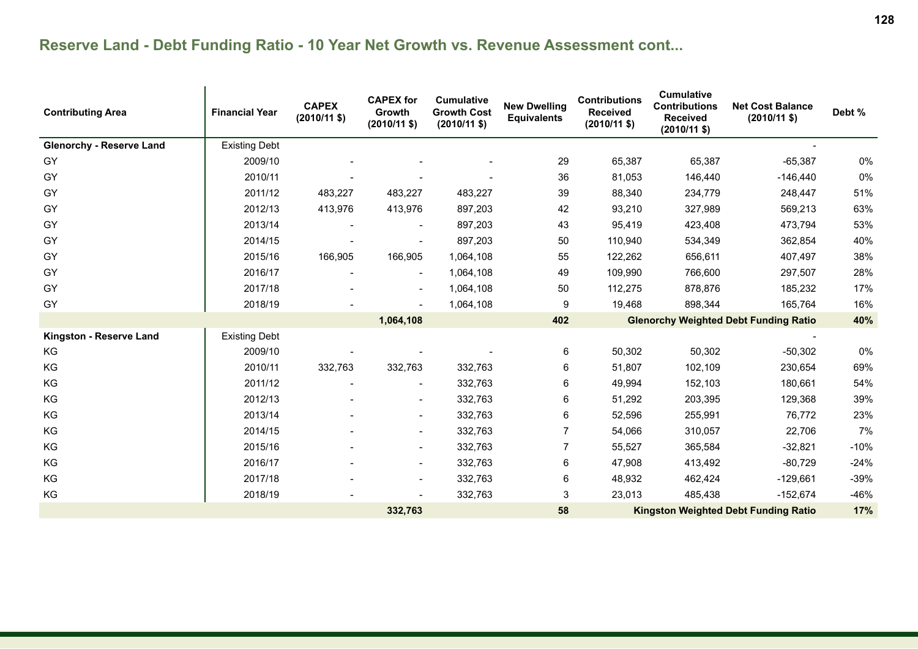| <b>Contributing Area</b>        | <b>Financial Year</b> | <b>CAPEX</b><br>$(2010/11$ \$) | <b>CAPEX for</b><br><b>Growth</b><br>$(2010/11$ \$) | <b>Cumulative</b><br><b>Growth Cost</b><br>$(2010/11 \text{ $}$ | <b>New Dwelling</b><br><b>Equivalents</b> | <b>Contributions</b><br><b>Received</b><br>$(2010/11$ \$) | <b>Cumulative</b><br><b>Contributions</b><br><b>Received</b><br>$(2010/11 \text{ $}$ | <b>Net Cost Balance</b><br>$(2010/11 \text{ $}$ | Debt % |
|---------------------------------|-----------------------|--------------------------------|-----------------------------------------------------|-----------------------------------------------------------------|-------------------------------------------|-----------------------------------------------------------|--------------------------------------------------------------------------------------|-------------------------------------------------|--------|
| <b>Glenorchy - Reserve Land</b> | <b>Existing Debt</b>  |                                |                                                     |                                                                 |                                           |                                                           |                                                                                      |                                                 |        |
| GY                              | 2009/10               |                                |                                                     |                                                                 | 29                                        | 65,387                                                    | 65,387                                                                               | $-65,387$                                       | $0\%$  |
| GY                              | 2010/11               |                                |                                                     |                                                                 | 36                                        | 81,053                                                    | 146,440                                                                              | $-146,440$                                      | 0%     |
| GY                              | 2011/12               | 483,227                        | 483,227                                             | 483,227                                                         | 39                                        | 88,340                                                    | 234,779                                                                              | 248,447                                         | 51%    |
| GY                              | 2012/13               | 413,976                        | 413,976                                             | 897,203                                                         | 42                                        | 93,210                                                    | 327,989                                                                              | 569,213                                         | 63%    |
| GY                              | 2013/14               |                                |                                                     | 897,203                                                         | 43                                        | 95,419                                                    | 423,408                                                                              | 473,794                                         | 53%    |
| <b>GY</b>                       | 2014/15               |                                |                                                     | 897,203                                                         | 50                                        | 110,940                                                   | 534,349                                                                              | 362,854                                         | 40%    |
| GY                              | 2015/16               | 166,905                        | 166,905                                             | 1,064,108                                                       | 55                                        | 122,262                                                   | 656,611                                                                              | 407,497                                         | 38%    |
| GY                              | 2016/17               |                                | $\overline{\phantom{a}}$                            | 1,064,108                                                       | 49                                        | 109,990                                                   | 766,600                                                                              | 297,507                                         | 28%    |
| GY                              | 2017/18               |                                |                                                     | 1,064,108                                                       | 50                                        | 112,275                                                   | 878,876                                                                              | 185,232                                         | 17%    |
| GY                              | 2018/19               |                                |                                                     | 1,064,108                                                       | 9                                         | 19,468                                                    | 898,344                                                                              | 165,764                                         | 16%    |
|                                 |                       |                                | 1,064,108                                           |                                                                 | 402                                       |                                                           |                                                                                      | <b>Glenorchy Weighted Debt Funding Ratio</b>    | 40%    |
| Kingston - Reserve Land         | <b>Existing Debt</b>  |                                |                                                     |                                                                 |                                           |                                                           |                                                                                      |                                                 |        |
| KG                              | 2009/10               |                                |                                                     |                                                                 | 6                                         | 50,302                                                    | 50,302                                                                               | $-50,302$                                       | 0%     |
| KG                              | 2010/11               | 332,763                        | 332,763                                             | 332,763                                                         | 6                                         | 51,807                                                    | 102,109                                                                              | 230,654                                         | 69%    |
| KG                              | 2011/12               |                                |                                                     | 332,763                                                         | 6                                         | 49,994                                                    | 152,103                                                                              | 180,661                                         | 54%    |
| KG                              | 2012/13               |                                | $\overline{\phantom{a}}$                            | 332,763                                                         | 6                                         | 51,292                                                    | 203,395                                                                              | 129,368                                         | 39%    |
| KG                              | 2013/14               |                                |                                                     | 332,763                                                         | 6                                         | 52,596                                                    | 255,991                                                                              | 76,772                                          | 23%    |
| KG                              | 2014/15               |                                |                                                     | 332,763                                                         | $\overline{7}$                            | 54,066                                                    | 310,057                                                                              | 22,706                                          | 7%     |
| KG                              | 2015/16               |                                |                                                     | 332,763                                                         | 7                                         | 55,527                                                    | 365,584                                                                              | $-32,821$                                       | $-10%$ |
| KG                              | 2016/17               |                                |                                                     | 332,763                                                         | 6                                         | 47,908                                                    | 413,492                                                                              | $-80,729$                                       | $-24%$ |
| KG                              | 2017/18               |                                |                                                     | 332,763                                                         | 6                                         | 48,932                                                    | 462,424                                                                              | $-129,661$                                      | $-39%$ |
| KG                              | 2018/19               |                                |                                                     | 332,763                                                         | 3                                         | 23,013                                                    | 485,438                                                                              | $-152,674$                                      | $-46%$ |
|                                 |                       |                                | 332,763                                             |                                                                 | 58                                        |                                                           |                                                                                      | <b>Kingston Weighted Debt Funding Ratio</b>     | 17%    |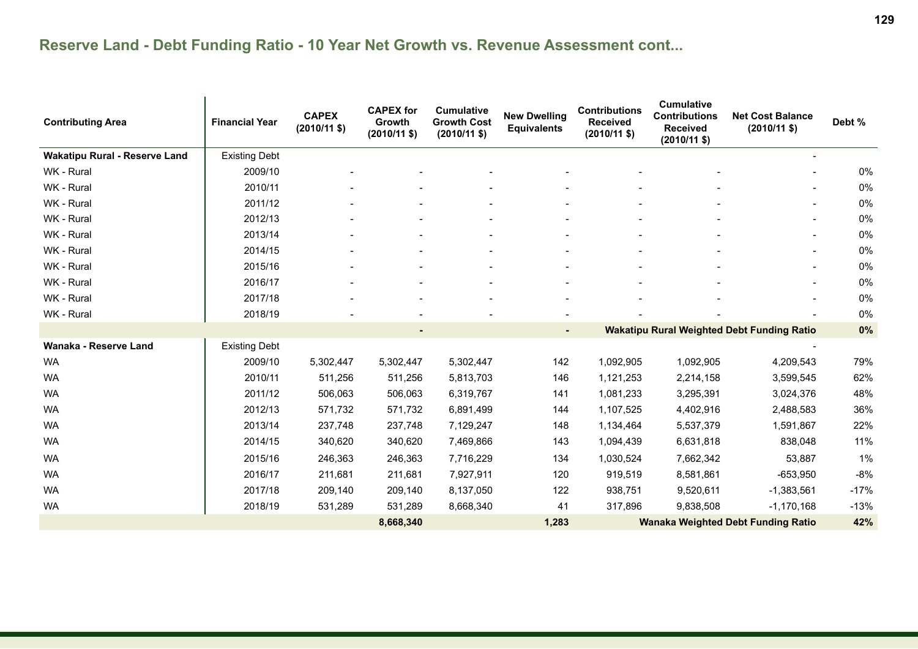| <b>Contributing Area</b>             | <b>Financial Year</b> | <b>CAPEX</b><br>$(2010/11 \text{ $}$ | <b>CAPEX for</b><br><b>Growth</b><br>$(2010/11$ \$) | <b>Cumulative</b><br><b>Growth Cost</b><br>$(2010/11 \text{ $}$ | <b>New Dwelling</b><br><b>Equivalents</b> | <b>Contributions</b><br><b>Received</b><br>$(2010/11$ \$) | <b>Cumulative</b><br><b>Contributions</b><br><b>Received</b><br>$(2010/11$ \$) | <b>Net Cost Balance</b><br>$(2010/11 \text{ $}$   | Debt % |
|--------------------------------------|-----------------------|--------------------------------------|-----------------------------------------------------|-----------------------------------------------------------------|-------------------------------------------|-----------------------------------------------------------|--------------------------------------------------------------------------------|---------------------------------------------------|--------|
| <b>Wakatipu Rural - Reserve Land</b> | <b>Existing Debt</b>  |                                      |                                                     |                                                                 |                                           |                                                           |                                                                                |                                                   |        |
| WK - Rural                           | 2009/10               |                                      |                                                     |                                                                 |                                           |                                                           |                                                                                |                                                   | 0%     |
| WK - Rural                           | 2010/11               |                                      |                                                     |                                                                 |                                           |                                                           |                                                                                | $\blacksquare$                                    | 0%     |
| WK - Rural                           | 2011/12               |                                      |                                                     |                                                                 |                                           |                                                           |                                                                                | $\overline{\phantom{a}}$                          | 0%     |
| WK - Rural                           | 2012/13               |                                      |                                                     |                                                                 |                                           |                                                           |                                                                                |                                                   | 0%     |
| WK - Rural                           | 2013/14               |                                      |                                                     |                                                                 |                                           |                                                           |                                                                                | $\blacksquare$                                    | 0%     |
| WK - Rural                           | 2014/15               |                                      |                                                     |                                                                 |                                           |                                                           |                                                                                | $\blacksquare$                                    | 0%     |
| WK - Rural                           | 2015/16               |                                      |                                                     |                                                                 |                                           |                                                           |                                                                                |                                                   | 0%     |
| WK - Rural                           | 2016/17               |                                      |                                                     |                                                                 |                                           |                                                           |                                                                                |                                                   | 0%     |
| WK - Rural                           | 2017/18               |                                      |                                                     |                                                                 |                                           |                                                           |                                                                                |                                                   | 0%     |
| WK - Rural                           | 2018/19               |                                      |                                                     |                                                                 |                                           |                                                           |                                                                                |                                                   | 0%     |
|                                      |                       |                                      |                                                     |                                                                 |                                           |                                                           |                                                                                | <b>Wakatipu Rural Weighted Debt Funding Ratio</b> | 0%     |
| Wanaka - Reserve Land                | <b>Existing Debt</b>  |                                      |                                                     |                                                                 |                                           |                                                           |                                                                                |                                                   |        |
| <b>WA</b>                            | 2009/10               | 5,302,447                            | 5,302,447                                           | 5,302,447                                                       | 142                                       | 1,092,905                                                 | 1,092,905                                                                      | 4,209,543                                         | 79%    |
| <b>WA</b>                            | 2010/11               | 511,256                              | 511,256                                             | 5,813,703                                                       | 146                                       | 1,121,253                                                 | 2,214,158                                                                      | 3,599,545                                         | 62%    |
| WA                                   | 2011/12               | 506,063                              | 506,063                                             | 6,319,767                                                       | 141                                       | 1,081,233                                                 | 3,295,391                                                                      | 3,024,376                                         | 48%    |
| <b>WA</b>                            | 2012/13               | 571,732                              | 571,732                                             | 6,891,499                                                       | 144                                       | 1,107,525                                                 | 4,402,916                                                                      | 2,488,583                                         | 36%    |
| <b>WA</b>                            | 2013/14               | 237,748                              | 237,748                                             | 7,129,247                                                       | 148                                       | 1,134,464                                                 | 5,537,379                                                                      | 1,591,867                                         | 22%    |
| <b>WA</b>                            | 2014/15               | 340,620                              | 340,620                                             | 7,469,866                                                       | 143                                       | 1,094,439                                                 | 6,631,818                                                                      | 838,048                                           | 11%    |
| <b>WA</b>                            | 2015/16               | 246,363                              | 246,363                                             | 7,716,229                                                       | 134                                       | 1,030,524                                                 | 7,662,342                                                                      | 53,887                                            | 1%     |
| WA                                   | 2016/17               | 211,681                              | 211,681                                             | 7,927,911                                                       | 120                                       | 919,519                                                   | 8,581,861                                                                      | $-653,950$                                        | $-8%$  |
| <b>WA</b>                            | 2017/18               | 209,140                              | 209,140                                             | 8,137,050                                                       | 122                                       | 938,751                                                   | 9,520,611                                                                      | $-1,383,561$                                      | $-17%$ |
| <b>WA</b>                            | 2018/19               | 531,289                              | 531,289                                             | 8,668,340                                                       | 41                                        | 317,896                                                   | 9,838,508                                                                      | $-1,170,168$                                      | $-13%$ |
|                                      |                       |                                      | 8,668,340                                           |                                                                 | 1,283                                     |                                                           |                                                                                | <b>Wanaka Weighted Debt Funding Ratio</b>         | 42%    |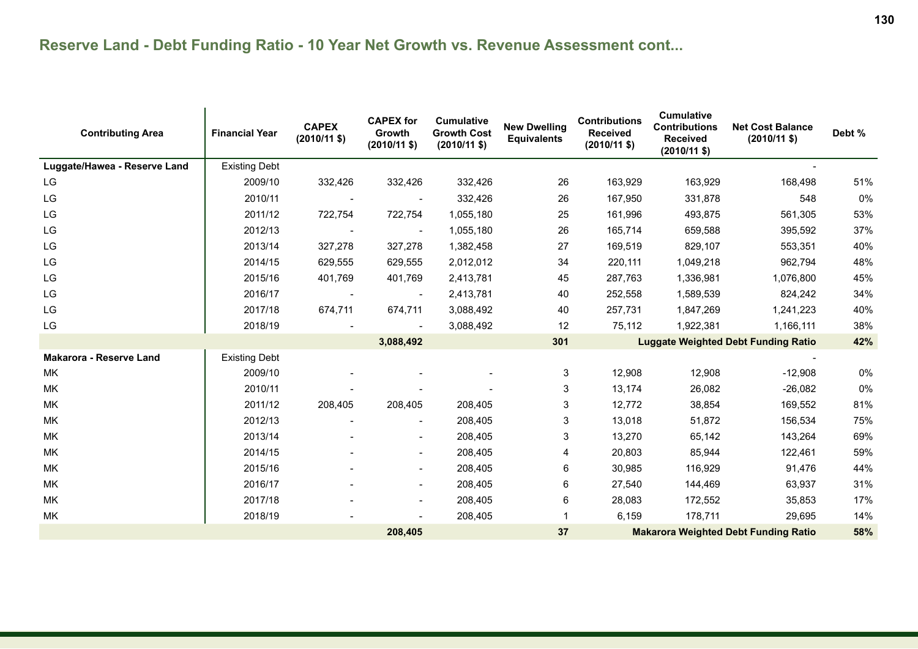| <b>Contributing Area</b>       | <b>Financial Year</b> | <b>CAPEX</b><br>$(2010/11$ \$) | <b>CAPEX for</b><br><b>Growth</b><br>$(2010/11 \text{ $}$ | <b>Cumulative</b><br><b>Growth Cost</b><br>$(2010/11 \text{ $}$ | <b>New Dwelling</b><br><b>Equivalents</b> | <b>Contributions</b><br><b>Received</b><br>$(2010/11$ \$) | <b>Cumulative</b><br><b>Contributions</b><br><b>Received</b><br>$(2010/11 \text{ $}$ | <b>Net Cost Balance</b><br>$(2010/11 \text{ $}$ | Debt % |
|--------------------------------|-----------------------|--------------------------------|-----------------------------------------------------------|-----------------------------------------------------------------|-------------------------------------------|-----------------------------------------------------------|--------------------------------------------------------------------------------------|-------------------------------------------------|--------|
| Luggate/Hawea - Reserve Land   | <b>Existing Debt</b>  |                                |                                                           |                                                                 |                                           |                                                           |                                                                                      |                                                 |        |
| LG                             | 2009/10               | 332,426                        | 332,426                                                   | 332,426                                                         | 26                                        | 163,929                                                   | 163,929                                                                              | 168,498                                         | 51%    |
| LG                             | 2010/11               |                                |                                                           | 332,426                                                         | 26                                        | 167,950                                                   | 331,878                                                                              | 548                                             | 0%     |
| LG                             | 2011/12               | 722,754                        | 722,754                                                   | 1,055,180                                                       | 25                                        | 161,996                                                   | 493,875                                                                              | 561,305                                         | 53%    |
| LG                             | 2012/13               |                                |                                                           | 1,055,180                                                       | 26                                        | 165,714                                                   | 659,588                                                                              | 395,592                                         | 37%    |
| LG                             | 2013/14               | 327,278                        | 327,278                                                   | 1,382,458                                                       | 27                                        | 169,519                                                   | 829,107                                                                              | 553,351                                         | 40%    |
| LG                             | 2014/15               | 629,555                        | 629,555                                                   | 2,012,012                                                       | 34                                        | 220,111                                                   | 1,049,218                                                                            | 962,794                                         | 48%    |
| $\mathsf{L}\mathsf{G}$         | 2015/16               | 401,769                        | 401,769                                                   | 2,413,781                                                       | 45                                        | 287,763                                                   | 1,336,981                                                                            | 1,076,800                                       | 45%    |
| LG                             | 2016/17               | $\overline{\phantom{a}}$       | $\overline{\phantom{a}}$                                  | 2,413,781                                                       | 40                                        | 252,558                                                   | 1,589,539                                                                            | 824,242                                         | 34%    |
| LG                             | 2017/18               | 674,711                        | 674,711                                                   | 3,088,492                                                       | 40                                        | 257,731                                                   | 1,847,269                                                                            | 1,241,223                                       | 40%    |
| LG                             | 2018/19               |                                |                                                           | 3,088,492                                                       | 12                                        | 75,112                                                    | 1,922,381                                                                            | 1,166,111                                       | 38%    |
|                                |                       |                                | 3,088,492                                                 |                                                                 | 301                                       |                                                           |                                                                                      | <b>Luggate Weighted Debt Funding Ratio</b>      | 42%    |
| <b>Makarora - Reserve Land</b> | <b>Existing Debt</b>  |                                |                                                           |                                                                 |                                           |                                                           |                                                                                      |                                                 |        |
| МK                             | 2009/10               |                                |                                                           |                                                                 | 3                                         | 12,908                                                    | 12,908                                                                               | $-12,908$                                       | $0\%$  |
| МK                             | 2010/11               |                                |                                                           |                                                                 | 3                                         | 13,174                                                    | 26,082                                                                               | $-26,082$                                       | $0\%$  |
| MK.                            | 2011/12               | 208,405                        | 208,405                                                   | 208,405                                                         | 3                                         | 12,772                                                    | 38,854                                                                               | 169,552                                         | 81%    |
| МK                             | 2012/13               |                                |                                                           | 208,405                                                         | 3                                         | 13,018                                                    | 51,872                                                                               | 156,534                                         | 75%    |
| MK.                            | 2013/14               |                                |                                                           | 208,405                                                         | 3                                         | 13,270                                                    | 65,142                                                                               | 143,264                                         | 69%    |
| МK                             | 2014/15               |                                |                                                           | 208,405                                                         | 4                                         | 20,803                                                    | 85,944                                                                               | 122,461                                         | 59%    |
| МK                             | 2015/16               |                                |                                                           | 208,405                                                         | 6                                         | 30,985                                                    | 116,929                                                                              | 91,476                                          | 44%    |
| МK                             | 2016/17               |                                |                                                           | 208,405                                                         | 6                                         | 27,540                                                    | 144,469                                                                              | 63,937                                          | 31%    |
| MK                             | 2017/18               |                                |                                                           | 208,405                                                         | 6                                         | 28,083                                                    | 172,552                                                                              | 35,853                                          | 17%    |
| МK                             | 2018/19               |                                |                                                           | 208,405                                                         |                                           | 6,159                                                     | 178,711                                                                              | 29,695                                          | 14%    |
|                                | 208,405<br>37         |                                |                                                           |                                                                 |                                           |                                                           |                                                                                      | <b>Makarora Weighted Debt Funding Ratio</b>     | 58%    |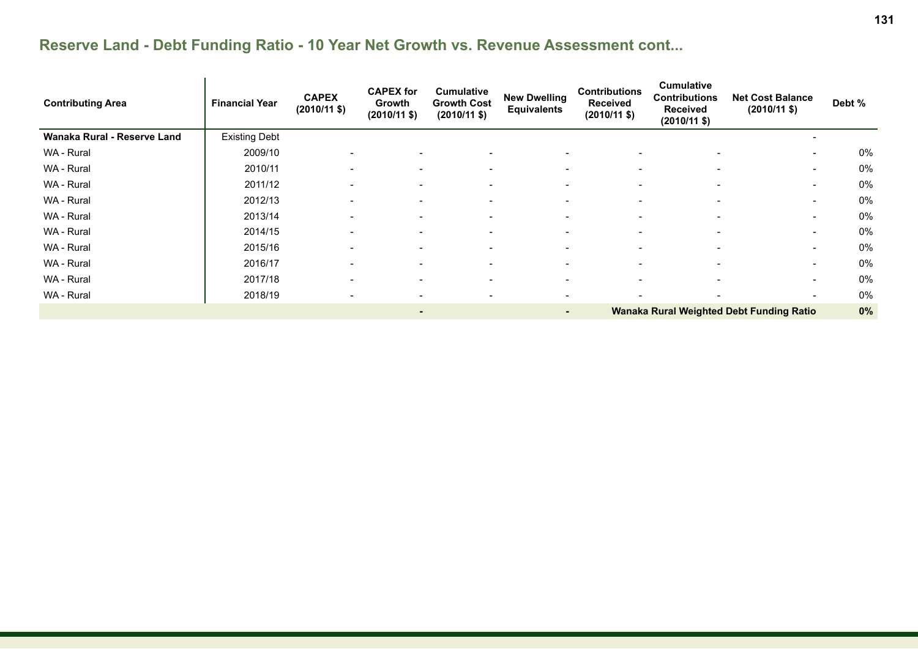| <b>Contributing Area</b>    | <b>Financial Year</b> | <b>CAPEX</b><br>$(2010/11 \text{ $}$ | <b>CAPEX for</b><br>Growth<br>$(2010/11$ \$) | <b>Cumulative</b><br><b>Growth Cost</b><br>$(2010/11 \text{ $}$ | <b>New Dwelling</b><br><b>Equivalents</b> | <b>Contributions</b><br><b>Received</b><br>$(2010/11 \text{ $}$ | <b>Cumulative</b><br><b>Contributions</b><br><b>Received</b><br>$(2010/11 \text{ $}$ | <b>Net Cost Balance</b><br>$(2010/11 \text{ $}$ | Debt % |
|-----------------------------|-----------------------|--------------------------------------|----------------------------------------------|-----------------------------------------------------------------|-------------------------------------------|-----------------------------------------------------------------|--------------------------------------------------------------------------------------|-------------------------------------------------|--------|
| Wanaka Rural - Reserve Land | <b>Existing Debt</b>  |                                      |                                              |                                                                 |                                           |                                                                 |                                                                                      |                                                 |        |
| WA - Rural                  | 2009/10               | $\overline{\phantom{a}}$             | $\overline{\phantom{a}}$                     | $\overline{\phantom{a}}$                                        | $\overline{\phantom{a}}$                  | $\overline{\phantom{a}}$                                        | $\overline{\phantom{a}}$                                                             | $\sim$                                          | 0%     |
| WA - Rural                  | 2010/11               | $\overline{\phantom{a}}$             | $\overline{\phantom{a}}$                     | $\overline{\phantom{a}}$                                        | $\overline{\phantom{0}}$                  | $\overline{\phantom{0}}$                                        |                                                                                      | $\sim$                                          | 0%     |
| WA - Rural                  | 2011/12               | $\overline{\phantom{0}}$             |                                              | $\overline{\phantom{0}}$                                        | $\overline{\phantom{0}}$                  |                                                                 |                                                                                      | $\sim$                                          | 0%     |
| WA - Rural                  | 2012/13               | $\overline{\phantom{a}}$             | $\overline{\phantom{0}}$                     | $\overline{\phantom{a}}$                                        | $\overline{\phantom{0}}$                  | $\overline{\phantom{0}}$                                        | $\overline{\phantom{0}}$                                                             | $\sim$                                          | 0%     |
| WA - Rural                  | 2013/14               | $\blacksquare$                       | $\overline{\phantom{a}}$                     | $\overline{\phantom{a}}$                                        | $\overline{\phantom{0}}$                  | $\overline{\phantom{0}}$                                        | $\overline{\phantom{0}}$                                                             | $\sim$                                          | 0%     |
| WA - Rural                  | 2014/15               | $\blacksquare$                       | $\overline{\phantom{0}}$                     | $\overline{\phantom{a}}$                                        | $\overline{\phantom{0}}$                  | $\overline{\phantom{0}}$                                        | $\overline{\phantom{0}}$                                                             | $\sim$                                          | 0%     |
| WA - Rural                  | 2015/16               | $\overline{\phantom{0}}$             | $\overline{\phantom{0}}$                     | $\overline{\phantom{a}}$                                        | $\overline{\phantom{0}}$                  | $\overline{\phantom{0}}$                                        | $\overline{\phantom{0}}$                                                             | $\sim$                                          | 0%     |
| WA - Rural                  | 2016/17               | $\overline{\phantom{a}}$             | $\overline{\phantom{a}}$                     | $\overline{\phantom{a}}$                                        | $\overline{\phantom{a}}$                  |                                                                 |                                                                                      | $\sim$                                          | 0%     |
| WA - Rural                  | 2017/18               | $\overline{\phantom{a}}$             | $\overline{\phantom{a}}$                     | $\overline{\phantom{a}}$                                        | $\overline{\phantom{a}}$                  | $\overline{\phantom{a}}$                                        | $\overline{\phantom{a}}$                                                             | $\sim$                                          | 0%     |
| WA - Rural                  | 2018/19               |                                      |                                              | $\overline{\phantom{a}}$                                        |                                           |                                                                 |                                                                                      | $\sim$                                          | 0%     |
|                             |                       |                                      | ٠                                            |                                                                 | ۰.                                        |                                                                 |                                                                                      | Wanaka Rural Weighted Debt Funding Ratio        | 0%     |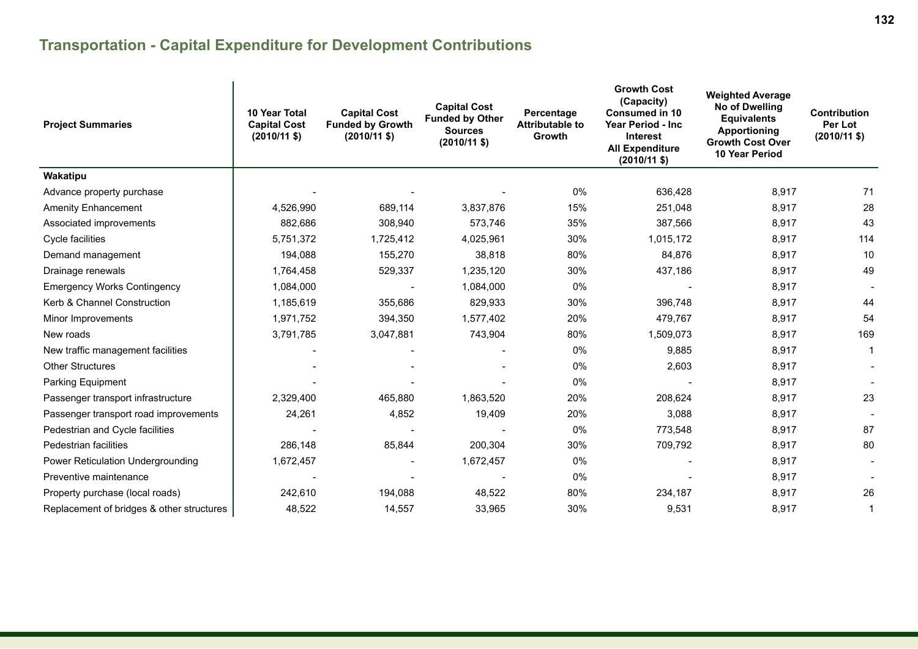# **Transportation - Capital Expenditure for Development Contributions**

| <b>Project Summaries</b>                  | <b>10 Year Total</b><br><b>Capital Cost</b><br>$(2010/11 \text{ $}0)$ | <b>Capital Cost</b><br><b>Funded by Growth</b><br>$(2010/11 \text{ $}$ | <b>Capital Cost</b><br><b>Funded by Other</b><br><b>Sources</b><br>$(2010/11 \text{ $}$ | Percentage<br><b>Attributable to</b><br>Growth | <b>Growth Cost</b><br>(Capacity)<br><b>Consumed in 10</b><br>Year Period - Inc<br><b>Interest</b><br><b>All Expenditure</b><br>$(2010/11 \text{ $}$ | <b>Weighted Average</b><br>No of Dwelling<br><b>Equivalents</b><br><b>Apportioning</b><br><b>Growth Cost Over</b><br>10 Year Period | <b>Contribution</b><br>Per Lot<br>$(2010/11$ \$) |
|-------------------------------------------|-----------------------------------------------------------------------|------------------------------------------------------------------------|-----------------------------------------------------------------------------------------|------------------------------------------------|-----------------------------------------------------------------------------------------------------------------------------------------------------|-------------------------------------------------------------------------------------------------------------------------------------|--------------------------------------------------|
| Wakatipu                                  |                                                                       |                                                                        |                                                                                         |                                                |                                                                                                                                                     |                                                                                                                                     |                                                  |
| Advance property purchase                 |                                                                       |                                                                        |                                                                                         | 0%                                             | 636,428                                                                                                                                             | 8,917                                                                                                                               | 71                                               |
| <b>Amenity Enhancement</b>                | 4,526,990                                                             | 689,114                                                                | 3,837,876                                                                               | 15%                                            | 251,048                                                                                                                                             | 8,917                                                                                                                               | 28                                               |
| Associated improvements                   | 882,686                                                               | 308,940                                                                | 573,746                                                                                 | 35%                                            | 387,566                                                                                                                                             | 8,917                                                                                                                               | 43                                               |
| Cycle facilities                          | 5,751,372                                                             | 1,725,412                                                              | 4,025,961                                                                               | 30%                                            | 1,015,172                                                                                                                                           | 8,917                                                                                                                               | 114                                              |
| Demand management                         | 194,088                                                               | 155,270                                                                | 38,818                                                                                  | 80%                                            | 84,876                                                                                                                                              | 8,917                                                                                                                               | 10                                               |
| Drainage renewals                         | 1,764,458                                                             | 529,337                                                                | 1,235,120                                                                               | 30%                                            | 437,186                                                                                                                                             | 8,917                                                                                                                               | 49                                               |
| <b>Emergency Works Contingency</b>        | 1,084,000                                                             |                                                                        | 1,084,000                                                                               | 0%                                             |                                                                                                                                                     | 8,917                                                                                                                               |                                                  |
| Kerb & Channel Construction               | 1,185,619                                                             | 355,686                                                                | 829,933                                                                                 | 30%                                            | 396,748                                                                                                                                             | 8,917                                                                                                                               | 44                                               |
| Minor Improvements                        | 1,971,752                                                             | 394,350                                                                | 1,577,402                                                                               | 20%                                            | 479,767                                                                                                                                             | 8,917                                                                                                                               | 54                                               |
| New roads                                 | 3,791,785                                                             | 3,047,881                                                              | 743,904                                                                                 | 80%                                            | 1,509,073                                                                                                                                           | 8,917                                                                                                                               | 169                                              |
| New traffic management facilities         |                                                                       |                                                                        |                                                                                         | 0%                                             | 9,885                                                                                                                                               | 8,917                                                                                                                               | $\overline{1}$                                   |
| <b>Other Structures</b>                   |                                                                       |                                                                        |                                                                                         | 0%                                             | 2,603                                                                                                                                               | 8,917                                                                                                                               |                                                  |
| Parking Equipment                         |                                                                       |                                                                        |                                                                                         | 0%                                             |                                                                                                                                                     | 8,917                                                                                                                               |                                                  |
| Passenger transport infrastructure        | 2,329,400                                                             | 465,880                                                                | 1,863,520                                                                               | 20%                                            | 208,624                                                                                                                                             | 8,917                                                                                                                               | 23                                               |
| Passenger transport road improvements     | 24,261                                                                | 4,852                                                                  | 19,409                                                                                  | 20%                                            | 3,088                                                                                                                                               | 8,917                                                                                                                               |                                                  |
| Pedestrian and Cycle facilities           |                                                                       |                                                                        |                                                                                         | 0%                                             | 773,548                                                                                                                                             | 8,917                                                                                                                               | 87                                               |
| Pedestrian facilities                     | 286,148                                                               | 85,844                                                                 | 200,304                                                                                 | 30%                                            | 709,792                                                                                                                                             | 8,917                                                                                                                               | 80                                               |
| Power Reticulation Undergrounding         | 1,672,457                                                             |                                                                        | 1,672,457                                                                               | 0%                                             |                                                                                                                                                     | 8,917                                                                                                                               |                                                  |
| Preventive maintenance                    |                                                                       |                                                                        |                                                                                         | 0%                                             |                                                                                                                                                     | 8,917                                                                                                                               |                                                  |
| Property purchase (local roads)           | 242,610                                                               | 194,088                                                                | 48,522                                                                                  | 80%                                            | 234,187                                                                                                                                             | 8,917                                                                                                                               | 26                                               |
| Replacement of bridges & other structures | 48,522                                                                | 14,557                                                                 | 33,965                                                                                  | 30%                                            | 9,531                                                                                                                                               | 8,917                                                                                                                               | $\mathbf 1$                                      |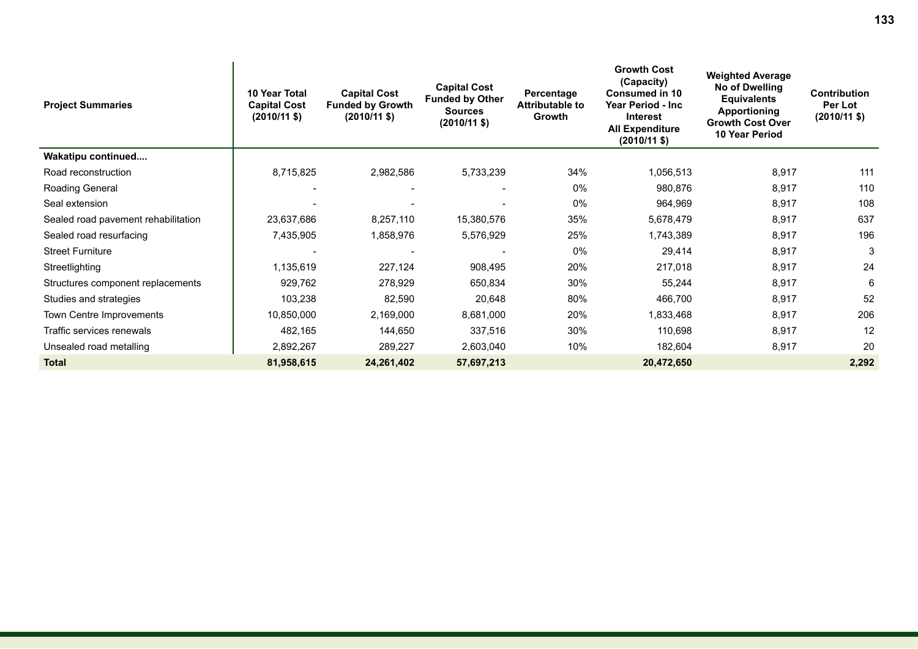| <b>Project Summaries</b>            | <b>10 Year Total</b><br><b>Capital Cost</b><br>$(2010/11 \text{$ }) | <b>Capital Cost</b><br><b>Funded by Growth</b><br>$(2010/11 \text{ $})$ | <b>Capital Cost</b><br><b>Funded by Other</b><br><b>Sources</b><br>$(2010/11 \text{ $}$ | Percentage<br>Attributable to<br><b>Growth</b> | <b>Growth Cost</b><br>(Capacity)<br><b>Consumed in 10</b><br>Year Period - Inc<br><b>Interest</b><br><b>All Expenditure</b><br>(2010/11 \$) | <b>Weighted Average</b><br><b>No of Dwelling</b><br><b>Equivalents</b><br><b>Apportioning</b><br><b>Growth Cost Over</b><br><b>10 Year Period</b> | <b>Contribution</b><br>Per Lot<br>$(2010/11 \text{ $}$ |
|-------------------------------------|---------------------------------------------------------------------|-------------------------------------------------------------------------|-----------------------------------------------------------------------------------------|------------------------------------------------|---------------------------------------------------------------------------------------------------------------------------------------------|---------------------------------------------------------------------------------------------------------------------------------------------------|--------------------------------------------------------|
| Wakatipu continued                  |                                                                     |                                                                         |                                                                                         |                                                |                                                                                                                                             |                                                                                                                                                   |                                                        |
| Road reconstruction                 | 8,715,825                                                           | 2,982,586                                                               | 5,733,239                                                                               | 34%                                            | 1,056,513                                                                                                                                   | 8,917                                                                                                                                             | 111                                                    |
| Roading General                     |                                                                     |                                                                         |                                                                                         | $0\%$                                          | 980,876                                                                                                                                     | 8,917                                                                                                                                             | 110                                                    |
| Seal extension                      |                                                                     |                                                                         |                                                                                         | 0%                                             | 964,969                                                                                                                                     | 8,917                                                                                                                                             | 108                                                    |
| Sealed road pavement rehabilitation | 23,637,686                                                          | 8,257,110                                                               | 15,380,576                                                                              | 35%                                            | 5,678,479                                                                                                                                   | 8,917                                                                                                                                             | 637                                                    |
| Sealed road resurfacing             | 7,435,905                                                           | 1,858,976                                                               | 5,576,929                                                                               | 25%                                            | 1,743,389                                                                                                                                   | 8,917                                                                                                                                             | 196                                                    |
| <b>Street Furniture</b>             |                                                                     |                                                                         |                                                                                         | 0%                                             | 29,414                                                                                                                                      | 8,917                                                                                                                                             | 3                                                      |
| Streetlighting                      | 1,135,619                                                           | 227,124                                                                 | 908,495                                                                                 | 20%                                            | 217,018                                                                                                                                     | 8,917                                                                                                                                             | 24                                                     |
| Structures component replacements   | 929,762                                                             | 278,929                                                                 | 650,834                                                                                 | 30%                                            | 55,244                                                                                                                                      | 8,917                                                                                                                                             | 6                                                      |
| Studies and strategies              | 103,238                                                             | 82,590                                                                  | 20,648                                                                                  | 80%                                            | 466,700                                                                                                                                     | 8,917                                                                                                                                             | 52                                                     |
| Town Centre Improvements            | 10,850,000                                                          | 2,169,000                                                               | 8,681,000                                                                               | 20%                                            | 1,833,468                                                                                                                                   | 8,917                                                                                                                                             | 206                                                    |
| Traffic services renewals           | 482,165                                                             | 144,650                                                                 | 337,516                                                                                 | 30%                                            | 110,698                                                                                                                                     | 8,917                                                                                                                                             | 12                                                     |
| Unsealed road metalling             | 2,892,267                                                           | 289,227                                                                 | 2,603,040                                                                               | 10%                                            | 182,604                                                                                                                                     | 8,917                                                                                                                                             | 20                                                     |
| <b>Total</b>                        | 81,958,615                                                          | 24,261,402                                                              | 57,697,213                                                                              |                                                | 20,472,650                                                                                                                                  |                                                                                                                                                   | 2,292                                                  |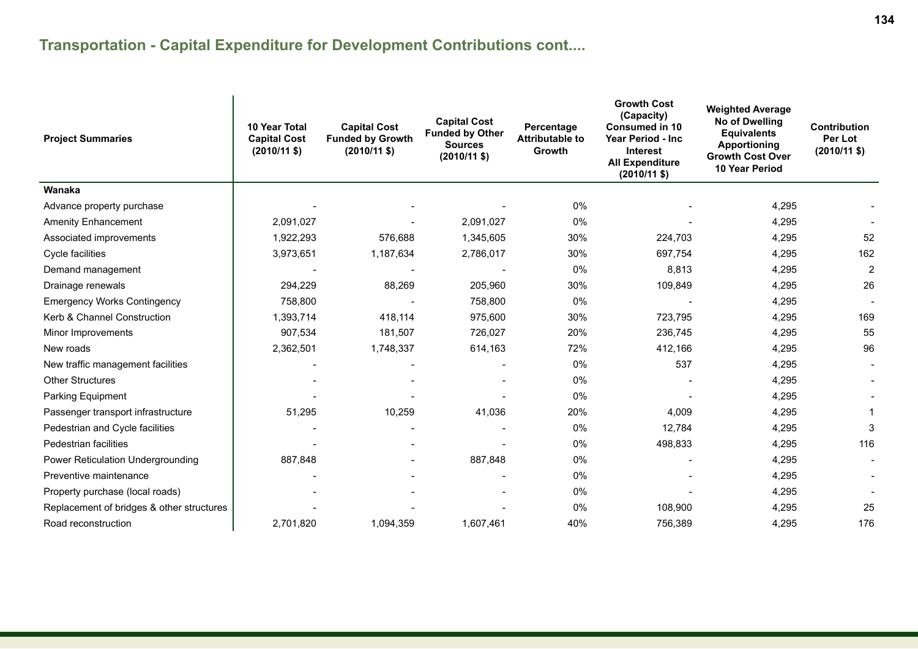### **Transportation - Capital Expenditure for Development Contributions cont....**

| <b>Project Summaries</b>                  | 10 Year Total<br><b>Capital Cost</b><br>$(2010/11$ \$) | <b>Capital Cost</b><br><b>Funded by Growth</b><br>$(2010/11 \text{$ }) | <b>Capital Cost</b><br><b>Funded by Other</b><br><b>Sources</b><br>$(2010/11 \text{ $}$ | Percentage<br><b>Attributable to</b><br>Growth | <b>Growth Cost</b><br>(Capacity)<br><b>Consumed in 10</b><br>Year Period - Inc<br><b>Interest</b><br><b>All Expenditure</b><br>$(2010/11 \text{$ ) | <b>Weighted Average</b><br>No of Dwelling<br><b>Equivalents</b><br>Apportioning<br><b>Growth Cost Over</b><br><b>10 Year Period</b> | <b>Contribution</b><br>Per Lot<br>$(2010/11$ \$) |
|-------------------------------------------|--------------------------------------------------------|------------------------------------------------------------------------|-----------------------------------------------------------------------------------------|------------------------------------------------|----------------------------------------------------------------------------------------------------------------------------------------------------|-------------------------------------------------------------------------------------------------------------------------------------|--------------------------------------------------|
| Wanaka                                    |                                                        |                                                                        |                                                                                         |                                                |                                                                                                                                                    |                                                                                                                                     |                                                  |
| Advance property purchase                 |                                                        |                                                                        |                                                                                         | 0%                                             |                                                                                                                                                    | 4,295                                                                                                                               |                                                  |
| <b>Amenity Enhancement</b>                | 2,091,027                                              |                                                                        | 2,091,027                                                                               | 0%                                             |                                                                                                                                                    | 4,295                                                                                                                               |                                                  |
| Associated improvements                   | 1,922,293                                              | 576,688                                                                | 1,345,605                                                                               | 30%                                            | 224,703                                                                                                                                            | 4,295                                                                                                                               | 52                                               |
| Cycle facilities                          | 3,973,651                                              | 1,187,634                                                              | 2,786,017                                                                               | 30%                                            | 697,754                                                                                                                                            | 4,295                                                                                                                               | 162                                              |
| Demand management                         |                                                        |                                                                        |                                                                                         | 0%                                             | 8,813                                                                                                                                              | 4,295                                                                                                                               | $\overline{2}$                                   |
| Drainage renewals                         | 294,229                                                | 88,269                                                                 | 205,960                                                                                 | 30%                                            | 109,849                                                                                                                                            | 4,295                                                                                                                               | 26                                               |
| <b>Emergency Works Contingency</b>        | 758,800                                                |                                                                        | 758,800                                                                                 | 0%                                             |                                                                                                                                                    | 4,295                                                                                                                               |                                                  |
| Kerb & Channel Construction               | 1,393,714                                              | 418,114                                                                | 975,600                                                                                 | 30%                                            | 723,795                                                                                                                                            | 4,295                                                                                                                               | 169                                              |
| Minor Improvements                        | 907,534                                                | 181,507                                                                | 726,027                                                                                 | 20%                                            | 236,745                                                                                                                                            | 4,295                                                                                                                               | 55                                               |
| New roads                                 | 2,362,501                                              | 1,748,337                                                              | 614,163                                                                                 | 72%                                            | 412,166                                                                                                                                            | 4,295                                                                                                                               | 96                                               |
| New traffic management facilities         |                                                        |                                                                        |                                                                                         | 0%                                             | 537                                                                                                                                                | 4,295                                                                                                                               |                                                  |
| <b>Other Structures</b>                   |                                                        |                                                                        |                                                                                         | 0%                                             |                                                                                                                                                    | 4,295                                                                                                                               |                                                  |
| Parking Equipment                         |                                                        |                                                                        |                                                                                         | 0%                                             |                                                                                                                                                    | 4,295                                                                                                                               |                                                  |
| Passenger transport infrastructure        | 51,295                                                 | 10,259                                                                 | 41,036                                                                                  | 20%                                            | 4,009                                                                                                                                              | 4,295                                                                                                                               |                                                  |
| Pedestrian and Cycle facilities           |                                                        |                                                                        |                                                                                         | 0%                                             | 12,784                                                                                                                                             | 4,295                                                                                                                               | 3                                                |
| Pedestrian facilities                     |                                                        |                                                                        |                                                                                         | 0%                                             | 498,833                                                                                                                                            | 4,295                                                                                                                               | 116                                              |
| Power Reticulation Undergrounding         | 887,848                                                |                                                                        | 887,848                                                                                 | 0%                                             |                                                                                                                                                    | 4,295                                                                                                                               |                                                  |
| Preventive maintenance                    |                                                        |                                                                        |                                                                                         | 0%                                             |                                                                                                                                                    | 4,295                                                                                                                               |                                                  |
| Property purchase (local roads)           |                                                        |                                                                        |                                                                                         | 0%                                             |                                                                                                                                                    | 4,295                                                                                                                               |                                                  |
| Replacement of bridges & other structures |                                                        |                                                                        |                                                                                         | 0%                                             | 108,900                                                                                                                                            | 4,295                                                                                                                               | 25                                               |
| Road reconstruction                       | 2,701,820                                              | 1,094,359                                                              | 1,607,461                                                                               | 40%                                            | 756,389                                                                                                                                            | 4,295                                                                                                                               | 176                                              |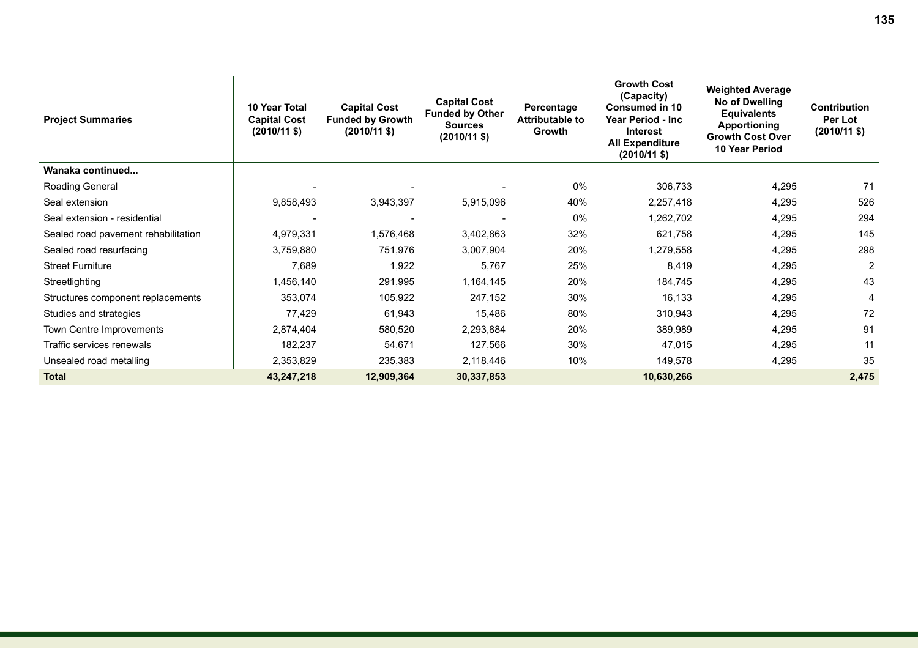| <b>Project Summaries</b>            | 10 Year Total<br><b>Capital Cost</b><br>$(2010/11 \text{ $})$ | <b>Capital Cost</b><br><b>Funded by Growth</b><br>$(2010/11$ \$) | <b>Capital Cost</b><br><b>Funded by Other</b><br><b>Sources</b><br>$(2010/11 \text{$ ) | Percentage<br><b>Attributable to</b><br>Growth | <b>Growth Cost</b><br>(Capacity)<br><b>Consumed in 10</b><br><b>Year Period - Inc.</b><br><b>Interest</b><br><b>All Expenditure</b><br>$(2010/11 \text{ $})$ | <b>Weighted Average</b><br>No of Dwelling<br><b>Equivalents</b><br>Apportioning<br><b>Growth Cost Over</b><br>10 Year Period | Contribution<br>Per Lot<br>$(2010/11 \text{ $}$ |
|-------------------------------------|---------------------------------------------------------------|------------------------------------------------------------------|----------------------------------------------------------------------------------------|------------------------------------------------|--------------------------------------------------------------------------------------------------------------------------------------------------------------|------------------------------------------------------------------------------------------------------------------------------|-------------------------------------------------|
| Wanaka continued                    |                                                               |                                                                  |                                                                                        |                                                |                                                                                                                                                              |                                                                                                                              |                                                 |
| Roading General                     |                                                               |                                                                  |                                                                                        | 0%                                             | 306,733                                                                                                                                                      | 4,295                                                                                                                        | 71                                              |
| Seal extension                      | 9,858,493                                                     | 3,943,397                                                        | 5,915,096                                                                              | 40%                                            | 2,257,418                                                                                                                                                    | 4,295                                                                                                                        | 526                                             |
| Seal extension - residential        |                                                               |                                                                  |                                                                                        | 0%                                             | 1,262,702                                                                                                                                                    | 4,295                                                                                                                        | 294                                             |
| Sealed road pavement rehabilitation | 4,979,331                                                     | 1,576,468                                                        | 3,402,863                                                                              | 32%                                            | 621,758                                                                                                                                                      | 4,295                                                                                                                        | 145                                             |
| Sealed road resurfacing             | 3,759,880                                                     | 751,976                                                          | 3,007,904                                                                              | 20%                                            | 1,279,558                                                                                                                                                    | 4,295                                                                                                                        | 298                                             |
| <b>Street Furniture</b>             | 7,689                                                         | 1,922                                                            | 5,767                                                                                  | 25%                                            | 8,419                                                                                                                                                        | 4,295                                                                                                                        | $\overline{2}$                                  |
| Streetlighting                      | 1,456,140                                                     | 291,995                                                          | 1,164,145                                                                              | 20%                                            | 184,745                                                                                                                                                      | 4,295                                                                                                                        | 43                                              |
| Structures component replacements   | 353,074                                                       | 105,922                                                          | 247,152                                                                                | 30%                                            | 16,133                                                                                                                                                       | 4,295                                                                                                                        | 4                                               |
| Studies and strategies              | 77,429                                                        | 61,943                                                           | 15,486                                                                                 | 80%                                            | 310,943                                                                                                                                                      | 4,295                                                                                                                        | 72                                              |
| Town Centre Improvements            | 2,874,404                                                     | 580,520                                                          | 2,293,884                                                                              | 20%                                            | 389,989                                                                                                                                                      | 4,295                                                                                                                        | 91                                              |
| Traffic services renewals           | 182,237                                                       | 54,671                                                           | 127,566                                                                                | 30%                                            | 47,015                                                                                                                                                       | 4,295                                                                                                                        | 11                                              |
| Unsealed road metalling             | 2,353,829                                                     | 235,383                                                          | 2,118,446                                                                              | 10%                                            | 149,578                                                                                                                                                      | 4,295                                                                                                                        | 35                                              |
| <b>Total</b>                        | 43,247,218                                                    | 12,909,364                                                       | 30,337,853                                                                             |                                                | 10,630,266                                                                                                                                                   |                                                                                                                              | 2,475                                           |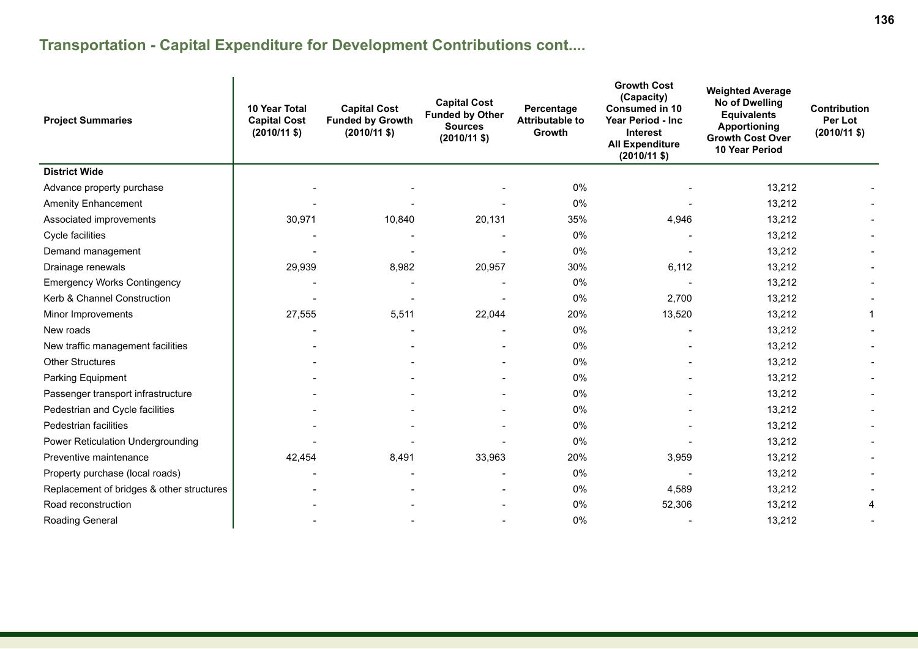# **Transportation - Capital Expenditure for Development Contributions cont....**

| <b>Project Summaries</b>                  | 10 Year Total<br><b>Capital Cost</b><br>$(2010/11 \text{ $}$ | <b>Capital Cost</b><br><b>Funded by Growth</b><br>$(2010/11$ \$) | <b>Capital Cost</b><br><b>Funded by Other</b><br><b>Sources</b><br>$(2010/11 \text{ $}$ | Percentage<br><b>Attributable to</b><br>Growth | <b>Growth Cost</b><br>(Capacity)<br><b>Consumed in 10</b><br>Year Period - Inc<br>Interest<br><b>All Expenditure</b><br>$(2010/11 \text{ $}$ | <b>Weighted Average</b><br>No of Dwelling<br><b>Equivalents</b><br><b>Apportioning</b><br><b>Growth Cost Over</b><br>10 Year Period | <b>Contribution</b><br>Per Lot<br>$(2010/11 \text{ $}$ |
|-------------------------------------------|--------------------------------------------------------------|------------------------------------------------------------------|-----------------------------------------------------------------------------------------|------------------------------------------------|----------------------------------------------------------------------------------------------------------------------------------------------|-------------------------------------------------------------------------------------------------------------------------------------|--------------------------------------------------------|
| <b>District Wide</b>                      |                                                              |                                                                  |                                                                                         |                                                |                                                                                                                                              |                                                                                                                                     |                                                        |
| Advance property purchase                 |                                                              |                                                                  |                                                                                         | $0\%$                                          |                                                                                                                                              | 13,212                                                                                                                              |                                                        |
| <b>Amenity Enhancement</b>                |                                                              |                                                                  |                                                                                         | 0%                                             |                                                                                                                                              | 13,212                                                                                                                              |                                                        |
| Associated improvements                   | 30,971                                                       | 10,840                                                           | 20,131                                                                                  | 35%                                            | 4,946                                                                                                                                        | 13,212                                                                                                                              |                                                        |
| Cycle facilities                          |                                                              |                                                                  |                                                                                         | 0%                                             |                                                                                                                                              | 13,212                                                                                                                              |                                                        |
| Demand management                         |                                                              |                                                                  |                                                                                         | 0%                                             |                                                                                                                                              | 13,212                                                                                                                              |                                                        |
| Drainage renewals                         | 29,939                                                       | 8,982                                                            | 20,957                                                                                  | 30%                                            | 6,112                                                                                                                                        | 13,212                                                                                                                              |                                                        |
| <b>Emergency Works Contingency</b>        |                                                              |                                                                  |                                                                                         | 0%                                             |                                                                                                                                              | 13,212                                                                                                                              |                                                        |
| Kerb & Channel Construction               |                                                              |                                                                  |                                                                                         | $0\%$                                          | 2,700                                                                                                                                        | 13,212                                                                                                                              |                                                        |
| Minor Improvements                        | 27,555                                                       | 5,511                                                            | 22,044                                                                                  | 20%                                            | 13,520                                                                                                                                       | 13,212                                                                                                                              | 1                                                      |
| New roads                                 |                                                              |                                                                  |                                                                                         | 0%                                             |                                                                                                                                              | 13,212                                                                                                                              |                                                        |
| New traffic management facilities         |                                                              |                                                                  |                                                                                         | 0%                                             |                                                                                                                                              | 13,212                                                                                                                              |                                                        |
| <b>Other Structures</b>                   |                                                              |                                                                  |                                                                                         | 0%                                             |                                                                                                                                              | 13,212                                                                                                                              |                                                        |
| Parking Equipment                         |                                                              |                                                                  |                                                                                         | 0%                                             |                                                                                                                                              | 13,212                                                                                                                              |                                                        |
| Passenger transport infrastructure        |                                                              |                                                                  |                                                                                         | 0%                                             |                                                                                                                                              | 13,212                                                                                                                              |                                                        |
| Pedestrian and Cycle facilities           |                                                              |                                                                  |                                                                                         | 0%                                             |                                                                                                                                              | 13,212                                                                                                                              |                                                        |
| Pedestrian facilities                     |                                                              |                                                                  |                                                                                         | 0%                                             |                                                                                                                                              | 13,212                                                                                                                              |                                                        |
| Power Reticulation Undergrounding         |                                                              |                                                                  |                                                                                         | $0\%$                                          |                                                                                                                                              | 13,212                                                                                                                              |                                                        |
| Preventive maintenance                    | 42,454                                                       | 8,491                                                            | 33,963                                                                                  | 20%                                            | 3,959                                                                                                                                        | 13,212                                                                                                                              |                                                        |
| Property purchase (local roads)           |                                                              |                                                                  |                                                                                         | 0%                                             |                                                                                                                                              | 13,212                                                                                                                              |                                                        |
| Replacement of bridges & other structures |                                                              |                                                                  |                                                                                         | $0\%$                                          | 4,589                                                                                                                                        | 13,212                                                                                                                              |                                                        |
| Road reconstruction                       |                                                              |                                                                  |                                                                                         | 0%                                             | 52,306                                                                                                                                       | 13,212                                                                                                                              | 4                                                      |
| Roading General                           |                                                              |                                                                  |                                                                                         | 0%                                             |                                                                                                                                              | 13,212                                                                                                                              |                                                        |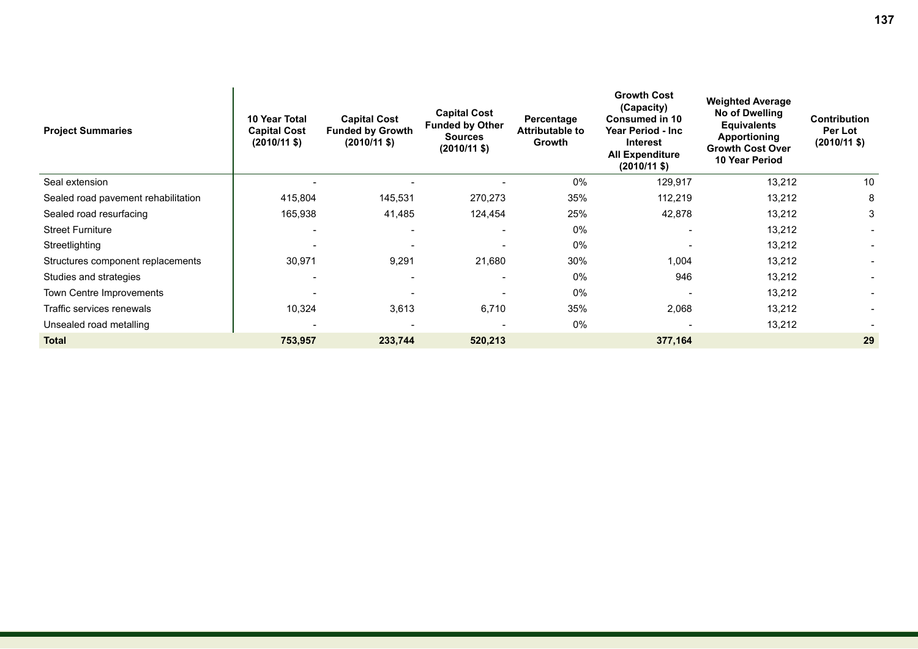| <b>Project Summaries</b>            | 10 Year Total<br><b>Capital Cost</b><br>$(2010/11 \text{$ }) | <b>Capital Cost</b><br><b>Funded by Growth</b><br>$(2010/11 \text{$ }) | <b>Capital Cost</b><br><b>Funded by Other</b><br><b>Sources</b><br>$(2010/11 \text{$ ) | Percentage<br><b>Attributable to</b><br>Growth | <b>Growth Cost</b><br>(Capacity)<br><b>Consumed in 10</b><br>Year Period - Inc<br><b>Interest</b><br><b>All Expenditure</b><br>$(2010/11 \text{$ ) | <b>Weighted Average</b><br>No of Dwelling<br><b>Equivalents</b><br><b>Apportioning</b><br><b>Growth Cost Over</b><br><b>10 Year Period</b> | <b>Contribution</b><br>Per Lot<br>$(2010/11$ \$) |
|-------------------------------------|--------------------------------------------------------------|------------------------------------------------------------------------|----------------------------------------------------------------------------------------|------------------------------------------------|----------------------------------------------------------------------------------------------------------------------------------------------------|--------------------------------------------------------------------------------------------------------------------------------------------|--------------------------------------------------|
| Seal extension                      | $\overline{\phantom{0}}$                                     | $\overline{\phantom{a}}$                                               | $\overline{\phantom{a}}$                                                               | 0%                                             | 129,917                                                                                                                                            | 13,212                                                                                                                                     | 10                                               |
| Sealed road pavement rehabilitation | 415,804                                                      | 145,531                                                                | 270,273                                                                                | 35%                                            | 112,219                                                                                                                                            | 13,212                                                                                                                                     | 8                                                |
| Sealed road resurfacing             | 165,938                                                      | 41,485                                                                 | 124,454                                                                                | 25%                                            | 42,878                                                                                                                                             | 13,212                                                                                                                                     | 3                                                |
| <b>Street Furniture</b>             | ۰                                                            | $\overline{\phantom{a}}$                                               | $\overline{\phantom{a}}$                                                               | 0%                                             |                                                                                                                                                    | 13,212                                                                                                                                     |                                                  |
| Streetlighting                      | $\overline{\phantom{0}}$                                     | $\overline{\phantom{0}}$                                               | $\overline{\phantom{0}}$                                                               | 0%                                             |                                                                                                                                                    | 13,212                                                                                                                                     |                                                  |
| Structures component replacements   | 30,971                                                       | 9,291                                                                  | 21,680                                                                                 | 30%                                            | 1,004                                                                                                                                              | 13,212                                                                                                                                     |                                                  |
| Studies and strategies              |                                                              | $\overline{\phantom{a}}$                                               |                                                                                        | 0%                                             | 946                                                                                                                                                | 13,212                                                                                                                                     |                                                  |
| Town Centre Improvements            |                                                              |                                                                        |                                                                                        | 0%                                             |                                                                                                                                                    | 13,212                                                                                                                                     |                                                  |
| Traffic services renewals           | 10,324                                                       | 3,613                                                                  | 6,710                                                                                  | 35%                                            | 2,068                                                                                                                                              | 13,212                                                                                                                                     |                                                  |
| Unsealed road metalling             | $\overline{\phantom{0}}$                                     |                                                                        | $\overline{\phantom{0}}$                                                               | 0%                                             |                                                                                                                                                    | 13,212                                                                                                                                     |                                                  |
| <b>Total</b>                        | 753,957                                                      | 233,744                                                                | 520,213                                                                                |                                                | 377,164                                                                                                                                            |                                                                                                                                            | 29                                               |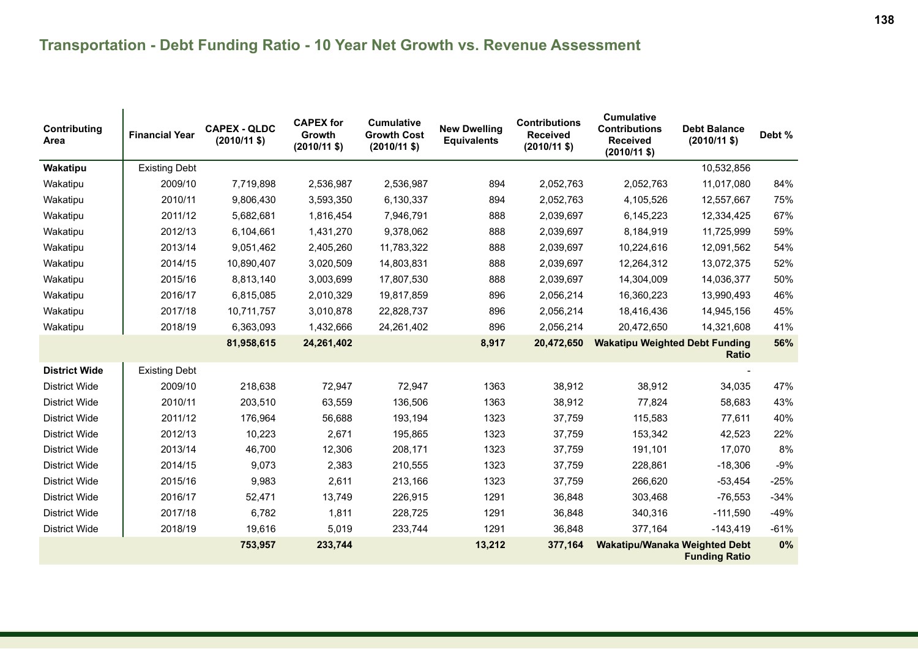| Contributing<br>Area | <b>Financial Year</b> | <b>CAPEX - QLDC</b><br>$(2010/11$ \$) | <b>CAPEX for</b><br>Growth<br>$(2010/11$ \$) | <b>Cumulative</b><br><b>Growth Cost</b><br>$(2010/11 \text{ $}$ | <b>New Dwelling</b><br><b>Equivalents</b> | <b>Contributions</b><br><b>Received</b><br>$(2010/11$ \$) | <b>Cumulative</b><br><b>Contributions</b><br><b>Received</b><br>$(2010/11$ \$) | <b>Debt Balance</b><br>$(2010/11$ \$) | Debt % |
|----------------------|-----------------------|---------------------------------------|----------------------------------------------|-----------------------------------------------------------------|-------------------------------------------|-----------------------------------------------------------|--------------------------------------------------------------------------------|---------------------------------------|--------|
| Wakatipu             | <b>Existing Debt</b>  |                                       |                                              |                                                                 |                                           |                                                           |                                                                                | 10,532,856                            |        |
| Wakatipu             | 2009/10               | 7,719,898                             | 2,536,987                                    | 2,536,987                                                       | 894                                       | 2,052,763                                                 | 2,052,763                                                                      | 11,017,080                            | 84%    |
| Wakatipu             | 2010/11               | 9,806,430                             | 3,593,350                                    | 6,130,337                                                       | 894                                       | 2,052,763                                                 | 4,105,526                                                                      | 12,557,667                            | 75%    |
| Wakatipu             | 2011/12               | 5,682,681                             | 1,816,454                                    | 7,946,791                                                       | 888                                       | 2,039,697                                                 | 6,145,223                                                                      | 12,334,425                            | 67%    |
| Wakatipu             | 2012/13               | 6,104,661                             | 1,431,270                                    | 9,378,062                                                       | 888                                       | 2,039,697                                                 | 8,184,919                                                                      | 11,725,999                            | 59%    |
| Wakatipu             | 2013/14               | 9,051,462                             | 2,405,260                                    | 11,783,322                                                      | 888                                       | 2,039,697                                                 | 10,224,616                                                                     | 12,091,562                            | 54%    |
| Wakatipu             | 2014/15               | 10,890,407                            | 3,020,509                                    | 14,803,831                                                      | 888                                       | 2,039,697                                                 | 12,264,312                                                                     | 13,072,375                            | 52%    |
| Wakatipu             | 2015/16               | 8,813,140                             | 3,003,699                                    | 17,807,530                                                      | 888                                       | 2,039,697                                                 | 14,304,009                                                                     | 14,036,377                            | 50%    |
| Wakatipu             | 2016/17               | 6,815,085                             | 2,010,329                                    | 19,817,859                                                      | 896                                       | 2,056,214                                                 | 16,360,223                                                                     | 13,990,493                            | 46%    |
| Wakatipu             | 2017/18               | 10,711,757                            | 3,010,878                                    | 22,828,737                                                      | 896                                       | 2,056,214                                                 | 18,416,436                                                                     | 14,945,156                            | 45%    |
| Wakatipu             | 2018/19               | 6,363,093                             | 1,432,666                                    | 24,261,402                                                      | 896                                       | 2,056,214                                                 | 20,472,650                                                                     | 14,321,608                            | 41%    |
|                      |                       | 81,958,615                            | 24,261,402                                   |                                                                 | 8,917                                     | 20,472,650                                                | <b>Wakatipu Weighted Debt Funding</b>                                          | <b>Ratio</b>                          | 56%    |
| <b>District Wide</b> | <b>Existing Debt</b>  |                                       |                                              |                                                                 |                                           |                                                           |                                                                                |                                       |        |
| <b>District Wide</b> | 2009/10               | 218,638                               | 72,947                                       | 72,947                                                          | 1363                                      | 38,912                                                    | 38,912                                                                         | 34,035                                | 47%    |
| <b>District Wide</b> | 2010/11               | 203,510                               | 63,559                                       | 136,506                                                         | 1363                                      | 38,912                                                    | 77,824                                                                         | 58,683                                | 43%    |
| <b>District Wide</b> | 2011/12               | 176,964                               | 56,688                                       | 193,194                                                         | 1323                                      | 37,759                                                    | 115,583                                                                        | 77,611                                | 40%    |
| <b>District Wide</b> | 2012/13               | 10,223                                | 2,671                                        | 195,865                                                         | 1323                                      | 37,759                                                    | 153,342                                                                        | 42,523                                | 22%    |
| <b>District Wide</b> | 2013/14               | 46,700                                | 12,306                                       | 208,171                                                         | 1323                                      | 37,759                                                    | 191,101                                                                        | 17,070                                | 8%     |
| <b>District Wide</b> | 2014/15               | 9,073                                 | 2,383                                        | 210,555                                                         | 1323                                      | 37,759                                                    | 228,861                                                                        | $-18,306$                             | $-9%$  |
| <b>District Wide</b> | 2015/16               | 9,983                                 | 2,611                                        | 213,166                                                         | 1323                                      | 37,759                                                    | 266,620                                                                        | $-53,454$                             | $-25%$ |
| <b>District Wide</b> | 2016/17               | 52,471                                | 13,749                                       | 226,915                                                         | 1291                                      | 36,848                                                    | 303,468                                                                        | $-76,553$                             | $-34%$ |
| <b>District Wide</b> | 2017/18               | 6,782                                 | 1,811                                        | 228,725                                                         | 1291                                      | 36,848                                                    | 340,316                                                                        | $-111,590$                            | $-49%$ |
| <b>District Wide</b> | 2018/19               | 19,616                                | 5,019                                        | 233,744                                                         | 1291                                      | 36,848                                                    | 377,164                                                                        | $-143,419$                            | $-61%$ |
|                      |                       | 753,957                               | 233,744                                      |                                                                 | 13,212                                    | 377,164                                                   | <b>Wakatipu/Wanaka Weighted Debt</b>                                           | <b>Funding Ratio</b>                  | 0%     |